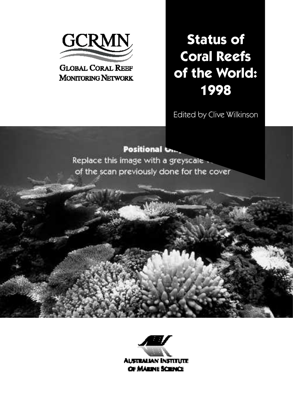

# **GLOBAL CORAL REEF MONITORING NETWORK**

# **Status of Coral Reefs of the World: 1998**

Edited by Clive Wilkinson

# **Positional On.**

Replace this image with a greyscale of the scan previously done for the cover



**AUSTRALIAN INSTITUTE** OF MARINE SCIENCE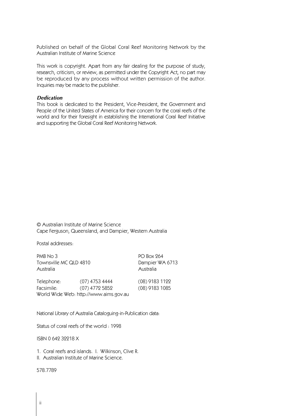Published on behalf of the Global Coral Reef Monitoring Network by the Australian Institute of Marine Science

This work is copyright. Apart from any fair dealing for the purpose of study, research, criticism, or review, as permitted under the Copyright Act, no part may be reproduced by any process without written permission of the author. Inquiries may be made to the publisher.

#### *Dedication*

This book is dedicated to the President, Vice-President, the Government and People of the United States of America for their concern for the coral reefs of the world and for their foresight in establishing the International Coral Reef Initiative and supporting the Global Coral Reef Monitoring Network.

© Australian Institute of Marine Science Cape Ferguson, Queensland, and Dampier, Western Australia

Postal addresses:

PMB No 3 PO Box 264 Townsville MC QLD 4810 Dampier WA 6713 Australia Australia

| Telephone: | $(07)$ 4753 4444                       | (08) 9183 1122 |
|------------|----------------------------------------|----------------|
| Facsimile: | (07) 4772 5852                         | (08) 9183 1085 |
|            | World Wide Web: http://www.aims.gov.au |                |

National Library of Australia Cataloguing-in-Publication data:

Status of coral reefs of the world : 1998

ISBN 0 642 32218 X

1. Coral reefs and islands. I. Wilkinson, Clive R.

II. Australian Institute of Marine Science.

578.7789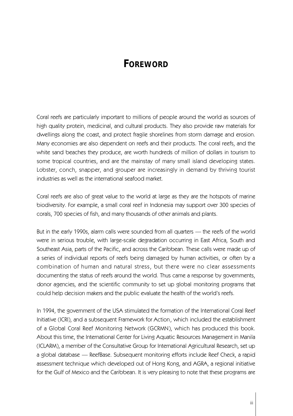# **FOREWORD**

Coral reefs are particularly important to millions of people around the world as sources of high quality protein, medicinal, and cultural products. They also provide raw materials for dwellings along the coast, and protect fragile shorelines from storm damage and erosion. Many economies are also dependent on reefs and their products. The coral reefs, and the white sand beaches they produce, are worth hundreds of million of dollars in tourism to some tropical countries, and are the mainstay of many small island developing states. Lobster, conch, snapper, and grouper are increasingly in demand by thriving tourist industries as well as the international seafood market.

Coral reefs are also of great value to the world at large as they are the hotspots of marine biodiversity. For example, a small coral reef in Indonesia may support over 300 species of corals, 700 species of fish, and many thousands of other animals and plants.

But in the early 1990s, alarm calls were sounded from all quarters — the reefs of the world were in serious trouble, with large-scale degradation occurring in East Africa, South and Southeast Asia, parts of the Pacific, and across the Caribbean. These calls were made up of a series of individual reports of reefs being damaged by human activities, or often by a combination of human and natural stress, but there were no clear assessments documenting the status of reefs around the world. Thus came a response by governments, donor agencies, and the scientific community to set up global monitoring programs that could help decision makers and the public evaluate the health of the world's reefs.

In 1994, the government of the USA stimulated the formation of the International Coral Reef Initiative (ICRI), and a subsequent Framework for Action, which included the establishment of a Global Coral Reef Monitoring Network (GCRMN), which has produced this book. About this time, the International Center for Living Aquatic Resources Management in Manila (ICLARM), a member of the Consultative Group for International Agricultural Research, set up a global database — ReefBase. Subsequent monitoring efforts include Reef Check, a rapid assessment technique which developed out of Hong Kong, and AGRA, a regional initiative for the Gulf of Mexico and the Caribbean. It is very pleasing to note that these programs are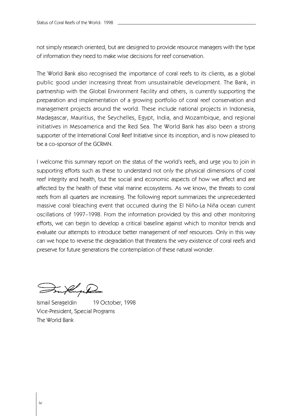not simply research oriented, but are designed to provide resource managers with the type of information they need to make wise decisions for reef conservation.

The World Bank also recognised the importance of coral reefs to its clients, as a global public good under increasing threat from unsustainable development. The Bank, in partnership with the Global Environment Facility and others, is currently supporting the preparation and implementation of a growing portfolio of coral reef conservation and management projects around the world. These include national projects in Indonesia, Madagascar, Mauritius, the Seychelles, Egypt, India, and Mozambique, and regional initiatives in Mesoamerica and the Red Sea. The World Bank has also been a strong supporter of the International Coral Reef Initiative since its inception, and is now pleased to be a co-sponsor of the GCRMN.

I welcome this summary report on the status of the world's reefs, and urge you to join in supporting efforts such as these to understand not only the physical dimensions of coral reef integrity and health, but the social and economic aspects of how we affect and are affected by the health of these vital marine ecosystems. As we know, the threats to coral reefs from all quarters are increasing. The following report summarizes the unprecedented massive coral bleaching event that occurred during the El Niño-La Niña ocean current oscillations of 1997–1998. From the information provided by this and other monitoring efforts, we can begin to develop a critical baseline against which to monitor trends and evaluate our attempts to introduce better management of reef resources. Only in this way can we hope to reverse the degradation that threatens the very existence of coral reefs and preserve for future generations the contemplation of these natural wonder.

Ismail Serageldin 19 October, 1998 Vice-President, Special Programs The World Bank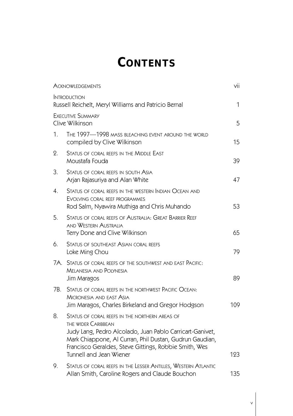# **CONTENTS**

|     | <b>ACKNOWLEDGEMENTS</b>                                                                                                                                                                                                                                                          | vii |
|-----|----------------------------------------------------------------------------------------------------------------------------------------------------------------------------------------------------------------------------------------------------------------------------------|-----|
|     | <b>INTRODUCTION</b><br>Russell Reichelt, Meryl Williams and Patricio Bernal                                                                                                                                                                                                      | 1   |
|     | <b>EXECUTIVE SUMMARY</b><br>Clive Wilkinson                                                                                                                                                                                                                                      | 5   |
| 1.  | THE 1997-1998 MASS BLEACHING EVENT AROUND THE WORLD<br>compiled by Clive Wilkinson                                                                                                                                                                                               | 15  |
| 2.  | STATUS OF CORAL REEFS IN THE MIDDLE EAST<br>Moustafa Fouda                                                                                                                                                                                                                       | 39  |
| 3.  | Status of coral reefs in south Asia<br>Arjan Rajasuriya and Alan White                                                                                                                                                                                                           | 47  |
| 4.  | STATUS OF CORAL REEFS IN THE WESTERN INDIAN OCEAN AND<br>EVOLVING CORAL REEF PROGRAMMES<br>Rod Salm, Nyawira Muthiga and Chris Muhando                                                                                                                                           | 53  |
| 5.  | STATUS OF CORAL REEFS OF AUSTRALIA: GREAT BARRIER REEF<br>AND WESTERN AUSTRALIA<br>Terry Done and Clive Wilkinson                                                                                                                                                                | 65  |
| 6.  | <b>STATUS OF SOUTHEAST ASIAN CORAL REEFS</b><br>Loke Ming Chou                                                                                                                                                                                                                   | 79  |
| 7A. | STATUS OF CORAL REEFS OF THE SOUTHWEST AND EAST PACIFIC:<br><b>MELANESIA AND POLYNESIA</b><br>Jim Maragos                                                                                                                                                                        | 89  |
| 7B. | STATUS OF CORAL REEFS IN THE NORTHWEST PACIFIC OCEAN:<br><b>MICRONESIA AND EAST ASIA</b><br>Jim Maragos, Charles Birkeland and Gregor Hodgson                                                                                                                                    | 109 |
| 8.  | STATUS OF CORAL REEFS IN THE NORTHERN AREAS OF<br>THE WIDER CARIBBEAN<br>Judy Lang, Pedro Alcolado, Juan Pablo Carricart-Ganivet,<br>Mark Chiappone, Al Curran, Phil Dustan, Gudrun Gaudian,<br>Francisco Geraldes, Steve Gittings, Robbie Smith, Wes<br>Tunnell and Jean Wiener | 123 |
| 9.  | STATUS OF CORAL REEFS IN THE LESSER ANTILLES, WESTERN ATLANTIC<br>Allan Smith, Caroline Rogers and Claude Bouchon                                                                                                                                                                | 135 |

v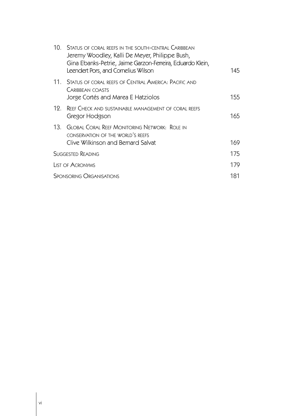|     | 10. STATUS OF CORAL REEFS IN THE SOUTH-CENTRAL CARIBBEAN<br>Jeremy Woodley, Kalli De Meyer, Philippe Bush,<br>Gina Ebanks-Petrie, Jaime Garzon-Ferreira, Eduardo Klein,<br>Leendert Pors, and Cornelius Wilson | 145 |
|-----|----------------------------------------------------------------------------------------------------------------------------------------------------------------------------------------------------------------|-----|
|     | 11. Status of coral reefs of Central America: Pacific and<br>CARIBBEAN COASTS<br>Jorge Cortés and Marea E Hatziolos                                                                                            | 155 |
| 19. | REEF CHECK AND SUSTAINABLE MANAGEMENT OF CORAL REEFS<br>Gregor Hodgson                                                                                                                                         | 165 |
|     | 13. GLOBAL CORAL REFE MONITORING NETWORK: ROLE IN<br>CONSERVATION OF THE WORLD'S REEFS<br>Clive Wilkinson and Bernard Salvat                                                                                   | 169 |
|     | <b>SUGGESTED READING</b>                                                                                                                                                                                       | 175 |
|     | <b>LIST OF ACRONYMS</b>                                                                                                                                                                                        | 179 |
|     | <b>SPONSORING ORGANISATIONS</b>                                                                                                                                                                                | 181 |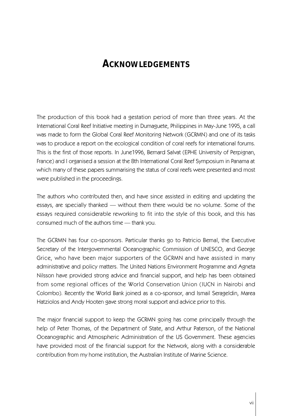# **ACKNOWLEDGEMENTS**

The production of this book had a gestation period of more than three years. At the International Coral Reef Initiative meeting in Dumaguete, Philippines in May-June 1995, a call was made to form the Global Coral Reef Monitoring Network (GCRMN) and one of its tasks was to produce a report on the ecological condition of coral reefs for international forums. This is the first of those reports. In June1996, Bernard Salvat (EPHE University of Perpignan, France) and I organised a session at the 8th International Coral Reef Symposium in Panama at which many of these papers summarising the status of coral reefs were presented and most were published in the proceedings.

The authors who contributed then, and have since assisted in editing and updating the essays, are specially thanked — without them there would be no volume. Some of the essays required considerable reworking to fit into the style of this book, and this has consumed much of the authors time — thank you.

The GCRMN has four co-sponsors. Particular thanks go to Patricio Bernal, the Executive Secretary of the Intergovernmental Oceanographic Commission of UNESCO, and George Grice, who have been major supporters of the GCRMN and have assisted in many administrative and policy matters. The United Nations Environment Programme and Agneta Nilsson have provided strong advice and financial support, and help has been obtained from some regional offices of the World Conservation Union (IUCN in Nairobi and Colombo). Recently the World Bank joined as a co-sponsor, and Ismail Serageldin, Marea Hatziolos and Andy Hooten gave strong moral support and advice prior to this.

The major financial support to keep the GCRMN going has come principally through the help of Peter Thomas, of the Department of State, and Arthur Paterson, of the National Oceanographic and Atmospheric Administration of the US Government. These agencies have provided most of the financial support for the Network, along with a considerable contribution from my home institution, the Australian Institute of Marine Science.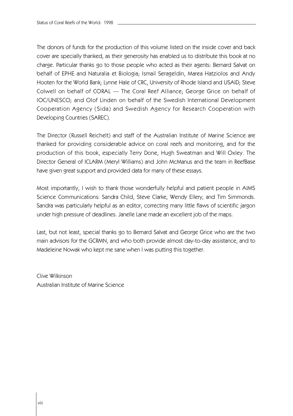The donors of funds for the production of this volume listed on the inside cover and back cover are specially thanked, as their generosity has enabled us to distribute this book at no charge. Particular thanks go to those people who acted as their agents: Bernard Salvat on behalf of EPHE and Naturalia et Biologia; Ismail Serageldin, Marea Hatziolos and Andy Hooten for the World Bank; Lynne Hale of CRC, University of Rhode Island and USAID; Steve Colwell on behalf of CORAL — The Coral Reef Alliance; George Grice on behalf of IOC/UNESCO; and Olof Linden on behalf of the Swedish International Development Cooperation Agency (Sida) and Swedish Agency for Research Cooperation with Developing Countries (SAREC).

The Director (Russell Reichelt) and staff of the Australian Institute of Marine Science are thanked for providing considerable advice on coral reefs and monitoring, and for the production of this book, especially Terry Done, Hugh Sweatman and Will Oxley. The Director General of ICLARM (Meryl Williams) and John McManus and the team in ReefBase have given great support and provided data for many of these essays.

Most importantly, I wish to thank those wonderfully helpful and patient people in AIMS Science Communications: Sandra Child, Steve Clarke, Wendy Ellery, and Tim Simmonds. Sandra was particularly helpful as an editor, correcting many little flaws of scientific jargon under high pressure of deadlines. Janelle Lane made an excellent job of the maps.

Last, but not least, special thanks go to Bernard Salvat and George Grice who are the two main advisors for the GCRMN, and who both provide almost day-to-day assistance, and to Madeleine Nowak who kept me sane when I was putting this together.

Clive Wilkinson Australian Institute of Marine Science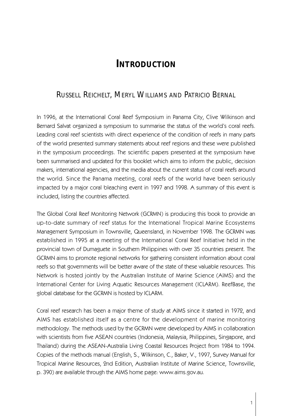# **INTRODUCTION**

# RUSSELL REICHELT, MERYL WILLIAMS AND PATRICIO BERNAL

In 1996, at the International Coral Reef Symposium in Panama City, Clive Wilkinson and Bernard Salvat organized a symposium to summarise the status of the world's coral reefs. Leading coral reef scientists with direct experience of the condition of reefs in many parts of the world presented summary statements about reef regions and these were published in the symposium proceedings. The scientific papers presented at the symposium have been summarised and updated for this booklet which aims to inform the public, decision makers, international agencies, and the media about the current status of coral reefs around the world. Since the Panama meeting, coral reefs of the world have been seriously impacted by a major coral bleaching event in 1997 and 1998. A summary of this event is included, listing the countries affected.

The Global Coral Reef Monitoring Network (GCRMN) is producing this book to provide an up-to-date summary of reef status for the International Tropical Marine Ecosystems Management Symposium in Townsville, Queensland, in November 1998. The GCRMN was established in 1995 at a meeting of the International Coral Reef Initiative held in the provincial town of Dumaguete in Southern Philippines with over 35 countries present. The GCRMN aims to promote regional networks for gathering consistent information about coral reefs so that governments will be better aware of the state of these valuable resources. This Network is hosted jointly by the Australian Institute of Marine Science (AIMS) and the International Center for Living Aquatic Resources Management (ICLARM). ReefBase, the global database for the GCRMN is hosted by ICLARM.

Coral reef research has been a major theme of study at AIMS since it started in 1972, and AIMS has established itself as a centre for the development of marine monitoring methodology. The methods used by the GCRMN were developed by AIMS in collaboration with scientists from five ASEAN countries (Indonesia, Malaysia, Philippines, Singapore, and Thailand) during the ASEAN-Australia Living Coastal Resources Project from 1984 to 1994. Copies of the methods manual (English, S., Wilkinson, C., Baker, V., 1997, Survey Manual for Tropical Marine Resources, 2nd Edition, Australian Institute of Marine Science, Townsville, p. 390) are available through the AIMS home page: www.aims.gov.au.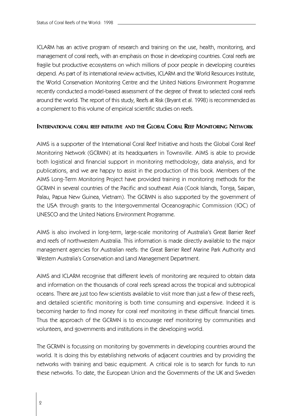ICLARM has an active program of research and training on the use, health, monitoring, and management of coral reefs, with an emphasis on those in developing countries. Coral reefs are fragile but productive ecosystems on which millions of poor people in developing countries depend. As part of its international review activities, ICLARM and the World Resources Institute, the World Conservation Monitoring Centre and the United Nations Environment Programme recently conducted a model-based assessment of the degree of threat to selected coral reefs around the world. The report of this study, Reefs at Risk (Bryant et al. 1998) is recommended as a complement to this volume of empirical scientific studies on reefs.

### **INTERNATIONAL CORAL REFE INITIATIVE AND THE GLOBAL CORAL REFE MONITORING NETWORK**

AIMS is a supporter of the International Coral Reef Initiative and hosts the Global Coral Reef Monitoring Network (GCRMN) at its headquarters in Townsville. AIMS is able to provide both logistical and financial support in monitoring methodology, data analysis, and for publications, and we are happy to assist in the production of this book. Members of the AIMS Long-Term Monitoring Project have provided training in monitoring methods for the GCRMN in several countries of the Pacific and southeast Asia (Cook Islands, Tonga, Saipan, Palau, Papua New Guinea, Vietnam). The GCRMN is also supported by the government of the USA through grants to the Intergovernmental Oceanographic Commission (IOC) of UNESCO and the United Nations Environment Programme.

AIMS is also involved in long-term, large-scale monitoring of Australia's Great Barrier Reef and reefs of northwestern Australia. This information is made directly available to the major management agencies for Australian reefs: the Great Barrier Reef Marine Park Authority and Western Australia's Conservation and Land Management Department.

AIMS and ICLARM recognise that different levels of monitoring are required to obtain data and information on the thousands of coral reefs spread across the tropical and subtropical oceans. There are just too few scientists available to visit more than just a few of these reefs, and detailed scientific monitoring is both time consuming and expensive. Indeed it is becoming harder to find money for coral reef monitoring in these difficult financial times. Thus the approach of the GCRMN is to encourage reef monitoring by communities and volunteers, and governments and institutions in the developing world.

The GCRMN is focussing on monitoring by governments in developing countries around the world. It is doing this by establishing networks of adjacent countries and by providing the networks with training and basic equipment. A critical role is to search for funds to run these networks. To date, the European Union and the Governments of the UK and Sweden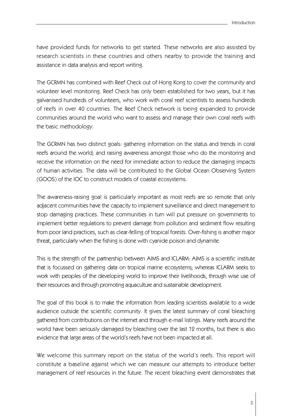have provided funds for networks to get started. These networks are also assisted by research scientists in these countries and others nearby to provide the training and assistance in data analysis and report writing.

The GCRMN has combined with Reef Check out of Hong Kong to cover the community and volunteer level monitoring. Reef Check has only been established for two years, but it has galvanised hundreds of volunteers, who work with coral reef scientists to assess hundreds of reefs in over 40 countries. The Reef Check network is being expanded to provide communities around the world who want to assess and manage their own coral reefs with the basic methodology.

The GCRMN has two distinct goals: gathering information on the status and trends in coral reefs around the world; and raising awareness amongst those who do the monitoring and receive the information on the need for immediate action to reduce the damaging impacts of human activities. The data will be contributed to the Global Ocean Observing System (GOOS) of the IOC to construct models of coastal ecosystems.

The awareness-raising goal is particularly important as most reefs are so remote that only adjacent communities have the capacity to implement surveillance and direct management to stop damaging practices. These communities in turn will put pressure on governments to implement better regulations to prevent damage from pollution and sediment flow resulting from poor land practices, such as clear-felling of tropical forests. Over-fishing is another major threat, particularly when the fishing is done with cyanide poison and dynamite.

This is the strength of the partnership between AIMS and ICLARM: AIMS is a scientific institute that is focussed on gathering data on tropical marine ecosystems; whereas ICLARM seeks to work with peoples of the developing world to improve their livelihoods, through wise use of their resources and through promoting aquaculture and sustainable development.

The goal of this book is to make the information from leading scientists available to a wide audience outside the scientific community. It gives the latest summary of coral bleaching gathered from contributions on the internet and through e-mail listings. Many reefs around the world have been seriously damaged by bleaching over the last 12 months, but there is also evidence that large areas of the world's reefs have not been impacted at all.

We welcome this summary report on the status of the world's reefs. This report will constitute a baseline against which we can measure our attempts to introduce better management of reef resources in the future. The recent bleaching event demonstrates that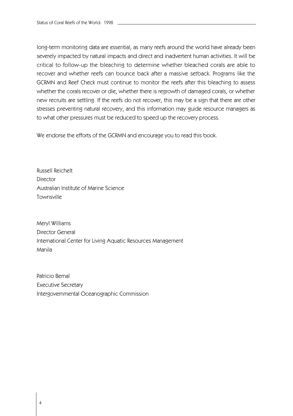long-term monitoring data are essential, as many reefs around the world have already been severely impacted by natural impacts and direct and inadvertent human activities. It will be critical to follow-up the bleaching to determine whether bleached corals are able to recover and whether reefs can bounce back after a massive setback. Programs like the GCRMN and Reef Check must continue to monitor the reefs after this bleaching to assess whether the corals recover or die, whether there is regrowth of damaged corals, or whether new recruits are settling. If the reefs do not recover, this may be a sign that there are other stresses preventing natural recovery, and this information may guide resource managers as to what other pressures must be reduced to speed up the recovery process.

We endorse the efforts of the GCRMN and encourage you to read this book.

Russell Reichelt **Director** Australian Institute of Marine Science Townsville

Meryl Williams Director General International Center for Living Aquatic Resources Management Manila

Patricio Bernal Executive Secretary Intergovernmental Oceanographic Commission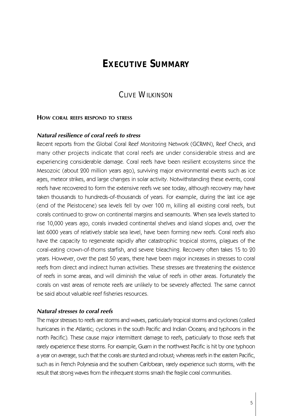# **EXECUTIVE SUMMARY**

# CLIVE WILKINSON

# **HOW CORAL REEFS RESPOND TO STRESS**

# *Natural resilience of coral reefs to stress*

Recent reports from the Global Coral Reef Monitoring Network (GCRMN), Reef Check, and many other projects indicate that coral reefs are under considerable stress and are experiencing considerable damage. Coral reefs have been resilient ecosystems since the Mesozoic (about 200 million years ago), surviving major environmental events such as ice ages, meteor strikes, and large changes in solar activity. Notwithstanding these events, coral reefs have recovered to form the extensive reefs we see today, although recovery may have taken thousands to hundreds-of-thousands of years. For example, during the last ice age (end of the Pleistocene) sea levels fell by over 100 m, killing all existing coral reefs, but corals continued to grow on continental margins and seamounts. When sea levels started to rise 10,000 years ago, corals invaded continental shelves and island slopes and, over the last 6000 years of relatively stable sea level, have been forming new reefs. Coral reefs also have the capacity to regenerate rapidly after catastrophic tropical storms, plagues of the coral-eating crown-of-thorns starfish, and severe bleaching. Recovery often takes 15 to 20 years. However, over the past 50 years, there have been major increases in stresses to coral reefs from direct and indirect human activities. These stresses are threatening the existence of reefs in some areas, and will diminish the value of reefs in other areas. Fortunately the corals on vast areas of remote reefs are unlikely to be severely affected. The same cannot be said about valuable reef fisheries resources.

## *Natural stresses to coral reefs*

The major stresses to reefs are storms and waves, particularly tropical storms and cyclones (called hurricanes in the Atlantic; cyclones in the south Pacific and Indian Oceans; and typhoons in the north Pacific). These cause major intermittent damage to reefs, particularly to those reefs that rarely experience these storms. For example, Guam in the northwest Pacific is hit by one typhoon a year on average, such that the corals are stunted and robust; whereas reefs in the eastern Pacific, such as in French Polynesia and the southern Caribbean, rarely experience such storms, with the result that strong waves from the infrequent storms smash the fragile coral communities.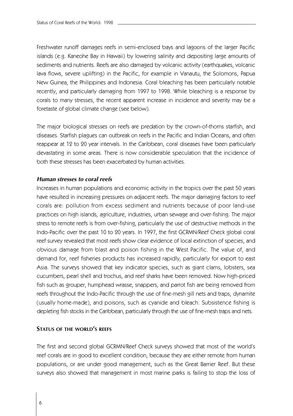Freshwater runoff damages reefs in semi-enclosed bays and lagoons of the larger Pacific islands (e.g. Kaneohe Bay in Hawaii) by lowering salinity and depositing large amounts of sediments and nutrients. Reefs are also damaged by volcanic activity (earthquakes, volcanic lava flows, severe uplifting) in the Pacific, for example in Vanautu, the Solomons, Papua New Guinea, the Philippines and Indonesia. Coral bleaching has been particularly notable recently, and particularly damaging from 1997 to 1998. While bleaching is a response by corals to many stresses, the recent apparent increase in incidence and severity may be a foretaste of global climate change (see below).

The major biological stresses on reefs are predation by the crown-of-thorns starfish, and diseases. Starfish plagues can outbreak on reefs in the Pacific and Indian Oceans, and often reappear at 12 to 20 year intervals. In the Caribbean, coral diseases have been particularly devastating in some areas. There is now considerable speculation that the incidence of both these stresses has been exacerbated by human activities.

# *Human stresses to coral reefs*

Increases in human populations and economic activity in the tropics over the past 50 years have resulted in increasing pressures on adjacent reefs. The major damaging factors to reef corals are: pollution from excess sediment and nutrients because of poor land-use practices on high islands, agriculture, industries, urban sewage and over-fishing. The major stress to remote reefs is from over-fishing, particularly the use of destructive methods in the Indo-Pacific over the past 10 to 20 years. In 1997, the first GCRMN/Reef Check global coral reef survey revealed that most reefs show clear evidence of local extinction of species, and obvious damage from blast and poison fishing in the West Pacific. The value of, and demand for, reef fisheries products has increased rapidly, particularly for export to east Asia. The surveys showed that key indicator species, such as giant clams, lobsters, sea cucumbers, pearl shell and trochus, and reef sharks have been removed. Now high-priced fish such as grouper, humphead wrasse, snappers, and parrot fish are being removed from reefs throughout the Indo-Pacific through the use of fine-mesh gill nets and traps, dynamite (usually home-made), and poisons, such as cyanide and bleach. Subsistence fishing is depleting fish stocks in the Caribbean, particularly through the use of fine-mesh traps and nets.

# **STATUS OF THE WORLD'S REEFS**

The first and second global GCRMN/Reef Check surveys showed that most of the world's reef corals are in good to excellent condition, because they are either remote from human populations, or are under good management, such as the Great Barrier Reef. But these surveys also showed that management in most marine parks is failing to stop the loss of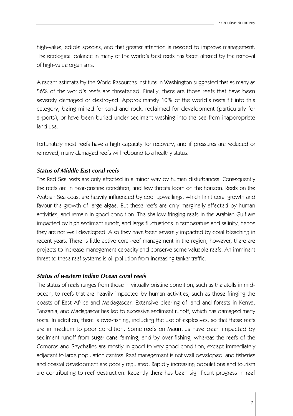high-value, edible species, and that greater attention is needed to improve management. The ecological balance in many of the world's best reefs has been altered by the removal of high-value organisms.

A recent estimate by the World Resources Institute in Washington suggested that as many as 56% of the world's reefs are threatened. Finally, there are those reefs that have been severely damaged or destroyed. Approximately 10% of the world's reefs fit into this category, being mined for sand and rock, reclaimed for development (particularly for airports), or have been buried under sediment washing into the sea from inappropriate land use.

Fortunately most reefs have a high capacity for recovery, and if pressures are reduced or removed, many damaged reefs will rebound to a healthy status.

# *Status of Middle East coral reefs*

The Red Sea reefs are only affected in a minor way by human disturbances. Consequently the reefs are in near-pristine condition, and few threats loom on the horizon. Reefs on the Arabian Sea coast are heavily influenced by cool upwellings, which limit coral growth and favour the growth of large algae. But these reefs are only marginally affected by human activities, and remain in good condition. The shallow fringing reefs in the Arabian Gulf are impacted by high sediment runoff, and large fluctuations in temperature and salinity, hence they are not well developed. Also they have been severely impacted by coral bleaching in recent years. There is little active coral-reef management in the region, however, there are projects to increase management capacity and conserve some valuable reefs. An imminent threat to these reef systems is oil pollution from increasing tanker traffic.

### *Status of western Indian Ocean coral reefs*

The status of reefs ranges from those in virtually pristine condition, such as the atolls in midocean, to reefs that are heavily impacted by human activities, such as those fringing the coasts of East Africa and Madagascar. Extensive clearing of land and forests in Kenya, Tanzania, and Madagascar has led to excessive sediment runoff, which has damaged many reefs. In addition, there is over-fishing, including the use of explosives, so that these reefs are in medium to poor condition. Some reefs on Mauritius have been impacted by sediment runoff from sugar-cane farming, and by over-fishing, whereas the reefs of the Comoros and Seychelles are mostly in good to very good condition, except immediately adjacent to large population centres. Reef management is not well developed, and fisheries and coastal development are poorly regulated. Rapidly increasing populations and tourism are contributing to reef destruction. Recently there has been significant progress in reef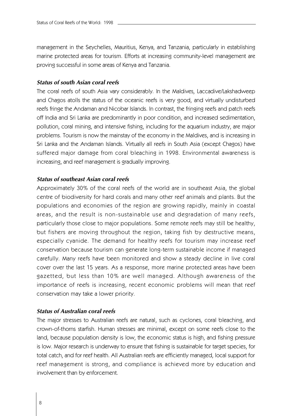management in the Seychelles, Mauritius, Kenya, and Tanzania, particularly in establishing marine protected areas for tourism. Efforts at increasing community-level management are proving successful in some areas of Kenya and Tanzania.

# *Status of south Asian coral reefs*

The coral reefs of south Asia vary considerably. In the Maldives, Laccadive/Lakshadweep and Chagos atolls the status of the oceanic reefs is very good, and virtually undisturbed reefs fringe the Andaman and Nicobar Islands. In contrast, the fringing reefs and patch reefs off India and Sri Lanka are predominantly in poor condition, and increased sedimentation, pollution, coral mining, and intensive fishing, including for the aquarium industry, are major problems. Tourism is now the mainstay of the economy in the Maldives, and is increasing in Sri Lanka and the Andaman Islands. Virtually all reefs in South Asia (except Chagos) have suffered major damage from coral bleaching in 1998. Environmental awareness is increasing, and reef management is gradually improving.

# *Status of southeast Asian coral reefs*

Approximately 30% of the coral reefs of the world are in southeast Asia, the global centre of biodiversity for hard corals and many other reef animals and plants. But the populations and economies of the region are growing rapidly, mainly in coastal areas, and the result is non-sustaina ble use and degradation of many reefs, particularly those close to major populations. Some remote reefs may still be healthy, but fishers are moving throughout the region, taking fish by destructive means, especially cyanide. The demand for healthy reefs for tourism may increase reef conservation because tourism can generate long-term sustainable income if managed carefully. Many reefs have been monitored and show a steady decline in live coral cover over the last 15 years. As a response, more marine protected areas have been gazetted, but less than 10% a re well managed. Although awareness of the importance of reefs is increasing, recent economic problems will mean that reef conservation may take a lower priority.

## *Status of Australian coral reefs*

The major stresses to Australian reefs are natural, such as cyclones, coral bleaching, and crown-of-thorns starfish. Human stresses are minimal, except on some reefs close to the land, because population density is low, the economic status is high, and fishing pressure is low. Major research is underway to ensure that fishing is sustainable for target species, for total catch, and for reef health. All Australian reefs are efficiently managed, local support for reef management is strong, and compliance is achieved more by education and involvement than by enforcement.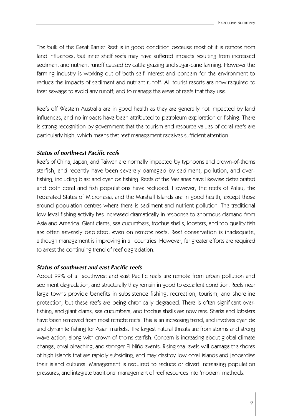The bulk of the Great Barrier Reef is in good condition because most of it is remote from land influences, but inner shelf reefs may have suffered impacts resulting from increased sediment and nutrient runoff caused by cattle grazing and sugar-cane farming. However the farming industry is working out of both self-interest and concern for the environment to reduce the impacts of sediment and nutrient runoff. All tourist resorts are now required to treat sewage to avoid any runoff, and to manage the areas of reefs that they use.

Reefs off Western Australia are in good health as they are generally not impacted by land influences, and no impacts have been attributed to petroleum exploration or fishing. There is strong recognition by government that the tourism and resource values of coral reefs are particularly high, which means that reef management receives sufficient attention.

# *Status of northwest Pacific reefs*

Reefs of China, Japan, and Taiwan are normally impacted by typhoons and crown-of-thorns starfish, and recently have been severely damaged by sediment, pollution, and overfishing, including blast and cyanide fishing. Reefs of the Marianas have likewise deteriorated and both coral and fish populations have reduced. However, the reefs of Palau, the Federated States of Micronesia, and the Marshall Islands are in good health, except those around population centres where there is sediment and nutrient pollution. The traditional low-level fishing activity has increased dramatically in response to enormous demand from Asia and America. Giant clams, sea cucumbers, trochus shells, lobsters, and top quality fish are often severely depleted, even on remote reefs. Reef conservation is inadequate, although management is improving in all countries. However, far greater efforts are required to arrest the continuing trend of reef degradation.

# *Status of southwest and east Pacific reefs*

About 99% of all southwest and east Pacific reefs are remote from urban pollution and sediment degradation, and structurally they remain in good to excellent condition. Reefs near large towns provide benefits in subsistence fishing, recreation, tourism, and shoreline protection, but these reefs are being chronically degraded. There is often significant overfishing, and giant clams, sea cucumbers, and trochus shells are now rare. Sharks and lobsters have been removed from most remote reefs. This is an increasing trend, and involves cyanide and dynamite fishing for Asian markets. The largest natural threats are from storms and strong wave action, along with crown-of-thorns starfish. Concern is increasing about global climate change, coral bleaching, and stronger El Niño events. Rising sea levels will damage the shores of high islands that are rapidly subsiding, and may destroy low coral islands and jeopardise their island cultures. Management is required to reduce or divert increasing population pressures, and integrate traditional management of reef resources into 'modern' methods.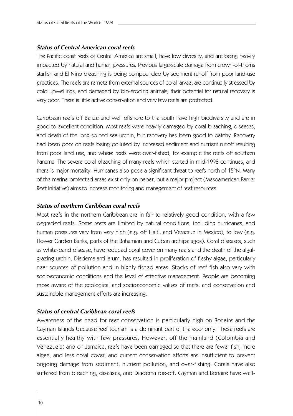# *Status of Central American coral reefs*

The Pacific coast reefs of Central America are small, have low diversity, and are being heavily impacted by natural and human pressures. Previous large-scale damage from crown-of-thorns starfish and El Niño bleaching is being compounded by sediment runoff from poor land-use practices. The reefs are remote from external sources of coral larvae, are continually stressed by cold upwellings, and damaged by bio-eroding animals; their potential for natural recovery is very poor. There is little active conservation and very few reefs are protected.

Caribbean reefs off Belize and well offshore to the south have high biodiversity and are in good to excellent condition. Most reefs were heavily damaged by coral bleaching, diseases, and death of the long-spined sea-urchin, but recovery has been good to patchy. Recovery had been poor on reefs being polluted by increased sediment and nutrient runoff resulting from poor land use, and where reefs were over-fished, for example the reefs off southern Panama. The severe coral bleaching of many reefs which started in mid-1998 continues, and there is major mortality. Hurricanes also pose a significant threat to reefs north of 15°N. Many of the marine protected areas exist only on paper, but a major project (Mesoamerican Barrier Reef Initiative) aims to increase monitoring and management of reef resources.

# *Status of northern Caribbean coral reefs*

Most reefs in the northern Caribbean are in fair to relatively good condition, with a few degraded reefs. Some reefs are limited by natural conditions, including hurricanes, and human pressures vary from very high (e.g. off Haiti, and Veracruz in Mexico), to low (e.g. Flower Garden Banks, parts of the Bahamian and Cuban archipelagos). Coral diseases, such as white-band disease, have reduced coral cover on many reefs and the death of the algalgrazing urchin, Diadema antillarum, has resulted in proliferation of fleshy algae, particularly near sources of pollution and in highly fished areas. Stocks of reef fish also vary with socioeconomic conditions and the level of effective management. People are becoming more aware of the ecological and socioeconomic values of reefs, and conservation and sustainable management efforts are increasing.

# *Status of central Caribbean coral reefs*

Awareness of the need for reef conservation is particularly high on Bonaire and the Cayman Islands because reef tourism is a dominant part of the economy. These reefs are essentially healthy with few pressures. However, off the mainland (Colombia and Venezuela) and on Jamaica, reefs have been damaged so that there are fewer fish, more algae, and less coral cover, and current conservation efforts are insufficient to prevent ongoing damage from sediment, nutrient pollution, and over-fishing. Corals have also suffered from bleaching, diseases, and Diadema die-off. Cayman and Bonaire have well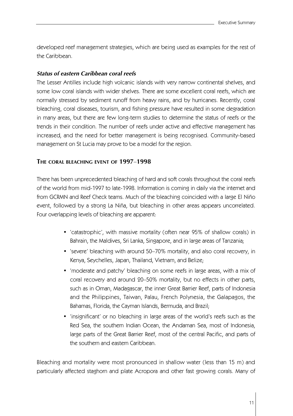developed reef management strategies, which are being used as examples for the rest of the Caribbean.

# *Status of eastern Caribbean coral reefs*

The Lesser Antilles include high volcanic islands with very narrow continental shelves, and some low coral islands with wider shelves. There are some excellent coral reefs, which are normally stressed by sediment runoff from heavy rains, and by hurricanes. Recently, coral bleaching, coral diseases, tourism, and fishing pressure have resulted in some degradation in many areas, but there are few long-term studies to determine the status of reefs or the trends in their condition. The number of reefs under active and effective management has increased, and the need for better management is being recognised. Community-based management on St Lucia may prove to be a model for the region.

# **THE CORAL BLEACHING EVENT OF 1997**–**1998**

There has been unprecedented bleaching of hard and soft corals throughout the coral reefs of the world from mid-1997 to late-1998. Information is coming in daily via the internet and from GCRMN and Reef Check teams. Much of the bleaching coincided with a large El Niño event, followed by a strong La Niña, but bleaching in other areas appears uncorrelated. Four overlapping levels of bleaching are apparent:

- 'catastrophic', with massive mortality (often near 95% of shallow corals) in Bahrain, the Maldives, Sri Lanka, Singapore, and in large areas of Tanzania;
- 'severe' bleaching with around 50–70% mortality, and also coral recovery, in Kenya, Seychelles, Japan, Thailand, Vietnam, and Belize;
- 'moderate and patchy' bleaching on some reefs in large areas, with a mix of coral recovery and around 20–50% mortality, but no effects in other parts, such as in Oman, Madagascar, the inner Great Barrier Reef, parts of Indonesia and the Philippines, Taiwan, Palau, French Polynesia, the Galapagos, the Bahamas, Florida, the Cayman Islands, Bermuda, and Brazil;
- 'insignificant' or no bleaching in large areas of the world's reefs such as the Red Sea, the southern Indian Ocean, the Andaman Sea, most of Indonesia, large parts of the Great Barrier Reef, most of the central Pacific, and parts of the southern and eastern Caribbean.

Bleaching and mortality were most pronounced in shallow water (less than 15 m) and particularly affected staghorn and plate Acropora and other fast growing corals. Many of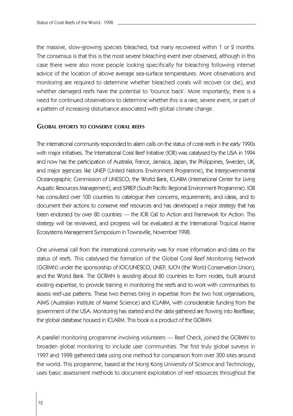the massive, slow-growing species bleached, but many recovered within 1 or 2 months. The consensus is that this is the most severe bleaching event ever observed, although in this case there were also more people looking specifically for bleaching following internet advice of the location of above average sea-surface temperatures. More observations and monitoring are required to determine whether bleached corals will recover (or die), and whether damaged reefs have the potential to 'bounce back'. More importantly, there is a need for continued observations to determine whether this is a rare, severe event, or part of a pattern of increasing disturbance associated with global climate change.

### **GLOBAL EFFORTS TO CONSERVE CORAL REEFS**

The international community responded to alarm calls on the status of coral reefs in the early 1990s with major initiatives. The International Coral Reef Initiative (ICRI) was catalysed by the USA in 1994 and now has the participation of Australia, France, Jamaica, Japan, the Philippines, Sweden, UK, and major agencies like UNEP (United Nations Environment Programme), the Intergovernmental Oceanographic Commission of UNESCO, the World Bank, ICLARM (International Center for Living Aquatic Resources Management), and SPREP (South Pacific Regional Environment Programme). ICRI has consulted over 100 countries to catalogue their concerns, requirements, and ideas, and to document their actions to conserve reef resources and has developed a major strategy that has been endorsed by over 80 countries — the ICRI Call to Action and Framework for Action. This strategy will be reviewed, and progress will be evaluated at the International Tropical Marine Ecosystems Management Symposium in Townsville, November 1998.

One universal call from the international community was for more information and data on the status of reefs. This catalysed the formation of the Global Coral Reef Monitoring Network (GCRMN) under the sponsorship of IOC/UNESCO, UNEP, IUCN (the World Conservation Union), and the World Bank. The GCRMN is assisting about 80 countries to form nodes, built around existing expertise, to provide training in monitoring the reefs and to work with communities to assess reef-use patterns. These two themes bring in expertise from the two host organisations, AIMS (Australian Institute of Marine Science) and ICLARM, with considerable funding from the government of the USA. Monitoring has started and the data gathered are flowing into ReefBase, the global database housed in ICLARM. This book is a product of the GCRMN.

A parallel monitoring programme involving volunteers — Reef Check, joined the GCRMN to broaden global monitoring to include user communities. The first truly global surveys in 1997 and 1998 gathered data using one method for comparison from over 300 sites around the world. This programme, based at the Hong Kong University of Science and Technology, uses basic assessment methods to document exploitation of reef resources throughout the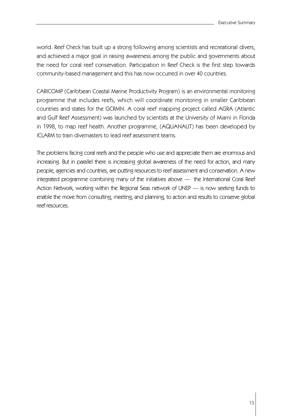world. Reef Check has built up a strong following among scientists and recreational divers, and achieved a major goal in raising awareness among the public and governments about the need for coral reef conservation. Participation in Reef Check is the first step towards community-based management and this has now occurred in over 40 countries.

CARICOMP (Caribbean Coastal Marine Productivity Program) is an environmental monitoring programme that includes reefs, which will coordinate monitoring in smaller Caribbean countries and states for the GCRMN. A coral reef mapping project called AGRA (Atlantic and Gulf Reef Assessment) was launched by scientists at the University of Miami in Florida in 1998, to map reef health. Another programme, (AQUANAUT) has been developed by ICLARM to train divemasters to lead reef assessment teams.

The problems facing coral reefs and the people who use and appreciate them are enormous and increasing. But in parallel there is increasing global awareness of the need for action, and many people, agencies and countries, are putting resources to reef assessment and conservation. A new integrated programme combining many of the initiatives above — the International Coral Reef Action Network, working within the Regional Seas network of UNEP — is now seeking funds to enable the move from consulting, meeting, and planning, to action and results to conserve global reef resources.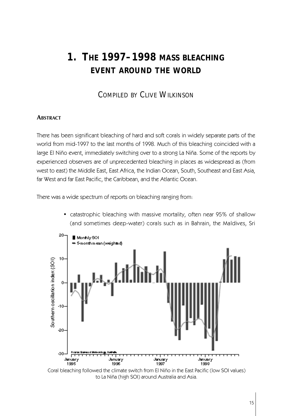# **1. THE 1997–1998 MASS BLEACHING EVENT AROUND THE WORLD**

# COMPILED BY CLIVE WILKINSON

# **ABSTRACT**

There has been significant bleaching of hard and soft corals in widely separate parts of the world from mid-1997 to the last months of 1998. Much of this bleaching coincided with a large El Niño event, immediately switching over to a strong La Niña. Some of the reports by experienced observers are of unprecedented bleaching in places as widespread as (from west to east) the Middle East, East Africa, the Indian Ocean, South, Southeast and East Asia, far West and far East Pacific, the Caribbean, and the Atlantic Ocean.

There was a wide spectrum of reports on bleaching ranging from:

• catastrophic bleaching with massive mortality, often near 95% of shallow (and sometimes deep-water) corals such as in Bahrain, the Maldives, Sri



Coral bleaching followed the climate switch from El Niño in the East Pacific (low SOI values) to La Niña (high SOI) around Australia and Asia.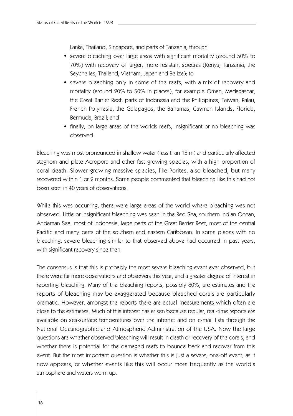Lanka, Thailand, Singapore, and parts of Tanzania; through

- severe bleaching over large areas with significant mortality (around 50% to 70%) with recovery of larger, more resistant species (Kenya, Tanzania, the Seychelles, Thailand, Vietnam, Japan and Belize); to
- severe bleaching only in some of the reefs, with a mix of recovery and mortality (around 20% to 50% in places), for example Oman, Madagascar, the Great Barrier Reef, parts of Indonesia and the Philippines, Taiwan, Palau, French Polynesia, the Galapagos, the Bahamas, Cayman Islands, Florida, Bermuda, Brazil; and
- finally, on large areas of the worlds reefs, insignificant or no bleaching was observed.

Bleaching was most pronounced in shallow water (less than 15 m) and particularly affected staghorn and plate Acropora and other fast growing species, with a high proportion of coral death. Slower growing massive species, like Porites, also bleached, but many recovered within 1 or 2 months. Some people commented that bleaching like this had not been seen in 40 years of observations.

While this was occurring, there were large areas of the world where bleaching was not observed. Little or insignificant bleaching was seen in the Red Sea, southern Indian Ocean, Andaman Sea, most of Indonesia, large parts of the Great Barrier Reef, most of the central Pacific and many parts of the southern and eastern Caribbean. In some places with no bleaching, severe bleaching similar to that observed above had occurred in past years, with significant recovery since then.

The consensus is that this is probably the most severe bleaching event ever observed, but there were far more observations and observers this year, and a greater degree of interest in reporting bleaching. Many of the bleaching reports, possibly 80%, are estimates and the reports of bleaching may be exaggerated because bleached corals are particularly dramatic. However, amongst the reports there are actual measurements which often are close to the estimates. Much of this interest has arisen because regular, real-time reports are available on sea-surface temperatures over the internet and on e-mail lists through the National Oceanographic and Atmospheric Administration of the USA. Now the large questions are whether observed bleaching will result in death or recovery of the corals, and whether there is potential for the damaged reefs to bounce back and recover from this event. But the most important question is whether this is just a severe, one-off event, as it now appears, or whether events like this will occur more frequently as the world's atmosphere and waters warm up.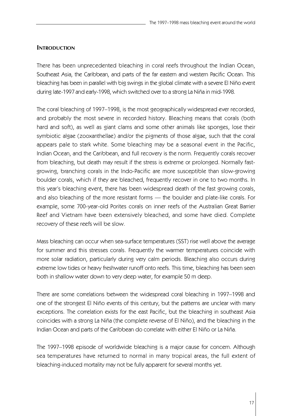# **INTRODUCTION**

There has been unprecedented bleaching in coral reefs throughout the Indian Ocean, Southeast Asia, the Caribbean, and parts of the far eastern and western Pacific Ocean. This bleaching has been in parallel with big swings in the global climate with a severe El Niño event during late-1997 and early-1998, which switched over to a strong La Niña in mid-1998.

The coral bleaching of 1997–1998, is the most geographically widespread ever recorded, and probably the most severe in recorded history. Bleaching means that corals (both hard and soft), as well as giant clams and some other animals like sponges, lose their symbiotic algae (zooxanthellae) and/or the pigments of those algae, such that the coral appears pale to stark white. Some bleaching may be a seasonal event in the Pacific, Indian Ocean, and the Caribbean, and full recovery is the norm. Frequently corals recover from bleaching, but death may result if the stress is extreme or prolonged. Normally fastgrowing, branching corals in the Indo-Pacific are more susceptible than slow-growing boulder corals, which if they are bleached, frequently recover in one to two months. In this year's bleaching event, there has been widespread death of the fast growing corals, and also bleaching of the more resistant forms — the boulder and plate-like corals. For example, some 700-year-old Porites corals on inner reefs of the Australian Great Barrier Reef and Vietnam have been extensively bleached, and some have died. Complete recovery of these reefs will be slow.

Mass bleaching can occur when sea-surface temperatures (SST) rise well above the average for summer and this stresses corals. Frequently the warmer temperatures coincide with more solar radiation, particularly during very calm periods. Bleaching also occurs during extreme low tides or heavy freshwater runoff onto reefs. This time, bleaching has been seen both in shallow water down to very deep water, for example 50 m deep.

There are some correlations between the widespread coral bleaching in 1997–1998 and one of the strongest El Niño events of this century, but the patterns are unclear with many exceptions. The correlation exists for the east Pacific, but the bleaching in southeast Asia coincides with a strong La Niña (the complete reverse of El Niño), and the bleaching in the Indian Ocean and parts of the Caribbean do correlate with either El Niño or La Niña.

The 1997–1998 episode of worldwide bleaching is a major cause for concern. Although sea temperatures have returned to normal in many tropical areas, the full extent of bleaching-induced mortality may not be fully apparent for several months yet.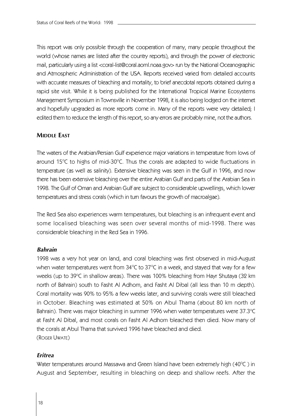This report was only possible through the cooperation of many, many people throughout the world (whose names are listed after the country reports), and through the power of electronic mail, particularly using a list <coral-list@coral.aoml.noaa.gov> run by the National Oceanographic and Atmospheric Administration of the USA. Reports received varied from detailed accounts with accurate measures of bleaching and mortality, to brief anecdotal reports obtained during a rapid site visit. While it is being published for the International Tropical Marine Ecosystems Management Symposium in Townsville in November 1998, it is also being lodged on the internet and hopefully upgraded as more reports come in. Many of the reports were very detailed; I edited them to reduce the length of this report, so any errors are probably mine, not the authors.

# **MIDDLE EAST**

The waters of the Arabian/Persian Gulf experience major variations in temperature from lows of around  $15^{\circ}$ C to highs of mid-30 $^{\circ}$ C. Thus the corals are adapted to wide fluctuations in temperature (as well as salinity). Extensive bleaching was seen in the Gulf in 1996, and now there has been extensive bleaching over the entire Arabian Gulf and parts of the Arabian Sea in 1998. The Gulf of Oman and Arabian Gulf are subject to considerable upwellings, which lower temperatures and stress corals (which in turn favours the growth of macroalgae).

The Red Sea also experiences warm temperatures, but bleaching is an infrequent event and some localised bleaching was seen over several months of mid-1998. There was considerable bleaching in the Red Sea in 1996.

### *Bahrain*

1998 was a very hot year on land, and coral bleaching was first observed in mid-August when water temperatures went from  $34^{\circ}$ C to  $37^{\circ}$ C in a week, and stayed that way for a few weeks (up to 39°C in shallow areas). There was 100% bleaching from Hayr Shutaya (32 km north of Bahrain) south to Fasht Al Adhom, and Fasht Al Dibal (all less than 10 m depth). Coral mortality was 90% to 95% a few weeks later, and surviving corals were still bleached in October. Bleaching was estimated at 50% on Abul Thama (about 80 km north of Bahrain). There was major bleaching in summer 1996 when water temperatures were 37.3°C at Fasht Al Dibal, and most corals on Fasht Al Adhom bleached then died. Now many of the corals at Abul Thama that survived 1996 have bleached and died. (ROGER UWATE)

# *Eritrea*

Water temperatures around Massawa and Green Island have been extremely high ( $40^{\circ}$ C) in August and September, resulting in bleaching on deep and shallow reefs. After the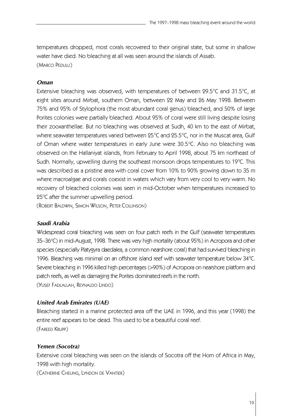temperatures dropped, most corals recovered to their original state, but some in shallow water have died. No bleaching at all was seen around the islands of Assab. (MARCO PEDULLI)

# *Oman*

Extensive bleaching was observed, with temperatures of between  $29.5^{\circ}$ C and 31.5 $^{\circ}$ C, at eight sites around Mirbat, southern Oman, between 22 May and 26 May 1998. Between 75% and 95% of Stylophora (the most abundant coral genus) bleached, and 50% of large Porites colonies were partially bleached. About 95% of coral were still living despite losing their zooxanthellae. But no bleaching was observed at Sudh, 40 km to the east of Mirbat, where seawater temperatures varied between 25°C and 25.5°C, nor in the Muscat area, Gulf of Oman where water temperatures in early June were 30.5°C. Also no bleaching was observed on the Hallaniyat islands, from February to April 1998, about 75 km northeast of Sudh. Normally, upwelling during the southeast monsoon drops temperatures to 19°C. This was described as a pristine area with coral cover from 10% to 90% growing down to 35 m where macroalgae and corals coexist in waters which vary from very cool to very warm. No recovery of bleached colonies was seen in mid-October when temperatures increased to  $25^{\circ}$ C after the summer upwelling period.

(ROBERT BALDWIN, SIMON WILSON, PETER COLLINSON)

### *Saudi Arabia*

Widespread coral bleaching was seen on four patch reefs in the Gulf (seawater temperatures 35–36°C) in mid-August, 1998. There was very high mortality (about 95%) in Acropora and other species (especially Platygyra daedalea, a common nearshore coral) that had survived bleaching in 1996. Bleaching was minimal on an offshore island reef with seawater temperature below 34°C. Severe bleaching in 1996 killed high percentages (>90%) of Acropora on nearshore platform and patch reefs, as well as damaging the Porites dominated reefs in the north. (YUSEF FADLALLAH, REYNALDO LINDO)

# *United Arab Emirates (UAE)*

Bleaching started in a marine protected area off the UAE in 1996, and this year (1998) the entire reef appears to be dead. This used to be a beautiful coral reef. (FAREED KRUPP)

### *Yemen (Socotra)*

Extensive coral bleaching was seen on the islands of Socotra off the Horn of Africa in May, 1998 with high mortality.

(CATHERINE CHEUNG, LYNDON DE VANTIER)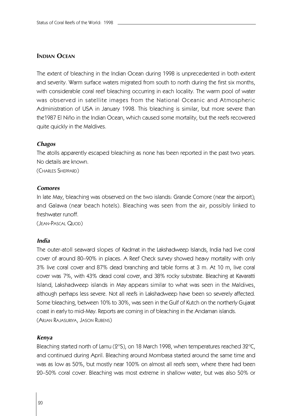# **INDIAN OCEAN**

The extent of bleaching in the Indian Ocean during 1998 is unprecedented in both extent and severity. Warm surface waters migrated from south to north during the first six months, with considerable coral reef bleaching occurring in each locality. The warm pool of water was observed in satellite images from the National Oceanic and Atmospheric Administration of USA in January 1998. This bleaching is similar, but more severe than the1987 El Niño in the Indian Ocean, which caused some mortality, but the reefs recovered quite quickly in the Maldives.

# *Chagos*

The atolls apparently escaped bleaching as none has been reported in the past two years. No details are known.

(CHARLES SHEPPARD)

# *Comores*

In late May, bleaching was observed on the two islands: Grande Comore (near the airport); and Galawa (near beach hotels). Bleaching was seen from the air, possibly linked to freshwater runoff.

(JEAN-PASCAL QUOD)

### *India*

The outer-atoll seaward slopes of Kadmat in the Lakshadweep Islands, India had live coral cover of around 80–90% in places. A Reef Check survey showed heavy mortality with only 3% live coral cover and 87% dead branching and table forms at 3 m. At 10 m, live coral cover was 7%, with 43% dead coral cover, and 38% rocky substrate. Bleaching at Kavaratti Island, Lakshadweep islands in May appears similar to what was seen in the Maldives, although perhaps less severe. Not all reefs in Lakshadweep have been so severely affected. Some bleaching, between 10% to 30%, was seen in the Gulf of Kutch on the northerly Gujarat coast in early to mid-May. Reports are coming in of bleaching in the Andaman islands. (ARJAN RAJASURIYA, JASON RUBENS)

### *Kenya*

Bleaching started north of Lamu (2°S), on 18 March 1998, when temperatures reached 32°C, and continued during April. Bleaching around Mombasa started around the same time and was as low as 50%, but mostly near 100% on almost all reefs seen, where there had been 20–50% coral cover. Bleaching was most extreme in shallow water, but was also 50% or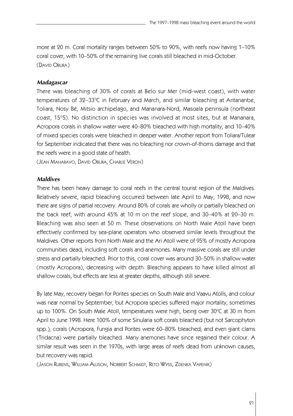more at 20 m. Coral mortality ranges between 50% to 90%, with reefs now having 1–10% coral cover, with 10–50% of the remaining live corals still bleached in mid-October. (DAVID OBURA)

#### *Madagascar*

There was bleaching of 30% of corals at Belo sur Mer (mid-west coast), with water temperatures of 32–33℃ in February and March, and similar bleaching at Antananbe, Toliara, Nosy Bé, Mitsio archipelago, and Mananara-Nord, Masoala peninsula (northeast coast, 15°S). No distinction in species was involved at most sites, but at Mananara, Acropora corals in shallow water were 40–80% bleached with high mortality, and 10–40% of mixed species corals were bleached in deeper water. Another report from Toliara/Tulear for September indicated that there was no bleaching nor crown-of-thorns damage and that the reefs were in a good state of health.

(JEAN MAHARAVO, DAVID OBURA, CHARLIE VERON)

#### *Maldives*

There has been heavy damage to coral reefs in the central tourist region of the Maldives. Relatively severe, rapid bleaching occurred between late April to May, 1998, and now there are signs of partial recovery. Around 80% of corals are wholly or partially bleached on the back reef, with around 45% at 10 m on the reef slope, and 30–40% at 20–30 m. Bleaching was also seen at 50 m. These observations on North Male Atoll have been effectively confirmed by sea-plane operators who observed similar levels throughout the Maldives. Other reports from North Male and the Ari Atoll were of 95% of mostly Acropora communities dead, including soft corals and anemones. Many massive corals are still under stress and partially bleached. Prior to this, coral cover was around 30–50% in shallow water (mostly Acropora), decreasing with depth. Bleaching appears to have killed almost all shallow corals, but effects are less at greater depths, although still severe.

By late May, recovery began for Porites species on South Male and Vaavu Atolls, and colour was near normal by September, but Acropora species suffered major mortality, sometimes up to 100%. On South Male Atoll, temperatures were high, being over 30°C at 30 m from April to June 1998. Here 100% of some Sinularia soft corals bleached (but not Sarcophyton spp.); corals (Acropora, Fungia and Porites were 60–80% bleached; and even giant clams (Tridacna) were partially bleached. Many anemones have since regained their colour. A similar result was seen in the 1970s, with large areas of reefs dead from unknown causes, but recovery was rapid.

(JASON RUBENS, WILLIAM ALLISON, NORBERT SCHMIDT, RETO WYSS, ZDENKA VAPENIK)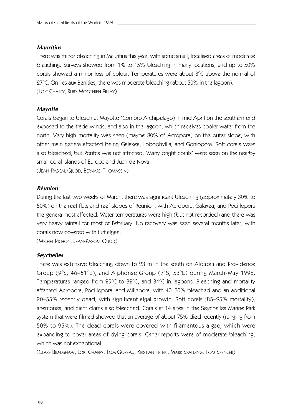### *Mauritius*

There was minor bleaching in Mauritius this year, with some small, localised areas of moderate bleaching. Surveys showed from 1% to 15% bleaching in many locations, and up to 50% corals showed a minor loss of colour. Temperatures were about  $3^{\circ}$ C above the normal of  $27^{\circ}$ C. On Iles aux Benities, there was moderate bleaching (about 50% in the lagoon). (LOIC CHARPY, RUBY MOOTHIEN PILLAY)

### *Mayotte*

Corals began to bleach at Mayotte (Comoro Archipelago) in mid April on the southern end exposed to the trade winds, and also in the lagoon, which receives cooler water from the north. Very high mortality was seen (maybe 80% of Acropora) on the outer slope, with other main genera affected being Galaxea, Lobophyllia, and Goniopora. Soft corals were also bleached, but Porites was not affected. 'Many bright corals' were seen on the nearby small coral islands of Europa and Juan de Nova.

(JEAN-PASCAL QUOD, BERNARD THOMASSIN)

#### *Réunion*

During the last two weeks of March, there was significant bleaching (approximately 30% to 50%) on the reef flats and reef slopes of Réunion, with Acropora, Galaxea, and Pocillopora the genera most affected. Water temperatures were high (but not recorded) and there was very heavy rainfall for most of February. No recovery was seen several months later, with corals now covered with turf algae.

(MICHEL PICHON, JEAN-PASCAL QUOD)

### *Seychelles*

There was extensive bleaching down to 23 m in the south on Aldabra and Providence Group (9°S; 46–51°E), and Alphonse Group (7°S; 53°E) during March-May 1998. Temperatures ranged from 29°C to 32°C, and 34°C in lagoons. Bleaching and mortality affected Acropora, Pocillopora, and Millepora, with 40–50% bleached and an additional 20–55% recently dead, with significant algal growth. Soft corals (85–95% mortality), anemones, and giant clams also bleached. Corals at 14 sites in the Seychelles Marine Park system that were filmed showed that an average of about 75% died recently (ranging from 50% to 95%). The dead corals were covered with filamentous algae, which were expanding to cover areas of dying corals. Other reports were of moderate bleaching, which was not exceptional.

(CLARE BRADSHAW, LOIC CHARPY, TOM GOREAU, KRISTIAN TELEKI, MARK SPALDING, TOM SPENCER)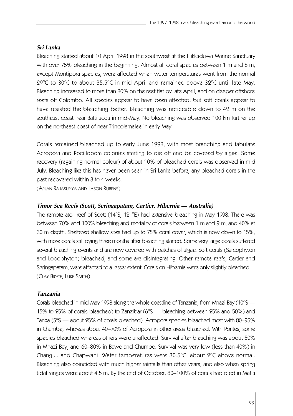# *Sri Lanka*

Bleaching started about 10 April 1998 in the southwest at the Hikkaduwa Marine Sanctuary with over 75% bleaching in the beginning. Almost all coral species between 1 m and 8 m, except Montipora species, were affected when water temperatures went from the normal  $29^{\circ}$ C to 30 $^{\circ}$ C to about 35.5 $^{\circ}$ C in mid April and remained above 32 $^{\circ}$ C until late May. Bleaching increased to more than 80% on the reef flat by late April, and on deeper offshore reefs off Colombo. All species appear to have been affected, but soft corals appear to have resisted the bleaching better. Bleaching was noticeable down to 42 m on the southeast coast near Battilacoa in mid-May. No bleaching was observed 100 km further up on the northeast coast of near Trincolamalee in early May.

Corals remained bleached up to early June 1998, with most branching and tabulate Acropora and Pocillopora colonies starting to die off and be covered by algae. Some recovery (regaining normal colour) of about 10% of bleached corals was observed in mid July. Bleaching like this has never been seen in Sri Lanka before; any bleached corals in the past recovered within 3 to 4 weeks.

(ARJAN RAJASURIYA AND JASON RUBENS)

# *Timor Sea Reefs (Scott, Seringapatam, Cartier, Hibernia — Australia)*

The remote atoll reef of Scott (14°S, 121°E) had extensive bleaching in May 1998. There was between 70% and 100% bleaching and mortality of corals between 1 m and 9 m, and 40% at 30 m depth. Sheltered shallow sites had up to 75% coral cover, which is now down to 15%, with more corals still dying three months after bleaching started. Some very large corals suffered several bleaching events and are now covered with patches of algae. Soft corals (Sarcophyton and Lobophyton) bleached, and some are disintegrating. Other remote reefs, Cartier and Seringapatam, were affected to a lesser extent. Corals on Hibernia were only slightly bleached. (CLAY BRYCE, LUKE SMITH)

# *Tanzania*

Corals bleached in mid-May 1998 along the whole coastline of Tanzania, from Mnazi Bay (10 $\degree$ S — 15% to 25% of corals bleached) to Zanzibar (6°S — bleaching between 25% and 50%) and Tanga (5°S — about 25% of corals bleached). Acropora species bleached most with 80–95% in Chumbe, whereas about 40–70% of Acropora in other areas bleached. With Porites, some species bleached whereas others were unaffected. Survival after bleaching was about 50% in Mnazi Bay, and 60–80% in Bawe and Chumbe. Survival was very low (less than 40%) in Changuu and Chapwani. Water temperatures were  $30.5^{\circ}$ C, about  $2^{\circ}$ C above normal. Bleaching also coincided with much higher rainfalls than other years, and also when spring tidal ranges were about 4.5 m. By the end of October, 80–100% of corals had died in Mafia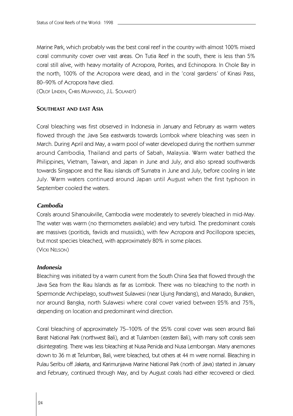Marine Park, which probably was the best coral reef in the country with almost 100% mixed coral community cover over vast areas. On Tutia Reef in the south, there is less than 5% coral still alive, with heavy mortality of Acropora, Porites, and Echinopora. In Chole Bay in the north, 100% of the Acropora were dead, and in the 'coral gardens' of Kinasi Pass, 80–90% of Acropora have died.

(OLOF LINDEN, CHRIS MUHANDO, J.L. SOLANDT)

# **SOUTHEAST AND EAST ASIA**

Coral bleaching was first observed in Indonesia in January and February as warm waters flowed through the Java Sea eastwards towards Lombok where bleaching was seen in March. During April and May, a warm pool of water developed during the northern summer around Cambodia, Thailand and parts of Sabah, Malaysia. Warm water bathed the Philippines, Vietnam, Taiwan, and Japan in June and July, and also spread southwards towards Singapore and the Riau islands off Sumatra in June and July, before cooling in late July. Warm waters continued around Japan until August when the first typhoon in September cooled the waters.

### *Cambodia*

Corals around Sihanoukville, Cambodia were moderately to severely bleached in mid-May. The water was warm (no thermometers available) and very turbid. The predominant corals are massives (poritids, faviids and mussiids), with few Acropora and Pocillopora species, but most species bleached, with approximately 80% in some places. (VICKI NELSON)

#### *Indonesia*

Bleaching was initiated by a warm current from the South China Sea that flowed through the Java Sea from the Riau Islands as far as Lombok. There was no bleaching to the north in Spermonde Archipelago, southwest Sulawesi (near Ujung Pandang), and Manado, Bunaken, nor around Bangka, north Sulawesi where coral cover varied between 25% and 75%, depending on location and predominant wind direction.

Coral bleaching of approximately 75–100% of the 25% coral cover was seen around Bali Barat National Park (northwest Bali), and at Tulamben (eastern Bali), with many soft corals seen disintegrating. There was less bleaching at Nusa Penida and Nusa Lembongan. Many anemones down to 36 m at Telumban, Bali, were bleached, but others at 44 m were normal. Bleaching in Pulau Seribu off Jakarta, and Karimunjawa Marine National Park (north of Java) started in January and February, continued through May, and by August corals had either recovered or died.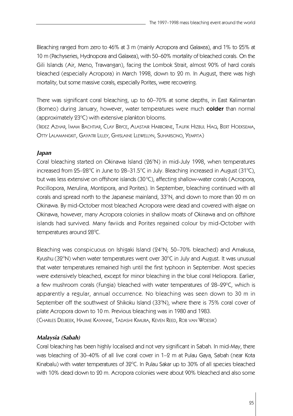Bleaching ranged from zero to 46% at 3 m (mainly Acropora and Galaxea), and 1% to 25% at 10 m (Pachyseries, Hydnopora and Galaxea), with 50–60% mortality of bleached corals. On the Gili Islands (Air, Meno, Trawangan), facing the Lombok Strait, almost 90% of hard corals bleached (especially Acropora) in March 1998, down to 20 m. In August, there was high mortality, but some massive corals, especially Porites, were recovering.

There was significant coral bleaching, up to 60–70% at some depths, in East Kalimantan (Borneo) during January, however, water temperatures were much **colder** than normal (approximately  $23^{\circ}$ C) with extensive plankton blooms.

(IRDEZ AZHAR, IMAM BACHTIAR, CLAY BRYCE, ALASTAIR HARBORNE, TAUFIK HIZBUL HAQ, BERT HOEKSEMA, OTTY LALAMANGKIT, GAYATRI LILLEY, GHISLAINE LLEWELLYN, SUHARSONO, YEMPITA)

# *Japan*

Coral bleaching started on Okinawa Island (26°N) in mid-July 1998, when temperatures increased from  $25-28^{\circ}$ C in June to  $28-31.5^{\circ}$ C in July. Bleaching increased in August (31 $^{\circ}$ C), but was less extensive on offshore islands (30 °C), affecting shallow-water corals (Acropora, Pocillopora, Merulina, Montipora, and Porites). In September, bleaching continued with all corals and spread north to the Japanese mainland, 33°N, and down to more than 20 m on Okinawa. By mid-October most bleached Acropora were dead and covered with algae on Okinawa, however, many Acropora colonies in shallow moats of Okinawa and on offshore islands had survived. Many faviids and Porites regained colour by mid-October with temperatures around 28°C.

Bleaching was conspicuous on Ishigaki Island  $(24^{\circ}N; 50-70\%$  bleached) and Amakusa, Kyushu (32°N) when water temperatures went over  $30^{\circ}$ C in July and August. It was unusual that water temperatures remained high until the first typhoon in September. Most species were extensively bleached, except for minor bleaching in the blue coral Heliopora. Earlier, a few mushroom corals (Fungia) bleached with water temperatures of 28–29°C, which is apparently a regular, annual occurrence. No bleaching was seen down to 30 m in September off the southwest of Shikoku Island (33°N), where there is 75% coral cover of plate Acropora down to 10 m. Previous bleaching was in 1980 and 1983.

(CHARLES DELBEEK, HAJIME KAYANNE, TADASHI KIMURA, KEVEN REED, ROB VAN WOESIK)

### *Malaysia (Sabah)*

Coral bleaching has been highly localised and not very significant in Sabah. In mid-May, there was bleaching of 30–40% of all live coral cover in 1–2 m at Pulau Gaya, Sabah (near Kota Kinabalu) with water temperatures of  $32^{\circ}$ C. In Pulau Sakar up to  $30\%$  of all species bleached with 10% dead down to 20 m. Acropora colonies were about 90% bleached and also some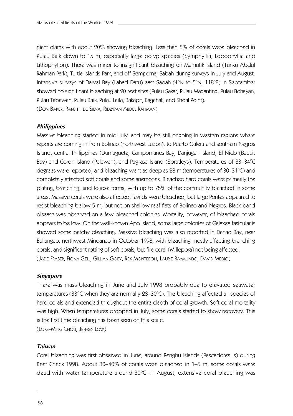giant clams with about 20% showing bleaching. Less than 5% of corals were bleached in Pulau Baik down to 15 m, especially large polyp species (Symphyllia, Lobophyllia and Lithophyllon). There was minor to insignificant bleaching on Mamutik island (Tunku Abdul Rahman Park), Turtle Islands Park, and off Semporna, Sabah during surveys in July and August. Intensive surveys of Darvel Bay (Lahad Datu) east Sabah (4°N to 5°N, 118°E) in September showed no significant bleaching at 20 reef sites (Pulau Sakar, Pulau Maganting, Pulau Bohayan, Pulau Tabawan, Pulau Baik, Pulau Laila, Bakapit, Bagahak, and Shoal Point).

(DON BAKER, RANJITH DE SILVA, RIDZWAN ABDUL RAHMAN)

# *Philippines*

Massive bleaching started in mid-July, and may be still ongoing in western regions where reports are coming in from Bolinao (northwest Luzon), to Puerto Galera and southern Negros Island, central Philippines (Dumaguete, Campomanes Bay, Danjugan Island, El Nido (Bacuit Bay) and Coron Island (Palawan), and Pag-asa Island (Spratleys). Temperatures of 33-34°C degrees were reported, and bleaching went as deep as  $28 \text{ m}$  (temperatures of  $30-31^{\circ}\text{C}$ ) and completely affected soft corals and some anemones. Bleached hard corals were primarily the plating, branching, and foliose forms, with up to 75% of the community bleached in some areas. Massive corals were also affected; faviids were bleached, but large Porites appeared to resist bleaching below 5 m, but not on shallow reef flats of Bolinao and Negros. Black-band disease was observed on a few bleached colonies. Mortality, however, of bleached corals appears to be low. On the well-known Apo Island, some large colonies of Galaxea fasicularlis showed some patchy bleaching. Massive bleaching was also reported in Danao Bay, near Baliangao, northwest Mindanao in October 1998, with bleaching mostly affecting branching corals, and significant rotting of soft corals, but fire coral (Millepora) not being affected. (JADE FRASER, FIONA GELL, GILLIAN GOBY, REX MONTEBON, LAURIE RAYMUNDO, DAVID MEDIO)

### *Singapore*

There was mass bleaching in June and July 1998 probably due to elevated seawater temperatures (33°C when they are normally 28–30°C). The bleaching affected all species of hard corals and extended throughout the entire depth of coral growth. Soft coral mortality was high. When temperatures dropped in July, some corals started to show recovery. This is the first time bleaching has been seen on this scale.

(LOKE-MING CHOU, JEFFREY LOW)

# *Taiwan*

Coral bleaching was first observed in June, around Penghu Islands (Pascadores Is) during Reef Check 1998. About 30–40% of corals were bleached in 1–5 m, some corals were dead with water temperature around 30°C. In August, extensive coral bleaching was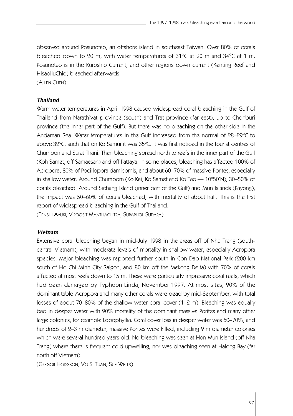observed around Posunotao, an offshore island in southeast Taiwan. Over 80% of corals bleached down to 20 m, with water temperatures of 31 $^{\circ}$ C at 20 m and 34 $^{\circ}$ C at 1 m. Posunotao is in the Kuroshio Current, and other regions down current (Kenting Reef and HisaoliuChio) bleached afterwards.

(ALLEN CHEN)

### *Thailand*

Warm water temperatures in April 1998 caused widespread coral bleaching in the Gulf of Thailand from Narathivat province (south) and Trat province (far east), up to Chonburi province (the inner part of the Gulf). But there was no bleaching on the other side in the Andaman Sea. Water temperatures in the Gulf increased from the normal of  $28-29^{\circ}C$  to above 32°C, such that on Ko Samui it was 35°C. It was first noticed in the tourist centres of Chumpon and Surat Thani. Then bleaching spread north to reefs in the inner part of the Gulf (Koh Samet, off Samaesan) and off Pattaya. In some places, bleaching has affected 100% of Acropora, 80% of Pocillopora damicornis, and about 60–70% of massive Porites, especially in shallow water. Around Chumporn (Ko Kai, Ko Samet and Ko Tao — 10°50'N), 30–50% of corals bleached. Around Sichang Island (inner part of the Gulf) and Mun Islands (Rayong), the impact was 50–60% of corals bleached, with mortality of about half. This is the first report of widespread bleaching in the Gulf of Thailand.

(TENSHI AYUKI, VIPOOSIT MANTHACHITRA, SURAPHOL SUDARA).

# *Vietnam*

Extensive coral bleaching began in mid-July 1998 in the areas off of Nha Trang (southcentral Vietnam), with moderate levels of mortality in shallow water, especially Acropora species. Major bleaching was reported further south in Con Dao National Park (200 km south of Ho Chi Minh City Saigon, and 80 km off the Mekong Delta) with 70% of corals affected at most reefs down to 15 m. These were particularly impressive coral reefs, which had been damaged by Typhoon Linda, November 1997. At most sites, 90% of the dominant table Acropora and many other corals were dead by mid-September, with total losses of about 70–80% of the shallow water coral cover (1–2 m). Bleaching was equally bad in deeper water with 90% mortality of the dominant massive Porites and many other large colonies, for example Lobophyllia. Coral cover loss in deeper water was 60–70%, and hundreds of 2–3 m diameter, massive Porites were killed, including 9 m diameter colonies which were several hundred years old. No bleaching was seen at Hon Mun Island (off Nha Trang) where there is frequent cold upwelling, nor was bleaching seen at Halong Bay (far north off Vietnam).

(GREGOR HODGSON, VO SI TUAN, SUE WELLS)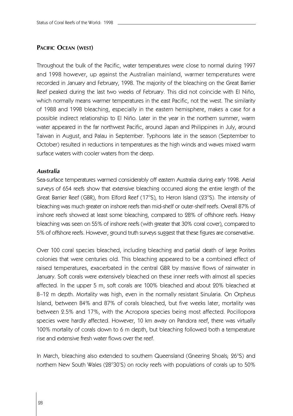# **PACIFIC OCEAN (WEST)**

Throughout the bulk of the Pacific, water temperatures were close to normal during 1997 and 1998 however, up against the Australian mainland, warmer temperatures were recorded in January and February, 1998. The majority of the bleaching on the Great Barrier Reef peaked during the last two weeks of February. This did not coincide with El Niño, which normally means warmer temperatures in the east Pacific, not the west. The similarity of 1988 and 1998 bleaching, especially in the eastern hemisphere, makes a case for a possible indirect relationship to El Niño. Later in the year in the northern summer, warm water appeared in the far northwest Pacific, around Japan and Philippines in July, around Taiwan in August, and Palau in September. Typhoons late in the season (September to October) resulted in reductions in temperatures as the high winds and waves mixed warm surface waters with cooler waters from the deep.

# *Australia*

Sea-surface temperatures warmed considerably off eastern Australia during early 1998. Aerial surveys of 654 reefs show that extensive bleaching occurred along the entire length of the Great Barrier Reef (GBR), from Elford Reef (17°S), to Heron Island (23°S). The intensity of bleaching was much greater on inshore reefs than mid-shelf or outer-shelf reefs. Overall 87% of inshore reefs showed at least some bleaching, compared to 28% of offshore reefs. Heavy bleaching was seen on 55% of inshore reefs (with greater that 30% coral cover), compared to 5% of offshore reefs. However, ground truth surveys suggest that these figures are conservative.

Over 100 coral species bleached, including bleaching and partial death of large Porites colonies that were centuries old. This bleaching appeared to be a combined effect of raised temperatures, exacerbated in the central GBR by massive flows of rainwater in January. Soft corals were extensively bleached on these inner reefs with almost all species affected. In the upper 5 m, soft corals are 100% bleached and about 20% bleached at 8-12 m depth. Mortality was high, even in the normally resistant Sinularia. On Orpheus Island, between 84% and 87% of corals bleached, but five weeks later, mortality was between 2.5% and 17%, with the Acropora species being most affected. Pocillopora species were hardly affected. However, 10 km away on Pandora reef, there was virtually 100% mortality of corals down to 6 m depth, but bleaching followed both a temperature rise and extensive fresh water flows over the reef.

In March, bleaching also extended to southern Queensland (Gneering Shoals; 26°S) and northern New South Wales (28°30'S) on rocky reefs with populations of corals up to 50%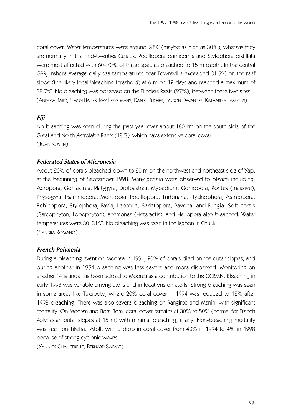coral cover. Water temperatures were around  $28^{\circ}$ C (maybe as high as  $30^{\circ}$ C), whereas they are normally in the mid-twenties Celsius. Pocillopora damicornis and Stylophora pistillata were most affected with 60–70% of these species bleached to 15 m depth. In the central GBR, inshore average daily sea temperatures near Townsville exceeded  $31.5^{\circ}$ C on the reef slope (the likely local bleaching threshold) at 6 m on 12 days and reached a maximum of 32.7°C. No bleaching was observed on the Flinders Reefs (27°S), between these two sites. (ANDREW BAIRD, SIMON BANKS, RAY BERKELMANS, DANIEL BUCHER, LYNDON DEVANTIER, KATHARINA FABRICIUS)

## *Fiji*

No bleaching was seen during the past year over about 180 km on the south side of the Great and North Astrolabe Reefs (18°S), which have extensive coral cover. (JOAN KOVEN)

## *Federated States of Micronesia*

About 20% of corals bleached down to 20 m on the northwest and northeast side of Yap, at the beginning of September 1998. Many genera were observed to bleach including: Acropora, Goniastrea, Platygyra, Diploastrea, Mycedium, Goniopora, Porites (massive), Physogyra, Psammocora, Montipora, Pocillopora, Turbinaria, Hydnophora, Astreopora, Echinopora, Stylophora, Favia, Leptoria, Seriatopora, Pavona, and Fungia. Soft corals (Sarcophyton, Lobophyton), anemones (Heteractis), and Heliopora also bleached. Water temperatures were 30–31°C. No bleaching was seen in the lagoon in Chuuk. (SANDRA ROMANO)

#### *French Polynesia*

During a bleaching event on Moorea in 1991, 20% of corals died on the outer slopes, and during another in 1994 bleaching was less severe and more dispersed. Monitoring on another 14 islands has been added to Moorea as a contribution to the GCRMN. Bleaching in early 1998 was variable among atolls and in locations on atolls. Strong bleaching was seen in some areas like Takapoto, where 20% coral cover in 1994 was reduced to 12% after 1998 bleaching. There was also severe bleaching on Rangiroa and Manihi with significant mortality. On Moorea and Bora Bora, coral cover remains at 30% to 50% (normal for French Polynesian outer slopes at 15 m) with minimal bleaching, if any. Non-bleaching mortality was seen on Tikehau Atoll, with a drop in coral cover from 40% in 1994 to 4% in 1998 because of strong cyclonic waves.

(YANNICK CHANCERELLE, BERNARD SALVAT)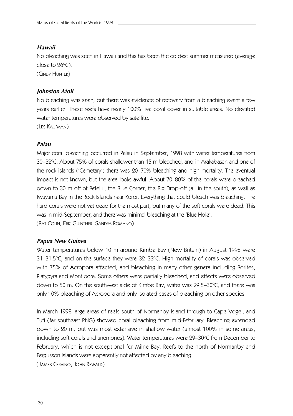## *Hawaii*

No bleaching was seen in Hawaii and this has been the coldest summer measured (average close to  $96^{\circ}$ C).

(CINDY HUNTER)

## *Johnston Atoll*

No bleaching was seen, but there was evidence of recovery from a bleaching event a few years earlier. These reefs have nearly 100% live coral cover in suitable areas. No elevated water temperatures were observed by satellite.

(LES KAUFMAN)

## *Palau*

Major coral bleaching occurred in Palau in September, 1998 with water temperatures from 30–32°C. About 75% of corals shallower than 15 m bleached, and in Arakabasan and one of the rock islands ('Cemetary') there was 20–70% bleaching and high mortality. The eventual impact is not known, but the area looks awful. About 70–80% of the corals were bleached down to 30 m off of Peleliu, the Blue Corner, the Big Drop-off (all in the south), as well as Iwayama Bay in the Rock Islands near Koror. Everything that could bleach was bleaching. The hard corals were not yet dead for the most part, but many of the soft corals were dead. This was in mid-September, and there was minimal bleaching at the 'Blue Hole'. (PAT COLIN, ERIC GUINTHER, SANDRA ROMANO)

## *Papua New Guinea*

Water temperatures below 10 m around Kimbe Bay (New Britain) in August 1998 were  $31-31.5^{\circ}$ C, and on the surface they were  $32-33^{\circ}$ C. High mortality of corals was observed with 75% of Acropora affected, and bleaching in many other genera including Porites, Platygyra and Montipora. Some others were partially bleached, and effects were observed down to 50 m. On the southwest side of Kimbe Bay, water was  $29.5-30^{\circ}$ C, and there was only 10% bleaching of Acropora and only isolated cases of bleaching on other species.

In March 1998 large areas of reefs south of Normanby Island through to Cape Vogel, and Tufi (far southeast PNG) showed coral bleaching from mid-February. Bleaching extended down to 20 m, but was most extensive in shallow water (almost 100% in some areas, including soft corals and anemones). Water temperatures were  $29-30^{\circ}$ C from December to February, which is not exceptional for Milne Bay. Reefs to the north of Normanby and Fergusson Islands were apparently not affected by any bleaching. (JAMES CERVINO, JOHN REWALD)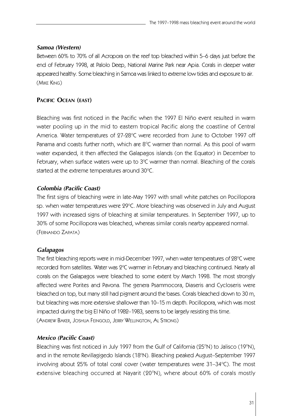# *Samoa (Western)*

Between 60% to 70% of all Acropora on the reef top bleached within 5–6 days just before the end of February 1998, at Palolo Deep, National Marine Park near Apia. Corals in deeper water appeared healthy. Some bleaching in Samoa was linked to extreme low tides and exposure to air. (MIKE KING)

# **PACIFIC OCEAN (EAST)**

Bleaching was first noticed in the Pacific when the 1997 El Niño event resulted in warm water pooling up in the mid to eastern tropical Pacific along the coastline of Central America. Water temperatures of 27-28°C were recorded from June to October 1997 off Panama and coasts further north, which are  $8^{\circ}$ C warmer than normal. As this pool of warm water expanded, it then affected the Galapagos islands (on the Equator) in December to February, when surface waters were up to  $3^{\circ}C$  warmer than normal. Bleaching of the corals started at the extreme temperatures around  $30^{\circ}$ C.

# *Colombia (Pacific Coast)*

The first signs of bleaching were in late-May 1997 with small white patches on Pocillopora sp. when water temperatures were  $29^{\circ}$ C. More bleaching was observed in July and August 1997 with increased signs of bleaching at similar temperatures. In September 1997, up to 30% of some Pocillopora was bleached, whereas similar corals nearby appeared normal. (FERNANDO ZAPATA)

# *Galapagos*

The first bleaching reports were in mid-December 1997, when water temperatures of 28°C were recorded from satellites. Water was  $2^{\circ}$ C warmer in February and bleaching continued. Nearly all corals on the Galapagos were bleached to some extent by March 1998. The most strongly affected were Porites and Pavona. The genera Psammocora, Diaseris and Cycloseris were bleached on top, but many still had pigment around the bases. Corals bleached down to 30 m, but bleaching was more extensive shallower than 10–15 m depth. Pocillopora, which was most impacted during the big El Niño of 1982–1983, seems to be largely resisting this time. (ANDREW BAKER, JOSHUA FEINGOLD, JERRY WELLINGTON, AL STRONG)

# *Mexico (Pacific Coast)*

Bleaching was first noticed in July 1997 from the Gulf of California (25°N) to Jalisco (19°N), and in the remote Revillagigedo Islands (18°N). Bleaching peaked August–September 1997 involving about  $25\%$  of total coral cover (water temperatures were  $31-34\degree$ C). The most extensive bleaching occurred at Nayarit (20°N), where about 60% of corals mostly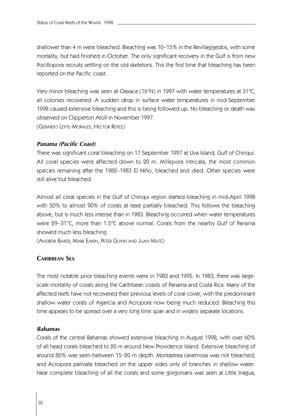shallower than 4 m were bleached. Bleaching was 10–15% in the Revillagigedos, with some mortality, but had finished in October. The only significant recovery in the Gulf is from new Pocillopora recruits settling on the old skeletons. This the first time that bleaching has been reported on the Pacific coast.

Very minor bleaching was seen at Oaxaca (16 $\degree$ N) in 1997 with water temperatures at 31 $\degree$ C; all colonies recovered. A sudden drop in surface water temperatures in mid-September 1998 caused extensive bleaching and this is being followed up. No bleaching or death was observed on Clipperton Atoll in November 1997. (GERARDO LEYTE-MORALES, HECTOR REYES)

## *Panama (Pacific Coast)*

There was significant coral bleaching on 17 September 1997 at Uva Island, Gulf of Chiriqui. All coral species were affected down to 20 m. Millepora intricata, the most common species remaining after the 1982–1983 El Niño, bleached and died. Other species were still alive but bleached.

Almost all coral species in the Gulf of Chiriqui region started bleaching in mid-April 1998 with 50% to almost 90% of corals at least partially bleached. This follows the bleaching above, but is much less intense than in 1983. Bleaching occurred when water temperatures were  $29-31^{\circ}$ C, more than 1.5 $^{\circ}$ C above normal. Corals from the nearby Gulf of Panama showed much less bleaching.

(ANDREW BAKER, MARK EAKIN, PETER GLYNN AND JUAN MATÉ)

# **CARIBBEAN SEA**

The most notable prior bleaching events were in 1983 and 1995. In 1983, there was largescale mortality of corals along the Caribbean coasts of Panama and Costa Rica. Many of the affected reefs have not recovered their previous levels of coral cover, with the predominant shallow water corals of Agaricia and Acropora now being much reduced. Bleaching this time appears to be spread over a very long time span and in widely separate locations.

## *Bahamas*

Corals of the central Bahamas showed extensive bleaching in August 1998, with over 60% of all head corals bleached to 20 m around New Providence Island. Extensive bleaching of around 80% was seen between 15–20 m depth. Montastrea cavernosa was not bleached, and Acropora palmata bleached on the upper sides only of branches in shallow water. Near complete bleaching of all the corals and some gorgonians was seen at Little Inagua,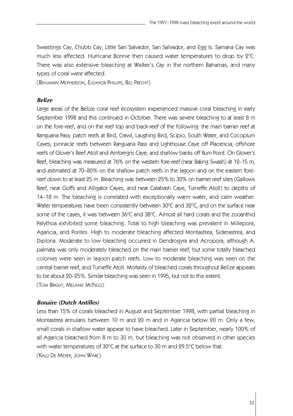Sweetings Cay, Chubb Cay, Little San Salvador, San Salvador, and Egg Is. Samana Cay was much less affected. Hurricane Bonnie then caused water temperatures to drop by  $2^{\circ}C$ . There was also extensive bleaching at Walker's Cay in the northern Bahamas, and many types of coral were affected.

(BENJAMIN MCPHERSON, ELEANOR PHILLIPS, BILL PRECHT)

#### *Belize*

Large areas of the Belize coral reef ecosystem experienced massive coral bleaching in early September 1998 and this continued in October. There was severe bleaching to at least 8 m on the fore-reef, and on the reef top and back-reef of the following: the main barrier reef at Ranguana Pass; patch reefs at Bird, Crawl, Laughing Bird, Scipio, South Water, and Cocoplum Cayes; pinnacle reefs between Ranguana Pass and Lighthouse Caye off Placencia; offshore reefs of Glover's Reef Atoll and Ambergris Caye; and shallow banks off Rum Point. On Glover's Reef, bleaching was measured at 76% on the western fore-reef (near Baking Swash) at 12–15 m, and estimated at 70–80% on the shallow patch reefs in the lagoon and on the eastern forereef down to at least 25 m. Bleaching was between 25% to 30% on barrier reef sites (Gallows Reef, near Goffs and Alligator Cayes, and near Calabash Caye, Turneffe Atoll) to depths of 14–18 m. The bleaching is correlated with exceptionally warm water, and calm weather. Water temperatures have been consistently between  $30^{\circ}$ C and  $32^{\circ}$ C, and on the surface near some of the cayes, it was between 36°C and 38°C. Almost all hard corals and the zooanthid Palythoa exhibited some bleaching. Total to high bleaching was prevalent in Millepora, Agaricia, and Porites. High to moderate bleaching affected Montastrea, Siderastrea, and Diploria. Moderate to low bleaching occurred in Dendrogyra and Acropora, although A. palmata was only moderately bleached on the main barrier reef, but some totally bleached colonies were seen in lagoon patch reefs. Low to moderate bleaching was seen on the central barrier reef, and Turneffe Atoll. Mortality of bleached corals throughout Belize appears to be about 20–25%. Similar bleaching was seen in 1995, but not to this extent. (TOM BRIGHT, MELANIE MCFIELD)

#### *Bonaire (Dutch Antilles)*

Less than 15% of corals bleached in August and September 1998, with partial bleaching in Montastrea annularis between 10 m and 20 m and in Agaricia below 20 m. Only a few, small corals in shallow water appear to have bleached. Later in September, nearly 100% of all Agaricia bleached from 8 m to 30 m, but bleaching was not observed in other species with water temperatures of 30 $\degree$ C at the surface to 30 m and 29.5 $\degree$ C below that. (KALLI DE MEYER, JOHN WARE)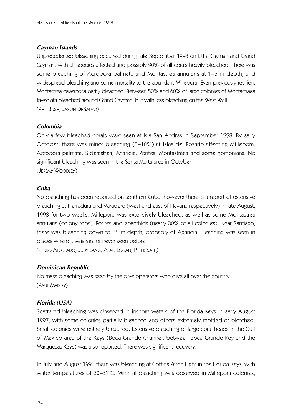## *Cayman Islands*

Unprecedented bleaching occurred during late September 1998 on Little Cayman and Grand Cayman, with all species affected and possibly 90% of all corals heavily bleached. There was some bleaching of Acropora palmata and Montastrea annularis at 1–5 m depth, and widespread bleaching and some mortality to the abundant Millepora. Even previously resilient Montastrea cavernosa partly bleached. Between 50% and 60% of large colonies of Montastraea faveolata bleached around Grand Cayman, but with less bleaching on the West Wall. (PHIL BUSH, JASON DESALVO)

# *Colombia*

Only a few bleached corals were seen at Isla San Andres in September 1998. By early October, there was minor bleaching (5–10%) at Islas del Rosario affecting Millepora, Acropora palmata, Siderastrea, Agaricia, Porites, Montastraea and some gorgonians. No significant bleaching was seen in the Santa Marta area in October. (JEREMY WOODLEY)

## *Cuba*

No bleaching has been reported on southern Cuba, however there is a report of extensive bleaching at Herradura and Varadero (west and east of Havana respectively) in late August, 1998 for two weeks. Millepora was extensively bleached, as well as some Montastrea annularis (colony tops), Porites and zoanthids (nearly 30% of all colonies). Near Santiago, there was bleaching down to 35 m depth, probably of Agaricia. Bleaching was seen in places where it was rare or never seen before.

(PEDRO ALCOLADO, JUDY LANG, ALAN LOGAN, PETER SALE)

## *Dominican Republic*

No mass bleaching was seen by the dive operators who dive all over the country. (PAUL MEDLEY)

## *Florida (USA)*

Scattered bleaching was observed in inshore waters of the Florida Keys in early August 1997, with some colonies partially bleached and others extremely mottled or blotched. Small colonies were entirely bleached. Extensive bleaching of large coral heads in the Gulf of Mexico area of the Keys (Boca Grande Channel, between Boca Grande Key and the Marquesas Keys) was also reported. There was significant recovery.

In July and August 1998 there was bleaching at Coffins Patch Light in the Florida Keys, with water temperatures of 30–31°C. Minimal bleaching was observed in Millepora colonies,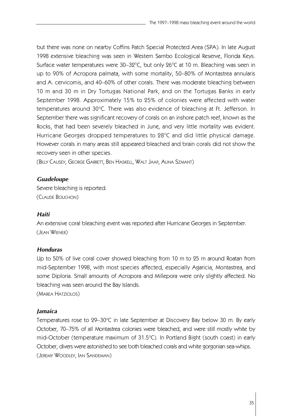but there was none on nearby Coffins Patch Special Protected Area (SPA). In late August 1998 extensive bleaching was seen in Western Sambo Ecological Reserve, Florida Keys. Surface water temperatures were  $30-32^{\circ}$ C, but only  $26^{\circ}$ C at 10 m. Bleaching was seen in up to 90% of Acropora palmata, with some mortality, 50–80% of Montastrea annularis and A. cervicornis, and 40–60% of other corals. There was moderate bleaching between 10 m and 30 m in Dry Tortugas National Park, and on the Tortugas Banks in early September 1998. Approximately 15% to 25% of colonies were affected with water temperatures around 30°C. There was also evidence of bleaching at Ft. Jefferson. In September there was significant recovery of corals on an inshore patch reef, known as the Rocks, that had been severely bleached in June, and very little mortality was evident. Hurricane Georges dropped temperatures to 28°C and did little physical damage. However corals in many areas still appeared bleached and brain corals did not show the recovery seen in other species.

(BILLY CAUSEY, GEORGE GARRETT, BEN HASKELL, WALT JAAP, ALINA SZMANT)

# *Guadeloupe*

Severe bleaching is reported. (CLAUDE BOUCHON)

# *Haiti*

An extensive coral bleaching event was reported after Hurricane Georges in September. (JEAN WIENER)

# *Honduras*

Up to 50% of live coral cover showed bleaching from 10 m to 25 m around Roatan from mid-September 1998, with most species affected, especially Agaricia, Montastrea, and some Diploria. Small amounts of Acropora and Millepora were only slightly affected. No bleaching was seen around the Bay Islands.

(MAREA HATZIOLOS)

# *Jamaica*

Temperatures rose to 29-30°C in late September at Discovery Bay below 30 m. By early October, 70–75% of all Montastrea colonies were bleached, and were still mostly white by mid-October (temperature maximum of  $31.5^{\circ}$ C). In Portland Bight (south coast) in early October, divers were astonished to see both bleached corals and white gorgonian sea-whips. (JEREMY WOODLEY, IAN SANDEMAN)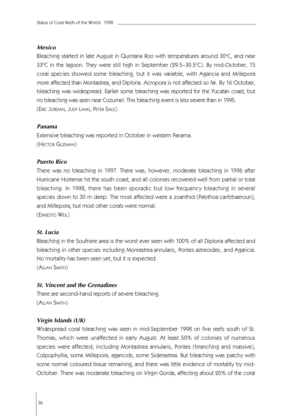## *Mexico*

Bleaching started in late August in Quintana Roo with temperatures around  $30^{\circ}$ C, and near  $33^{\circ}$ C in the lagoon. They were still high in September (29.5–30.5 $^{\circ}$ C). By mid-October, 15 coral species showed some bleaching, but it was variable, with Agaricia and Millepora more affected than Montastrea, and Diploria. Acropora is not affected so far. By 16 October, bleaching was widespread. Earlier some bleaching was reported for the Yucatan coast, but no bleaching was seen near Cozumel. This bleaching event is less severe than in 1995. (ERIC JORDAN, JUDY LANG, PETER SALE)

## *Panama*

Extensive bleaching was reported in October in western Panama. (HECTOR GUZMAN)

#### *Puerto Rico*

There was no bleaching in 1997. There was, however, moderate bleaching in 1996 after Hurricane Hortense hit the south coast, and all colonies recovered well from partial or total bleaching. In 1998, there has been sporadic but low frequency bleaching in several species down to 30 m deep. The most affected were a zoanthid (Palythoa caribbaeroun), and Millepora, but most other corals were normal.

(ERNESTO WEIL)

## *St. Lucia*

Bleaching in the Soufriere area is the worst ever seen with 100% of all Diploria affected and bleaching in other species including Monrastrea annularis, Porites astreoides, and Agaricia. No mortality has been seen yet, but it is expected.

(ALLAN SMITH)

# *St. Vincent and the Grenadines*

There are second-hand reports of severe bleaching. (ALLAN SMITH)

#### *Virgin Islands (UK)*

Widespread coral bleaching was seen in mid-September 1998 on five reefs south of St. Thomas, which were unaffected in early August. At least 50% of colonies of numerous species were affected, including Montastrea annularis, Porites (branching and massive), Colpophyllia, some Millepora, agaricids, some Siderastrea. But bleaching was patchy with some normal coloured tissue remaining, and there was little evidence of mortality by mid-October. There was moderate bleaching on Virgin Gorda, affecting about 20% of the coral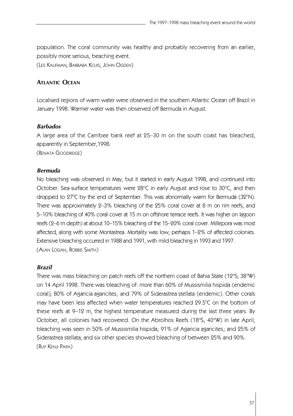population. The coral community was healthy and probably recovering from an earlier, possibly more serious, beaching event.

(LES KAUFMAN, BARBARA KOJIS, JOHN OGDEN)

# **ATLANTIC OCEAN**

Localised regions of warm water were observed in the southern Atlantic Ocean off Brazil in January 1998. Warmer water was then observed off Bermuda in August.

## *Barbados*

A large area of the Carribee bank reef at 25–30 m on the south coast has bleached, apparently in September,1998.

(RENATA GOODRIDGE)

## *Bermuda*

No bleaching was observed in May, but it started in early August 1998, and continued into October. Sea-surface temperatures were  $28^{\circ}$ C in early August and rose to  $30^{\circ}$ C, and then dropped to  $27^{\circ}$ C by the end of September. This was abnormally warm for Bermuda (32 $^{\circ}$ N). There was approximately 2–3% bleaching of the 25% coral cover at 8 m on rim reefs, and 5–10% bleaching of 40% coral cover at 15 m on offshore terrace reefs. It was higher on lagoon reefs (2–6 m depth) at about 10–15% bleaching of the 15–20% coral cover. Millepora was most affected, along with some Montastrea. Mortality was low, perhaps 1–2% of affected colonies. Extensive bleaching occurred in 1988 and 1991, with mild bleaching in 1993 and 1997. (ALAN LOGAN, ROBBIE SMITH)

#### *Brazil*

There was mass bleaching on patch reefs off the northern coast of Bahia State (12°S; 38°W) on 14 April 1998. There was bleaching of: more than 60% of Mussismilia hispida (endemic coral); 80% of Agaricia agaricites; and 79% of Siderastrea stellata (endemic). Other corals may have been less affected when water temperatures reached  $29.5^{\circ}$ C on the bottom of these reefs at 9–12 m, the highest temperature measured during the last three years. By October, all colonies had recovered. On the Abrolhos Reefs (18°S, 40°W) in late April, bleaching was seen in 50% of Mussismilia hispida; 91% of Agaricia agaricites; and 25% of Siderastrea stellata; and six other species showed bleaching of between 25% and 90%. (RUY KENJI PAPA)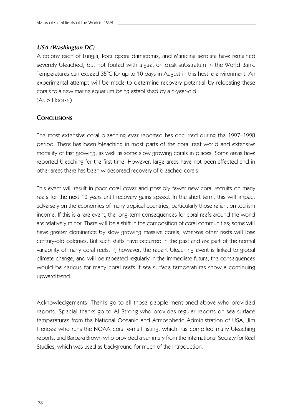# *USA (Washington DC)*

A colony each of Fungia, Pocillopora damicomis, and Manicina aerolata have remained severely bleached, but not fouled with algae, on desk substratum in the World Bank. Temperatures can exceed 35°C for up to 10 days in August in this hostile environment. An experimental attempt will be made to determine recovery potential by relocating these corals to a new marine aquarium being established by a 6-year-old. (ANDY HOOTEN)

# **CONCLUSIONS**

The most extensive coral bleaching ever reported has occurred during the 1997–1998 period. There has been bleaching in most parts of the coral reef world and extensive mortality of fast growing, as well as some slow growing corals in places. Some areas have reported bleaching for the first time. However, large areas have not been affected and in other areas there has been widespread recovery of bleached corals.

This event will result in poor coral cover and possibly fewer new coral recruits on many reefs for the next 10 years until recovery gains speed. In the short term, this will impact adversely on the economies of many tropical countries, particularly those reliant on tourism income. If this is a rare event, the long-term consequences for coral reefs around the world are relatively minor. There will be a shift in the composition of coral communities; some will have greater dominance by slow growing massive corals, whereas other reefs will lose century-old colonies. But such shifts have occurred in the past and are part of the normal variability of many coral reefs. If, however, the recent bleaching event is linked to global climate change, and will be repeated regularly in the immediate future, the consequences would be serious for many coral reefs if sea-surface temperatures show a continuing upward trend.

Acknowledgements: Thanks go to all those people mentioned above who provided reports. Special thanks go to Al Strong who provides regular reports on sea-surface temperatures from the National Oceanic and Atmospheric Administration of USA, Jim Hendee who runs the NOAA coral e-mail listing, which has compiled many bleaching reports, and Barbara Brown who provided a summary from the International Society for Reef Studies, which was used as background for much of the Introduction.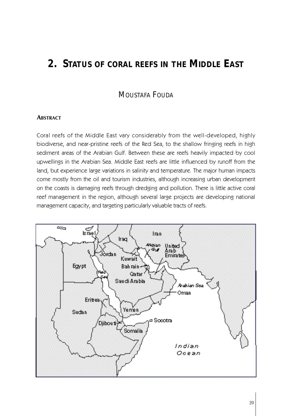# **2. STATUS OF CORAL REEFS IN THE MIDDLE EAST**

# MOUSTAFA FOUDA

## **ABSTRACT**

Coral reefs of the Middle East vary considerably from the well-developed, highly biodiverse, and near-pristine reefs of the Red Sea, to the shallow fringing reefs in high sediment areas of the Arabian Gulf. Between these are reefs heavily impacted by cool upwellings in the Arabian Sea. Middle East reefs are little influenced by runoff from the land, but experience large variations in salinity and temperature. The major human impacts come mostly from the oil and tourism industries, although increasing urban development on the coasts is damaging reefs through dredging and pollution. There is little active coral reef management in the region, although several large projects are developing national management capacity, and targeting particularly valuable tracts of reefs.

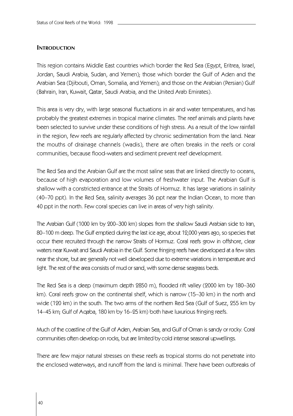## **INTRODUCTION**

This region contains Middle East countries which border the Red Sea (Egypt, Eritrea, Israel, Jordan, Saudi Arabia, Sudan, and Yemen); those which border the Gulf of Aden and the Arabian Sea (Djibouti, Oman, Somalia, and Yemen); and those on the Arabian (Persian) Gulf (Bahrain, Iran, Kuwait, Qatar, Saudi Arabia, and the United Arab Emirates).

This area is very dry, with large seasonal fluctuations in air and water temperatures, and has probably the greatest extremes in tropical marine climates. The reef animals and plants have been selected to survive under these conditions of high stress. As a result of the low rainfall in the region, few reefs are regularly affected by chronic sedimentation from the land. Near the mouths of drainage channels (wadis), there are often breaks in the reefs or coral communities, because flood-waters and sediment prevent reef development.

The Red Sea and the Arabian Gulf are the most saline seas that are linked directly to oceans, because of high evaporation and low volumes of freshwater input. The Arabian Gulf is shallow with a constricted entrance at the Straits of Hormuz. It has large variations in salinity (40–70 ppt). In the Red Sea, salinity averages 36 ppt near the Indian Ocean, to more than 40 ppt in the north. Few coral species can live in areas of very high salinity.

The Arabian Gulf (1000 km by 200–300 km) slopes from the shallow Saudi Arabian side to Iran, 8 0–100 m deep. The Gulf emptied during the last ice age, about 12,000 years ago, so species that occur there recruited through the narrow Straits of Hormuz. Coral reefs grow in offshore, clear waters near Kuwait and Saudi Arabia in the Gulf. Some fringing reefs have developed at a few sites near the shore, but are generally not well developed due to extreme variations in temperature and light. The rest of the area consists of mud or sand, with some dense seagrass beds.

The Red Sea is a deep (maximum depth 2850 m), flooded rift valley (2000 km by 180–360 km). Coral reefs grow on the continental shelf, which is narrow (15–30 km) in the north and wide (120 km) in the south. The two arms of the northern Red Sea (Gulf of Suez, 255 km by 1 4–45 km; Gulf of Aqaba, 180 km by 16–25 km) both have luxurious fringing reefs.

Much of the coastline of the Gulf of Aden, Arabian Sea, and Gulf of Oman is sandy or rocky. Coral communities often develop on rocks, but are limited by cold intense seasonal upwellings.

There are few major natural stresses on these reefs as tropical storms do not penetrate into the enclosed waterways, and runoff from the land is minimal. There have been outbreaks of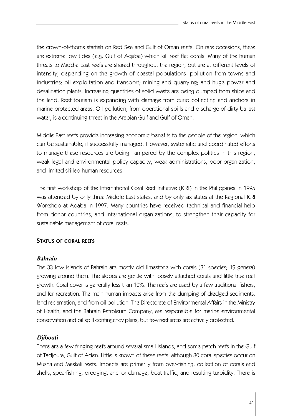the crown-of-thorns starfish on Red Sea and Gulf of Oman reefs. On rare occasions, there are extreme low tides (e.g. Gulf of Aqaba) which kill reef flat corals. Many of the human threats to Middle East reefs are shared throughout the region, but are at different levels of intensity, depending on the growth of coastal populations: pollution from towns and industries; oil exploitation and transport; mining and quarrying; and huge power and desalination plants. Increasing quantities of solid waste are being dumped from ships and the land. Reef tourism is expanding with damage from curio collecting and anchors in marine protected areas. Oil pollution, from operational spills and discharge of dirty ballast water, is a continuing threat in the Arabian Gulf and Gulf of Oman.

Middle East reefs provide increasing economic benefits to the people of the region, which can be sustainable, if successfully managed. However, systematic and coordinated efforts to manage these resources are being hampered by the complex politics in this region, weak legal and environmental policy capacity, weak administrations, poor organization, and limited skilled human resources.

The first workshop of the International Coral Reef Initiative (ICRI) in the Philippines in 1995 was attended by only three Middle East states, and by only six states at the Regional ICRI Workshop at Aqaba in 1997. Many countries have received technical and financial help from donor countries, and international organizations, to strengthen their capacity for sustainable management of coral reefs.

## **STATUS OF CORAL REEFS**

## *Bahrain*

The 33 low islands of Bahrain are mostly old limestone with corals (31 species; 19 genera) growing around them. The slopes are gentle with loosely attached corals and little true reef growth. Coral cover is generally less than 10%. The reefs are used by a few traditional fishers, and for recreation. The main human impacts arise from the dumping of dredged sediments, land reclamation, and from oil pollution. The Directorate of Environmental Affairs in the Ministry of Health, and the Bahrain Petroleum Company, are responsible for marine environmental conservation and oil spill contingency plans, but few reef areas are actively protected.

# *Djibouti*

There are a few fringing reefs around several small islands, and some patch reefs in the Gulf of Tadjoura, Gulf of Aden. Little is known of these reefs, although 80 coral species occur on Musha and Maskali reefs. Impacts are primarily from over-fishing, collection of corals and shells, spearfishing, dredging, anchor damage, boat traffic, and resulting turbidity. There is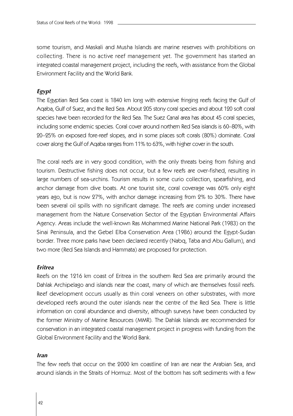some tourism, and Maskali and Musha Islands are marine reserves with prohibitions on collecting. There is no active reef management yet. The government has started an integrated coastal management project, including the reefs, with assistance from the Global Environment Facility and the World Bank.

# *Egypt*

The Egyptian Red Sea coast is 1840 km long with extensive fringing reefs facing the Gulf of Aqaba, Gulf of Suez, and the Red Sea. About 205 stony coral species and about 120 soft coral species have been recorded for the Red Sea. The Suez Canal area has about 45 coral species, including some endemic species. Coral cover around northern Red Sea islands is 60–80%, with 2 0–25% on exposed fore-reef slopes, and in some places soft corals (80%) dominate. Coral cover along the Gulf of Aqaba ranges from 11% to 63%, with higher cover in the south.

The coral reefs are in very good condition, with the only threats being from fishing and tourism. Destructive fishing does not occur, but a few reefs are over-fished, resulting in large numbers of sea-urchins. Tourism results in some curio collection, spearfishing, and anchor damage from dive boats. At one tourist site, coral coverage was 60% only eight years ago, but is now 27%, with anchor damage increasing from 2% to 30%. There have been several oil spills with no significant damage. The reefs are coming under increased management from the Nature Conservation Sector of the Egyptian Environmental Affairs Agency. Areas include the well-known Ras Mohammed Marine National Park (1983) on the Sinai Peninsula, and the Gebel Elba Conservation Area (1986) around the Egypt-Sudan border. Three more parks have been declared recently (Nabq, Taba and Abu Gallum), and two more (Red Sea Islands and Hammata) are proposed for protection.

#### *Eritrea*

Reefs on the 1216 km coast of Eritrea in the southern Red Sea are primarily around the Dahlak Archipelago and islands near the coast, many of which are themselves fossil reefs. Reef development occurs usually as thin coral veneers on other substrates, with more developed reefs around the outer islands near the centre of the Red Sea. There is little information on coral abundance and diversity, although surveys have been conducted by the former Ministry of Marine Resources (MMR). The Dahlak Islands are recommended for conservation in an integrated coastal management project in progress with funding from the Global Environment Facility and the World Bank.

#### *Iran*

The few reefs that occur on the 2000 km coastline of Iran are near the Arabian Sea, and around islands in the Straits of Hormuz. Most of the bottom has soft sediments with a few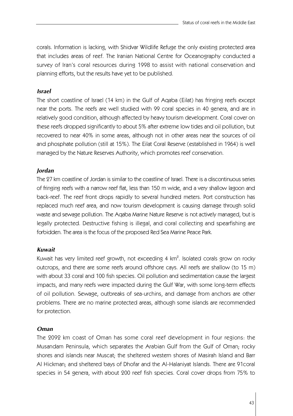corals. Information is lacking, with Shidvar Wildlife Refuge the only existing protected area that includes areas of reef. The Iranian National Centre for Oceanography conducted a survey of Iran's coral resources during 1998 to assist with national conservation and planning efforts, but the results have yet to be published.

# *Israel*

The short coastline of Israel (14 km) in the Gulf of Aqaba (Eilat) has fringing reefs except near the ports. The reefs are well studied with 99 coral species in 40 genera, and are in relatively good condition, although affected by heavy tourism development. Coral cover on these reefs dropped significantly to about 5% after extreme low tides and oil pollution, but recovered to near 40% in some areas, although not in other areas near the sources of oil and phosphate pollution (still at 15%). The Eilat Coral Reserve (established in 1964) is well managed by the Nature Reserves Authority, which promotes reef conservation.

## *Jordan*

The 27 km coastline of Jordan is similar to the coastline of Israel. There is a discontinuous series of fringing reefs with a narrow reef flat, less than 150 m wide, and a very shallow lagoon and back-reef. The reef front drops rapidly to several hundred meters. Port construction has replaced much reef area, and now tourism development is causing damage through solid waste and sewage pollution. The Aqaba Marine Nature Reserve is not actively managed, but is legally protected. Destructive fishing is illegal, and coral collecting and spearfishing are forbidden. The area is the focus of the proposed Red Sea Marine Peace Park.

# *Kuwait*

Kuwait has very limited reef growth, not exceeding 4 km<sup>2</sup>. Isolated corals grow on rocky outcrops, and there are some reefs around offshore cays. All reefs are shallow (to 15 m) with about 33 coral and 100 fish species. Oil pollution and sedimentation cause the largest impacts, and many reefs were impacted during the Gulf War, with some long-term effects of oil pollution. Sewage, outbreaks of sea-urchins, and damage from anchors are other problems. There are no marine protected areas, although some islands are recommended for protection.

## *Oman*

The 2092 km coast of Oman has some coral reef development in four regions: the Musandam Peninsula, which separates the Arabian Gulf from the Gulf of Oman; rocky shores and islands near Muscat; the sheltered western shores of Masirah Island and Barr Al Hickman; and sheltered bays of Dhofar and the Al-Halaniyat Islands. There are 91coral species in 54 genera, with about 200 reef fish species. Coral cover drops from 75% to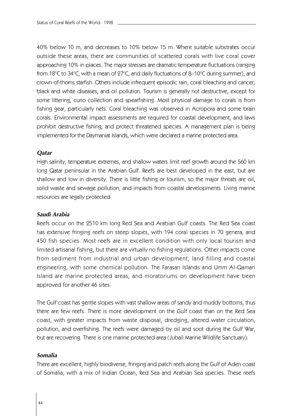40% below 10 m, and decreases to 10% below 15 m. Where suitable substrates occur outside these areas, there are communities of scattered corals with live coral cover approaching 10% in places. The major stresses are dramatic temperature fluctuations (ranging from 18 $^{\circ}$ C to 34 $^{\circ}$ C, with a mean of 27 $^{\circ}$ C, and daily fluctuations of 8–10 $^{\circ}$ C during summer), and crown-of-thorns starfish. Others include infrequent episodic rain, coral bleaching and cancer, black and white diseases, and oil pollution. Tourism is generally not destructive, except for some littering, curio collection and spearfishing. Most physical damage to corals is from fishing gear, particularly nets. Coral bleaching was observed in Acropora and some brain corals. Environmental impact assessments are required for coastal development, and laws prohibit destructive fishing, and protect threatened species. A management plan is being implemented for the Daymaniat Islands, which were declared a marine protected area.

## *Qatar*

High salinity, temperature extremes, and shallow waters limit reef growth around the 560 km long Qatar peninsular in the Arabian Gulf. Reefs are best developed in the east, but are shallow and low in diversity. There is little fishing or tourism, so the major threats are oil, solid waste and sewage pollution, and impacts from coastal developments. Living marine resources are legally protected.

## *Saudi Arabia*

Reefs occur on the 2510 km long Red Sea and Arabian Gulf coasts. The Red Sea coast has extensive fringing reefs on steep slopes, with 194 coral species in 70 genera, and 450 fish species. Most reefs are in excellent condition with only local tourism and limited artisanal fishing, but there are virtually no fishing regulations. Other impacts come from sediment from industrial and urban development, land filling and coastal engineering, with some chemical pollution. The Farasan Islands and Umm Al-Qamari Island are marine protected areas, and moratoriums on development have been approved for another 46 sites.

The Gulf coast has gentle slopes with vast shallow areas of sandy and muddy bottoms, thus there are few reefs. There is more development on the Gulf coast than on the Red Sea coast, with greater impacts from waste disposal, dredging, altered water circulation, pollution, and overfishing. The reefs were damaged by oil and soot during the Gulf War, but are recovering. There is one marine protected area (Jubail Marine Wildlife Sanctuary).

## *Somalia*

There are excellent, highly biodiverse, fringing and patch reefs along the Gulf of Aden coast of Somalia, with a mix of Indian Ocean, Red Sea and Arabian Sea species. These reefs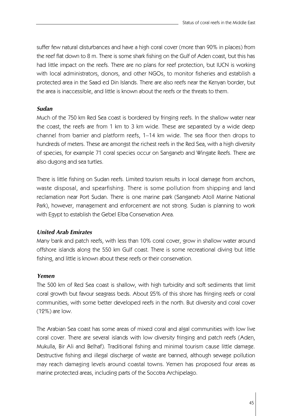suffer few natural disturbances and have a high coral cover (more than 90% in places) from the reef flat down to 8 m. There is some shark fishing on the Gulf of Aden coast, but this has had little impact on the reefs. There are no plans for reef protection, but IUCN is working with local administrators, donors, and other NGOs, to monitor fisheries and establish a protected area in the Saad ed Din Islands. There are also reefs near the Kenyan border, but the area is inaccessible, and little is known about the reefs or the threats to them.

## *Sudan*

Much of the 750 km Red Sea coast is bordered by fringing reefs. In the shallow water near the coast, the reefs are from 1 km to 3 km wide. These are separated by a wide deep channel from barrier and platform reefs, 1–14 km wide. The sea floor then drops to hundreds of meters. These are amongst the richest reefs in the Red Sea, with a high diversity of species, for example 71 coral species occur on Sanganeb and Wingate Reefs. There are also dugong and sea turtles.

There is little fishing on Sudan reefs. Limited tourism results in local damage from anchors, waste disposal, and spearfishing. There is some pollution from shipping and land reclamation near Port Sudan. There is one marine park (Sanganeb Atoll Marine National Park), however, management and enforcement are not strong. Sudan is planning to work with Egypt to establish the Gebel Elba Conservation Area.

# *United Arab Emirates*

Many bank and patch reefs, with less than 10% coral cover, grow in shallow water around offshore islands along the 550 km Gulf coast. There is some recreational diving but little fishing, and little is known about these reefs or their conservation.

## *Yemen*

The 500 km of Red Sea coast is shallow, with high turbidity and soft sediments that limit coral growth but favour seagrass beds. About 25% of this shore has fringing reefs or coral communities, with some better developed reefs in the north. But diversity and coral cover (12%) are low.

The Arabian Sea coast has some areas of mixed coral and algal communities with low live coral cover. There are several islands with low diversity fringing and patch reefs (Aden, Mukulla, Bir Ali and Belhaf). Traditional fishing and minimal tourism cause little damage. Destructive fishing and illegal discharge of waste are banned, although sewage pollution may reach damaging levels around coastal towns. Yemen has proposed four areas as marine protected areas, including parts of the Socotra Archipelago.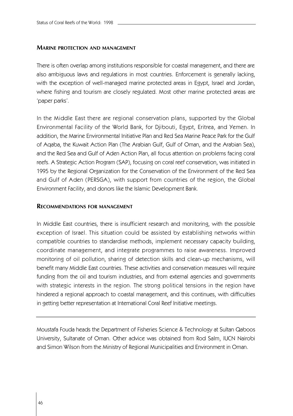## **MARINE PROTECTION AND MANAGEMENT**

There is often overlap among institutions responsible for coastal management, and there are also ambiguous laws and regulations in most countries. Enforcement is generally lacking, with the exception of well-managed marine protected areas in Egypt, Israel and Jordan, where fishing and tourism are closely regulated. Most other marine protected areas are 'paper parks'.

In the Middle East there are regional conservation plans, supported by the Global Environmental Facility of the World Bank, for Djibouti, Egypt, Eritrea, and Yemen. In addition, the Marine Environmental Initiative Plan and Red Sea Marine Peace Park for the Gulf of Aqaba, the Kuwait Action Plan (The Arabian Gulf, Gulf of Oman, and the Arabian Sea), and the Red Sea and Gulf of Aden Action Plan, all focus attention on problems facing coral reefs. A Strategic Action Program (SAP), focusing on coral reef conservation, was initiated in 1995 by the Regional Organization for the Conservation of the Environment of the Red Sea and Gulf of Aden (PERSGA), with support from countries of the region, the Global Environment Facility, and donors like the Islamic Development Bank.

# **RECOMMENDATIONS FOR MANAGEMENT**

In Middle East countries, there is insufficient research and monitoring, with the possible exception of Israel. This situation could be assisted by establishing networks within compatible countries to standardise methods, implement necessary capacity building, coordinate management, and integrate programmes to raise awareness. Improved monitoring of oil pollution, sharing of detection skills and clean-up mechanisms, will benefit many Middle East countries. These activities and conservation measures will require funding from the oil and tourism industries, and from external agencies and governments with strategic interests in the region. The strong political tensions in the region have hindered a regional approach to coastal management, and this continues, with difficulties in getting better representation at International Coral Reef Initiative meetings.

Moustafa Fouda heads the Department of Fisheries Science & Technology at Sultan Qaboos University, Sultanate of Oman. Other advice was obtained from Rod Salm, IUCN Nairobi and Simon Wilson from the Ministry of Regional Municipalities and Environment in Oman.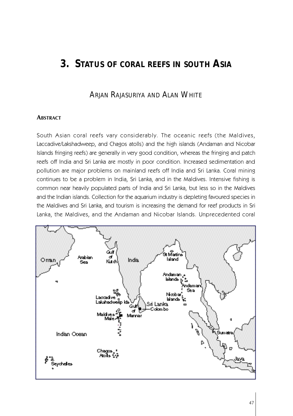# **3. STATUS OF CORAL REEFS IN SOUTH ASIA**

# ARJAN RAJASURIYA AND ALAN WHITE

## **ABSTRACT**

South Asian coral reefs vary considerably. The oceanic reefs (the Maldives, Laccadive/Lakshadweep, and Chagos atolls) and the high islands (Andaman and Nicobar Islands fringing reefs) are generally in very good condition, whereas the fringing and patch reefs off India and Sri Lanka are mostly in poor condition. Increased sedimentation and pollution are major problems on mainland reefs off India and Sri Lanka. Coral mining continues to be a problem in India, Sri Lanka, and in the Maldives. Intensive fishing is common near heavily populated parts of India and Sri Lanka, but less so in the Maldives and the Indian islands. Collection for the aquarium industry is depleting favoured species in the Maldives and Sri Lanka, and tourism is increasing the demand for reef products in Sri Lanka, the Maldives, and the Andaman and Nicobar Islands. Unprecedented coral

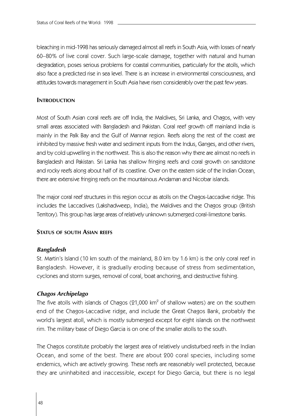bleaching in mid-1998 has seriously damaged almost all reefs in South Asia, with losses of nearly 6 0–80% of live coral cover. Such large-scale damage, together with natural and human degradation, poses serious problems for coastal communities, particularly for the atolls, which also face a predicted rise in sea level. There is an increase in environmental consciousness, and attitudes towards management in South Asia have risen considerably over the past few years.

## **INTRODUCTION**

Most of South Asian coral reefs are off India, the Maldives, Sri Lanka, and Chagos, with very small areas associated with Bangladesh and Pakistan. Coral reef growth off mainland India is mainly in the Palk Bay and the Gulf of Mannar region. Reefs along the rest of the coast are inhibited by massive fresh water and sediment inputs from the Indus, Ganges, and other rivers, and by cold upwelling in the northwest. This is also the reason why there are almost no reefs in Bangladesh and Pakistan. Sri Lanka has shallow fringing reefs and coral growth on sandstone and rocky reefs along about half of its coastline. Over on the eastern side of the Indian Ocean, there are extensive fringing reefs on the mountainous Andaman and Nicobar islands.

The major coral reef structures in this region occur as atolls on the Chagos-Laccadive ridge. This includes the Laccadives (Lakshadweep, India), the Maldives and the Chagos group (British Territory). This group has large areas of relatively unknown submerged coral-limestone banks.

## **STATUS OF SOUTH ASIAN REEFS**

## *Bangladesh*

St. Martin's Island (10 km south of the mainland, 8.0 km by 1.6 km) is the only coral reef in Bangladesh. However, it is gradually eroding because of stress from sedimentation, cyclones and storm surges, removal of coral, boat anchoring, and destructive fishing.

## *Chagos Archipelago*

The five atolls with islands of Chagos ( $21,000$  km<sup>2</sup> of shallow waters) are on the southern end of the Chagos-Laccadive ridge, and include the Great Chagos Bank, probably the world's largest atoll, which is mostly submerged except for eight islands on the northwest rim. The military base of Diego Garcia is on one of the smaller atolls to the south.

The Chagos constitute probably the largest area of relatively undisturbed reefs in the Indian Ocean, and some of the best. There are about 200 coral species, including some endemics, which are actively growing. These reefs are reasonably well protected, because they are uninhabited and inaccessible, except for Diego Garcia, but there is no legal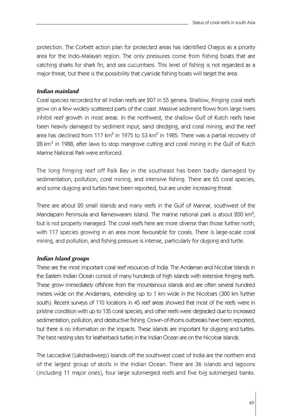protection. The Corbett action plan for protected areas has identified Chagos as a priority area for the Indo-Malayan region. The only pressures come from fishing boats that are catching sharks for shark fin, and sea cucumbers. This level of fishing is not regarded as a major threat, but there is the possibility that cyanide fishing boats will target the area.

# *Indian mainland*

Coral species recorded for all Indian reefs are 207 in 55 genera. Shallow, fringing coral reefs grow on a few widely scattered parts of the coast. Massive sediment flows from large rivers inhibit reef growth in most areas. In the northwest, the shallow Gulf of Kutch reefs have been heavily damaged by sediment input, sand dredging, and coral mining, and the reef area has declined from 117 km $^2$  in 1975 to 53 km $^2$  in 1985. There was a partial recovery of 28 km $^{\rm 2}$  in 1988, after laws to stop mangrove cutting and coral mining in the Gulf of Kutch Marine National Park were enforced.

The long fringing reef off Palk Bay in the southeast has been badly damaged by sedimentation, pollution, coral mining, and intensive fishing. There are 65 coral species, and some dugong and turtles have been reported, but are under increasing threat.

There are about 20 small islands and many reefs in the Gulf of Mannar, southwest of the Mandapam Peninsula and Rameswaram Island. The marine national park is about 200 km $^2\!$ , but is not properly managed. The coral reefs here are more diverse than those further north, with 117 species growing in an area more favourable for corals. There is large-scale coral mining, and pollution, and fishing pressure is intense, particularly for dugong and turtle.

## *Indian Island groups*

These are the most important coral reef resources of India. The Andaman and Nicobar Islands in the Eastern Indian Ocean consist of many hundreds of high islands with extensive fringing reefs. These grow immediately offshore from the mountainous islands and are often several hundred meters wide on the Andamans, extending up to 1 km wide in the Nicobars (300 km further south). Recent surveys of 110 locations in 45 reef areas showed that most of the reefs were in pristine condition with up to 135 coral species, and other reefs were degraded due to increased sedimentation, pollution, and destructive fishing. Crown-of-thorns outbreaks have been reported, but there is no information on the impacts. These islands are important for dugong and turtles. The best nesting sites for leatherback turtles in the Indian Ocean are on the Nicobar Islands.

The Laccadive (Lakshadweep) Islands off the southwest coast of India are the northern end of the largest group of atolls in the Indian Ocean. There are 36 islands and lagoons (including 11 major ones), four large submerged reefs and five big submerged banks.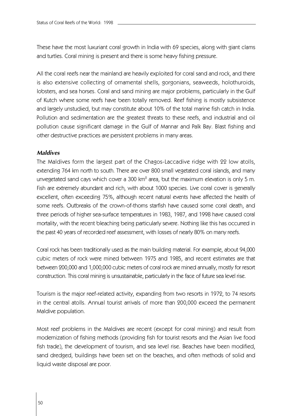These have the most luxuriant coral growth in India with 69 species, along with giant clams and turtles. Coral mining is present and there is some heavy fishing pressure.

All the coral reefs near the mainland are heavily exploited for coral sand and rock, and there is also extensive collecting of ornamental shells, gorgonians, seaweeds, holothuroids, lobsters, and sea horses. Coral and sand mining are major problems, particularly in the Gulf of Kutch where some reefs have been totally removed. Reef fishing is mostly subsistence and largely unstudied, but may constitute about 10% of the total marine fish catch in India. Pollution and sedimentation are the greatest threats to these reefs, and industrial and oil pollution cause significant damage in the Gulf of Mannar and Palk Bay. Blast fishing and other destructive practices are persistent problems in many areas.

# *Maldives*

The Maldives form the largest part of the Chagos-Laccadive ridge with 22 low atolls, extending 764 km north to south. There are over 800 small vegetated coral islands, and many unvegetated sand cays which cover a 300 km $^{\rm 2}$  area, but the maximum elevation is only 5 m. Fish are extremely abundant and rich, with about 1000 species. Live coral cover is generally excellent, often exceeding 75%, although recent natural events have affected the health of some reefs. Outbreaks of the crown-of-thorns starfish have caused some coral death, and three periods of higher sea-surface temperatures in 1983, 1987, and 1998 have caused coral mortality, with the recent bleaching being particularly severe. Nothing like this has occurred in the past 40 years of recorded reef assessment, with losses of nearly 80% on many reefs.

Coral rock has been traditionally used as the main building material. For example, about 94,000 cubic meters of rock were mined between 1975 and 1985, and recent estimates are that between 200,000 and 1,000,000 cubic meters of coral rock are mined annually, mostly for resort construction. This coral mining is unsustainable, particularly in the face of future sea level rise.

Tourism is the major reef-related activity, expanding from two resorts in 1972, to 74 resorts in the central atolls. Annual tourist arrivals of more than 200,000 exceed the permanent Maldive population.

Most reef problems in the Maldives are recent (except for coral mining) and result from modernization of fishing methods (providing fish for tourist resorts and the Asian live food fish trade), the development of tourism, and sea level rise. Beaches have been modified, sand dredged, buildings have been set on the beaches, and often methods of solid and liquid waste disposal are poor.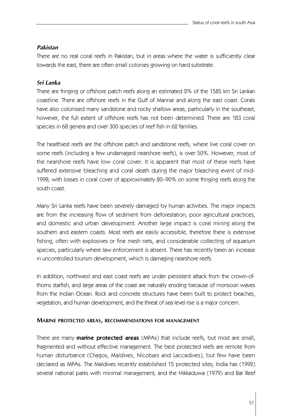# *Pakistan*

There are no real coral reefs in Pakistan, but in areas where the water is sufficiently clear towards the east, there are often small colonies growing on hard substrate.

# *Sri Lanka*

There are fringing or offshore patch reefs along an estimated 2% of the 1585 km Sri Lankan coastline. There are offshore reefs in the Gulf of Mannar and along the east coast. Corals have also colonised many sandstone and rocky shallow areas, particularly in the southeast, however, the full extent of offshore reefs has not been determined. There are 183 coral species in 68 genera and over 300 species of reef fish in 62 families.

The healthiest reefs are the offshore patch and sandstone reefs, where live coral cover on some reefs (including a few undamaged nearshore reefs), is over 50%. However, most of the nearshore reefs have low coral cover. It is apparent that most of these reefs have suffered extensive bleaching and coral death during the major bleaching event of mid-1998, with losses in coral cover of approximately 80–90% on some fringing reefs along the south coast.

Many Sri Lanka reefs have been severely damaged by human activities. The major impacts are from the increasing flow of sediment from deforestation, poor agricultural practices, and domestic and urban development. Another large impact is coral mining along the southern and eastern coasts. Most reefs are easily accessible, therefore there is extensive fishing, often with explosives or fine mesh nets, and considerable collecting of aquarium species, particularly where law enforcement is absent. There has recently been an increase in uncontrolled tourism development, which is damaging nearshore reefs.

In addition, northwest and east coast reefs are under persistent attack from the crown-ofthorns starfish, and large areas of the coast are naturally eroding because of monsoon waves from the Indian Ocean. Rock and concrete structures have been built to protect beaches, vegetation, and human development, and the threat of sea level rise is a major concern.

# **MARINE PROTECTED AREAS, RECOMMENDATIONS FOR MANAGEMENT**

There are many **marine protected areas** (MPAs) that include reefs, but most are small, fragmented and without effective management. The best protected reefs are remote from human disturbance (Chagos, Maldives, Nicobars and Laccadives), but few have been declared as MPAs. The Maldives recently established 15 protected sites; India has (1992) several national parks with minimal management; and the Hikkaduwa (1979) and Bar Reef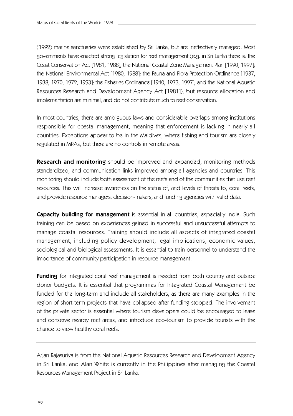(1992) marine sanctuaries were established by Sri Lanka, but are ineffectively managed. Most governments have enacted strong legislation for reef management (e.g. in Sri Lanka there is: the Coast Conservation Act [1981, 1988]; the National Coastal Zone Management Plan [1990, 1997]; the National Environmental Act [1980, 1988]; the Fauna and Flora Protection Ordinance [1937, 1938, 1970, 1972, 1993]; the Fisheries Ordinance [1940, 1973, 1997]; and the National Aquatic Resources Research and Development Agency Act [1981]), but resource allocation and implementation are minimal, and do not contribute much to reef conservation.

In most countries, there are ambiguous laws and considerable overlaps among institutions responsible for coastal management, meaning that enforcement is lacking in nearly all countries. Exceptions appear to be in the Maldives, where fishing and tourism are closely regulated in MPAs, but there are no controls in remote areas.

**Research and monitoring** should be improved and expanded, monitoring methods standardized, and communication links improved among all agencies and countries. This monitoring should include both assessment of the reefs and of the communities that use reef resources. This will increase awareness on the status of, and levels of threats to, coral reefs, and provide resource managers, decision-makers, and funding agencies with valid data.

**Capacity building for management** is essential in all countries, especially India. Such training can be based on experiences gained in successful and unsuccessful attempts to manage coastal resources. Training should include all aspects of integrated coastal management, including policy development, legal implications, economic values, sociological and biological assessments. It is essential to train personnel to understand the importance of community participation in resource management.

**Funding** for integrated coral reef management is needed from both country and outside donor budgets. It is essential that programmes for Integrated Coastal Management be funded for the long-term and include all stakeholders, as there are many examples in the region of short-term projects that have collapsed after funding stopped. The involvement of the private sector is essential where tourism developers could be encouraged to lease and conserve nearby reef areas, and introduce eco-tourism to provide tourists with the chance to view healthy coral reefs.

Arjan Rajasuriya is from the National Aquatic Resources Research and Development Agency in Sri Lanka, and Alan White is currently in the Philippines after managing the Coastal Resources Management Project in Sri Lanka.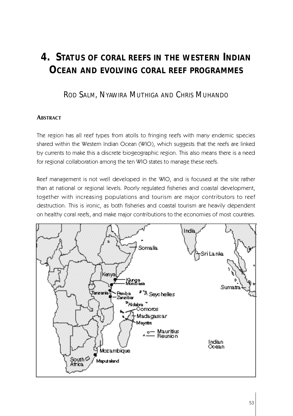# **4. STATUS OF CORAL REEFS IN THE WESTERN INDIAN OCEAN AND EVOLVING CORAL REEF PROGRAMMES**

ROD SALM, NYAWIRA MUTHIGA AND CHRIS MUHANDO

# **ABSTRACT**

The region has all reef types from atolls to fringing reefs with many endemic species shared within the Western Indian Ocean (WIO), which suggests that the reefs are linked by currents to make this a discrete biogeographic region. This also means there is a need for regional collaboration among the ten WIO states to manage these reefs.

Reef management is not well developed in the WIO, and is focused at the site rather than at national or regional levels. Poorly regulated fisheries and coastal development, together with increasing populations and tourism are major contributors to reef destruction. This is ironic, as both fisheries and coastal tourism are heavily dependent on healthy coral reefs, and make major contributions to the economies of most countries.

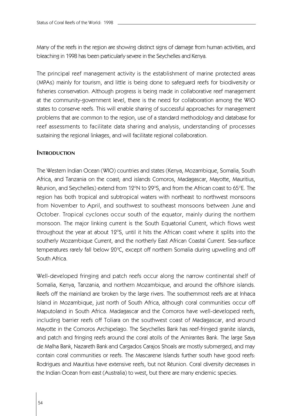Many of the reefs in the region are showing distinct signs of damage from human activities, and bleaching in 1998 has been particularly severe in the Seychelles and Kenya.

The principal reef management activity is the establishment of marine protected areas (MPAs) mainly for tourism, and little is being done to safeguard reefs for biodiversity or fisheries conservation. Although progress is being made in collaborative reef management at the community-government level, there is the need for collaboration among the WIO states to conserve reefs. This will enable sharing of successful approaches for management problems that are common to the region, use of a standard methodology and database for reef assessments to facilitate data sharing and analysis, understanding of processes sustaining the regional linkages, and will facilitate regional collaboration.

# **INTRODUCTION**

The Western Indian Ocean (WIO) countries and states (Kenya, Mozambique, Somalia, South Africa, and Tanzania on the coast; and islands Comoros, Madagascar, Mayotte, Mauritius, Réunion, and Seychelles) extend from 12°N to 29°S, and from the African coast to 65°E. The region has both tropical and subtropical waters with northeast to northwest monsoons from November to April, and southwest to southeast monsoons between June and October. Tropical cyclones occur south of the equator, mainly during the northern monsoon. The major linking current is the South Equatorial Current, which flows west throughout the year at about 12°S, until it hits the African coast where it splits into the southerly Mozambique Current, and the northerly East African Coastal Current. Sea-surface  $t$ emperatures rarely fall below 20 $\degree$ C, except off northern Somalia during upwelling and off South Africa.

Well-developed fringing and patch reefs occur along the narrow continental shelf of Somalia, Kenya, Tanzania, and northern Mozambique, and around the offshore islands. Reefs off the mainland are broken by the large rivers. The southernmost reefs are at Inhaca Island in Mozambique, just north of South Africa, although coral communities occur off Maputoland in South Africa. Madagascar and the Comoros have well-developed reefs, including barrier reefs off Toliara on the southwest coast of Madagascar, and around Mayotte in the Comoros Archipelago. The Seychelles Bank has reef-fringed granite islands, and patch and fringing reefs around the coral atolls of the Amirantes Bank. The large Saya de Malha Bank, Nazareth Bank and Cargados Carajos Shoals are mostly submerged, and may contain coral communities or reefs. The Mascarene Islands further south have good reefs: Rodrigues and Mauritius have extensive reefs, but not Réunion. Coral diversity decreases in the Indian Ocean from east (Australia) to west, but there are many endemic species.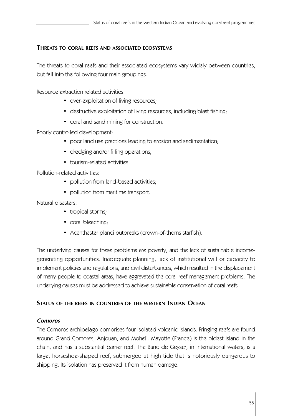# **THREATS TO CORAL REEFS AND ASSOCIATED ECOSYSTEMS**

The threats to coral reefs and their associated ecosystems vary widely between countries, but fall into the following four main groupings.

Resource extraction related activities:

- over-exploitation of living resources;
- destructive exploitation of living resources, including blast fishing;
- coral and sand mining for construction.

Poorly controlled development:

- poor land use practices leading to erosion and sedimentation;
- dredging and/or filling operations;
- tourism-related activities.

Pollution-related activities:

- pollution from land-based activities;
- pollution from maritime transport.

Natural disasters:

- tropical storms;
- coral bleaching;
- Acanthaster planci outbreaks (crown-of-thorns starfish).

The underlying causes for these problems are poverty, and the lack of sustainable incomegenerating opportunities. Inadequate planning, lack of institutional will or capacity to implement policies and regulations, and civil disturbances, which resulted in the displacement of many people to coastal areas, have aggravated the coral reef management problems. The underlying causes must be addressed to achieve sustainable conservation of coral reefs.

# **STATUS OF THE REEFS IN COUNTRIES OF THE WESTERN INDIAN OCEAN**

# *Comoros*

The Comoros archipelago comprises four isolated volcanic islands. Fringing reefs are found around Grand Comores, Anjouan, and Moheli. Mayotte (France) is the oldest island in the chain, and has a substantial barrier reef. The Banc de Geyser, in international waters, is a large, horseshoe-shaped reef, submerged at high tide that is notoriously dangerous to shipping. Its isolation has preserved it from human damage.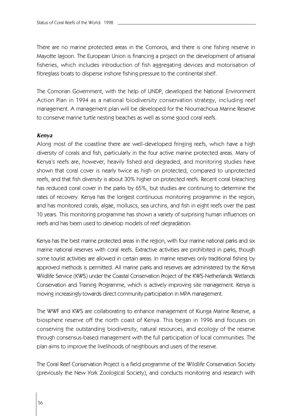There are no marine protected areas in the Comoros, and there is one fishing reserve in Mayotte lagoon. The European Union is financing a project on the development of artisanal fisheries, which includes introduction of fish aggregating devices and motorisation of fibreglass boats to disperse inshore fishing pressure to the continental shelf.

The Comorian Government, with the help of UNDP, developed the National Environment Action Plan in 1994 as a national biodiversity conservation strategy, including reef management. A management plan will be developed for the Nioumachoua Marine Reserve to conserve marine turtle nesting beaches as well as some good coral reefs.

## *Kenya*

Along most of the coastline there are well-developed fringing reefs, which have a high diversity of corals and fish, particularly in the four active marine protected areas. Many of Kenya's reefs are, however, heavily fished and degraded, and monitoring studies have shown that coral cover is nearly twice as high on protected, compared to unprotected reefs, and that fish diversity is about 30% higher on protected reefs. Recent coral bleaching has reduced coral cover in the parks by 65%, but studies are continuing to determine the rates of recovery. Kenya has the longest continuous monitoring programme in the region, and has monitored corals, algae, molluscs, sea urchins, and fish in eight reefs over the past 10 years. This monitoring programme has shown a variety of surprising human influences on reefs and has been used to develop models of reef degradation.

Kenya has the best marine protected areas in the region, with four marine national parks and six marine national reserves with coral reefs. Extractive activities are prohibited in parks, though some tourist activities are allowed in certain areas. In marine reserves only traditional fishing by approved methods is permitted. All marine parks and reserves are administered by the Kenya Wildlife Service (KWS) under the Coastal Conservation Project of the KWS-Netherlands Wetlands Conservation and Training Programme, which is actively improving site management. Kenya is moving increasingly towards direct community participation in MPA management.

The WWF and KWS are collaborating to enhance management of Kiunga Marine Reserve, a biosphere reserve off the north coast of Kenya. This began in 1996 and focuses on conserving the outstanding biodiversity, natural resources, and ecology of the reserve through consensus-based management with the full participation of local communities. The plan aims to improve the livelihoods of neighbours and users of the reserve.

The Coral Reef Conservation Project is a field programme of the Wildlife Conservation Society (previously the New York Zoological Society), and conducts monitoring and research with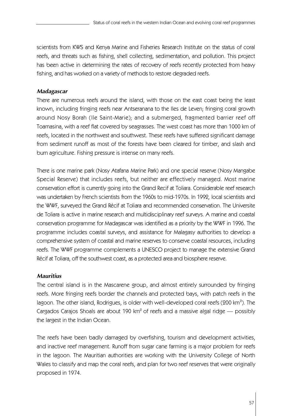scientists from KWS and Kenya Marine and Fisheries Research Institute on the status of coral reefs, and threats such as fishing, shell collecting, sedimentation, and pollution. This project has been active in determining the rates of recovery of reefs recently protected from heavy fishing, and has worked on a variety of methods to restore degraded reefs.

# *Madagascar*

There are numerous reefs around the island, with those on the east coast being the least known, including fringing reefs near Antseranana to the Iles de Leven; fringing coral growth around Nosy Borah (Ile Saint-Marie); and a submerged, fragmented barrier reef off Toamasina, with a reef flat covered by seagrasses. The west coast has more than 1000 km of reefs, located in the northwest and southwest. These reefs have suffered significant damage from sediment runoff as most of the forests have been cleared for timber, and slash and burn agriculture. Fishing pressure is intense on many reefs.

There is one marine park (Nosy Atafana Marine Park) and one special reserve (Nosy Mangabe Special Reserve) that includes reefs, but neither are effectively managed. Most marine conservation effort is currently going into the Grand Recif at Toliara. Considerable reef research was undertaken by French scientists from the 1960s to mid-1970s. In 1992, local scientists and the WWF, surveyed the Grand Récif at Toliara and recommended conservation. The Universite de Toliara is active in marine research and multidisciplinary reef surveys. A marine and coastal conservation programme for Madagascar was identified as a priority by the WWF in 1996. The programme includes coastal surveys, and assistance for Malagasy authorities to develop a comprehensive system of coastal and marine reserves to conserve coastal resources, including reefs. The WWF programme complements a UNESCO project to manage the extensive Grand Récif at Toliara, off the southwest coast, as a protected area and biosphere reserve.

# *Mauritius*

The central island is in the Mascarene group, and almost entirely surrounded by fringing reefs. More fringing reefs border the channels and protected bays, with patch reefs in the lagoon. The other island, Rodrigues, is older with well-developed coral reefs (200 km<sup>2</sup>). The Cargados Carajos Shoals are about 190  $km^2$  of reefs and a massive algal ridge  $-$  possibly the largest in the Indian Ocean.

The reefs have been badly damaged by overfishing, tourism and development activities, and inactive reef management. Runoff from sugar cane farming is a major problem for reefs in the lagoon. The Mauritian authorities are working with the University College of North Wales to classify and map the coral reefs, and plan for two reef reserves that were originally proposed in 1974.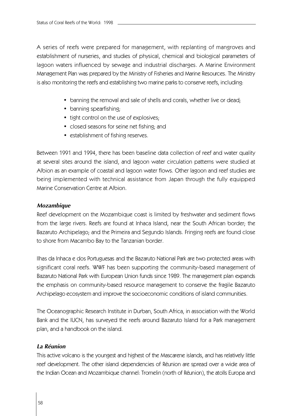A series of reefs were prepared for management, with replanting of mangroves and establishment of nurseries, and studies of physical, chemical and biological parameters of lagoon waters influenced by sewage and industrial discharges. A Marine Environment Management Plan was prepared by the Ministry of Fisheries and Marine Resources. The Ministry is also monitoring the reefs and establishing two marine parks to conserve reefs, including:

- banning the removal and sale of shells and corals, whether live or dead;
- banning spearfishing;
- tight control on the use of explosives;
- closed seasons for seine net fishing; and
- establishment of fishing reserves.

Between 1991 and 1994, there has been baseline data collection of reef and water quality at several sites around the island, and lagoon water circulation patterns were studied at Albion as an example of coastal and lagoon water flows. Other lagoon and reef studies are being implemented with technical assistance from Japan through the fully equipped Marine Conservation Centre at Albion.

## *Mozambique*

Reef development on the Mozambique coast is limited by freshwater and sediment flows from the large rivers. Reefs are found at Inhaca Island, near the South African border; the Bazaruto Archipelago; and the Primeira and Segundo Islands. Fringing reefs are found close to shore from Macambo Bay to the Tanzanian border.

Ilhas da Inhaca e dos Portuguesas and the Bazaruto National Park are two protected areas with significant coral reefs. WWF has been supporting the community-based management of Bazaruto National Park with European Union funds since 1989. The management plan expands the emphasis on community-based resource management to conserve the fragile Bazaruto Archipelago ecosystem and improve the socioeconomic conditions of island communities.

The Oceanographic Research Institute in Durban, South Africa, in association with the World Bank and the IUCN, has surveyed the reefs around Bazaruto Island for a Park management plan, and a handbook on the island.

# *La Réunion*

This active volcano is the youngest and highest of the Mascarene islands, and has relatively little reef development. The other island dependencies of Réunion are spread over a wide area of the Indian Ocean and Mozambique channel: Tromelin (north of Réunion), the atolls Europa and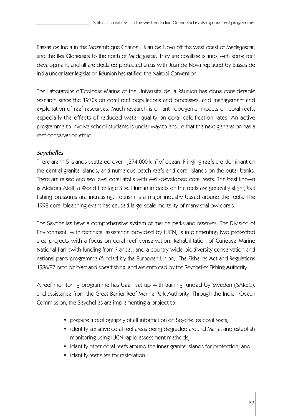Bassas de India in the Mozambique Channel, Juan de Nova off the west coast of Madagascar, and the Iles Glorieuses to the north of Madagascar. They are coralline islands with some reef development, and all are declared protected areas with Juan de Nova replaced by Bassas de India under later legislation Réunion has ratified the Nairobi Convention.

The Laboratoire d'Ecologie Marine of the Universite de la Réunion has done considerable research since the 1970s on coral reef populations and processes, and management and exploitation of reef resources. Much research is on anthropogenic impacts on coral reefs, especially the effects of reduced water quality on coral calcification rates. An active programme to involve school students is under way to ensure that the next generation has a reef conservation ethic.

# *Seychelles*

There are 115 islands scattered over  $1,374,000$  km<sup>2</sup> of ocean. Fringing reefs are dominant on the central granite islands, and numerous patch reefs and coral islands on the outer banks. There are raised and sea level coral atolls with well-developed coral reefs. The best known is Aldabra Atoll, a World Heritage Site. Human impacts on the reefs are generally slight, but fishing pressures are increasing. Tourism is a major industry based around the reefs. The 1998 coral bleaching event has caused large-scale mortality of many shallow corals.

The Seychelles have a comprehensive system of marine parks and reserves. The Division of Environment, with technical assistance provided by IUCN, is implementing two protected area projects with a focus on coral reef conservation: Rehabilitation of Curieuse Marine National Park (with funding from France), and a country-wide biodiversity conservation and national parks programme (funded by the European Union). The Fisheries Act and Regulations 1986/87 prohibit blast and spearfishing, and are enforced by the Seychelles Fishing Authority.

A reef monitoring programme has been set up with training funded by Sweden (SAREC), and assistance from the Great Barrier Reef Marine Park Authority. Through the Indian Ocean Commission, the Seychelles are implementing a project to:

- prepare a bibliography of all information on Seychelles coral reefs;
- identify sensitive coral reef areas being degraded around Mahé, and establish monitoring using IUCN rapid assessment methods;
- identify other coral reefs around the inner granite islands for protection; and
- identify reef sites for restoration.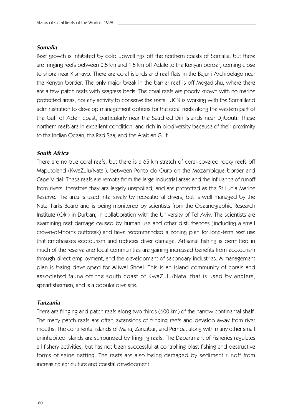## *Somalia*

Reef growth is inhibited by cold upwellings off the northern coasts of Somalia, but there are fringing reefs between 0.5 km and 1.5 km off Adale to the Kenyan border, coming close to shore near Kismayo. There are coral islands and reef flats in the Bajuni Archipelago near the Kenyan border. The only major break in the barrier reef is off Mogadishu, where there are a few patch reefs with seagrass beds. The coral reefs are poorly known with no marine protected areas, nor any activity to conserve the reefs. IUCN is working with the Somaliland administration to develop management options for the coral reefs along the western part of the Gulf of Aden coast, particularly near the Saad ed Din Islands near Djibouti. These northern reefs are in excellent condition, and rich in biodiversity because of their proximity to the Indian Ocean, the Red Sea, and the Arabian Gulf.

## *South Africa*

There are no true coral reefs, but there is a 65 km stretch of coral-covered rocky reefs off Maputoland (KwaZulu/Natal), between Ponto do Ouro on the Mozambique border and Cape Vidal. These reefs are remote from the large industrial areas and the influence of runoff from rivers, therefore they are largely unspoiled, and are protected as the St Lucia Marine Reserve. The area is used intensively by recreational divers, but is well managed by the Natal Parks Board and is being monitored by scientists from the Oceanographic Research Institute (ORI) in Durban, in collaboration with the University of Tel Aviv. The scientists are examining reef damage caused by human use and other disturbances (including a small crown-of-thorns outbreak) and have recommended a zoning plan for long-term reef use that emphasises ecotourism and reduces diver damage. Artisanal fishing is permitted in much of the reserve and local communities are gaining increased benefits from ecotourism through direct employment, and the development of secondary industries. A management plan is being developed for Aliwal Shoal. This is an island community of corals and associated fauna off the south coast of KwaZulu/Natal that is used by anglers, spearfishermen, and is a popular dive site.

## *Tanzania*

There are fringing and patch reefs along two thirds (600 km) of the narrow continental shelf. The many patch reefs are often extensions of fringing reefs and develop away from river mouths. The continental islands of Mafia, Zanzibar, and Pemba, along with many other small uninhabited islands are surrounded by fringing reefs. The Department of Fisheries regulates all fishery activities, but has not been successful at controlling blast fishing and destructive forms of seine netting. The reefs are also being damaged by sediment runoff from increasing agriculture and coastal development.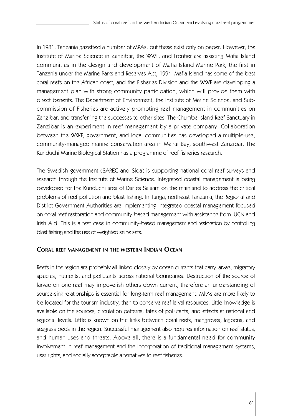In 1981, Tanzania gazetted a number of MPAs, but these exist only on paper. However, the Institute of Marine Science in Zanzibar, the WWF, and Frontier are assisting Mafia Island communities in the design and development of Mafia Island Marine Park, the first in Tanzania under the Marine Parks and Reserves Act, 1994. Mafia Island has some of the best coral reefs on the African coast, and the Fisheries Division and the WWF are developing a management plan with strong community participation, which will provide them with direct benefits. The Department of Environment, the Institute of Marine Science, and Subcommission of Fisheries are actively promoting reef management in communities on Zanzibar, and transferring the successes to other sites. The Chumbe Island Reef Sanctuary in Zanzibar is an experiment in reef management by a private company. Collaboration between the WWF, government, and local communities has developed a multiple-use, community-managed marine conservation area in Menai Bay, southwest Zanzibar. The Kunduchi Marine Biological Station has a programme of reef fisheries research.

The Swedish government (SAREC and Sida) is supporting national coral reef surveys and research through the Institute of Marine Science. Integrated coastal management is being developed for the Kunduchi area of Dar es Salaam on the mainland to address the critical problems of reef pollution and blast fishing. In Tanga, northeast Tanzania, the Regional and District Government Authorities are implementing integrated coastal management focused on coral reef restoration and community-based management with assistance from IUCN and Irish Aid. This is a test case in community-based management and restoration by controlling blast fishing and the use of weighted seine sets.

# **CORAL REEF MANAGEMENT IN THE WESTERN INDIAN OCEAN**

Reefs in the region are probably all linked closely by ocean currents that carry larvae, migratory species, nutrients, and pollutants across national boundaries. Destruction of the source of larvae on one reef may impoverish others down current, therefore an understanding of source-sink relationships is essential for long-term reef management. MPAs are more likely to be located for the tourism industry, than to conserve reef larval resources. Little knowledge is available on the sources, circulation patterns, fates of pollutants, and effects at national and regional levels. Little is known on the links between coral reefs, mangroves, lagoons, and seagrass beds in the region. Successful management also requires information on reef status, and human uses and threats. Above all, there is a fundamental need for community involvement in reef management and the incorporation of traditional management systems, user rights, and socially acceptable alternatives to reef fisheries.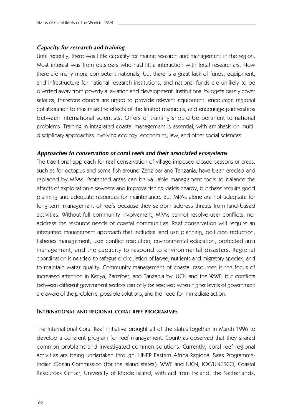## *Capacity for research and training*

Until recently, there was little capacity for marine research and management in the region. Most interest was from outsiders who had little interaction with local researchers. Now there are many more competent nationals, but there is a great lack of funds, equipment, and infrastructure for national research institutions, and national funds are unlikely to be diverted away from poverty alleviation and development. Institutional budgets barely cover salaries, therefore donors are urged to provide relevant equipment, encourage regional collaboration to maximise the effects of the limited resources, and encourage partnerships between international scientists. Offers of training should be pertinent to national problems. Training in integrated coastal management is essential, with emphasis on multidisciplinary approaches involving ecology, economics, law, and other social sciences.

## *Approaches to conservation of coral reefs and their associated ecosystems*

The traditional approach for reef conservation of village-imposed closed seasons or areas, such as for octopus and some fish around Zanzibar and Tanzania, have been eroded and replaced by MPAs. Protected areas can be valuable management tools to balance the effects of exploitation elsewhere and improve fishing yields nearby, but these require good planning and adequate resources for maintenance. But MPAs alone are not adequate for long-term management of reefs because they seldom address threats from land-based activities. Without full community involvement, MPAs cannot resolve user conflicts, nor address the resource needs of coastal communities. Reef conservation will require an integrated management approach that includes land use planning, pollution reduction, fisheries management, user conflict resolution, environmental education, protected area management, and the capacity to respond to environmental disasters. Regional coordination is needed to safeguard circulation of larvae, nutrients and migratory species, and to maintain water quality. Community management of coastal resources is the focus of increased attention in Kenya, Zanzibar, and Tanzania by IUCN and the WWF, but conflicts between different government sectors can only be resolved when higher levels of government are aware of the problems, possible solutions, and the need for immediate action.

#### **INTERNATIONAL AND REGIONAL CORAL REEF PROGRAMMES**

The International Coral Reef Initiative brought all of the states together in March 1996 to develop a coherent program for reef management. Countries observed that they shared common problems and investigated common solutions. Currently, coral reef regional activities are being undertaken through: UNEP Eastern Africa Regional Seas Programme; Indian Ocean Commission (for the island states); WWF and IUCN; IOC/UNESCO; Coastal Resources Center, University of Rhode Island; with aid from Ireland, the Netherlands,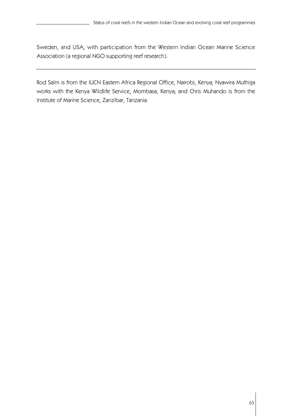Sweden, and USA, with participation from the Western Indian Ocean Marine Science Association (a regional NGO supporting reef research).

Rod Salm is from the IUCN Eastern Africa Regional Office, Nairobi, Kenya; Nyawira Muthiga works with the Kenya Wildlife Service, Mombasa, Kenya; and Chris Muhando is from the Institute of Marine Science, Zanzibar, Tanzania.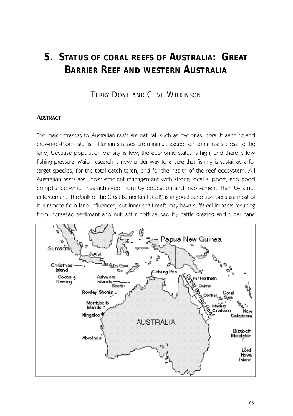# **5. STATUS OF CORAL REEFS OF AUSTRALIA: GREAT BARRIER REEF AND WESTERN AUSTRALIA**

# TERRY DONE AND CLIVE WILKINSON

#### **ABSTRACT**

The major stresses to Australian reefs are natural, such as cyclones, coral bleaching and crown-of-thorns starfish. Human stresses are minimal, except on some reefs close to the land, because population density is low, the economic status is high, and there is low fishing pressure. Major research is now under way to ensure that fishing is sustainable for target species, for the total catch taken, and for the health of the reef ecosystem. All Australian reefs are under efficient management with strong local support, and good compliance which has achieved more by education and involvement, than by strict enforcement. The bulk of the Great Barrier Reef (GBR) is in good condition because most of it is remote from land influences, but inner shelf reefs may have suffered impacts resulting from increased sediment and nutrient runoff caused by cattle grazing and sugar-cane

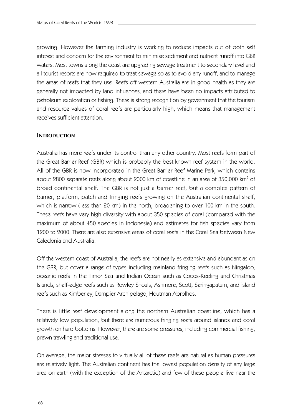growing. However the farming industry is working to reduce impacts out of both self interest and concern for the environment to minimise sediment and nutrient runoff into GBR waters. Most towns along the coast are upgrading sewage treatment to secondary level and all tourist resorts are now required to treat sewage so as to avoid any runoff, and to manage the areas of reefs that they use. Reefs off western Australia are in good health as they are generally not impacted by land influences, and there have been no impacts attributed to petroleum exploration or fishing. There is strong recognition by government that the tourism and resource values of coral reefs are particularly high, which means that management receives sufficient attention.

## **INTRODUCTION**

Australia has more reefs under its control than any other country. Most reefs form part of the Great Barrier Reef (GBR) which is probably the best known reef system in the world. All of the GBR is now incorporated in the Great Barrier Reef Marine Park, which contains about 2800 separate reefs along about 2000 km of coastline in an area of 350,000 km<sup>2</sup> of broad continental shelf. The GBR is not just a barrier reef, but a complex pattern of barrier, platform, patch and fringing reefs growing on the Australian continental shelf, which is narrow (less than 20 km) in the north, broadening to over 100 km in the south. These reefs have very high diversity with about 350 species of coral (compared with the maximum of about 450 species in Indonesia) and estimates for fish species vary from 1200 to 2000. There are also extensive areas of coral reefs in the Coral Sea between New Caledonia and Australia.

Off the western coast of Australia, the reefs are not nearly as extensive and abundant as on the GBR, but cover a range of types including mainland fringing reefs such as Ningaloo, oceanic reefs in the Timor Sea and Indian Ocean such as Cocos-Keeling and Christmas Islands, shelf-edge reefs such as Rowley Shoals, Ashmore, Scott, Seringapatam, and island reefs such as Kimberley, Dampier Archipelago, Houtman Abrolhos.

There is little reef development along the northern Australian coastline, which has a relatively low population, but there are numerous fringing reefs around islands and coral growth on hard bottoms. However, there are some pressures, including commercial fishing, prawn trawling and traditional use.

On average, the major stresses to virtually all of these reefs are natural as human pressures are relatively light. The Australian continent has the lowest population density of any large area on earth (with the exception of the Antarctic) and few of these people live near the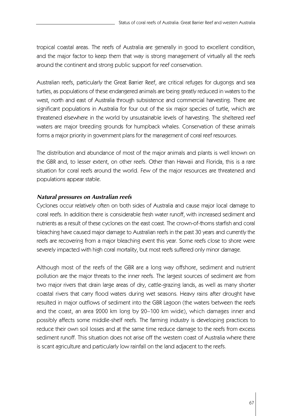tropical coastal areas. The reefs of Australia are generally in good to excellent condition, and the major factor to keep them that way is strong management of virtually all the reefs around the continent and strong public support for reef conservation.

Australian reefs, particularly the Great Barrier Reef, are critical refuges for dugongs and sea turtles, as populations of these endangered animals are being greatly reduced in waters to the west, north and east of Australia through subsistence and commercial harvesting. There are significant populations in Australia for four out of the six major species of turtle, which are threatened elsewhere in the world by unsustainable levels of harvesting. The sheltered reef waters are major breeding grounds for humpback whales. Conservation of these animals forms a major priority in government plans for the management of coral reef resources.

The distribution and abundance of most of the major animals and plants is well known on the GBR and, to lesser extent, on other reefs. Other than Hawaii and Florida, this is a rare situation for coral reefs around the world. Few of the major resources are threatened and populations appear stable.

# *Natural pressures on Australian reefs*

Cyclones occur relatively often on both sides of Australia and cause major local damage to coral reefs. In addition there is considerable fresh water runoff, with increased sediment and nutrients as a result of these cyclones on the east coast. The crown-of-thorns starfish and coral bleaching have caused major damage to Australian reefs in the past 30 years and currently the reefs are recovering from a major bleaching event this year. Some reefs close to shore were severely impacted with high coral mortality, but most reefs suffered only minor damage.

Although most of the reefs of the GBR are a long way offshore, sediment and nutrient pollution are the major threats to the inner reefs. The largest sources of sediment are from two major rivers that drain large areas of dry, cattle-grazing lands, as well as many shorter coastal rivers that carry flood waters during wet seasons. Heavy rains after drought have resulted in major outflows of sediment into the GBR Lagoon (the waters between the reefs and the coast, an area 2000 km long by 20–100 km wide), which damages inner and possibly affects some middle-shelf reefs. The farming industry is developing practices to reduce their own soil losses and at the same time reduce damage to the reefs from excess sediment runoff. This situation does not arise off the western coast of Australia where there is scant agriculture and particularly low rainfall on the land adjacent to the reefs.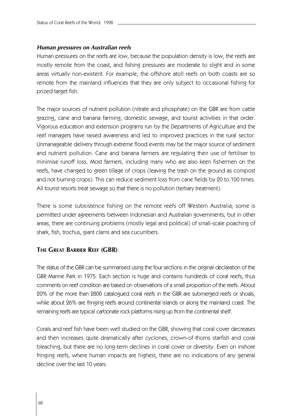#### *Human pressures on Australian reefs*

Human pressures on the reefs are low, because the population density is low, the reefs are mostly remote from the coast, and fishing pressures are moderate to slight and in some areas virtually non-existent. For example, the offshore atoll reefs on both coasts are so remote from the mainland influences that they are only subject to occasional fishing for prized target fish.

The major sources of nutrient pollution (nitrate and phosphate) on the GBR are from cattle grazing, cane and banana farming, domestic sewage, and tourist activities in that order. Vigorous education and extension programs run by the Departments of Agriculture and the reef managers have raised awareness and led to improved practices in the rural sector. Unmanageable delivery through extreme flood events may be the major source of sediment and nutrient pollution. Cane and banana farmers are regulating their use of fertiliser to minimise runoff loss. Most farmers, including many who are also keen fishermen on the reefs, have changed to green tillage of crops (leaving the trash on the ground as compost and not burning crops). This can reduce sediment loss from cane fields by 20 to 100 times. All tourist resorts treat sewage so that there is no pollution (tertiary treatment).

There is some subsistence fishing on the remote reefs off Western Australia; some is permitted under agreements between Indonesian and Australian governments; but in other areas, there are continuing problems (mostly legal and political) of small-scale poaching of shark, fish, trochus, giant clams and sea cucumbers.

## **THE GREAT BARRIER REEF (GBR)**

The status of the GBR can be summarised using the four sections in the original declaration of the GBR Marine Park in 1975. Each section is huge and contains hundreds of coral reefs, thus comments on reef condition are based on observations of a small proportion of the reefs. About 20% of the more than 2800 catalogued coral reefs in the GBR are submerged reefs or shoals, while about 26% are fringing reefs around continental islands or along the mainland coast. The remaining reefs are typical carbonate rock platforms rising up from the continental shelf.

Corals and reef fish have been well studied on the GBR, showing that coral cover decreases and then increases quite dramatically after cyclones, crown-of-thorns starfish and coral bleaching, but there are no long-term declines in coral cover or diversity. Even on inshore fringing reefs, where human impacts are highest, there are no indications of any general decline over the last 10 years.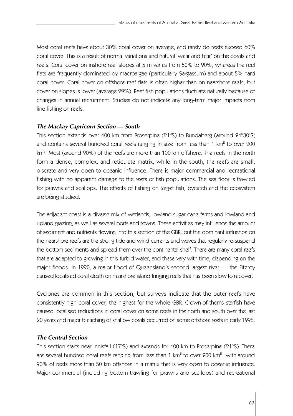Most coral reefs have about 30% coral cover on average, and rarely do reefs exceed 60% coral cover. This is a result of normal variations and natural 'wear and tear' on the corals and reefs. Coral cover on inshore reef slopes at 5 m varies from 50% to 90%, whereas the reef flats are frequently dominated by macroalgae (particularly Sargassum) and about 5% hard coral cover. Coral cover on offshore reef flats is often higher than on nearshore reefs, but cover on slopes is lower (average 29%). Reef fish populations fluctuate naturally because of changes in annual recruitment. Studies do not indicate any long-term major impacts from line fishing on reefs.

# *The Mackay Capricorn Section — South*

This section extends over 400 km from Proserpine (21°S) to Bundaberg (around 24°30'S) and contains several hundred coral reefs ranging in size from less than 1 km $^{\circ}$  to over 200 km $^2$ . Most (around 90%) of the reefs are more than 100 km offshore. The reefs in the north form a dense, complex, and reticulate matrix, while in the south, the reefs are small, discrete and very open to oceanic influence. There is major commercial and recreational fishing with no apparent damage to the reefs or fish populations. The sea floor is trawled for prawns and scallops. The effects of fishing on target fish, bycatch and the ecosystem are being studied.

The adjacent coast is a diverse mix of wetlands, lowland sugar-cane farms and lowland and upland grazing, as well as several ports and towns. These activities may influence the amount of sediment and nutrients flowing into this section of the GBR, but the dominant influence on the nearshore reefs are the strong tide and wind currents and waves that regularly re-suspend the bottom sediments and spread them over the continental shelf. There are many coral reefs that are adapted to growing in this turbid water, and these vary with time, depending on the major floods. In 1990, a major flood of Queensland's second largest river — the Fitzroy caused localised coral death on nearshore island fringing reefs that has been slow to recover.

Cyclones are common in this section, but surveys indicate that the outer reefs have consistently high coral cover, the highest for the whole GBR. Crown-of-thorns starfish have caused localised reductions in coral cover on some reefs in the north and south over the last 20 years and major bleaching of shallow corals occurred on some offshore reefs in early 1998.

## *The Central Section*

This section starts near Innisfail (17°S) and extends for 400 km to Proserpine (21°S). There are several hundred coral reefs ranging from less than 1 km $^{\rm 2}$  to over 200 km $^{\rm 2}$  with around 90% of reefs more than 50 km offshore in a matrix that is very open to oceanic influence. Major commercial (including bottom trawling for prawns and scallops) and recreational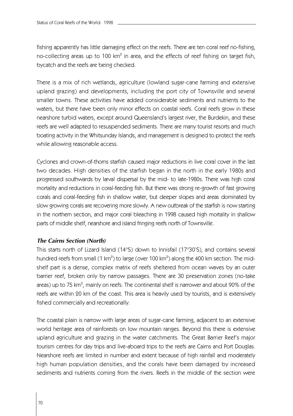fishing apparently has little damaging effect on the reefs. There are ten coral reef no-fishing, no-collecting areas up to 100 km $^{\rm 2}$  in area, and the effects of reef fishing on target fish, bycatch and the reefs are being checked.

There is a mix of rich wetlands, agriculture (lowland sugar-cane farming and extensive upland grazing) and developments, including the port city of Townsville and several smaller towns. These activities have added considerable sediments and nutrients to the waters, but there have been only minor effects on coastal reefs. Coral reefs grow in these nearshore turbid waters, except around Queensland's largest river, the Burdekin, and these reefs are well adapted to resuspended sediments. There are many tourist resorts and much boating activity in the Whitsunday Islands, and management is designed to protect the reefs while allowing reasonable access.

Cyclones and crown-of-thorns starfish caused major reductions in live coral cover in the last two decades. High densities of the starfish began in the north in the early 1980s and progressed southwards by larval dispersal by the mid- to late-1980s. There was high coral mortality and reductions in coral-feeding fish. But there was strong re-growth of fast growing corals and coral-feeding fish in shallow water, but deeper slopes and areas dominated by slow growing corals are recovering more slowly. A new outbreak of the starfish is now starting in the northern section, and major coral bleaching in 1998 caused high mortality in shallow parts of middle shelf, nearshore and island fringing reefs north of Townsville.

## *The Cairns Section (North)*

This starts north of Lizard Island (14°S) down to Innisfail (17°30'S), and contains several hundred reefs from small (1 km $^{\circ}$ ) to large (over 100 km $^{\circ}$ ) along the 400 km section. The midshelf part is a dense, complex matrix of reefs sheltered from ocean waves by an outer barrier reef, broken only by narrow passages. There are 30 preservation zones (no-take areas) up to 75 km $^{\circ}$ , mainly on reefs. The continental shelf is narrower and about 90% of the reefs are within 20 km of the coast. This area is heavily used by tourists, and is extensively fished commercially and recreationally.

The coastal plain is narrow with large areas of sugar-cane farming, adjacent to an extensive world heritage area of rainforests on low mountain ranges. Beyond this there is extensive upland agriculture and grazing in the water catchments. The Great Barrier Reef's major tourism centres for day trips and live-aboard trips to the reefs are Cairns and Port Douglas. Nearshore reefs are limited in number and extent because of high rainfall and moderately high human population densities, and the corals have been damaged by increased sediments and nutrients coming from the rivers. Reefs in the middle of the section were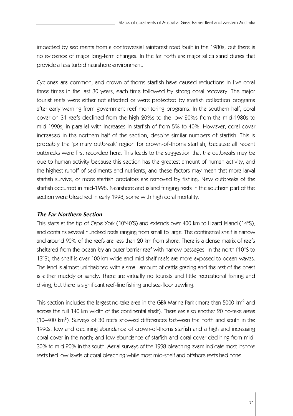impacted by sediments from a controversial rainforest road built in the 1980s, but there is no evidence of major long-term changes. In the far north are major silica sand dunes that provide a less turbid nearshore environment.

Cyclones are common, and crown-of-thorns starfish have caused reductions in live coral three times in the last 30 years, each time followed by strong coral recovery. The major tourist reefs were either not affected or were protected by starfish collection programs after early warning from government reef monitoring programs. In the southern half, coral cover on 31 reefs declined from the high 20%s to the low 20%s from the mid-1980s to mid-1990s, in parallel with increases in starfish of from 5% to 40%. However, coral cover increased in the northern half of the section, despite similar numbers of starfish. This is probably the 'primary outbreak' region for crown-of-thorns starfish, because all recent outbreaks were first recorded here. This leads to the suggestion that the outbreaks may be due to human activity because this section has the greatest amount of human activity, and the highest runoff of sediments and nutrients, and these factors may mean that more larval starfish survive, or more starfish predators are removed by fishing. New outbreaks of the starfish occurred in mid-1998. Nearshore and island fringing reefs in the southern part of the section were bleached in early 1998, some with high coral mortality.

## *The Far Northern Section*

This starts at the tip of Cape York (10°40'S) and extends over 400 km to Lizard Island (14°S), and contains several hundred reefs ranging from small to large. The continental shelf is narrow and around 90% of the reefs are less than 20 km from shore. There is a dense matrix of reefs sheltered from the ocean by an outer barrier reef with narrow passages. In the north (10°S to 13°S), the shelf is over 100 km wide and mid-shelf reefs are more exposed to ocean waves. The land is almost uninhabited with a small amount of cattle grazing and the rest of the coast is either muddy or sandy. There are virtually no tourists and little recreational fishing and diving, but there is significant reef-line fishing and sea-floor trawling.

This section includes the largest no-take area in the GBR Marine Park (more than 5000 km $^2$  and across the full 140 km width of the continental shelf). There are also another 20 no-take areas (10–400  $km^2$ ). Surveys of 30 reefs showed differences between the north and south in the 1990s: low and declining abundance of crown-of-thorns starfish and a high and increasing coral cover in the north; and low abundance of starfish and coral cover declining from mid-30% to mid-20% in the south. Aerial surveys of the 1998 bleaching event indicate most inshore reefs had low levels of coral bleaching while most mid-shelf and offshore reefs had none.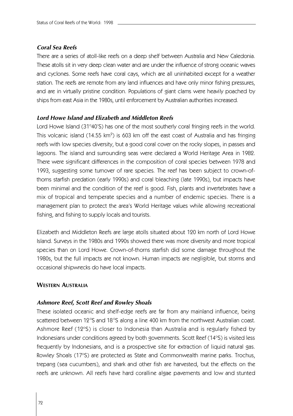#### *Coral Sea Reefs*

There are a series of atoll-like reefs on a deep shelf between Australia and New Caledonia. These atolls sit in very deep clean water and are under the influence of strong oceanic waves and cyclones. Some reefs have coral cays, which are all uninhabited except for a weather station. The reefs are remote from any land influences and have only minor fishing pressures, and are in virtually pristine condition. Populations of giant clams were heavily poached by ships from east Asia in the 1980s, until enforcement by Australian authorities increased.

# *Lord Howe Island and Elizabeth and Middleton Reefs*

Lord Howe Island (31°40'S) has one of the most southerly coral fringing reefs in the world. This volcanic island (14.55 km<sup>2</sup>) is 603 km off the east coast of Australia and has fringing reefs with low species diversity, but a good coral cover on the rocky slopes, in passes and lagoons. The island and surrounding seas were declared a World Heritage Area in 1982. There were significant differences in the composition of coral species between 1978 and 1993, suggesting some turnover of rare species. The reef has been subject to crown-ofthorns starfish predation (early 1990s) and coral bleaching (late 1990s), but impacts have been minimal and the condition of the reef is good. Fish, plants and invertebrates have a mix of tropical and temperate species and a number of endemic species. There is a management plan to protect the area's World Heritage values while allowing recreational fishing, and fishing to supply locals and tourists.

Elizabeth and Middleton Reefs are large atolls situated about 120 km north of Lord Howe Island. Surveys in the 1980s and 1990s showed there was more diversity and more tropical species than on Lord Howe. Crown-of-thorns starfish did some damage throughout the 1980s, but the full impacts are not known. Human impacts are negligible, but storms and occasional shipwrecks do have local impacts.

#### **WESTERN AUSTRALIA**

#### *Ashmore Reef, Scott Reef and Rowley Shoals*

These isolated oceanic and shelf-edge reefs are far from any mainland influence, being scattered between 12°S and 18°S along a line 400 km from the northwest Australian coast. Ashmore Reef (12°S) is closer to Indonesia than Australia and is regularly fished by Indonesians under conditions agreed by both governments. Scott Reef (14°S) is visited less frequently by Indonesians, and is a prospective site for extraction of liquid natural gas. Rowley Shoals (17°S) are protected as State and Commonwealth marine parks. Trochus, trepang (sea cucumbers), and shark and other fish are harvested, but the effects on the reefs are unknown. All reefs have hard coralline algae pavements and low and stunted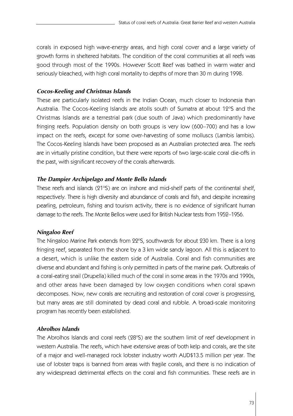corals in exposed high wave-energy areas, and high coral cover and a large variety of growth forms in sheltered habitats. The condition of the coral communities at all reefs was good through most of the 1990s. However Scott Reef was bathed in warm water and seriously bleached, with high coral mortality to depths of more than 30 m during 1998.

# *Cocos-Keeling and Christmas Islands*

These are particularly isolated reefs in the Indian Ocean, much closer to Indonesia than Australia. The Cocos-Keeling Islands are atolls south of Sumatra at about 12°S and the Christmas Islands are a terrestrial park (due south of Java) which predominantly have fringing reefs. Population density on both groups is very low (600–700) and has a low impact on the reefs, except for some over-harvesting of some molluscs (Lambis lambis) . The Cocos-Keeling Islands have been proposed as an Australian protected area. The reefs are in virtually pristine condition, but there were reports of two large-scale coral die-offs in the past, with significant recovery of the corals afterwards.

# *The Dampier Archipelago and Monte Bello Islands*

These reefs and islands (21°S) are on inshore and mid-shelf parts of the continental shelf, respectively. There is high diversity and abundance of corals and fish, and despite increasing pearling, petroleum, fishing and tourism activity, there is no evidence of significant human damage to the reefs. The Monte Bellos were used for British Nuclear tests from 1952–1956.

## *Ningaloo Reef*

The Ningaloo Marine Park extends from 22°S, southwards for about 230 km. There is a long fringing reef, separated from the shore by a 3 km wide sandy lagoon. All this is adjacent to a desert, which is unlike the eastern side of Australia. Coral and fish communities are diverse and abundant and fishing is only permitted in parts of the marine park. Outbreaks of a coral-eating snail (Drupella) killed much of the coral in some areas in the 1970s and 1990s, and other areas have been damaged by low oxygen conditions when coral spawn decomposes. Now, new corals are recruiting and restoration of coral cover is progressing, but many areas are still dominated by dead coral and rubble. A broad-scale monitoring program has recently been established.

## *Abrolhos Islands*

The Abrolhos Islands and coral reefs (28°S) are the southern limit of reef development in western Australia. The reefs, which have extensive areas of both kelp and corals, are the site of a major and well-managed rock lobster industry worth AUD\$13.5 million per year. The use of lobster traps is banned from areas with fragile corals, and there is no indication of any widespread detrimental effects on the coral and fish communities. These reefs are in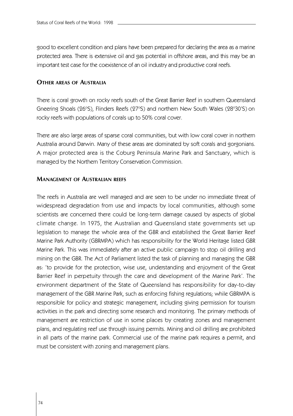good to excellent condition and plans have been prepared for declaring the area as a marine protected area. There is extensive oil and gas potential in offshore areas, and this may be an important test case for the coexistence of an oil industry and productive coral reefs.

## **OTHER AREAS OF AUSTRALIA**

There is coral growth on rocky reefs south of the Great Barrier Reef in southern Queensland Gneering Shoals (26°S), Flinders Reefs (27°S) and northern New South Wales (28°30'S) on rocky reefs with populations of corals up to 50% coral cover.

There are also large areas of sparse coral communities, but with low coral cover in northern Australia around Darwin. Many of these areas are dominated by soft corals and gorgonians. A major protected area is the Coburg Peninsula Marine Park and Sanctuary, which is managed by the Northern Territory Conservation Commission.

## **MANAGEMENT OF AUSTRALIAN REEFS**

The reefs in Australia are well managed and are seen to be under no immediate threat of widespread degradation from use and impacts by local communities, although some scientists are concerned there could be long-term damage caused by aspects of global climate change. In 1975, the Australian and Queensland state governments set up legislation to manage the whole area of the GBR and established the Great Barrier Reef Marine Park Authority (GBRMPA) which has responsibility for the World Heritage listed GBR Marine Park. This was immediately after an active public campaign to stop oil drilling and mining on the GBR. The Act of Parliament listed the task of planning and managing the GBR as: 'to provide for the protection, wise use, understanding and enjoyment of the Great Barrier Reef in perpetuity through the care and development of the Marine Park'. The environment department of the State of Queensland has responsibility for day-to-day management of the GBR Marine Park, such as enforcing fishing regulations; while GBRMPA is responsible for policy and strategic management, including giving permission for tourism activities in the park and directing some research and monitoring. The primary methods of management are restriction of use in some places by creating zones and management plans, and regulating reef use through issuing permits. Mining and oil drilling are prohibited in all parts of the marine park. Commercial use of the marine park requires a permit, and must be consistent with zoning and management plans.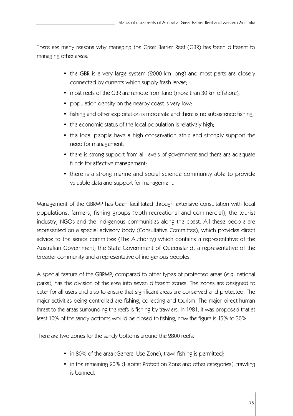There are many reasons why managing the Great Barrier Reef (GBR) has been different to managing other areas:

- the GBR is a very large system (2000 km long) and most parts are closely connected by currents which supply fresh larvae;
- most reefs of the GBR are remote from land (more than 30 km offshore);
- population density on the nearby coast is very low;
- fishing and other exploitation is moderate and there is no subsistence fishing;
- the economic status of the local population is relatively high;
- the local people have a high conservation ethic and strongly support the need for management;
- there is strong support from all levels of government and there are adequate funds for effective management;
- there is a strong marine and social science community able to provide valuable data and support for management.

Management of the GBRMP has been facilitated through extensive consultation with local populations, farmers, fishing groups (both recreational and commercial), the tourist industry, NGOs and the indigenous communities along the coast. All these people are represented on a special advisory body (Consultative Committee), which provides direct advice to the senior committee (The Authority) which contains a representative of the Australian Government, the State Government of Queensland, a representative of the broader community and a representative of indigenous peoples.

A special feature of the GBRMP, compared to other types of protected areas (e.g. national parks), has the division of the area into seven different zones. The zones are designed to cater for all users and also to ensure that significant areas are conserved and protected. The major activities being controlled are fishing, collecting and tourism. The major direct human threat to the areas surrounding the reefs is fishing by trawlers. In 1981, it was proposed that at least 10% of the sandy bottoms would be closed to fishing, now the figure is 15% to 30%.

There are two zones for the sandy bottoms around the 2800 reefs:

- in 80% of the area (General Use Zone), trawl fishing is permitted;
- in the remaining 20% (Habitat Protection Zone and other categories), trawling is banned.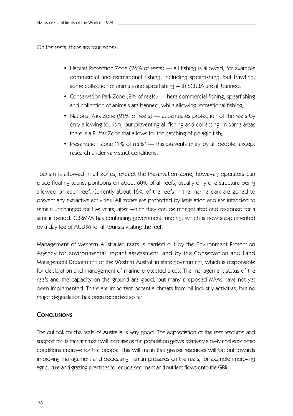On the reefs, there are four zones:

- Habitat Protection Zone (76% of reefs) all fishing is allowed, for example commercial and recreational fishing, including spearfishing, but trawling, some collection of animals and spearfishing with SCUBA are all banned;
- Conservation Park Zone (2% of reefs) here commercial fishing, spearfishing and collection of animals are banned, while allowing recreational fishing;
- National Park Zone (21% of reefs) accentuates protection of the reefs by only allowing tourism, but preventing all fishing and collecting. In some areas there is a Buffer Zone that allows for the catching of pelagic fish;
- Preservation Zone (1% of reefs) this prevents entry by all people, except research under very strict conditions.

Tourism is allowed in all zones, except the Preservation Zone, however, operators can place floating tourist pontoons on about 60% of all reefs, usually only one structure being allowed on each reef. Currently about 16% of the reefs in the marine park are zoned to prevent any extractive activities. All zones are protected by legislation and are intended to remain unchanged for five years, after which they can be renegotiated and re-zoned for a similar period. GBRMPA has continuing government funding, which is now supplemented by a day fee of AUD\$6 for all tourists visiting the reef.

Management of western Australian reefs is carried out by the Environment Protection Agency for environmental impact assessment, and by the Conservation and Land Management Department of the Western Australian state government, which is responsible for declaration and management of marine protected areas. The management status of the reefs and the capacity on the ground are good, but many proposed MPAs have not yet been implemented. There are important potential threats from oil industry activities, but no major degradation has been recorded so far.

# **CONCLUSIONS**

The outlook for the reefs of Australia is very good. The appreciation of the reef resource and support for its management will increase as the population grows relatively slowly and economic conditions improve for the people. This will mean that greater resources will be put towards improving management and decreasing human pressures on the reefs, for example improving agriculture and grazing practices to reduce sediment and nutrient flows onto the GBR.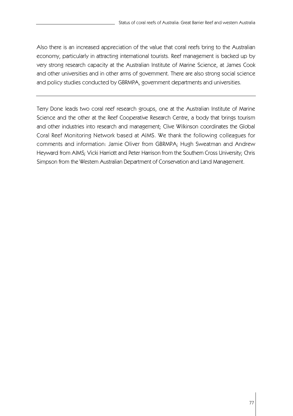Also there is an increased appreciation of the value that coral reefs bring to the Australian economy, particularly in attracting international tourists. Reef management is backed up by very strong research capacity at the Australian Institute of Marine Science, at James Cook and other universities and in other arms of government. There are also strong social science and policy studies conducted by GBRMPA, government departments and universities.

Terry Done leads two coral reef research groups, one at the Australian Institute of Marine Science and the other at the Reef Cooperative Research Centre, a body that brings tourism and other industries into research and management; Clive Wilkinson coordinates the Global Coral Reef Monitoring Network based at AIMS. We thank the following colleagues for comments and information: Jamie Oliver from GBRMPA; Hugh Sweatman and Andrew Heyward from AIMS; Vicki Harriott and Peter Harrison from the Southern Cross University; Chris Simpson from the Western Australian Department of Conservation and Land Management.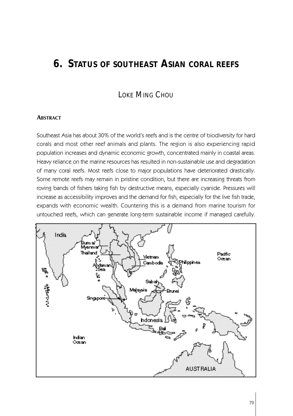# **6. STATUS OF SOUTHEAST ASIAN CORAL REEFS**

# LOKE MING CHOU

#### **ABSTRACT**

Southeast Asia has about 30% of the world's reefs and is the centre of biodiversity for hard corals and most other reef animals and plants. The region is also experiencing rapid population increases and dynamic economic growth, concentrated mainly in coastal areas. Heavy reliance on the marine resources has resulted in non-sustainable use and degradation of many coral reefs. Most reefs close to major populations have deteriorated drastically. Some remote reefs may remain in pristine condition, but there are increasing threats from roving bands of fishers taking fish by destructive means, especially cyanide. Pressures will increase as accessibility improves and the demand for fish, especially for the live fish trade, expands with economic wealth. Countering this is a demand from marine tourism for untouched reefs, which can generate long-term sustainable income if managed carefully.

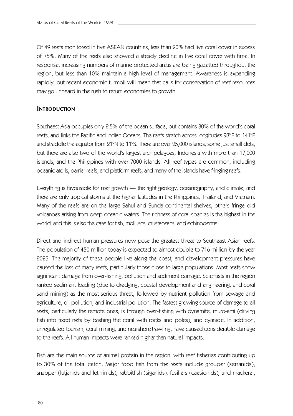Of 49 reefs monitored in five ASEAN countries, less than 20% had live coral cover in excess of 75%. Many of the reefs also showed a steady decline in live coral cover with time. In response, increasing numbers of marine protected areas are being gazetted throughout the region, but less than 10% maintain a high level of management. Awareness is expanding rapidly, but recent economic turmoil will mean that calls for conservation of reef resources may go unheard in the rush to return economies to growth.

## **INTRODUCTION**

Southeast Asia occupies only 2.5% of the ocean surface, but contains 30% of the world's coral reefs, and links the Pacific and Indian Oceans. The reefs stretch across longitudes 93°E to 141°E and straddle the equator from 21°N to 11°S. There are over 25,000 islands, some just small dots, but there are also two of the world's largest archipelagoes, Indonesia with more than 17,000 islands, and the Philippines with over 7000 islands. All reef types are common, including oceanic atolls, barrier reefs, and platform reefs, and many of the islands have fringing reefs.

Everything is favourable for reef growth — the right geology, oceanography, and climate, and there are only tropical storms at the higher latitudes in the Philippines, Thailand, and Vietnam. Many of the reefs are on the large Sahul and Sunda continental shelves; others fringe old volcanoes arising from deep oceanic waters. The richness of coral species is the highest in the world, and this is also the case for fish, molluscs, crustaceans, and echinoderms.

Direct and indirect human pressures now pose the greatest threat to Southeast Asian reefs. The population of 450 million today is expected to almost double to 716 million by the year 2025. The majority of these people live along the coast, and development pressures have caused the loss of many reefs, particularly those close to large populations. Most reefs show significant damage from over-fishing, pollution and sediment damage. Scientists in the region ranked sediment loading (due to dredging, coastal development and engineering, and coral sand mining) as the most serious threat, followed by nutrient pollution from sewage and agriculture, oil pollution, and industrial pollution. The fastest growing source of damage to all reefs, particularly the remote ones, is through over-fishing with dynamite, muro-ami (driving fish into fixed nets by bashing the coral with rocks and poles), and cyanide. In addition, unregulated tourism, coral mining, and nearshore trawling, have caused considerable damage to the reefs. All human impacts were ranked higher than natural impacts.

Fish are the main source of animal protein in the region, with reef fisheries contributing up to 30% of the total catch. Major food fish from the reefs include grouper (serranids), snapper (lutjanids and lethrinids), rabbitfish (siganids), fusiliers (caesionids), and mackerel,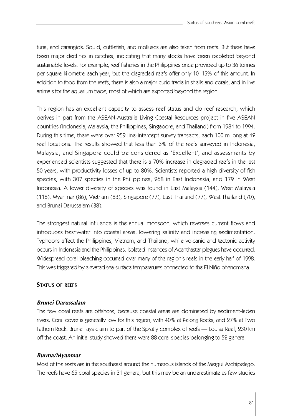tuna, and carangids. Squid, cuttlefish, and molluscs are also taken from reefs. But there have been major declines in catches, indicating that many stocks have been depleted beyond sustainable levels. For example, reef fisheries in the Philippines once provided up to 36 tonnes per square kilometre each year, but the degraded reefs offer only 10–15% of this amount. In addition to food from the reefs, there is also a major curio trade in shells and corals, and in live animals for the aquarium trade, most of which are exported beyond the region.

This region has an excellent capacity to assess reef status and do reef research, which derives in part from the ASEAN-Australia Living Coastal Resources project in five ASEAN countries (Indonesia, Malaysia, the Philippines, Singapore, and Thailand) from 1984 to 1994. During this time, there were over 959 line-intercept survey transects, each 100 m long at 42 reef locations. The results showed that less than 3% of the reefs surveyed in Indonesia, Malaysia, and Singapore could be considered as 'Excellent', and assessments by experienced scientists suggested that there is a 70% increase in degraded reefs in the last 50 years, with productivity losses of up to 80%. Scientists reported a high diversity of fish species, with 307 species in the Philippines, 268 in East Indonesia, and 179 in West Indonesia. A lower diversity of species was found in East Malaysia (144), West Malaysia (118), Myanmar (86), Vietnam (83), Singapore (77), East Thailand (77), West Thailand (70), and Brunei Darussalam (38).

The strongest natural influence is the annual monsoon, which reverses current flows and introduces freshwater into coastal areas, lowering salinity and increasing sedimentation. Typhoons affect the Philippines, Vietnam, and Thailand, while volcanic and tectonic activity occurs in Indonesia and the Philippines. Isolated instances of Acanthaster plagues have occurred. Widespread coral bleaching occurred over many of the region's reefs in the early half of 1998. This was triggered by elevated sea-surface temperatures connected to the El Niño phenomena.

#### **STATUS OF REFFS**

#### *Brunei Darussalam*

The few coral reefs are offshore, because coastal areas are dominated by sediment-laden rivers. Coral cover is generally low for this region, with 40% at Pelong Rocks, and 27% at Two Fathom Rock. Brunei lays claim to part of the Spratly complex of reefs — Louisa Reef, 230 km off the coast. An initial study showed there were 88 coral species belonging to 52 genera.

#### *Burma/Myanmar*

Most of the reefs are in the southeast around the numerous islands of the Mergui Archipelago. The reefs have 65 coral species in 31 genera, but this may be an underestimate as few studies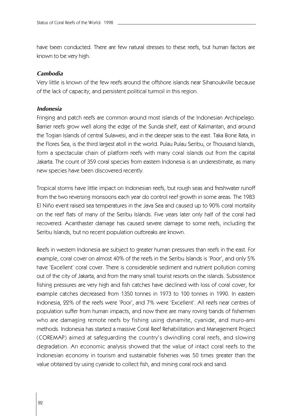have been conducted. There are few natural stresses to these reefs, but human factors are known to be very high.

#### *Cambodia*

Very little is known of the few reefs around the offshore islands near Sihanoukville because of the lack of capacity, and persistent political turmoil in this region.

#### *Indonesia*

Fringing and patch reefs are common around most islands of the Indonesian Archipelago. Barrier reefs grow well along the edge of the Sunda shelf, east of Kalimantan, and around the Togian Islands of central Sulawesi, and in the deeper seas to the east. Taka Bone Rata, in the Flores Sea, is the third largest atoll in the world. Pulau Pulau Seribu, or Thousand Islands, form a spectacular chain of platform reefs with many coral islands out from the capital Jakarta. The count of 359 coral species from eastern Indonesia is an underestimate, as many new species have been discovered recently.

Tropical storms have little impact on Indonesian reefs, but rough seas and freshwater runoff from the two reversing monsoons each year do control reef growth in some areas. The 1983 El Niño event raised sea temperatures in the Java Sea and caused up to 90% coral mortality on the reef flats of many of the Seribu Islands. Five years later only half of the coral had recovered. A can thaster damage has caused severe damage to some reefs, including the Seribu Islands, but no recent population outbreaks are known.

Reefs in western Indonesia are subject to greater human pressures than reefs in the east. For example, coral cover on almost 40% of the reefs in the Seribu Islands is 'Poor', and only 5% have 'Excellent' coral cover. There is considerable sediment and nutrient pollution coming out of the city of Jakarta, and from the many small tourist resorts on the islands. Subsistence fishing pressures are very high and fish catches have declined with loss of coral cover, for example catches decreased from 1350 tonnes in 1973 to 100 tonnes in 1990. In eastern Indonesia, 22% of the reefs were 'Poor', and 7% were 'Excellent'. All reefs near centres of population suffer from human impacts, and now there are many roving bands of fishermen who are damaging remote reefs by fishing using dynamite, cyanide, and muro-ami methods. Indonesia has started a massive Coral Reef Rehabilitation and Management Project (COREMAP) aimed at safeguarding the country's dwindling coral reefs, and slowing degradation. An economic analysis showed that the value of intact coral reefs to the Indonesian economy in tourism and sustainable fisheries was 50 times greater than the value obtained by using cyanide to collect fish, and mining coral rock and sand.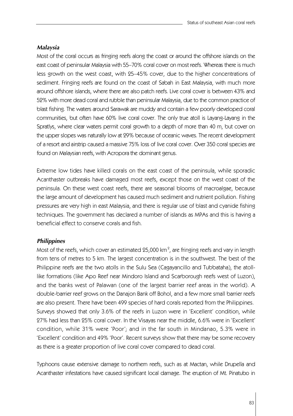#### *Malaysia*

Most of the coral occurs as fringing reefs along the coast or around the offshore islands on the east coast of peninsular Malaysia with 55–70% coral cover on most reefs. Whereas there is much less growth on the west coast, with 25–45% cover, due to the higher concentrations of sediment. Fringing reefs are found on the coast of Sabah in East Malaysia, with much more around offshore islands, where there are also patch reefs. Live coral cover is between 43% and 52% with more dead coral and rubble than peninsular Malaysia, due to the common practice of blast fishing. The waters around Sarawak are muddy and contain a few poorly developed coral communities, but often have 60% live coral cover. The only true atoll is Layang-Layang in the Spratlys, where clear waters permit coral growth to a depth of more than 40 m, but cover on the upper slopes was naturally low at 29% because of oceanic waves. The recent development of a resort and airstrip caused a massive 75% loss of live coral cover. Over 350 coral species are found on Malaysian reefs, with Acropora the dominant genus.

Extreme low tides have killed corals on the east coast of the peninsula, while sporadic Acanthaster outbreaks have damaged most reefs, except those on the west coast of the peninsula. On these west coast reefs, there are seasonal blooms of macroalgae, because the large amount of development has caused much sediment and nutrient pollution. Fishing pressures are very high in east Malaysia, and there is regular use of blast and cyanide fishing techniques. The government has declared a number of islands as MPAs and this is having a beneficial effect to conserve corals and fish.

#### *Philippines*

Most of the reefs, which cover an estimated 25,000 km $^{\circ}$ , are fringing reefs and vary in length from tens of metres to 5 km. The largest concentration is in the southwest. The best of the Philippine reefs are the two atolls in the Sulu Sea (Cagayancillo and Tubbataha), the atolllike formations (like Apo Reef near Mindoro Island and Scarborough reefs west of Luzon), and the banks west of Palawan (one of the largest barrier reef areas in the world). A double-barrier reef grows on the Danajon Bank off Bohol, and a few more small barrier reefs are also present. There have been 499 species of hard corals reported from the Philippines. Surveys showed that only 3.6% of the reefs in Luzon were in 'Excellent' condition, while 27% had less than 25% coral cover. In the Visayas near the middle, 6.6% were in 'Excellent' condition, while 31% were 'Poor'; and in the far south in Mindanao, 5.3% were in 'Excellent' condition and 49% 'Poor'. Recent surveys show that there may be some recovery as there is a greater proportion of live coral cover compared to dead coral.

Typhoons cause extensive damage to northern reefs, such as at Mactan, while Drupella and Acanthaster infestations have caused significant local damage. The eruption of Mt. Pinatubo in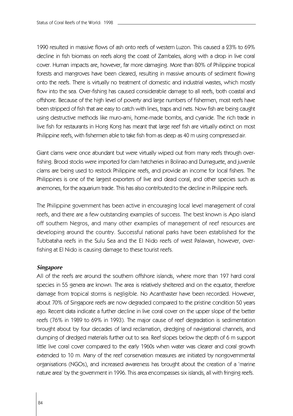1990 resulted in massive flows of ash onto reefs of western Luzon. This caused a 23% to 69% decline in fish biomass on reefs along the coast of Zambales, along with a drop in live coral cover. Human impacts are, however, far more damaging. More than 80% of Philippine tropical forests and mangroves have been cleared, resulting in massive amounts of sediment flowing onto the reefs. There is virtually no treatment of domestic and industrial wastes, which mostly flow into the sea. Over-fishing has caused considerable damage to all reefs, both coastal and offshore. Because of the high level of poverty and large numbers of fishermen, most reefs have been stripped of fish that are easy to catch with lines, traps and nets. Now fish are being caught using destructive methods like muro-ami, home-made bombs, and cyanide. The rich trade in live fish for restaurants in Hong Kong has meant that large reef fish are virtually extinct on most Philippine reefs, with fishermen able to take fish from as deep as 40 m using compressed air.

Giant clams were once abundant but were virtually wiped out from many reefs through overfishing. Brood stocks were imported for clam hatcheries in Bolinao and Dumaguete, and juvenile clams are being used to restock Philippine reefs, and provide an income for local fishers. The Philippines is one of the largest exporters of live and dead coral, and other species such as anemones, for the aquarium trade. This has also contributed to the decline in Philippine reefs.

The Philippine government has been active in encouraging local level management of coral reefs, and there are a few outstanding examples of success. The best known is Apo island off southern Negros, and many other examples of management of reef resources are developing around the country. Successful national parks have been established for the Tubbataha reefs in the Sulu Sea and the El Nido reefs of west Palawan, however, overfishing at El Nido is causing damage to these tourist reefs.

#### *Singapore*

All of the reefs are around the southern offshore islands, where more than 197 hard coral species in 55 genera are known. The area is relatively sheltered and on the equator, therefore damage from tropical storms is negligible. No Acanthaster have been recorded. However, about 70% of Singapore reefs are now degraded compared to the pristine condition 50 years ago. Recent data indicate a further decline in live coral cover on the upper slope of the better reefs (76% in 1989 to 69% in 1993). The major cause of reef degradation is sedimentation brought about by four decades of land reclamation, dredging of navigational channels, and dumping of dredged materials further out to sea. Reef slopes below the depth of 6 m support little live coral cover compared to the early 1960s when water was clearer and coral growth extended to 10 m. Many of the reef conservation measures are initiated by nongovernmental organisations (NGOs), and increased awareness has brought about the creation of a 'marine nature area' by the government in 1996. This area encompasses six islands, all with fringing reefs.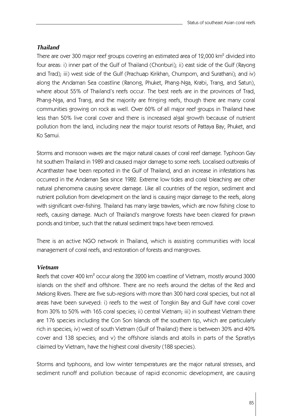#### *Thailand*

There are over 300 major reef groups covering an estimated area of 12,000 km<sup>2</sup> divided into four areas: i) inner part of the Gulf of Thailand (Chonburi); ii) east side of the Gulf (Rayong and Trad); iii) west side of the Gulf (Prachuap Kirikhan, Chumporn, and Surathani); and iv) along the Andaman Sea coastline (Ranong, Phuket, Phang-Nga, Krabi, Trang, and Satun), where about 55% of Thailand's reefs occur. The best reefs are in the provinces of Trad, Phang-Nga, and Trang, and the majority are fringing reefs, though there are many coral communities growing on rock as well. Over 60% of all major reef groups in Thailand have less than 50% live coral cover and there is increased algal growth because of nutrient pollution from the land, including near the major tourist resorts of Pattaya Bay, Phuket, and Ko Samui.

Storms and monsoon waves are the major natural causes of coral reef damage. Typhoon Gay hit southern Thailand in 1989 and caused major damage to some reefs. Localised outbreaks of A can thas ter have been reported in the Gulf of Thailand, and an increase in infestations has occurred in the Andaman Sea since 1982. Extreme low tides and coral bleaching are other natural phenomena causing severe damage. Like all countries of the region, sediment and nutrient pollution from development on the land is causing major damage to the reefs, along with significant over-fishing. Thailand has many large trawlers, which are now fishing close to reefs, causing damage. Much of Thailand's mangrove forests have been cleared for prawn ponds and timber, such that the natural sediment traps have been removed.

There is an active NGO network in Thailand, which is assisting communities with local management of coral reefs, and restoration of forests and mangroves.

#### *Vietnam*

Reefs that cover 400 km $^2$  occur along the 3200 km coastline of Vietnam, mostly around 3000 islands on the shelf and offshore. There are no reefs around the deltas of the Red and Mekong Rivers. There are five sub-regions with more than 300 hard coral species, but not all areas have been surveyed: i) reefs to the west of Tongkin Bay and Gulf have coral cover from 30% to 50% with 165 coral species; ii) central Vietnam; iii) in southeast Vietnam there are 176 species including the Con Son Islands off the southern tip, which are particularly rich in species; iv) west of south Vietnam (Gulf of Thailand) there is between 30% and 40% cover and 138 species; and v) the offshore islands and atolls in parts of the Spratlys claimed by Vietnam, have the highest coral diversity (188 species).

Storms and typhoons, and low winter temperatures are the major natural stresses, and sediment runoff and pollution because of rapid economic development, are causing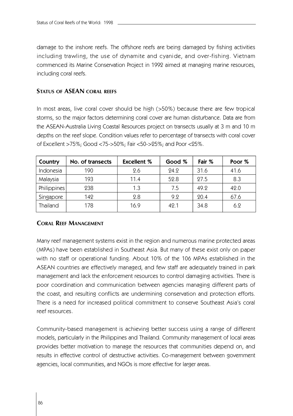damage to the inshore reefs. The offshore reefs are being damaged by fishing activities including trawling, the use of dynamite and cyanide, and over-fishing. Vietnam commenced its Marine Conservation Project in 1992 aimed at managing marine resources, including coral reefs.

## **STATUS OF ASEAN CORAL REEFS**

In most areas, live coral cover should be high (>50%) because there are few tropical storms, so the major factors determining coral cover are human disturbance. Data are from the ASEAN-Australia Living Coastal Resources project on transects usually at 3 m and 10 m depths on the reef slope. Condition values refer to percentage of transects with coral cover of Excellent >75%; Good <75->50%; Fair <50->25%; and Poor <25%.

| Country     | No. of transects | <b>Excellent %</b> | Good % | Fair % | Poor % |
|-------------|------------------|--------------------|--------|--------|--------|
| Indonesia   | 190              | 2.6                | 24.2   | 31.6   | 41.6   |
| Malaysia    | 193              | 11.4               | 52.8   | 27.5   | 8.3    |
| Philippines | 238              | 1.3                | 7.5    | 49.2   | 42.0   |
| Singapore   | 142              | 2.8                | 9.2    | 20.4   | 67.6   |
| Thailand    | 178              | 16.9               | 49.1   | 34.8   | 6.2    |

# **CORAL REEF MANAGEMENT**

Many reef management systems exist in the region and numerous marine protected areas (MPAs) have been established in Southeast Asia. But many of these exist only on paper with no staff or operational funding. About 10% of the 106 MPAs established in the ASEAN countries are effectively managed, and few staff are adequately trained in park management and lack the enforcement resources to control damaging activities. There is poor coordination and communication between agencies managing different parts of the coast, and resulting conflicts are undermining conservation and protection efforts. There is a need for increased political commitment to conserve Southeast Asia's coral reef resources.

Community-based management is achieving better success using a range of different models, particularly in the Philippines and Thailand. Community management of local areas provides better motivation to manage the resources that communities depend on, and results in effective control of destructive activities. Co-management between government agencies, local communities, and NGOs is more effective for larger areas.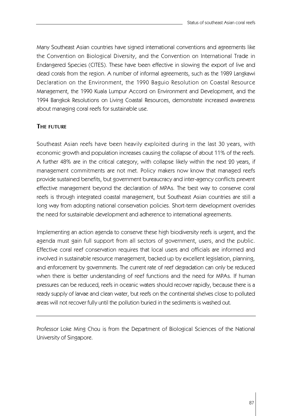Many Southeast Asian countries have signed international conventions and agreements like the Convention on Biological Diversity, and the Convention on International Trade in Endangered Species (CITES). These have been effective in slowing the export of live and dead corals from the region. A number of informal agreements, such as the 1989 Langkawi Declaration on the Environment, the 1990 Baguio Resolution on Coastal Resource Management, the 1990 Kuala Lumpur Accord on Environment and Development, and the 1994 Bangkok Resolutions on Living Coastal Resources, demonstrate increased awareness about managing coral reefs for sustainable use.

# **THE FUTURE**

Southeast Asian reefs have been heavily exploited during in the last 30 years, with economic growth and population increases causing the collapse of about 11% of the reefs. A further 48% are in the critical category, with collapse likely within the next 20 years, if management commitments are not met. Policy makers now know that managed reefs provide sustained benefits, but government bureaucracy and inter-agency conflicts prevent effective management beyond the declaration of MPAs. The best way to conserve coral reefs is through integrated coastal management, but Southeast Asian countries are still a long way from adopting national conservation policies. Short-term development overrides the need for sustainable development and adherence to international agreements.

Implementing an action agenda to conserve these high biodiversity reefs is urgent, and the agenda must gain full support from all sectors of government, users, and the public. Effective coral reef conservation requires that local users and officials are informed and involved in sustainable resource management, backed up by excellent legislation, planning, and enforcement by governments. The current rate of reef degradation can only be reduced when there is better understanding of reef functions and the need for MPAs. If human pressures can be reduced, reefs in oceanic waters should recover rapidly, because there is a ready supply of larvae and clean water, but reefs on the continental shelves close to polluted areas will not recover fully until the pollution buried in the sediments is washed out.

Professor Loke Ming Chou is from the Department of Biological Sciences of the National University of Singapore.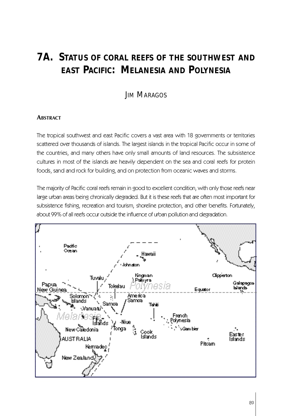# **7A. STATUS OF CORAL REEFS OF THE SOUTHWEST AND EAST PACIFIC: MELANESIA AND POLYNESIA**

# **JIM MARAGOS**

# **ABSTRACT**

The tropical southwest and east Pacific covers a vast area with 18 governments or territories scattered over thousands of islands. The largest islands in the tropical Pacific occur in some of the countries, and many others have only small amounts of land resources. The subsistence cultures in most of the islands are heavily dependent on the sea and coral reefs for protein foods, sand and rock for building, and on protection from oceanic waves and storms.

The majority of Pacific coral reefs remain in good to excellent condition, with only those reefs near large urban areas being chronically degraded. But it is these reefs that are often most important for subsistence fishing, recreation and tourism, shoreline protection, and other benefits. Fortunately, about 99% of all reefs occur outside the influence of urban pollution and degradation.

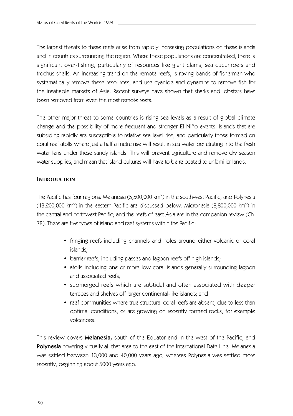The largest threats to these reefs arise from rapidly increasing populations on these islands and in countries surrounding the region. Where these populations are concentrated, there is significant over-fishing, particularly of resources like giant clams, sea cucumbers and trochus shells. An increasing trend on the remote reefs, is roving bands of fishermen who systematically remove these resources, and use cyanide and dynamite to remove fish for the insatiable markets of Asia. Recent surveys have shown that sharks and lobsters have been removed from even the most remote reefs.

The other major threat to some countries is rising sea levels as a result of global climate change and the possibility of more frequent and stronger El Niño events. Islands that are subsiding rapidly are susceptible to relative sea level rise, and particularly those formed on coral reef atolls where just a half a metre rise will result in sea water penetrating into the fresh water lens under these sandy islands. This will prevent agriculture and remove dry season water supplies, and mean that island cultures will have to be relocated to unfamiliar lands.

## **INTRODUCTION**

The Pacific has four regions: Melanesia (5,500,000 km $^{\circ}$ ) in the southwest Pacific; and Polynesia (13,200,000 km $^2$ ) in the eastern Pacific are discussed below. Micronesia (8,800,000 km $^2$ ) in the central and northwest Pacific; and the reefs of east Asia are in the companion review (Ch. 7B). There are five types of island and reef systems within the Pacific:

- fringing reefs including channels and holes around either volcanic or coral islands;
- barrier reefs, including passes and lagoon reefs off high islands;
- atolls including one or more low coral islands generally surrounding lagoon and associated reefs;
- submerged reefs which are subtidal and often associated with deeper terraces and shelves off larger continental-like islands; and
- reef communities where true structural coral reefs are absent, due to less than optimal conditions, or are growing on recently formed rocks, for example volcanoes.

This review covers **Melanesia,** south of the Equator and in the west of the Pacific, and **Polynesia** covering virtually all that area to the east of the International Date Line. Melanesia was settled between 13,000 and 40,000 years ago, whereas Polynesia was settled more recently, beginning about 5000 years ago.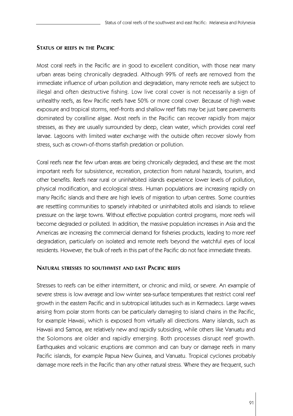## **STATUS OF REEFS IN THE PACIFIC**

Most coral reefs in the Pacific are in good to excellent condition, with those near many urban areas being chronically degraded. Although 99% of reefs are removed from the immediate influence of urban pollution and degradation, many remote reefs are subject to illegal and often destructive fishing. Low live coral cover is not necessarily a sign of unhealthy reefs, as few Pacific reefs have 50% or more coral cover. Because of high wave exposure and tropical storms, reef-fronts and shallow reef flats may be just bare pavements dominated by coralline algae. Most reefs in the Pacific can recover rapidly from major stresses, as they are usually surrounded by deep, clean water, which provides coral reef larvae. Lagoons with limited water exchange with the outside often recover slowly from stress, such as crown-of-thorns starfish predation or pollution.

Coral reefs near the few urban areas are being chronically degraded, and these are the most important reefs for subsistence, recreation, protection from natural hazards, tourism, and other benefits. Reefs near rural or uninhabited islands experience lower levels of pollution, physical modification, and ecological stress. Human populations are increasing rapidly on many Pacific islands and there are high levels of migration to urban centres. Some countries are resettling communities to sparsely inhabited or uninhabited atolls and islands to relieve pressure on the large towns. Without effective population control programs, more reefs will become degraded or polluted. In addition, the massive population increases in Asia and the Americas are increasing the commercial demand for fisheries products, leading to more reef degradation, particularly on isolated and remote reefs beyond the watchful eyes of local residents. However, the bulk of reefs in this part of the Pacific do not face immediate threats.

## **NATURAL STRESSES TO SOUTHWEST AND EAST PACIFIC REEFS**

Stresses to reefs can be either intermittent, or chronic and mild, or severe. An example of severe stress is low average and low winter sea-surface temperatures that restrict coral reef growth in the eastern Pacific and in subtropical latitudes such as in Kermadecs. Large waves arising from polar storm fronts can be particularly damaging to island chains in the Pacific, for example Hawaii, which is exposed from virtually all directions. Many islands, such as Hawaii and Samoa, are relatively new and rapidly subsiding, while others like Vanuatu and the Solomons are older and rapidly emerging. Both processes disrupt reef growth. Earthquakes and volcanic eruptions are common and can bury or damage reefs in many Pacific islands, for example Papua New Guinea, and Vanuatu. Tropical cyclones probably damage more reefs in the Pacific than any other natural stress. Where they are frequent, such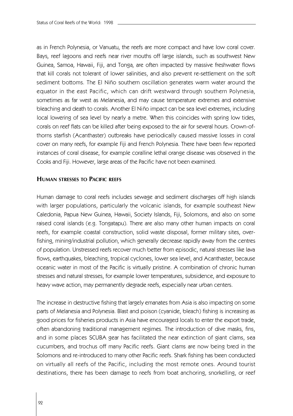as in French Polynesia, or Vanuatu, the reefs are more compact and have low coral cover. Bays, reef lagoons and reefs near river mouths off large islands, such as southwest New Guinea, Samoa, Hawaii, Fiji, and Tonga, are often impacted by massive freshwater flows that kill corals not tolerant of lower salinities, and also prevent re-settlement on the soft sediment bottoms. The El Niño southern oscillation generates warm water around the equator in the east Pacific, which can drift westward through southern Polynesia, sometimes as far west as Melanesia, and may cause temperature extremes and extensive bleaching and death to corals. Another El Niño impact can be sea level extremes, including local lowering of sea level by nearly a metre. When this coincides with spring low tides, corals on reef flats can be killed after being exposed to the air for several hours. Crown-ofthorns starfish (Acanthaster) outbreaks have periodically caused massive losses in coral cover on many reefs, for example Fiji and French Polynesia. There have been few reported instances of coral disease, for example coralline lethal orange disease was observed in the Cooks and Fiji. However, large areas of the Pacific have not been examined.

## **HUMAN STRESSES TO PACIFIC REEFS**

Human damage to coral reefs includes sewage and sediment discharges off high islands with larger populations, particularly the volcanic islands, for example southeast New Caledonia, Papua New Guinea, Hawaii, Society Islands, Fiji, Solomons, and also on some raised coral islands (e.g. Tongatapu). There are also many other human impacts on coral reefs, for example coastal construction, solid waste disposal, former military sites, overfishing, mining/industrial pollution, which generally decrease rapidly away from the centres of population. Unstressed reefs recover much better from episodic, natural stresses like lava flows, earthquakes, bleaching, tropical cyclones, lower sea level, and Acanthaster, because oceanic water in most of the Pacific is virtually pristine. A combination of chronic human stresses and natural stresses, for example lower temperatures, subsidence, and exposure to heavy wave action, may permanently degrade reefs, especially near urban centers.

The increase in destructive fishing that largely emanates from Asia is also impacting on some parts of Melanesia and Polynesia. Blast and poison (cyanide, bleach) fishing is increasing as good prices for fisheries products in Asia have encouraged locals to enter the export trade, often abandoning traditional management regimes. The introduction of dive masks, fins, and in some places SCUBA gear has facilitated the near extinction of giant clams, sea cucumbers, and trochus off many Pacific reefs. Giant clams are now being bred in the Solomons and re-introduced to many other Pacific reefs. Shark fishing has been conducted on virtually all reefs of the Pacific, including the most remote ones. Around tourist destinations, there has been damage to reefs from boat anchoring, snorkelling, or reef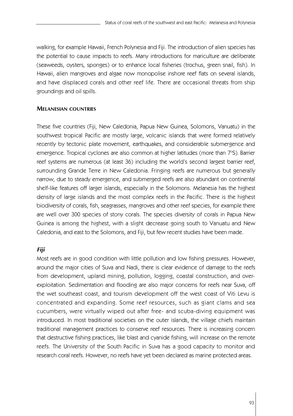walking, for example Hawaii, French Polynesia and Fiji. The introduction of alien species has the potential to cause impacts to reefs. Many introductions for mariculture are deliberate (seaweeds, oysters, sponges) or to enhance local fisheries (trochus, green snail, fish). In Hawaii, alien mangroves and algae now monopolise inshore reef flats on several islands, and have displaced corals and other reef life. There are occasional threats from ship groundings and oil spills.

# **MELANESIAN COUNTRIES**

These five countries (Fiji, New Caledonia, Papua New Guinea, Solomons, Vanuatu) in the southwest tropical Pacific are mostly large, volcanic islands that were formed relatively recently by tectonic plate movement, earthquakes, and considerable submergence and emergence. Tropical cyclones are also common at higher latitudes (more than 7°S). Barrier reef systems are numerous (at least 36) including the world's second largest barrier reef, surrounding Grande Terre in New Caledonia. Fringing reefs are numerous but generally narrow, due to steady emergence, and submerged reefs are also abundant on continental shelf-like features off larger islands, especially in the Solomons. Melanesia has the highest density of large islands and the most complex reefs in the Pacific. There is the highest biodiversity of corals, fish, seagrasses, mangroves and other reef species, for example there are well over 300 species of stony corals. The species diversity of corals in Papua New Guinea is among the highest, with a slight decrease going south to Vanuatu and New Caledonia, and east to the Solomons, and Fiji, but few recent studies have been made.

# *Fiji*

Most reefs are in good condition with little pollution and low fishing pressures. However, around the major cities of Suva and Nadi, there is clear evidence of damage to the reefs from development, upland mining, pollution, logging, coastal construction, and overexploitation. Sedimentation and flooding are also major concerns for reefs near Suva, off the wet southeast coast, and tourism development off the west coast of Viti Levu is concentrated and expanding. Some reef resources, such as giant clams and sea cucumbers, were virtually wiped out after free- and scuba-diving equipment was introduced. In most traditional societies on the outer islands, the village chiefs maintain traditional management practices to conserve reef resources. There is increasing concern that destructive fishing practices, like blast and cyanide fishing, will increase on the remote reefs. The University of the South Pacific in Suva has a good capacity to monitor and research coral reefs. However, no reefs have yet been declared as marine protected areas.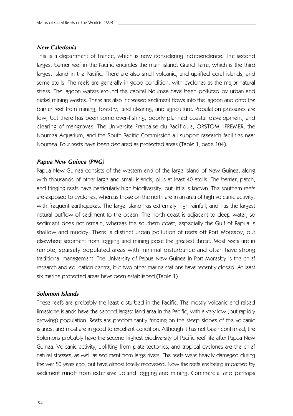#### *New Caledonia*

This is a department of France, which is now considering independence. The second largest barrier reef in the Pacific encircles the main island, Grand Terre, which is the third largest island in the Pacific. There are also small volcanic, and uplifted coral islands, and some atolls. The reefs are generally in good condition, with cyclones as the major natural stress. The lagoon waters around the capital Noumea have been polluted by urban and nickel mining wastes. There are also increased sediment flows into the lagoon and onto the barrier reef from mining, forestry, land clearing, and agriculture. Population pressures are low, but there has been some over-fishing, poorly planned coastal development, and clearing of mangroves. The Universite Francaise du Pacifique, ORSTOM, IFREMER, the Noumea Aquarium, and the South Pacific Commission all support research facilities near Noumea. Four reefs have been declared as protected areas (Table 1, page 104).

## *Papua New Guinea (PNG)*

Papua New Guinea consists of the western end of the large island of New Guinea, along with thousands of other large and small islands, plus at least 40 atolls. The barrier, patch, and fringing reefs have particularly high biodiversity, but little is known. The southern reefs are exposed to cyclones, whereas those on the north are in an area of high volcanic activity, with frequent earthquakes. The large island has extremely high rainfall, and has the largest natural outflow of sediment to the ocean. The north coast is adjacent to deep water, so sediment does not remain, whereas the southern coast, especially the Gulf of Papua is shallow and muddy. There is distinct urban pollution of reefs off Port Moresby, but elsewhere sediment from logging and mining pose the greatest threat. Most reefs are in remote, sparsely populated areas with minimal disturbance and often have strong traditional management. The University of Papua New Guinea in Port Moresby is the chief research and education centre, but two other marine stations have recently closed. At least six marine protected areas have been established (Table 1).

## *Solomon Islands*

These reefs are probably the least disturbed in the Pacific. The mostly volcanic and raised limestone islands have the second largest land area in the Pacific, with a very low (but rapidly growing) population. Reefs are predominantly fringing on the steep slopes of the volcanic islands, and most are in good to excellent condition. Although it has not been confirmed, the Solomons probably have the second highest biodiversity of Pacific reef life after Papua New Guinea. Volcanic activity, uplifting from plate tectonics, and tropical cyclones are the chief natural stresses, as well as sediment from large rivers. The reefs were heavily damaged during the war 50 years ago, but have almost totally recovered. Now the reefs are being impacted by sediment runoff from extensive upland logging and mining. Commercial and perhaps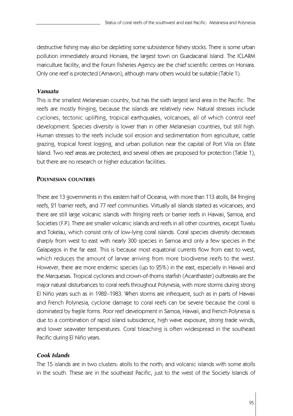destructive fishing may also be depleting some subsistence fishery stocks. There is some urban pollution immediately around Honiara, the largest town on Guadacanal Island. The ICLARM mariculture facility, and the Forum Fisheries Agency are the chief scientific centres on Honiara. Only one reef is protected (Arnavon), although many others would be suitable (Table 1).

## *Vanuatu*

This is the smallest Melanesian country, but has the sixth largest land area in the Pacific. The reefs are mostly fringing, because the islands are relatively new. Natural stresses include cyclones, tectonic uplifting, tropical earthquakes, volcanoes, all of which control reef development. Species diversity is lower than in other Melanesian countries, but still high. Human stresses to the reefs include soil erosion and sedimentation from agriculture, cattle grazing, tropical forest logging, and urban pollution near the capital of Port Vila on Efate Island. Two reef areas are protected, and several others are proposed for protection (Table 1), but there are no research or higher education facilities.

# **POLYNESIAN COUNTRIES**

There are 13 governments in this eastern half of Oceania, with more than 113 atolls, 84 fringing reefs, 21 barrier reefs, and 77 reef communities. Virtually all islands started as volcanoes, and there are still large volcanic islands with fringing reefs or barrier reefs in Hawaii, Samoa, and Societies (F.P). There are smaller volcanic islands and reefs in all other countries, except Tuvalu and Tokelau, which consist only of low-lying coral islands. Coral species diversity decreases sharply from west to east with nearly 300 species in Samoa and only a few species in the Galapagos in the far east. This is because most equatorial currents flow from east to west, which reduces the amount of larvae arriving from more biodiverse reefs to the west. However, there are more endemic species (up to 25%) in the east, especially in Hawaii and the Marquesas. Tropical cyclones and crown-of-thorns starfish (Acanthaster) outbreaks are the major natural disturbances to coral reefs throughout Polynesia, with more storms during strong El Niño years such as in 1982–1983. When storms are infrequent, such as in parts of Hawaii and French Polynesia, cyclone damage to coral reefs can be severe because the coral is dominated by fragile forms. Poor reef development in Samoa, Hawaii, and French Polynesia is due to a combination of rapid island subsidence, high wave exposure, strong trade winds, and lower seawater temperatures. Coral bleaching is often widespread in the southeast Pacific during El Niño years.

## *Cook Islands*

The 15 islands are in two clusters: atolls to the north; and volcanic islands with some atolls in the south. These are in the southeast Pacific, just to the west of the Society Islands of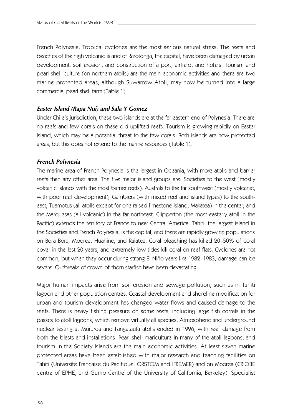French Polynesia. Tropical cyclones are the most serious natural stress. The reefs and beaches of the high volcanic island of Rarotonga, the capital, have been damaged by urban development, soil erosion, and construction of a port, airfield, and hotels. Tourism and pearl shell culture (on northern atolls) are the main economic activities and there are two marine protected areas, although Suwarrow Atoll, may now be turned into a large commercial pearl shell farm (Table 1).

#### *Easter Island (Rapa Nui) and Sala Y Gomez*

Under Chile's jurisdiction, these two islands are at the far eastern end of Polynesia. There are no reefs and few corals on these old uplifted reefs. Tourism is growing rapidly on Easter Island, which may be a potential threat to the few corals. Both islands are now protected areas, but this does not extend to the marine resources (Table 1).

#### *French Polynesia*

The marine area of French Polynesia is the largest in Oceania, with more atolls and barrier reefs than any other area. The five major island groups are: Societies to the west (mostly volcanic islands with the most barrier reefs); Australs to the far southwest (mostly volcanic, with poor reef development); Gambiers (with mixed reef and island types) to the southeast; Tuamotus (all atolls except for one raised limestone island, Makatea) in the center; and the Marquesas (all volcanic) in the far northeast. Clipperton (the most easterly atoll in the Pacific) extends the territory of France to near Central America. Tahiti, the largest island in the Societies and French Polynesia, is the capital, and there are rapidly growing populations on Bora Bora, Moorea, Huahine, and Raiatea. Coral bleaching has killed 20–50% of coral cover in the last 20 years, and extremely low tides kill coral on reef flats. Cyclones are not common, but when they occur during strong El Niño years like 1982–1983, damage can be severe. Outbreaks of crown-of-thorn starfish have been devastating.

Major human impacts arise from soil erosion and sewage pollution, such as in Tahiti lagoon and other population centres. Coastal development and shoreline modification for urban and tourism development has changed water flows and caused damage to the reefs. There is heavy fishing pressure on some reefs, including large fish corrals in the passes to atoll lagoons, which remove virtually all species. Atmospheric and underground nuclear testing at Mururoa and Fangataufa atolls ended in 1996, with reef damage from both the blasts and installations. Pearl shell mariculture in many of the atoll lagoons, and tourism in the Society Islands are the main economic activities. At least seven marine protected areas have been established with major research and teaching facilities on Tahiti (Universite Francaise du Pacifique, ORSTOM and IFREMER) and on Moorea (CRIOBE centre of EPHE, and Gump Centre of the University of California, Berkeley). Specialist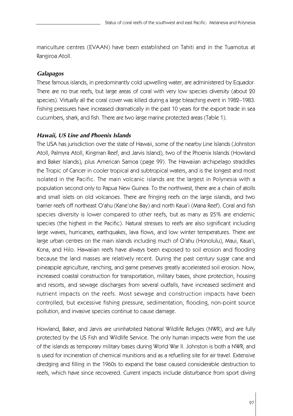mariculture centres (EVAAN) have been established on Tahiti and in the Tuamotus at Rangiroa Atoll.

# *Galapagos*

These famous islands, in predominantly cold upwelling water, are administered by Equador. There are no true reefs, but large areas of coral with very low species diversity (about 20 species). Virtually all the coral cover was killed during a large bleaching event in 1982–1983. Fishing pressures have increased dramatically in the past 10 years for the export trade in sea cucumbers, shark, and fish. There are two large marine protected areas (Table 1).

# *Hawaii, US Line and Phoenix Islands*

The USA has jurisdiction over the state of Hawaii, some of the nearby Line Islands (Johnston Atoll, Palmyra Atoll, Kingman Reef, and Jarvis Island), two of the Phoenix Islands (Howland and Baker Islands), plus American Samoa (page 99). The Hawaiian archipelago straddles the Tropic of Cancer in cooler tropical and subtropical waters, and is the longest and most isolated in the Pacific. The main volcanic islands are the largest in Polynesia with a population second only to Papua New Guinea. To the northwest, there are a chain of atolls and small islets on old volcanoes. There are fringing reefs on the large islands, and two barrier reefs off northeast O'ahu (Kane'ohe Bay) and north Kaua'i (Mana Reef). Coral and fish species diversity is lower compared to other reefs, but as many as 25% are endemic species (the highest in the Pacific). Natural stresses to reefs are also significant including large waves, hurricanes, earthquakes, lava flows, and low winter temperatures. There are large urban centres on the main islands including much of O'ahu (Honolulu), Maui, Kaua'i, Kona, and Hilo. Hawaiian reefs have always been exposed to soil erosion and flooding because the land masses are relatively recent. During the past century sugar cane and pineapple agriculture, ranching, and game preserves greatly accelerated soil erosion. Now, increased coastal construction for transportation, military bases, shore protection, housing and resorts, and sewage discharges from several outfalls, have increased sediment and nutrient impacts on the reefs. Most sewage and construction impacts have been controlled, but excessive fishing pressure, sedimentation, flooding, non-point source pollution, and invasive species continue to cause damage.

Howland, Baker, and Jarvis are uninhabited National Wildlife Refuges (NWR), and are fully protected by the US Fish and Wildlife Service. The only human impacts were from the use of the islands as temporary military bases during World War II. Johnston is both a NWR, and is used for incineration of chemical munitions and as a refuelling site for air travel. Extensive dredging and filling in the 1960s to expand the base caused considerable destruction to reefs, which have since recovered. Current impacts include disturbance from sport diving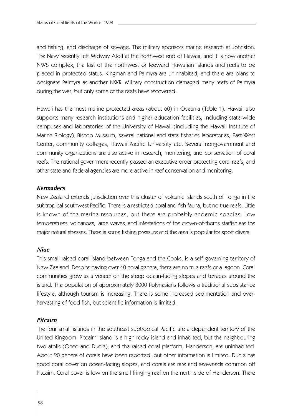and fishing, and discharge of sewage. The military sponsors marine research at Johnston. The Navy recently left Midway Atoll at the northwest end of Hawaii, and it is now another NWS complex, the last of the northwest or leeward Hawaiian islands and reefs to be placed in protected status. Kingman and Palmyra are uninhabited, and there are plans to designate Palmyra as another NWR. Military construction damaged many reefs of Palmyra during the war, but only some of the reefs have recovered.

Hawaii has the most marine protected areas (about 60) in Oceania (Table 1). Hawaii also supports many research institutions and higher education facilities, including state-wide campuses and laboratories of the University of Hawaii (including the Hawaii Institute of Marine Biology), Bishop Museum, several national and state fisheries laboratories, East-West Center, community colleges, Hawaii Pacific University etc. Several nongovernment and community organizations are also active in research, monitoring, and conservation of coral reefs. The national government recently passed an executive order protecting coral reefs, and other state and federal agencies are more active in reef conservation and monitoring.

#### *Kermadecs*

New Zealand extends jurisdiction over this cluster of volcanic islands south of Tonga in the subtropical southwest Pacific. There is a restricted coral and fish fauna, but no true reefs. Little is known of the marine resources, but there are probably endemic species. Low temperatures, volcanoes, large waves, and infestations of the crown-of-thorns starfish are the major natural stresses. There is some fishing pressure and the area is popular for sport divers.

#### *Niue*

This small raised coral island between Tonga and the Cooks, is a self-governing territory of New Zealand. Despite having over 40 coral genera, there are no true reefs or a lagoon. Coral communities grow as a veneer on the steep ocean-facing slopes and terraces around the island. The population of approximately 3000 Polynesians follows a traditional subsistence lifestyle, although tourism is increasing. There is some increased sedimentation and overharvesting of food fish, but scientific information is limited.

## *Pitcairn*

The four small islands in the southeast subtropical Pacific are a dependent territory of the United Kingdom. Pitcairn Island is a high rocky island and inhabited, but the neighbouring two atolls (Oneo and Ducie), and the raised coral platform, Henderson, are uninhabited. About 20 genera of corals have been reported, but other information is limited. Ducie has good coral cover on ocean-facing slopes, and corals are rare and seaweeds common off Pitcairn. Coral cover is low on the small fringing reef on the north side of Henderson. There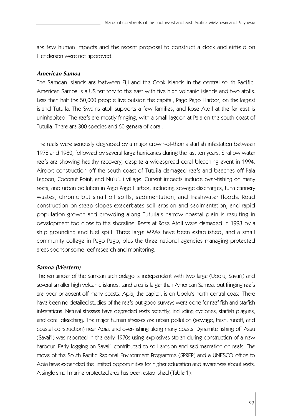are few human impacts and the recent proposal to construct a dock and airfield on Henderson were not approved.

# *American Samoa*

The Samoan islands are between Fiji and the Cook Islands in the central-south Pacific. American Samoa is a US territory to the east with five high volcanic islands and two atolls. Less than half the 50,000 people live outside the capital, Pago Pago Harbor, on the largest island Tutuila. The Swains atoll supports a few families, and Rose Atoll at the far east is uninhabited. The reefs are mostly fringing, with a small lagoon at Pala on the south coast of Tutuila. There are 300 species and 60 genera of coral.

The reefs were seriously degraded by a major crown-of-thorns starfish infestation between 1978 and 1980, followed by several large hurricanes during the last ten years. Shallow water reefs are showing healthy recovery, despite a widespread coral bleaching event in 1994. Airport construction off the south coast of Tutuila damaged reefs and beaches off Pala Lagoon, Coconut Point, and Nu'u'uli village. Current impacts include over-fishing on many reefs, and urban pollution in Pago Pago Harbor, including sewage discharges, tuna cannery wastes, chronic but small oil spills, sedimentation, and freshwater floods. Road construction on steep slopes exacerbates soil erosion and sedimentation, and rapid population growth and crowding along Tutuila's narrow coastal plain is resulting in development too close to the shoreline. Reefs at Rose Atoll were damaged in 1993 by a ship grounding and fuel spill. Three large MPAs have been established, and a small community college in Pago Pago, plus the three national agencies managing protected areas sponsor some reef research and monitoring.

# *Samoa (Western)*

The remainder of the Samoan archipelago is independent with two large (Upolu, Savai'i) and several smaller high volcanic islands. Land area is larger than American Samoa, but fringing reefs are poor or absent off many coasts. Apia, the capital, is on Upolu's north central coast. There have been no detailed studies of the reefs but good surveys were done for reef fish and starfish infestations. Natural stresses have degraded reefs recently, including cyclones, starfish plagues, and coral bleaching. The major human stresses are urban pollution (sewage, trash, runoff, and coastal construction) near Apia, and over-fishing along many coasts. Dynamite fishing off Asau (Savai'i) was reported in the early 1970s using explosives stolen during construction of a new harbour. Early logging on Savai'i contributed to soil erosion and sedimentation on reefs. The move of the South Pacific Regional Environment Programme (SPREP) and a UNESCO office to Apia have expanded the limited opportunities for higher education and awareness about reefs. A single small marine protected area has been established (Table 1).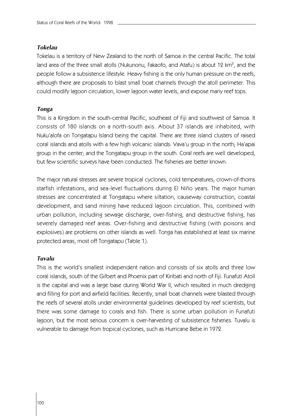#### *Tokelau*

Tokelau is a territory of New Zealand to the north of Samoa in the central Pacific. The total land area of the three small atolls (Nukunonu, Fakaofo, and Atafu) is about 12 km<sup>2</sup>, and the people follow a subsistence lifestyle. Heavy fishing is the only human pressure on the reefs, although there are proposals to blast small boat channels through the atoll perimeter. This could modify lagoon circulation, lower lagoon water levels, and expose many reef tops.

#### *Tonga*

This is a Kingdom in the south-central Pacific, southeast of Fiji and southwest of Samoa. It consists of 180 islands on a north-south axis. About 37 islands are inhabited, with Nuku'alofa on Tongatapu Island being the capital. There are three island clusters of raised coral islands and atolls with a few high volcanic islands: Vava'u group in the north; Ha'apai group in the center; and the Tongatapu group in the south. Coral reefs are well developed, but few scientific surveys have been conducted. The fisheries are better known.

The major natural stresses are severe tropical cyclones, cold temperatures, crown-of-thorns starfish infestations, and sea-level fluctuations during El Niño years. The major human stresses are concentrated at Tongatapu where siltation, causeway construction, coastal development, and sand mining have reduced lagoon circulation. This, combined with urban pollution, including sewage discharge, over-fishing, and destructive fishing, has severely damaged reef areas. Over-fishing and destructive fishing (with poisons and explosives) are problems on other islands as well. Tonga has established at least six marine protected areas, most off Tongatapu (Table 1).

#### *Tuvalu*

This is the world's smallest independent nation and consists of six atolls and three low coral islands, south of the Gilbert and Phoenix part of Kiribati and north of Fiji. Funafuti Atoll is the capital and was a large base during World War II, which resulted in much dredging and filling for port and airfield facilities. Recently, small boat channels were blasted through the reefs of several atolls under environmental guidelines developed by reef scientists, but there was some damage to corals and fish. There is some urban pollution in Funafuti lagoon, but the most serious concern is over-harvesting of subsistence fisheries. Tuvalu is vulnerable to damage from tropical cyclones, such as Hurricane Bebe in 1972.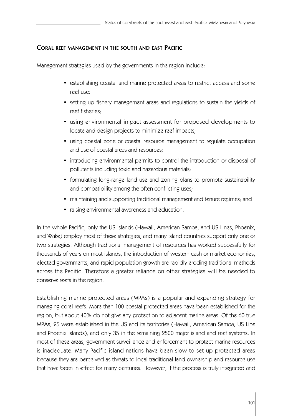# **CORAL REEF MANAGEMENT IN THE SOUTH AND EAST PACIFIC**

Management strategies used by the governments in the region include:

- establishing coastal and marine protected areas to restrict access and some reef use;
- setting up fishery management areas and regulations to sustain the yields of reef fisheries;
- using environmental impact assessment for proposed developments to locate and design projects to minimize reef impacts;
- using coastal zone or coastal resource management to regulate occupation and use of coastal areas and resources;
- introducing environmental permits to control the introduction or disposal of pollutants including toxic and hazardous materials;
- formulating long-range land use and zoning plans to promote sustainability and compatibility among the often conflicting uses;
- maintaining and supporting traditional management and tenure regimes; and
- raising environmental awareness and education.

In the whole Pacific, only the US islands (Hawaii, American Samoa, and US Lines, Phoenix, and Wake) employ most of these strategies, and many island countries support only one or two strategies. Although traditional management of resources has worked successfully for thousands of years on most islands, the introduction of western cash or market economies, elected governments, and rapid population growth are rapidly eroding traditional methods across the Pacific. Therefore a greater reliance on other strategies will be needed to conserve reefs in the region.

Establishing marine protected areas (MPAs) is a popular and expanding strategy for managing coral reefs. More than 100 coastal protected areas have been established for the region, but about 40% do not give any protection to adjacent marine areas. Of the 60 true MPAs, 25 were established in the US and its territories (Hawaii, American Samoa, US Line and Phoenix Islands), and only 35 in the remaining 2500 major island and reef systems. In most of these areas, government surveillance and enforcement to protect marine resources is inadequate. Many Pacific island nations have been slow to set up protected areas because they are perceived as threats to local traditional land ownership and resource use that have been in effect for many centuries. However, if the process is truly integrated and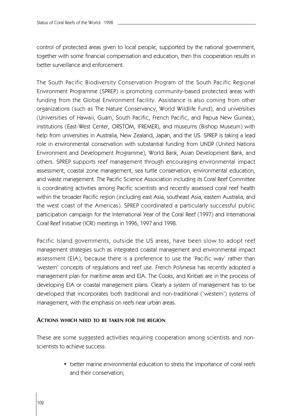control of protected areas given to local people, supported by the national government, together with some financial compensation and education, then this cooperation results in better surveillance and enforcement.

The South Pacific Biodiversity Conservation Program of the South Pacific Regional Environment Programme (SPREP) is promoting community-based protected areas with funding from the Global Environment Facility. Assistance is also coming from other organizations (such as The Nature Conservancy, World Wildlife Fund), and universities (Universities of Hawaii, Guam, South Pacific, French Pacific, and Papua New Guinea), institutions (East-West Center, ORSTOM, IFREMER), and museums (Bishop Museum) with help from universities in Australia, New Zealand, Japan, and the US. SPREP is taking a lead role in environmental conservation with substantial funding from UNDP (United Nations Environment and Development Programme), World Bank, Asian Development Bank, and others. SPREP supports reef management through encouraging environmental impact assessment, coastal zone management, sea turtle conservation, environmental education, and waste management. The Pacific Science Association including its Coral Reef Committee is coordinating activities among Pacific scientists and recently assessed coral reef health within the broader Pacific region (including east Asia, southeast Asia, eastern Australia, and the west coast of the Americas). SPREP coordinated a particularly successful public participation campaign for the International Year of the Coral Reef (1997) and International Coral Reef Initiative (ICRI) meetings in 1996, 1997 and 1998.

Pacific Island governments, outside the US areas, have been slow to adopt reef management strategies such as integrated coastal management and environmental impact assessment (EIA), because there is a preference to use the 'Pacific way' rather than 'western' concepts of regulations and reef use. French Polynesia has recently adopted a management plan for maritime areas and EIA. The Cooks, and Kiribati are in the process of developing EIA or coastal management plans. Clearly a system of management has to be developed that incorporates both traditional and non-traditional ('western') systems of management, with the emphasis on reefs near urban areas.

#### **ACTIONS WHICH NEED TO BE TAKEN FOR THE REGION**

These are some suggested activities requiring cooperation among scientists and nonscientists to achieve success:

> • better marine environmental education to stress the importance of coral reefs and their conservation;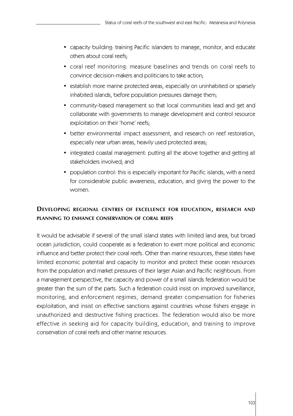- capacity building: training Pacific islanders to manage, monitor, and educate others about coral reefs;
- coral reef monitoring: measure baselines and trends on coral reefs to convince decision-makers and politicians to take action;
- establish more marine protected areas, especially on uninhabited or sparsely inhabited islands, before population pressures damage them;
- community-based management so that local communities lead and get and collaborate with governments to manage development and control resource exploitation on their 'home' reefs;
- better environmental impact assessment, and research on reef restoration, especially near urban areas, heavily used protected areas;
- integrated coastal management: putting all the above together and getting all stakeholders involved; and
- population control: this is especially important for Pacific islands, with a need for considerable public awareness, education, and giving the power to the women.

# **DE V E L O P I N G R E G I O NA L C E N T R E S O F E X C E L L E N C E F O R E D U CAT I O N, R E S E A R C H A N D PLANNING TO ENHANCE CONSERVATION OF CORAL REEFS**

It would be advisable if several of the small island states with limited land area, but broad ocean jurisdiction, could cooperate as a federation to exert more political and economic influence and better protect their coral reefs. Other than marine resources, these states have limited economic potential and capacity to monitor and protect these ocean resources from the population and market pressures of their larger Asian and Pacific neighbours. From a management perspective, the capacity and power of a small islands federation would be greater than the sum of the parts. Such a federation could insist on improved surveillance, monitoring, and enforcement regimes, demand greater compensation for fisheries exploitation, and insist on effective sanctions against countries whose fishers engage in unauthorized and destructive fishing practices. The federation would also be more effective in seeking aid for capacity building, education, and training to improve conservation of coral reefs and other marine resources.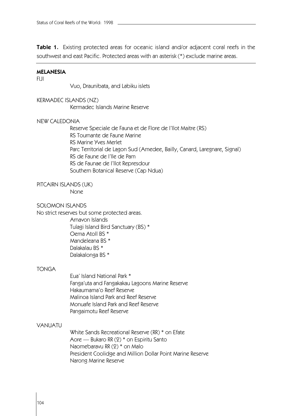**Table 1.** Existing protected areas for oceanic island and/or adjacent coral reefs in the southwest and east Pacific. Protected areas with an asterisk (\*) exclude marine areas.

#### **MELANESIA**

#### FIJI

Vuo, Draunibata, and Labiku islets

# KERMADEC ISLANDS (NZ)

Kermadec Islands Marine Reserve

#### NEW CALEDONIA

Reserve Speciale de Fauna et de Flore de I'Ilot Maitre (RS) RS Tournante de Faune Marine RS Marine Yves Merlet Parc Territorial de Lagon Sud (Amedee, Bailly, Canard, Laregnare, Signal) RS de Faune de I'Ile de Pam RS de Faunae de I'Ilot Represdour Southern Botanical Reserve (Cap Ndua)

# PITCAIRN ISLANDS (UK)

None

#### SOLOMON ISLANDS

No strict reserves but some protected areas. Arnavon Islands Tulagi Island Bird Sanctuary (BS) \*

> Oema Atoll BS \* Mandeleana BS \* Dalakalau BS \* Dalakalonga BS \*

#### TONGA

Eua' Island National Park \* Fanga'uta and Fangakakau Lagoons Marine Reserve Hakaumama'o Reef Reserve Malinoa Island Park and Reef Reserve Monuafe Island Park and Reef Reserve Pangaimotu Reef Reserve

# VANUATU

White Sands Recreational Reserve (RR) \* on Efate Aore — Bukaro RR (2) \* on Espiritu Santo Naomebaravu RR (2) \* on Malo President Coolidge and Million Dollar Point Marine Reserve Narong Marine Reserve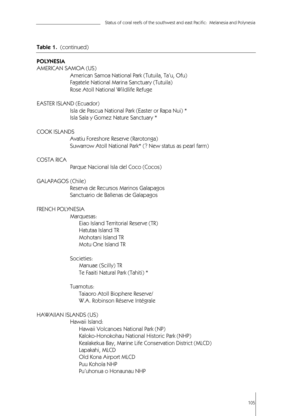# **Table 1.** (continued)

#### **POLYNESIA**

AMERICAN SAMOA (US) American Samoa National Park (Tutuila, Ta'u, Ofu) Fagatele National Marina Sanctuary (Tutuila) Rose Atoll National Wildlife Refuge

# EASTER ISLAND (Ecuador)

Isla de Pascua National Park (Easter or Rapa Nui) \* Isla Sala y Gomez Nature Sanctuary \*

#### COOK ISLANDS

Avatiu Foreshore Reserve (Rarotonga) Suwarrow Atoll National Park\* (? New status as pearl farm)

# COSTA RICA

Parque Nacional Isla del Coco (Cocos)

#### GALAPAGOS (Chile)

Reserva de Recursos Marinos Galapagos Sanctuario de Ballenas de Galapagos

# FRENCH POLYNESIA

# Marquesas:

Eiao Island Territorial Reserve (TR) Hatutaa Island TR Mohotani Island TR Motu One Island TR

#### Societies:

Manuae (Scilly) TR Te Faaiti Natural Park (Tahiti) \*

### Tuamotus:

Taiaoro Atoll Biophere Reserve/ W.A. Robinson Réserve Intégrale

#### HAWAIIAN ISLANDS (US)

Hawaii Island:

Hawaii Volcanoes National Park (NP) Kaloko-Honokohau National Historic Park (NHP) Kealakekua Bay, Marine Life Conservation District (MLCD) Lapakahi, MLCD Old Kona Airport MLCD Puu Kohola NHP Pu'uhonua o Honaunau NHP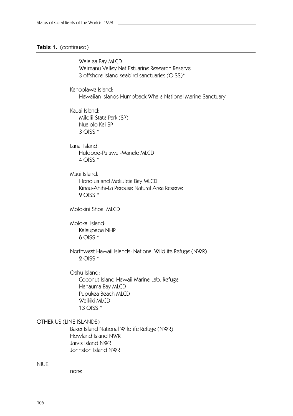# **Table 1.** (continued)

| Waialea Bay MLCD<br>Waimanu Valley Nat Estuarine Research Reserve<br>3 offshore island seabird sanctuaries (OISS)*                            |
|-----------------------------------------------------------------------------------------------------------------------------------------------|
| Kahoolawe Island:<br>Hawaiian Islands Humpback Whale National Marine Sanctuary                                                                |
| Kauai Island:<br>Milolii State Park (SP)<br>Nualolo Kai SP<br>$3$ OISS $*$                                                                    |
| Lanai Island:<br>Hulopoe-Palawai-Manele MLCD<br>4 OISS $*$                                                                                    |
| Maui Island:<br>Honolua and Mokuleia Bay MLCD<br>Kinau-Ahihi-La Perouse Natural Area Reserve<br>$9$ OISS $*$                                  |
| Molokini Shoal MLCD                                                                                                                           |
| Molokai Island:<br>Kalaupapa NHP<br>$6$ OISS $*$                                                                                              |
| Northwest Hawaii Islands: National Wildlife Refuge (NWR)<br>2 OISS $*$                                                                        |
| Oahu Island:<br>Coconut Island Hawaii Marine Lab. Refuge<br>Hanauma Bay MLCD<br>Pupukea Beach MLCD<br>Waikiki MLCD<br>13 OISS *               |
| (LINE ISLANDS)<br>Baker Island National Wildlife Refuge (NWR)<br><b>Howland Island NWR</b><br>Jarvis Island NWR<br><b>Johnston Island NWR</b> |

none

NIUE

OTHER US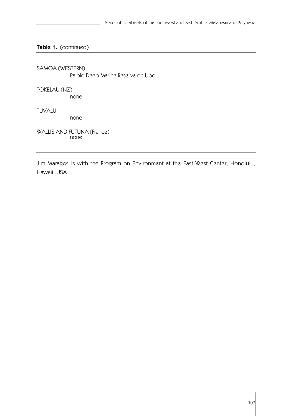# **Table 1.** (continued)

SAMOA (WESTERN) Palolo Deep Marine Reserve on Upolu

TOKELAU (NZ)

none

TUVALU

none

WALLIS AND FUTUNA (France) none

Jim Maragos is with the Program on Environment at the East-West Center, Honolulu, Hawaii, USA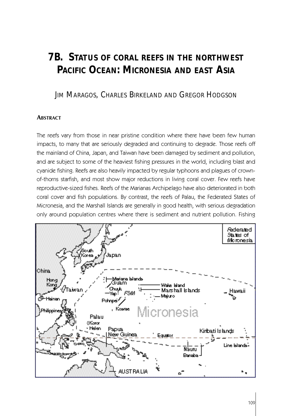# **7B. STATUS OF CORAL REEFS IN THE NORTHWEST PACIFIC OCEAN: MICRONESIA AND EAST ASIA**

JIM MARAGOS, CHARLES BIRKELAND AND GREGOR HODGSON

# **ABSTRACT**

The reefs vary from those in near pristine condition where there have been few human impacts, to many that are seriously degraded and continuing to degrade. Those reefs off the mainland of China, Japan, and Taiwan have been damaged by sediment and pollution, and are subject to some of the heaviest fishing pressures in the world, including blast and cyanide fishing. Reefs are also heavily impacted by regular typhoons and plagues of crownof-thorns starfish, and most show major reductions in living coral cover. Few reefs have reproductive-sized fishes. Reefs of the Marianas Archipelago have also deteriorated in both coral cover and fish populations. By contrast, the reefs of Palau, the Federated States of Micronesia, and the Marshall Islands are generally in good health, with serious degradation only around population centres where there is sediment and nutrient pollution. Fishing

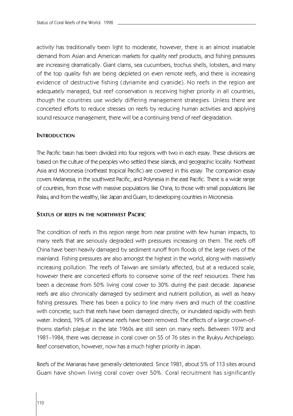activity has traditionally been light to moderate, however, there is an almost insatiable demand from Asian and American markets for quality reef products, and fishing pressures are increasing dramatically. Giant clams, sea cucumbers, trochus shells, lobsters, and many of the top quality fish are being depleted on even remote reefs, and there is increasing evidence of destructive fishing (dynamite and cyanide). No reefs in the region are adequately managed, but reef conservation is receiving higher priority in all countries, though the countries use widely differing management strategies. Unless there are concerted efforts to reduce stresses on reefs by reducing human activities and applying sound resource management, there will be a continuing trend of reef degradation.

# **INTRODUCTION**

The Pacific basin has been divided into four regions with two in each essay. These divisions are based on the culture of the peoples who settled these islands, and geographic locality. Northeast Asia and Micronesia (northeast tropical Pacific) are covered in this essay. The companion essay covers Melanesia, in the southwest Pacific, and Polynesia in the east Pacific. There is a wide range of countries, from those with massive populations like China, to those with small populations like Palau; and from the wealthy, like Japan and Guam, to developing countries in Micronesia.

#### **STATUS OF REEFS IN THE NORTHWEST PACIFIC**

The condition of reefs in this region range from near pristine with few human impacts, to many reefs that are seriously degraded with pressures increasing on them. The reefs off China have been heavily damaged by sediment runoff from floods of the large rivers of the mainland. Fishing pressures are also amongst the highest in the world, along with massively increasing pollution. The reefs of Taiwan are similarly affected, but at a reduced scale, however there are concerted efforts to conserve some of the reef resources. There has been a decrease from 50% living coral cover to 30% during the past decade. Japanese reefs are also chronically damaged by sediment and nutrient pollution, as well as heavy fishing pressures. There has been a policy to line many rivers and much of the coastline with concrete, such that reefs have been damaged directly, or inundated rapidly with fresh water. Indeed, 19% of Japanese reefs have been removed. The effects of a large crown-ofthorns starfish plague in the late 1960s are still seen on many reefs. Between 1972 and 1981–1984, there was decrease in coral cover on 55 of 76 sites in the Ryukyu Archipelago. Reef conservation, however, now has a much higher priority in Japan.

Reefs of the Marianas have generally deteriorated. Since 1981, about 5% of 113 sites around Guam have shown living coral cover over 50%. Coral recruitment has significantly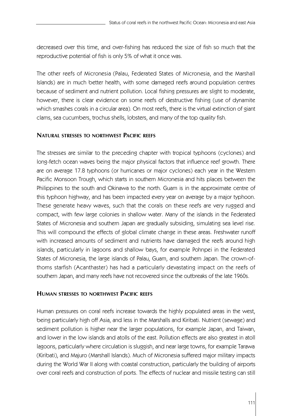decreased over this time, and over-fishing has reduced the size of fish so much that the reproductive potential of fish is only 5% of what it once was.

The other reefs of Micronesia (Palau, Federated States of Micronesia, and the Marshall Islands) are in much better health, with some damaged reefs around population centres because of sediment and nutrient pollution. Local fishing pressures are slight to moderate, however, there is clear evidence on some reefs of destructive fishing (use of dynamite which smashes corals in a circular area). On most reefs, there is the virtual extinction of giant clams, sea cucumbers, trochus shells, lobsters, and many of the top quality fish.

# **NATURAL STRESSES TO NORTHWEST PACIFIC REEFS**

The stresses are similar to the preceding chapter with tropical typhoons (cyclones) and long-fetch ocean waves being the major physical factors that influence reef growth. There are on average 17.8 typhoons (or hurricanes or major cyclones) each year in the Western Pacific Monsoon Trough, which starts in southern Micronesia and hits places between the Philippines to the south and Okinawa to the north. Guam is in the approximate centre of this typhoon highway, and has been impacted every year on average by a major typhoon. These generate heavy waves, such that the corals on these reefs are very rugged and compact, with few large colonies in shallow water. Many of the islands in the Federated States of Micronesia and southern Japan are gradually subsiding, simulating sea level rise. This will compound the effects of global climate change in these areas. Freshwater runoff with increased amounts of sediment and nutrients have damaged the reefs around high islands, particularly in lagoons and shallow bays, for example Pohnpei in the Federated States of Micronesia, the large islands of Palau, Guam, and southern Japan. The crown-ofthorns starfish (Acanthaster) has had a particularly devastating impact on the reefs of southern Japan, and many reefs have not recovered since the outbreaks of the late 1960s.

# **HUMAN STRESSES TO NORTHWEST PACIFIC REEFS**

Human pressures on coral reefs increase towards the highly populated areas in the west, being particularly high off Asia, and less in the Marshalls and Kiribati. Nutrient (sewage) and sediment pollution is higher near the larger populations, for example Japan, and Taiwan, and lower in the low islands and atolls of the east. Pollution effects are also greatest in atoll lagoons, particularly where circulation is sluggish, and near large towns, for example Tarawa (Kiribati), and Majuro (Marshall Islands). Much of Micronesia suffered major military impacts during the World War II along with coastal construction, particularly the building of airports over coral reefs and construction of ports. The effects of nuclear and missile testing can still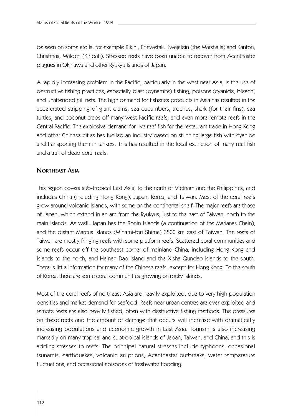be seen on some atolls, for example Bikini, Enewetak, Kwajalein (the Marshalls) and Kanton, Christmas, Malden (Kiribati). Stressed reefs have been unable to recover from Acanthaster plagues in Okinawa and other Ryukyu Islands of Japan.

A rapidly increasing problem in the Pacific, particularly in the west near Asia, is the use of destructive fishing practices, especially blast (dynamite) fishing, poisons (cyanide, bleach) and unattended gill nets. The high demand for fisheries products in Asia has resulted in the accelerated stripping of giant clams, sea cucumbers, trochus, shark (for their fins), sea turtles, and coconut crabs off many west Pacific reefs, and even more remote reefs in the Central Pacific. The explosive demand for live reef fish for the restaurant trade in Hong Kong and other Chinese cities has fuelled an industry based on stunning large fish with cyanide and transporting them in tankers. This has resulted in the local extinction of many reef fish and a trail of dead coral reefs.

# **NORTHEAST ASIA**

This region covers sub-tropical East Asia, to the north of Vietnam and the Philippines, and includes China (including Hong Kong), Japan, Korea, and Taiwan. Most of the coral reefs grow around volcanic islands, with some on the continental shelf. The major reefs are those of Japan, which extend in an arc from the Ryukyus, just to the east of Taiwan, north to the main islands. As well, Japan has the Bonin Islands (a continuation of the Marianas Chain), and the distant Marcus islands (Minami-tori Shima) 3500 km east of Taiwan. The reefs of Taiwan are mostly fringing reefs with some platform reefs. Scattered coral communities and some reefs occur off the southeast corner of mainland China, including Hong Kong and islands to the north, and Hainan Dao island and the Xisha Qundao islands to the south. There is little information for many of the Chinese reefs, except for Hong Kong. To the south of Korea, there are some coral communities growing on rocky islands.

Most of the coral reefs of northeast Asia are heavily exploited, due to very high population densities and market demand for seafood. Reefs near urban centres are over-exploited and remote reefs are also heavily fished, often with destructive fishing methods. The pressures on these reefs and the amount of damage that occurs will increase with dramatically increasing populations and economic growth in East Asia. Tourism is also increasing markedly on many tropical and subtropical islands of Japan, Taiwan, and China, and this is adding stresses to reefs. The principal natural stresses include typhoons, occasional tsunamis, earthquakes, volcanic eruptions, Acanthaster outbreaks, water temperature fluctuations, and occasional episodes of freshwater flooding.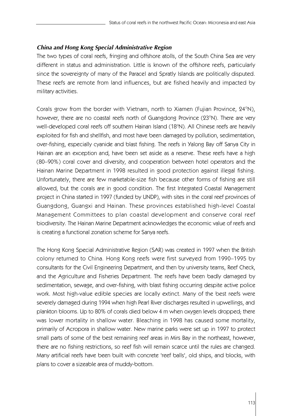# *China and Hong Kong Special Administrative Region*

The two types of coral reefs, fringing and offshore atolls, of the South China Sea are very different in status and administration. Little is known of the offshore reefs, particularly since the sovereignty of many of the Paracel and Spratly Islands are politically disputed. These reefs are remote from land influences, but are fished heavily and impacted by military activities.

Corals grow from the border with Vietnam, north to Xiamen (Fujian Province,  $24^{\circ}$ N), however, there are no coastal reefs north of Guangdong Province (23°N). There are very well-developed coral reefs off southern Hainan Island (18°N). All Chinese reefs are heavily exploited for fish and shellfish, and most have been damaged by pollution, sedimentation, over-fishing, especially cyanide and blast fishing. The reefs in Yalong Bay off Sanya City in Hainan are an exception and, have been set aside as a reserve. These reefs have a high (80–90%) coral cover and diversity, and cooperation between hotel operators and the Hainan Marine Department in 1998 resulted in good protection against illegal fishing. Unfortunately, there are few marketable-size fish because other forms of fishing are still allowed, but the corals are in good condition. The first Integrated Coastal Management project in China started in 1997 (funded by UNDP), with sites in the coral reef provinces of Guangdong, Guangxi and Hainan. These provinces established high-level Coastal Management Committees to plan coastal development and conserve coral reef biodiversity. The Hainan Marine Department acknowledges the economic value of reefs and is creating a functional zonation scheme for Sanya reefs.

The Hong Kong Special Administrative Region (SAR) was created in 1997 when the British colony returned to China. Hong Kong reefs were first surveyed from 1990–1995 by consultants for the Civil Engineering Department, and then by university teams, Reef Check, and the Agriculture and Fisheries Department. The reefs have been badly damaged by sedimentation, sewage, and over-fishing, with blast fishing occurring despite active police work. Most high-value edible species are locally extinct. Many of the best reefs were severely damaged during 1994 when high Pearl River discharges resulted in upwellings, and plankton blooms. Up to 80% of corals died below 4 m when oxygen levels dropped; there was lower mortality in shallow water. Bleaching in 1998 has caused some mortality, primarily of Acropora in shallow water. New marine parks were set up in 1997 to protect small parts of some of the best remaining reef areas in Mirs Bay in the northeast, however, there are no fishing restrictions, so reef fish will remain scarce until the rules are changed. Many artificial reefs have been built with concrete 'reef balls', old ships, and blocks, with plans to cover a sizeable area of muddy-bottom.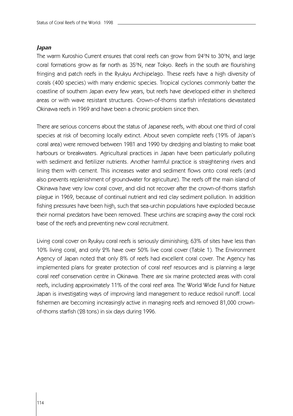### *Japan*

The warm Kuroshio Current ensures that coral reefs can grow from 24°N to 30°N, and large coral formations grow as far north as 35°N, near Tokyo. Reefs in the south are flourishing fringing and patch reefs in the Ryukyu Archipelago. These reefs have a high diversity of corals (400 species) with many endemic species. Tropical cyclones commonly batter the coastline of southern Japan every few years, but reefs have developed either in sheltered areas or with wave resistant structures. Crown-of-thorns starfish infestations devastated Okinawa reefs in 1969 and have been a chronic problem since then.

There are serious concerns about the status of Japanese reefs, with about one third of coral species at risk of becoming locally extinct. About seven complete reefs (19% of Japan's coral area) were removed between 1981 and 1990 by dredging and blasting to make boat harbours or breakwaters. Agricultural practices in Japan have been particularly polluting with sediment and fertilizer nutrients. Another harmful practice is straightening rivers and lining them with cement. This increases water and sediment flows onto coral reefs (and also prevents replenishment of groundwater for agriculture). The reefs off the main island of Okinawa have very low coral cover, and did not recover after the crown-of-thorns starfish plague in 1969, because of continual nutrient and red clay sediment pollution. In addition fishing pressures have been high, such that sea-urchin populations have exploded because their normal predators have been removed. These urchins are scraping away the coral rock base of the reefs and preventing new coral recruitment.

Living coral cover on Ryukyu coral reefs is seriously diminishing; 63% of sites have less than 10% living coral, and only 2% have over 50% live coral cover (Table 1). The Environment Agency of Japan noted that only 8% of reefs had excellent coral cover. The Agency has implemented plans for greater protection of coral reef resources and is planning a large coral reef conservation centre in Okinawa. There are six marine protected areas with coral reefs, including approximately 11% of the coral reef area. The World Wide Fund for Nature Japan is investigating ways of improving land management to reduce redsoil runoff. Local fishermen are becoming increasingly active in managing reefs and removed 81,000 crownof-thorns starfish (28 tons) in six days during 1996.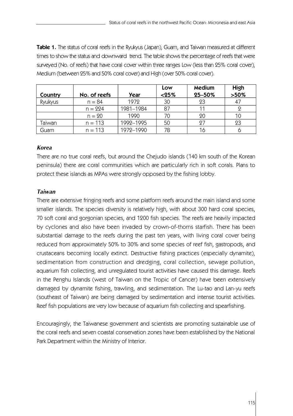**Table 1.** The status of coral reefs in the Ryukyus (Japan), Guam, and Taiwan measured at different times to show the status and downward trend. The table shows the percentage of reefs that were surveyed (No. of reefs) that have coral cover within three ranges Low (less than 25% coral cover), Medium (between 25% and 50% coral cover) and High (over 50% coral cover).

|         |              |           | Low      | <b>Medium</b> | High           |
|---------|--------------|-----------|----------|---------------|----------------|
| Country | No. of reefs | Year      | $< 25\%$ | 25-50%        | $>50\%$        |
| Ryukyus | $n = 84$     | 1979      | 30       | 23            | 4 <sup>7</sup> |
|         | $n = 224$    | 1981-1984 | 87       | 11            |                |
|         | $n = 20$     | 1990      |          | 20            |                |
| Taiwan  | $n = 113$    | 1992-1995 | 50       | 27            | 23             |
| Guam    | $n = 113$    | 1972-1990 | 78       | 16            |                |

# *Korea*

There are no true coral reefs, but around the Chejudo islands (140 km south of the Korean peninsula) there are coral communities which are particularly rich in soft corals. Plans to protect these islands as MPAs were strongly opposed by the fishing lobby.

# *Taiwan*

There are extensive fringing reefs and some platform reefs around the main island and some smaller islands. The species diversity is relatively high, with about 300 hard coral species, 70 soft coral and gorgonian species, and 1200 fish species. The reefs are heavily impacted by cyclones and also have been invaded by crown-of-thorns starfish. There has been substantial damage to the reefs during the past ten years, with living coral cover being reduced from approximately 50% to 30% and some species of reef fish, gastropods, and crustaceans becoming locally extinct. Destructive fishing practices (especially dynamite), sedimentation from construction and dredging, coral collection, sewage pollution, aquarium fish collecting, and unregulated tourist activities have caused this damage. Reefs in the Penghu Islands (west of Taiwan on the Tropic of Cancer) have been extensively damaged by dynamite fishing, trawling, and sedimentation. The Lu-tao and Lan-yu reefs (southeast of Taiwan) are being damaged by sedimentation and intense tourist activities. Reef fish populations are very low because of aquarium fish collecting and spearfishing.

Encouragingly, the Taiwanese government and scientists are promoting sustainable use of the coral reefs and seven coastal conservation zones have been established by the National Park Department within the Ministry of Interior.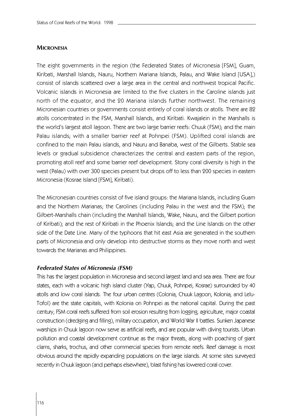# **MICRONESIA**

The eight governments in the region (the Federated States of Micronesia [FSM], Guam, Kiribati, Marshall Islands, Nauru, Northern Mariana Islands, Palau, and Wake Island [USA],) consist of islands scattered over a large area in the central and northwest tropical Pacific. Volcanic islands in Micronesia are limited to the five clusters in the Caroline islands just north of the equator, and the 20 Mariana islands further northwest. The remaining Micronesian countries or governments consist entirely of coral islands or atolls. There are 82 atolls concentrated in the FSM, Marshall Islands, and Kiribati. Kwajalein in the Marshalls is the world's largest atoll lagoon. There are two large barrier reefs: Chuuk (FSM); and the main Palau islands; with a smaller barrier reef at Pohnpei (FSM). Uplifted coral islands are confined to the main Palau islands, and Nauru and Banaba, west of the Gilberts. Stable sea levels or gradual subsidence characterizes the central and eastern parts of the region, promoting atoll reef and some barrier reef development. Stony coral diversity is high in the west (Palau) with over 300 species present but drops off to less than 200 species in eastern Micronesia (Kosrae Island [FSM], Kiribati).

The Micronesian countries consist of five island groups: the Mariana Islands, including Guam and the Northern Marianas; the Carolines (including Palau in the west and the FSM); the Gilbert-Marshalls chain (including the Marshall Islands, Wake, Nauru, and the Gilbert portion of Kiribati); and the rest of Kiribati in the Phoenix Islands; and the Line Islands on the other side of the Date Line. Many of the typhoons that hit east Asia are generated in the southern parts of Micronesia and only develop into destructive storms as they move north and west towards the Marianas and Philippines.

# *Federated States of Micronesia (FSM)*

This has the largest population in Micronesia and second largest land and sea area. There are four states, each with a volcanic high island cluster (Yap, Chuuk, Pohnpei, Kosrae) surrounded by 40 atolls and low coral islands. The four urban centres (Colonia, Chuuk Lagoon, Kolonia, and Lelu-Tofol) are the state capitals, with Kolonia on Pohnpei as the national capital. During the past century, FSM coral reefs suffered from soil erosion resulting from logging, agriculture, major coastal construction (dredging and filling), military occupation, and World War II battles. Sunken Japanese warships in Chuuk lagoon now serve as artificial reefs, and are popular with diving tourists. Urban pollution and coastal development continue as the major threats, along with poaching of giant clams, sharks, trochus, and other commercial species from remote reefs. Reef damage is most obvious around the rapidly expanding populations on the large islands. At some sites surveyed recently in Chuuk lagoon (and perhaps elsewhere), blast fishing has lowered coral cover.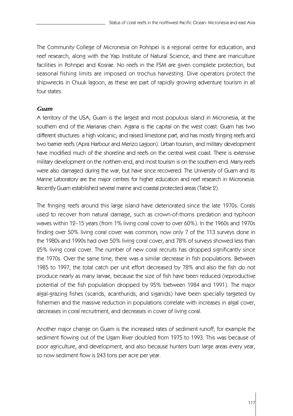The Community College of Micronesia on Pohnpei is a regional centre for education, and reef research, along with the Yap Institute of Natural Science, and there are mariculture facilities in Pohnpei and Kosrae. No reefs in the FSM are given complete protection, but seasonal fishing limits are imposed on trochus harvesting. Dive operators protect the shipwrecks in Chuuk lagoon, as these are part of rapidly growing adventure tourism in all four states.

# *Guam*

A territory of the USA, Guam is the largest and most populous island in Micronesia, at the southern end of the Marianas chain. Agana is the capital on the west coast. Guam has two different structures: a high volcanic; and raised limestone part, and has mostly fringing reefs and two barrier reefs (Apra Harbour and Merizo Lagoon). Urban tourism, and military development have modified much of the shoreline and reefs on the central west coast. There is extensive military development on the northern end, and most tourism is on the southern end. Many reefs were also damaged during the war, but have since recovered. The University of Guam and its Marine Laboratory are the major centres for higher education and reef research in Micronesia. Recently Guam established several marine and coastal protected areas (Table 2).

The fringing reefs around this large island have deteriorated since the late 1970s. Corals used to recover from natural damage, such as crown-of-thorns predation and typhoon waves within 12–15 years (from 1% living coral cover to over 60%). In the 1960s and 1970s finding over 50% living coral cover was common; now only 7 of the 113 surveys done in the 1980s and 1990s had over 50% living coral cover, and 78% of surveys showed less than 25% living coral cover. The number of new coral recruits has dropped significantly since the 1970s. Over the same time, there was a similar decrease in fish populations. Between 1985 to 1997, the total catch per unit effort decreased by 78% and also the fish do not produce nearly as many larvae, because the size of fish have been reduced (reproductive potential of the fish population dropped by 95% between 1984 and 1991). The major algal-grazing fishes (scarids, acanthurids, and siganids) have been specially targeted by fishermen and the massive reduction in populations correlate with increases in algal cover, decreases in coral recruitment, and decreases in cover of living coral.

Another major change on Guam is the increased rates of sediment runoff, for example the sediment flowing out of the Ugam River doubled from 1975 to 1993. This was because of poor agriculture, and development, and also because hunters burn large areas every year, so now sediment flow is 243 tons per acre per year.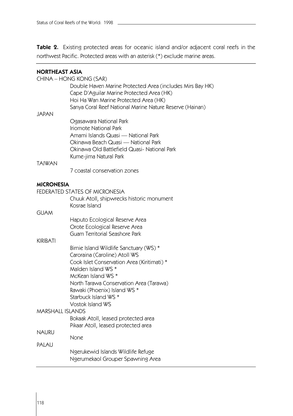**Table 2.** Existing protected areas for oceanic island and/or adjacent coral reefs in the northwest Pacific. Protected areas with an asterisk (\*) exclude marine areas.

| <b>NORTHEAST ASIA</b> |                                                           |
|-----------------------|-----------------------------------------------------------|
|                       | CHINA - HONG KONG (SAR)                                   |
|                       | Double Haven Marine Protected Area (includes Mirs Bay HK) |
|                       | Cape D'Aguilar Marine Protected Area (HK)                 |
|                       | Hoi Ha Wan Marine Protected Area (HK)                     |
|                       | Sanya Coral Reef National Marine Nature Reserve (Hainan)  |
| JAPAN                 |                                                           |
|                       | Ogasawara National Park                                   |
|                       | Iriomote National Park                                    |
|                       | Amami Islands Quasi — National Park                       |
|                       | Okinawa Beach Quasi — National Park                       |
|                       |                                                           |
|                       | Okinawa Old Battlefield Quasi- National Park              |
|                       | Kume-jima Natural Park                                    |
| <b>TAIWAN</b>         |                                                           |
|                       | 7 coastal conservation zones                              |
|                       |                                                           |
| <b>MICRONESIA</b>     |                                                           |
|                       | FEDERATED STATES OF MICRONESIA                            |
|                       | Chuuk Atoll, shipwrecks historic monument                 |
|                       | Kosrae Island                                             |
| <b>GUAM</b>           |                                                           |
|                       | Haputo Ecological Reserve Area                            |
|                       | Orote Ecological Reserve Area                             |
|                       | Guam Territorial Seashore Park                            |
| <b>KIRIBATI</b>       |                                                           |
|                       | Birnie Island Wildlife Sanctuary (WS) *                   |
|                       | Caroraina (Caroline) Atoll WS                             |
|                       | Cook Islet Conservation Area (Kiritimati) *               |
|                       | Malden Island WS *                                        |
|                       | McKean Island WS *                                        |
|                       | North Tarawa Conservation Area (Tarawa)                   |
|                       | Rawaki (Phoenix) Island WS *                              |
|                       |                                                           |
|                       | Starbuck Island WS <sup>*</sup>                           |
|                       | <b>Vostok Island WS</b>                                   |
| MARSHALL ISLANDS      |                                                           |
|                       | Bokaak Atoll, leased protected area                       |
|                       | Pikaar Atoll, leased protected area                       |
| <b>NAURU</b>          |                                                           |
|                       | None                                                      |
| PALAU                 |                                                           |
|                       | Ngerukewid Islands Wildlife Refuge                        |
|                       | Ngerumekaol Grouper Spawning Area                         |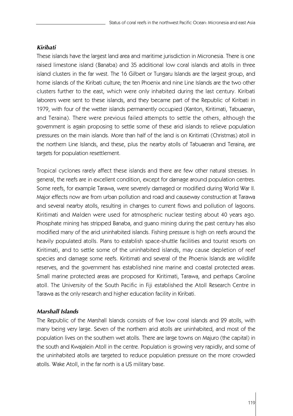# *Kiribati*

These islands have the largest land area and maritime jurisdiction in Micronesia. There is one raised limestone island (Banaba) and 35 additional low coral islands and atolls in three island clusters in the far west. The 16 Gilbert or Tungaru Islands are the largest group, and home islands of the Kiribati culture; the ten Phoenix and nine Line Islands are the two other clusters further to the east, which were only inhabited during the last century. Kiribati laborers were sent to these islands, and they became part of the Republic of Kiribati in 1979, with four of the wetter islands permanently occupied (Kanton, Kiritimati, Tabuaeran, and Teraina). There were previous failed attempts to settle the others, although the government is again proposing to settle some of these arid islands to relieve population pressures on the main islands. More than half of the land is on Kiritimati (Christmas) atoll in the northern Line Islands, and these, plus the nearby atolls of Tabuaeran and Teraina, are targets for population resettlement.

Tropical cyclones rarely affect these islands and there are few other natural stresses. In general, the reefs are in excellent condition, except for damage around population centres. Some reefs, for example Tarawa, were severely damaged or modified during World War II. Major effects now are from urban pollution and road and causeway construction at Tarawa and several nearby atolls, resulting in changes to current flows and pollution of lagoons. Kiritimati and Malden were used for atmospheric nuclear testing about 40 years ago. Phosphate mining has stripped Banaba, and guano mining during the past century has also modified many of the arid uninhabited islands. Fishing pressure is high on reefs around the heavily populated atolls. Plans to establish space-shuttle facilities and tourist resorts on Kiritimati, and to settle some of the uninhabited islands, may cause depletion of reef species and damage some reefs. Kiritimati and several of the Phoenix Islands are wildlife reserves, and the government has established nine marine and coastal protected areas. Small marine protected areas are proposed for Kiritimati, Tarawa, and perhaps Caroline atoll. The University of the South Pacific in Fiji established the Atoll Research Centre in Tarawa as the only research and higher education facility in Kiribati.

# *Marshall Islands*

The Republic of the Marshall Islands consists of five low coral islands and 29 atolls, with many being very large. Seven of the northern arid atolls are uninhabited, and most of the population lives on the southern wet atolls. There are large towns on Majuro (the capital) in the south and Kwajalein Atoll in the centre. Population is growing very rapidly, and some of the uninhabited atolls are targeted to reduce population pressure on the more crowded atolls. Wake Atoll, in the far north is a US military base.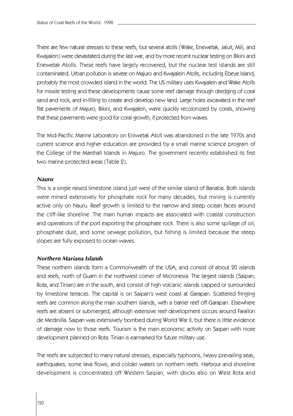There are few natural stresses to these reefs, but several atolls (Wake, Enewetak, Jaluit, Mili, and Kwajalein) were devastated during the last war, and by more recent nuclear testing on Bikini and Enewetak Atolls. These reefs have largely recovered, but the nuclear test islands are still contaminated. Urban pollution is severe on Majuro and Kwajalein Atolls, including Ebeye Island, probably the most crowded island in the world. The US military uses Kwajalein and Wake Atolls for missile testing and these developments cause some reef damage through dredging of coral sand and rock, and in-filling to create and develop new land. Large holes excavated in the reef flat pavements of Majuro, Bikini, and Kwajalein, were quickly recolonized by corals, showing that these pavements were good for coral growth, if protected from waves.

The Mid-Pacific Marine Laboratory on Eniwetak Atoll was abandoned in the late 1970s and current science and higher education are provided by a small marine science program of the College of the Marshall Islands in Majuro. The government recently established its first two marine protected areas (Table 2).

#### *Nauru*

This is a single raised limestone island just west of the similar island of Banaba. Both islands were mined extensively for phosphate rock for many decades, but mining is currently active only on Nauru. Reef growth is limited to the narrow and steep ocean faces around the cliff-like shoreline. The main human impacts are associated with coastal construction and operations of the port exporting the phosphate rock. There is also some spillage of oil, phosphate dust, and some sewage pollution, but fishing is limited because the steep slopes are fully exposed to ocean waves.

# *Northern Mariana Islands*

These northern islands form a Commonwealth of the USA, and consist of about 20 islands and reefs, north of Guam in the northwest corner of Micronesia. The largest islands (Saipan, Rota, and Tinian) are in the south, and consist of high volcanic islands capped or surrounded by limestone terraces. The capital is on Saipan's west coast at Garapan. Scattered fringing reefs are common along the main southern islands, with a barrier reef off Garapan. Elsewhere reefs are absent or submerged, although extensive reef development occurs around Farallon de Medinilla. Saipan was extensively bombed during World War II, but there is little evidence of damage now to those reefs. Tourism is the main economic activity on Saipan with more development planned on Rota. Tinian is earmarked for future military use.

The reefs are subjected to many natural stresses, especially typhoons, heavy prevailing seas, earthquakes, some lava flows, and colder waters on northern reefs. Harbour and shoreline development is concentrated off Western Saipan, with docks also on West Rota and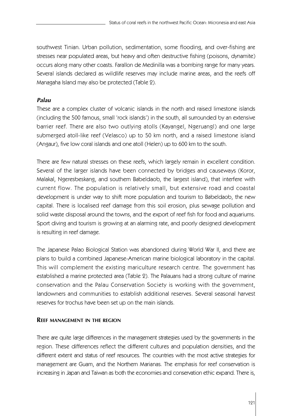southwest Tinian. Urban pollution, sedimentation, some flooding, and over-fishing are stresses near populated areas, but heavy and often destructive fishing (poisons, dynamite) occurs along many other coasts. Farallon de Medinilla was a bombing range for many years. Several islands declared as wildlife reserves may include marine areas, and the reefs off Managaha Island may also be protected (Table 2).

# *Palau*

These are a complex cluster of volcanic islands in the north and raised limestone islands (including the 500 famous, small 'rock islands') in the south, all surrounded by an extensive barrier reef. There are also two outlying atolls (Kayangel, Ngeruangl) and one large submerged atoll-like reef (Velasco) up to 50 km north, and a raised limestone island (Angaur), five low coral islands and one atoll (Helen) up to 600 km to the south.

There are few natural stresses on these reefs, which largely remain in excellent condition. Several of the larger islands have been connected by bridges and causeways (Koror, Malakal, Ngeresbeskang, and southern Babeldaob, the largest island), that interfere with current flow. The population is relatively small, but extensive road and coastal development is under way to shift more population and tourism to Babeldaob, the new capital. There is localised reef damage from this soil erosion, plus sewage pollution and solid waste disposal around the towns, and the export of reef fish for food and aquariums. Sport diving and tourism is growing at an alarming rate, and poorly designed development is resulting in reef damage.

The Japanese Palao Biological Station was abandoned during World War II, and there are plans to build a combined Japanese-American marine biological laboratory in the capital. This will complement the existing mariculture research centre. The government has established a marine protected area (Table 2). The Palauans had a strong culture of marine conservation and the Palau Conservation Society is working with the government, landowners and communities to establish additional reserves. Several seasonal harvest reserves for trochus have been set up on the main islands.

# **REEF MANAGEMENT IN THE REGION**

There are quite large differences in the management strategies used by the governments in the region. These differences reflect the different cultures and population densities, and the different extent and status of reef resources. The countries with the most active strategies for management are Guam, and the Northern Marianas. The emphasis for reef conservation is increasing in Japan and Taiwan as both the economies and conservation ethic expand. There is,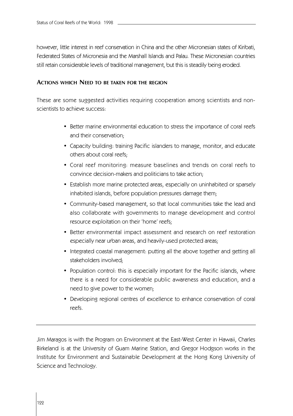however, little interest in reef conservation in China and the other Micronesian states of Kiribati, Federated States of Micronesia and the Marshall Islands and Palau. These Micronesian countries still retain considerable levels of traditional management, but this is steadily being eroded.

# **ACTIONS WHICH NEED TO BE TAKEN FOR THE REGION**

These are some suggested activities requiring cooperation among scientists and nonscientists to achieve success:

- Better marine environmental education to stress the importance of coral reefs and their conservation;
- Capacity building: training Pacific islanders to manage, monitor, and educate others about coral reefs;
- Coral reef monitoring: measure baselines and trends on coral reefs to convince decision-makers and politicians to take action;
- Establish more marine protected areas, especially on uninhabited or sparsely inhabited islands, before population pressures damage them;
- Community-based management, so that local communities take the lead and also collaborate with governments to manage development and control resource exploitation on their 'home' reefs;
- Better environmental impact assessment and research on reef restoration especially near urban areas, and heavily-used protected areas;
- Integrated coastal management: putting all the above together and getting all stakeholders involved;
- Population control: this is especially important for the Pacific islands, where there is a need for considerable public awareness and education, and a need to give power to the women;
- Developing regional centres of excellence to enhance conservation of coral reefs.

Jim Maragos is with the Program on Environment at the East-West Center in Hawaii, Charles Birkeland is at the University of Guam Marine Station, and Gregor Hodgson works in the Institute for Environment and Sustainable Development at the Hong Kong University of Science and Technology.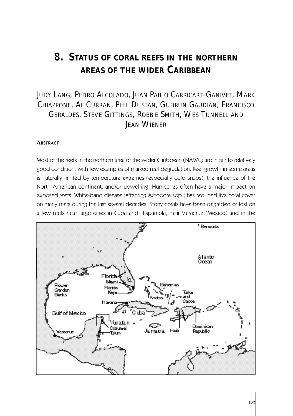# **8. STATUS OF CORAL REEFS IN THE NORTHERN AREAS OF THE WIDER CARIBBEAN**

# JUDY LANG, PEDRO ALCOLADO, JUAN PABLO CARRICART-GANIVET, MARK CHIAPPONE, AL CURRAN, PHIL DUSTAN, GUDRUN GAUDIAN, FRANCISCO GERALDES, STEVE GITTINGS, ROBBIE SMITH, WES TUNNELL AND JEAN WIENER

#### **ABSTRACT**

Most of the reefs in the northern area of the wider Caribbean (NAWC) are in fair to relatively good condition, with few examples of marked reef degradation. Reef growth in some areas is naturally limited by temperature extremes (especially cold snaps), the influence of the North American continent, and/or upwelling. Hurricanes often have a major impact on exposed reefs. White-band disease (affecting Acropora spp.) has reduced live coral cover on many reefs during the last several decades. Stony corals have been degraded or lost on a few reefs near large cities in Cuba and Hispaniola, near Veracruz (Mexico) and in the

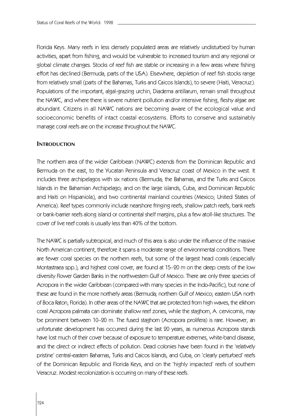Florida Keys. Many reefs in less densely populated areas are relatively undisturbed by human activities, apart from fishing, and would be vulnerable to increased tourism and any regional or global climate changes. Stocks of reef fish are stable or increasing in a few areas where fishing effort has declined (Bermuda, parts of the USA). Elsewhere, depletion of reef fish stocks range from relatively small (parts of the Bahamas, Turks and Caicos Islands), to severe (Haiti, Veracruz). Populations of the important, algal-grazing urchin, Diadema antillarum, remain small throughout the NAWC, and where there is severe nutrient pollution and/or intensive fishing, fleshy algae are abundant. Citizens in all NAWC nations are becoming aware of the ecological value and socioeconomic benefits of intact coastal ecosystems. Efforts to conserve and sustainably manage coral reefs are on the increase throughout the NAWC.

# **INTRODUCTION**

The northern area of the wider Caribbean (NAWC) extends from the Dominican Republic and Bermuda on the east, to the Yucatan Peninsula and Veracruz coast of Mexico in the west. It includes three archipelagos with six nations (Bermuda; the Bahamas, and the Turks and Caicos Islands in the Bahamian Archipelago; and on the large islands, Cuba, and Dominican Republic and Haiti on Hispaniola), and two continental mainland countries (Mexico; United States of America). Reef types commonly include nearshore fringing reefs, shallow patch reefs, bank reefs or bank-barrier reefs along island or continental shelf margins, plus a few atoll-like structures. The cover of live reef corals is usually less than 40% of the bottom.

The NAWC is partially subtropical, and much of this area is also under the influence of the massive North American continent, therefore it spans a moderate range of environmental conditions. There are fewer coral species on the northern reefs, but some of the largest head corals (especially Montastraea spp.), and highest coral cover, are found at 15–20 m on the deep crests of the low diversity Flower Garden Banks in the northwestern Gulf of Mexico. There are only three species of Acropora in the wider Caribbean (compared with many species in the Indo-Pacific), but none of these are found in the more northerly areas (Bermuda; northern Gulf of Mexico; eastern USA north of Boca Raton, Florida). In other areas of the NAWC that are protected from high waves, the elkhorn coral Acropora palmata can dominate shallow reef zones, while the staghorn, A. cervicornis, may be prominent between 10–20 m. The fused staghorn (Acropora prolifera) is rare. However, an unfortunate development has occurred during the last 20 years, as numerous Acropora stands have lost much of their cover because of exposure to temperature extremes, white-band disease, and the direct or indirect effects of pollution. Dead colonies have been found in the 'relatively pristine' central-eastern Bahamas, Turks and Caicos Islands, and Cuba, on 'clearly perturbed' reefs of the Dominican Republic and Florida Keys, and on the 'highly impacted' reefs of southern Veracruz. Modest recolonization is occurring on many of these reefs.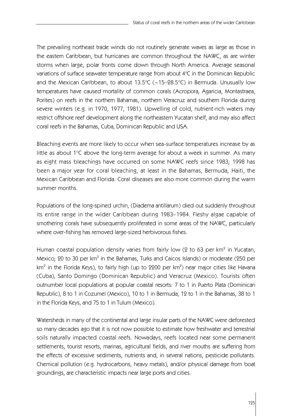The prevailing northeast trade winds do not routinely generate waves as large as those in the eastern Caribbean, but hurricanes are common throughout the NAWC, as are winter storms when large, polar fronts come down through North America. Average seasonal variations of surface seawater temperature range from about  $4^{\circ}C$  in the Dominican Republic and the Mexican Caribbean, to about  $13.5^{\circ}$ C (~15–28.5°C) in Bermuda. Unusually low temperatures have caused mortality of common corals (Acropora, Agaricia, Montastraea, Porites) on reefs in the northern Bahamas, northern Veracruz and southern Florida during severe winters (e.g. in 1970, 1977, 1981). Upwelling of cold, nutrient-rich waters may restrict offshore reef development along the northeastern Yucatan shelf, and may also affect coral reefs in the Bahamas, Cuba, Dominican Republic and USA.

Bleaching events are more likely to occur when sea-surface temperatures increase by as little as about  $1^{\circ}$ C above the long-term average for about a week in summer. As many as eight mass bleachings have occurred on some NAWC reefs since 1983; 1998 has been a major year for coral bleaching, at least in the Bahamas, Bermuda, Haiti, the Mexican Caribbean and Florida. Coral diseases are also more common during the warm summer months.

Populations of the long-spined urchin, (Diadema antillarum) died out suddenly throughout its entire range in the wider Caribbean during 1983–1984. Fleshy algae capable of smothering corals have subsequently proliferated in some areas of the NAWC, particularly where over-fishing has removed large-sized herbivorous fishes.

Human coastal population density varies from fairly low (2 to 63 per km $^{\circ}$  in Yucatan, Mexico;  $20$  to 30 per km $^2$  in the Bahamas, Turks and Caicos Islands) or moderate ( $250$  per km $^{\rm 2}$  in the Florida Keys), to fairly high (up to 2200 per km $^{\rm 2}$ ) near major cities like Havana (Cuba), Santo Domingo (Dominican Republic) and Veracruz (Mexico). Tourists often outnumber local populations at popular coastal resorts: 7 to 1 in Puerto Plata (Dominican Republic), 8 to 1 in Cozumel (Mexico), 10 to 1 in Bermuda, 12 to 1 in the Bahamas, 38 to 1 in the Florida Keys, and 75 to 1 in Tulum (Mexico).

Watersheds in many of the continental and large insular parts of the NAWC were deforested so many decades ago that it is not now possible to estimate how freshwater and terrestrial soils naturally impacted coastal reefs. Nowadays, reefs located near some permanent settlements, tourist resorts, marinas, agricultural fields, and river mouths are suffering from the effects of excessive sediments, nutrients and, in several nations, pesticide pollutants. Chemical pollution (e.g. hydrocarbons, heavy metals), and/or physical damage from boat groundings, are characteristic impacts near large ports and cities.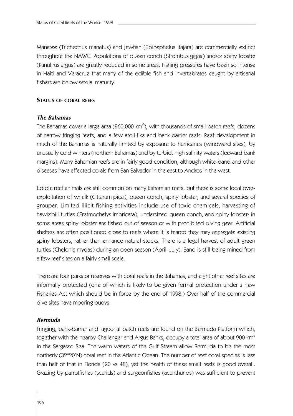Manatee (Trichechus manatus) and jewfish (Epinephelus itajara) are commercially extinct throughout the NAWC. Populations of queen conch (Strombus gigas) and/or spiny lobster (Panulirus argus) are greatly reduced in some areas. Fishing pressures have been so intense in Haiti and Veracruz that many of the edible fish and invertebrates caught by artisanal fishers are below sexual maturity.

# **STATUS OF CORAL REEFS**

#### *The Bahamas*

The Bahamas cover a large area (260,000 km $^{\circ}$ ), with thousands of small patch reefs, dozens of narrow fringing reefs, and a few atoll-like and bank-barrier reefs. Reef development in much of the Bahamas is naturally limited by exposure to hurricanes (windward sites), by unusually cold winters (northern Bahamas) and by turbid, high salinity waters (leeward bank margins). Many Bahamian reefs are in fairly good condition, although white-band and other diseases have affected corals from San Salvador in the east to Andros in the west.

Edible reef animals are still common on many Bahamian reefs, but there is some local overexploitation of whelk (Cittarum pica), queen conch, spiny lobster, and several species of grouper. Limited illicit fishing activities include use of toxic chemicals, harvesting of hawksbill turtles (Eretmochelys imbricata), undersized queen conch, and spiny lobster; in some areas spiny lobster are fished out of season or with prohibited diving gear. Artificial shelters are often positioned close to reefs where it is feared they may aggregate existing spiny lobsters, rather than enhance natural stocks. There is a legal harvest of adult green turtles (Chelonia mydas) during an open season (April–July). Sand is still being mined from a few reef sites on a fairly small scale.

There are four parks or reserves with coral reefs in the Bahamas, and eight other reef sites are informally protected (one of which is likely to be given formal protection under a new Fisheries Act which should be in force by the end of 1998.) Over half of the commercial dive sites have mooring buoys.

#### *Bermuda*

Fringing, bank-barrier and lagoonal patch reefs are found on the Bermuda Platform which, together with the nearby Challenger and Argus Banks, occupy a total area of about 900 km<sup>2</sup> in the Sargasso Sea. The warm waters of the Gulf Stream allow Bermuda to be the most northerly (32°20'N) coral reef in the Atlantic Ocean. The number of reef coral species is less than half of that in Florida (20 vs 48), yet the health of these small reefs is good overall. Grazing by parrotfishes (scarids) and surgeonfishes (acanthurids) was sufficient to prevent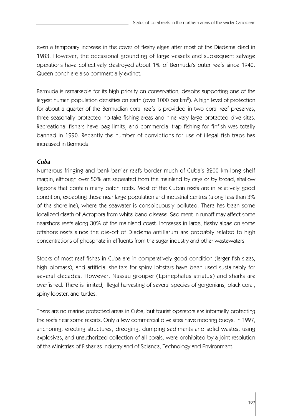even a temporary increase in the cover of fleshy algae after most of the Diadema died in 1983. However, the occasional grounding of large vessels and subsequent salvage operations have collectively destroyed about 1% of Bermuda's outer reefs since 1940. Queen conch are also commercially extinct.

Bermuda is remarkable for its high priority on conservation, despite supporting one of the largest human population densities on earth (over 1000 per  $km<sup>2</sup>$ ). A high level of protection for about a quarter of the Bermudian coral reefs is provided in two coral reef preserves, three seasonally protected no-take fishing areas and nine very large protected dive sites. Recreational fishers have bag limits, and commercial trap fishing for finfish was totally banned in 1990. Recently the number of convictions for use of illegal fish traps has increased in Bermuda.

# *Cuba*

Numerous fringing and bank-barrier reefs border much of Cuba's 3200 km-long shelf margin, although over 50% are separated from the mainland by cays or by broad, shallow lagoons that contain many patch reefs. Most of the Cuban reefs are in relatively good condition, excepting those near large population and industrial centres (along less than 3% of the shoreline), where the seawater is conspicuously polluted. There has been some localized death of Acropora from white-band disease. Sediment in runoff may affect some nearshore reefs along 30% of the mainland coast. Increases in large, fleshy algae on some offshore reefs since the die-off of Diadema antillarum are probably related to high concentrations of phosphate in effluents from the sugar industry and other wastewaters.

Stocks of most reef fishes in Cuba are in comparatively good condition (larger fish sizes, high biomass), and artificial shelters for spiny lobsters have been used sustainably for several decades. However, Nassau grouper (Epinephalus striatus) and sharks are overfished. There is limited, illegal harvesting of several species of gorgonians, black coral, spiny lobster, and turtles.

There are no marine protected areas in Cuba, but tourist operators are informally protecting the reefs near some resorts. Only a few commercial dive sites have mooring buoys. In 1997, anchoring, erecting structures, dredging, dumping sediments and solid wastes, using explosives, and unauthorized collection of all corals, were prohibited by a joint resolution of the Ministries of Fisheries Industry and of Science, Technology and Environment.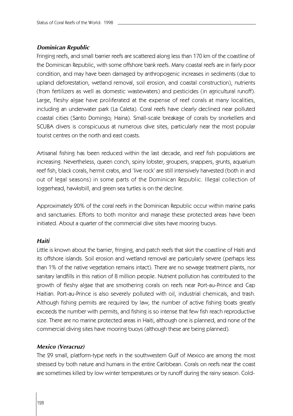# *Dominican Republic*

Fringing reefs, and small barrier reefs are scattered along less than 170 km of the coastline of the Dominican Republic, with some offshore bank reefs. Many coastal reefs are in fairly poor condition, and may have been damaged by anthropogenic increases in sediments (due to upland deforestation, wetland removal, soil erosion, and coastal construction), nutrients (from fertilizers as well as domestic wastewaters) and pesticides (in agricultural runoff). Large, fleshy algae have proliferated at the expense of reef corals at many localities, including an underwater park (La Caleta). Coral reefs have clearly declined near polluted coastal cities (Santo Domingo; Haina). Small-scale breakage of corals by snorkellers and SCUBA divers is conspicuous at numerous dive sites, particularly near the most popular tourist centres on the north and east coasts.

Artisanal fishing has been reduced within the last decade, and reef fish populations are increasing. Nevertheless, queen conch, spiny lobster, groupers, snappers, grunts, aquarium reef fish, black corals, hermit crabs, and 'live rock' are still intensively harvested (both in and out of legal seasons) in some parts of the Dominican Republic. Illegal collection of loggerhead, hawksbill, and green sea turtles is on the decline.

Approximately 20% of the coral reefs in the Dominican Republic occur within marine parks and sanctuaries. Efforts to both monitor and manage these protected areas have been initiated. About a quarter of the commercial dive sites have mooring buoys.

#### *Haiti*

Little is known about the barrier, fringing, and patch reefs that skirt the coastline of Haiti and its offshore islands. Soil erosion and wetland removal are particularly severe (perhaps less than 1% of the native vegetation remains intact). There are no sewage treatment plants, nor sanitary landfills in this nation of 8 million people. Nutrient pollution has contributed to the growth of fleshy algae that are smothering corals on reefs near Port-au-Prince and Cap Haitian. Port-au-Prince is also severely polluted with oil, industrial chemicals, and trash. Although fishing permits are required by law, the number of active fishing boats greatly exceeds the number with permits, and fishing is so intense that few fish reach reproductive size. There are no marine protected areas in Haiti, although one is planned, and none of the commercial diving sites have mooring buoys (although these are being planned).

#### *Mexico (Veracruz)*

The 29 small, platform-type reefs in the southwestern Gulf of Mexico are among the most stressed by both nature and humans in the entire Caribbean. Corals on reefs near the coast are sometimes killed by low winter temperatures or by runoff during the rainy season. Cold-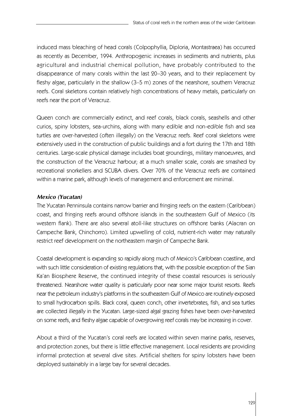induced mass bleaching of head corals (Colpophyllia, Diploria, Montastraea) has occurred as recently as December, 1994. Anthropogenic increases in sediments and nutrients, plus agricultural and industrial chemical pollution, have probably contributed to the disappearance of many corals within the last 20–30 years, and to their replacement by fleshy algae, particularly in the shallow (3–5 m) zones of the nearshore, southern Veracruz reefs. Coral skeletons contain relatively high concentrations of heavy metals, particularly on reefs near the port of Veracruz.

Queen conch are commercially extinct, and reef corals, black corals, seashells and other curios, spiny lobsters, sea-urchins, along with many edible and non-edible fish and sea turtles are over-harvested (often illegally) on the Veracruz reefs. Reef coral skeletons were extensively used in the construction of public buildings and a fort during the 17th and 18th centuries. Large-scale physical damage includes boat groundings, military manoeuvres, and the construction of the Veracruz harbour; at a much smaller scale, corals are smashed by recreational snorkellers and SCUBA divers. Over 70% of the Veracruz reefs are contained within a marine park, although levels of management and enforcement are minimal.

# *Mexico (Yucatan)*

The Yucatan Penninsula contains narrow barrier and fringing reefs on the eastern (Caribbean) coast, and fringing reefs around offshore islands in the southeastern Gulf of Mexico (its western flank). There are also several atoll-like structures on offshore banks (Alacran on Campeche Bank, Chinchorro). Limited upwelling of cold, nutrient-rich water may naturally restrict reef development on the northeastern margin of Campeche Bank.

Coastal development is expanding so rapidly along much of Mexico's Caribbean coastline, and with such little consideration of existing regulations that, with the possible exception of the Sian Ka'an Biosphere Reserve, the continued integrity of these coastal resources is seriously threatened. Nearshore water quality is particularly poor near some major tourist resorts. Reefs near the petroleum industry's platforms in the southeastern Gulf of Mexico are routinely exposed to small hydrocarbon spills. Black coral, queen conch, other invertebrates, fish, and sea turtles are collected illegally in the Yucatan. Large-sized algal grazing fishes have been over-harvested on some reefs, and fleshy algae capable of overgrowing reef corals may be increasing in cover.

About a third of the Yucatan's coral reefs are located within seven marine parks, reserves, and protection zones, but there is little effective management. Local residents are providing informal protection at several dive sites. Artificial shelters for spiny lobsters have been deployed sustainably in a large bay for several decades.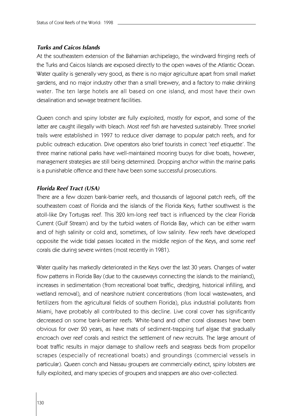# *Turks and Caicos Islands*

At the southeastern extension of the Bahamian archipelago, the windward fringing reefs of the Turks and Caicos Islands are exposed directly to the open waves of the Atlantic Ocean. Water quality is generally very good, as there is no major agriculture apart from small market gardens, and no major industry other than a small brewery, and a factory to make drinking water. The ten large hotels are all based on one island, and most have their own desalination and sewage treatment facilities.

Queen conch and spiny lobster are fully exploited, mostly for export, and some of the latter are caught illegally with bleach. Most reef fish are harvested sustainably. Three snorkel trails were established in 1997 to reduce diver damage to popular patch reefs, and for public outreach education. Dive operators also brief tourists in correct 'reef etiquette'. The three marine national parks have well-maintained mooring buoys for dive boats, however, management strategies are still being determined. Dropping anchor within the marine parks is a punishable offence and there have been some successful prosecutions.

# *Florida Reef Tract (USA)*

There are a few dozen bank-barrier reefs, and thousands of lagoonal patch reefs, off the southeastern coast of Florida and the islands of the Florida Keys; further southwest is the atoll-like Dry Tortugas reef. This 320 km-long reef tract is influenced by the clear Florida Current (Gulf Stream) and by the turbid waters of Florida Bay, which can be either warm and of high salinity or cold and, sometimes, of low salinity. Few reefs have developed opposite the wide tidal passes located in the middle region of the Keys, and some reef corals die during severe winters (most recently in 1981).

Water quality has markedly deteriorated in the Keys over the last 30 years. Changes of water flow patterns in Florida Bay (due to the causeways connecting the islands to the mainland), increases in sedimentation (from recreational boat traffic, dredging, historical infilling, and wetland removal), and of nearshore nutrient concentrations (from local wastewaters, and fertilizers from the agricultural fields of southern Florida), plus industrial pollutants from Miami, have probably all contributed to this decline. Live coral cover has significantly decreased on some bank-barrier reefs. White-band and other coral diseases have been obvious for over 20 years, as have mats of sediment-trapping turf algae that gradually encroach over reef corals and restrict the settlement of new recruits. The large amount of boat traffic results in major damage to shallow reefs and seagrass beds from propellor scrapes (especially of recreational boats) and groundings (commercial vessels in particular). Queen conch and Nassau groupers are commercially extinct, spiny lobsters are fully exploited, and many species of groupers and snappers are also over-collected.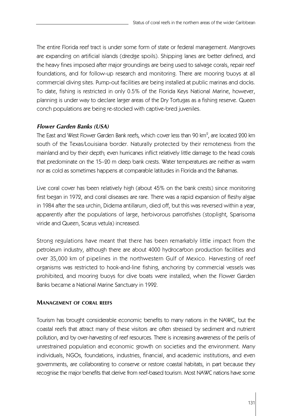The entire Florida reef tract is under some form of state or federal management. Mangroves are expanding on artificial islands (dredge spoils). Shipping lanes are better defined, and the heavy fines imposed after major groundings are being used to salvage corals, repair reef foundations, and for follow-up research and monitoring. There are mooring buoys at all commercial diving sites. Pump-out facilities are being installed at public marinas and docks. To date, fishing is restricted in only 0.5% of the Florida Keys National Marine, however, planning is under way to declare larger areas of the Dry Tortugas as a fishing reserve. Queen conch populations are being re-stocked with captive-bred juveniles.

# *Flower Garden Banks (USA)*

The East and West Flower Garden Bank reefs, which cover less than 90 km $^{\rm 2}$ , are located 200 km south of the Texas/Louisiana border. Naturally protected by their remoteness from the mainland and by their depth; even hurricanes inflict relatively little damage to the head corals that predominate on the 15–20 m deep bank crests. Water temperatures are neither as warm nor as cold as sometimes happens at comparable latitudes in Florida and the Bahamas.

Live coral cover has been relatively high (about 45% on the bank crests) since monitoring first began in 1972, and coral diseases are rare. There was a rapid expansion of fleshy algae in 1984 after the sea urchin, Didema antillarum, died off, but this was reversed within a year, apparently after the populations of large, herbivorous parrotfishes (stoplight, Sparisoma viride and Queen, Scarus vetula) increased.

Strong regulations have meant that there has been remarkably little impact from the petroleum industry, although there are about 4000 hydrocarbon production facilities and over 35,000 km of pipelines in the northwestern Gulf of Mexico. Harvesting of reef organisms was restricted to hook-and-line fishing, anchoring by commercial vessels was prohibited, and mooring buoys for dive boats were installed, when the Flower Garden Banks became a National Marine Sanctuary in 1992.

# **MANAGEMENT OF CORAL REEFS**

Tourism has brought considerable economic benefits to many nations in the NAWC, but the coastal reefs that attract many of these visitors are often stressed by sediment and nutrient pollution, and by over-harvesting of reef resources. There is increasing awareness of the perils of unrestrained population and economic growth on societies and the environment. Many individuals, NGOs, foundations, industries, financial, and academic institutions, and even governments, are collaborating to conserve or restore coastal habitats, in part because they recognise the major benefits that derive from reef-based tourism. Most NAWC nations have some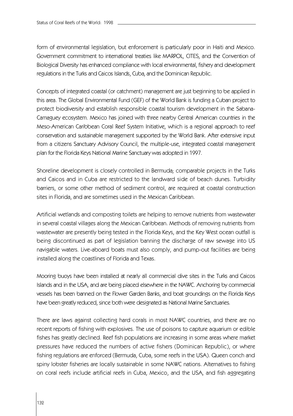form of environmental legislation, but enforcement is particularly poor in Haiti and Mexico. Government commitment to international treaties like MARPOL, CITES, and the Convention of Biological Diversity has enhanced compliance with local environmental, fishery and development regulations in the Turks and Caicos Islands, Cuba, and the Dominican Republic.

Concepts of integrated coastal (or catchment) management are just beginning to be applied in this area. The Global Environmental Fund (GEF) of the World Bank is funding a Cuban project to protect biodiversity and establish responsible coastal tourism development in the Sabana-Camaguey ecosystem. Mexico has joined with three nearby Central American countries in the Meso-American Caribbean Coral Reef System Initiative, which is a regional approach to reef conservation and sustainable management supported by the World Bank. After extensive input from a citizens Sanctuary Advisory Council, the multiple-use, integrated coastal management plan for the Florida Keys National Marine Sanctuary was adopted in 1997.

Shoreline development is closely controlled in Bermuda; comparable projects in the Turks and Caicos and in Cuba are restricted to the landward side of beach dunes. Turbidity barriers, or some other method of sediment control, are required at coastal construction sites in Florida, and are sometimes used in the Mexican Caribbean.

Artificial wetlands and composting toilets are helping to remove nutrients from wastewater in several coastal villages along the Mexican Caribbean. Methods of removing nutrients from wastewater are presently being tested in the Florida Keys, and the Key West ocean outfall is being discontinued as part of legislation banning the discharge of raw sewage into US navigable waters. Live-aboard boats must also comply, and pump-out facilities are being installed along the coastlines of Florida and Texas.

Mooring buoys have been installed at nearly all commercial dive sites in the Turks and Caicos Islands and in the USA, and are being placed elsewhere in the NAWC. Anchoring by commercial vessels has been banned on the Flower Garden Banks, and boat groundings on the Florida Keys have been greatly reduced, since both were designated as National Marine Sanctuaries.

There are laws against collecting hard corals in most NAWC countries, and there are no recent reports of fishing with explosives. The use of poisons to capture aquarium or edible fishes has greatly declined. Reef fish populations are increasing in some areas where market pressures have reduced the numbers of active fishers (Dominican Republic), or where fishing regulations are enforced (Bermuda, Cuba, some reefs in the USA). Queen conch and spiny lobster fisheries are locally sustainable in some NAWC nations. Alternatives to fishing on coral reefs include artificial reefs in Cuba, Mexico, and the USA, and fish aggregating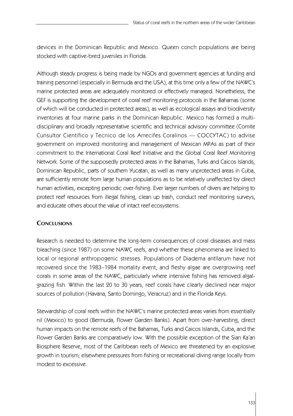devices in the Dominican Republic and Mexico. Queen conch populations are being stocked with captive-bred juveniles in Florida.

Although steady progress is being made by NGOs and government agencies at funding and training personnel (especially in Bermuda and the USA), at this time only a few of the NAWC's marine protected areas are adequately monitored or effectively managed. Nonetheless, the GEF is supporting the development of coral reef monitoring protocols in the Bahamas (some of which will be conducted in protected areas), as well as ecological assays and biodiversity inventories at four marine parks in the Dominican Republic. Mexico has formed a multidisciplinary and broadly representative scientific and technical advisory committee (Comite Cunsultor Cientifico y Tecnico de los Arrecifes Coralinos — COCCYTAC) to advise government on improved monitoring and management of Mexican MPAs as part of their commitment to the International Coral Reef Initiative and the Global Coral Reef Monitoring Network. Some of the supposedly protected areas in the Bahamas, Turks and Caicos Islands, Dominican Republic, parts of southern Yucatan, as well as many unprotected areas in Cuba, are sufficiently remote from large human populations as to be relatively unaffected by direct human activities, excepting periodic over-fishing. Ever larger numbers of divers are helping to protect reef resources from illegal fishing, clean up trash, conduct reef monitoring surveys, and educate others about the value of intact reef ecosystems.

# **CONCLUSIONS**

Research is needed to determine the long-term consequences of coral diseases and mass bleaching (since 1987) on some NAWC reefs, and whether these phenomena are linked to local or regional anthropogenic stresses. Populations of Diadema antllarum have not recovered since the 1983–1984 mortality event, and fleshy algae are overgrowing reef corals in some areas of the NAWC, particularly where intensive fishing has removed algalgrazing fish. Within the last 20 to 30 years, reef corals have clearly declined near major sources of pollution (Havana, Santo Domingo, Veracruz) and in the Florida Keys.

Stewardship of coral reefs within the NAWC's marine protected areas varies from essentially nil (Mexico) to good (Bermuda, Flower Garden Banks). Apart from over-harvesting, direct human impacts on the remote reefs of the Bahamas, Turks and Caicos Islands, Cuba, and the Flower Garden Banks are comparatively low. With the possible exception of the Sian Ka'an Biosphere Reserve, most of the Caribbean reefs of Mexico are threatened by an explosive growth in tourism; elsewhere pressures from fishing or recreational diving range locally from modest to excessive.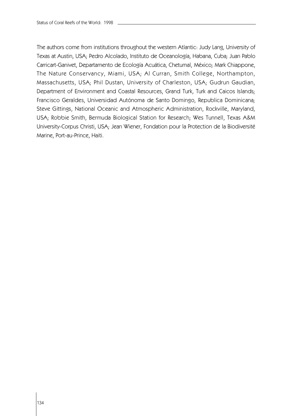The authors come from institutions throughout the western Atlantic: Judy Lang, University of Texas at Austin, USA; Pedro Alcolado, Instituto de Oceanología, Habana, Cuba; Juan Pablo Carricart-Ganivet, Departamento de Ecología Acuática, Chetumal, México; Mark Chiappone, The Nature Conservancy, Miami, USA; Al Curran, Smith College, Northampton, Massachusetts, USA; Phil Dustan, University of Charleston, USA; Gudrun Gaudian, Department of Environment and Coastal Resources, Grand Turk, Turk and Caicos Islands; Francisco Geraldes, Universidad Autónoma de Santo Domingo, Republica Dominicana; Steve Gittings, National Oceanic and Atmospheric Administration, Rockville, Maryland, USA; Robbie Smith, Bermuda Biological Station for Research; Wes Tunnell, Texas A&M University-Corpus Christi, USA; Jean Wiener, Fondation pour la Protection de la Biodiversité Marine, Port-au-Prince, Haiti.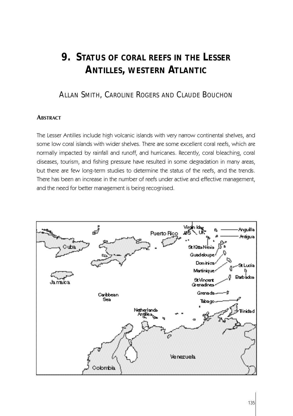# **9. STATUS OF CORAL REEFS IN THE LESSER ANTILLES, WESTERN ATLANTIC**

# ALLAN SMITH, CAROLINE ROGERS AND CLAUDE BOUCHON

# **ABSTRACT**

The Lesser Antilles include high volcanic islands with very narrow continental shelves, and some low coral islands with wider shelves. There are some excellent coral reefs, which are normally impacted by rainfall and runoff, and hurricanes. Recently, coral bleaching, coral diseases, tourism, and fishing pressure have resulted in some degradation in many areas, but there are few long-term studies to determine the status of the reefs, and the trends. There has been an increase in the number of reefs under active and effective management, and the need for better management is being recognised.

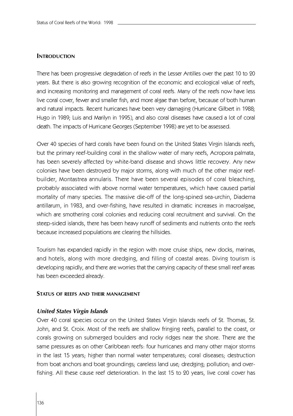# **INTRODUCTION**

There has been progressive degradation of reefs in the Lesser Antilles over the past 10 to 20 years. But there is also growing recognition of the economic and ecological value of reefs, and increasing monitoring and management of coral reefs. Many of the reefs now have less live coral cover, fewer and smaller fish, and more algae than before, because of both human and natural impacts. Recent hurricanes have been very damaging (Hurricane Gilbert in 1988; Hugo in 1989; Luis and Marilyn in 1995), and also coral diseases have caused a lot of coral death. The impacts of Hurricane Georges (September 1998) are yet to be assessed.

Over 40 species of hard corals have been found on the United States Virgin Islands reefs, but the primary reef-building coral in the shallow water of many reefs, Acropora palmata, has been severely affected by white-band disease and shows little recovery. Any new colonies have been destroyed by major storms, along with much of the other major reefbuilder, Montastrea annularis. There have been several episodes of coral bleaching, probably associated with above normal water temperatures, which have caused partial mortality of many species. The massive die-off of the long-spined sea-urchin, Diadema antillarum, in 1983, and over-fishing, have resulted in dramatic increases in macroalgae, which are smothering coral colonies and reducing coral recruitment and survival. On the steep-sided islands, there has been heavy runoff of sediments and nutrients onto the reefs because increased populations are clearing the hillsides.

Tourism has expanded rapidly in the region with more cruise ships, new docks, marinas, and hotels, along with more dredging, and filling of coastal areas. Diving tourism is developing rapidly, and there are worries that the carrying capacity of these small reef areas has been exceeded already.

#### **STATUS OF REEFS AND THEIR MANAGEMENT**

#### *United States Virgin Islands*

Over 40 coral species occur on the United States Virgin Islands reefs of St. Thomas, St. John, and St. Croix. Most of the reefs are shallow fringing reefs, parallel to the coast, or corals growing on submerged boulders and rocky ridges near the shore. There are the same pressures as on other Caribbean reefs: four hurricanes and many other major storms in the last 15 years; higher than normal water temperatures; coral diseases; destruction from boat anchors and boat groundings; careless land use; dredging; pollution; and overfishing. All these cause reef deterioration. In the last 15 to 20 years, live coral cover has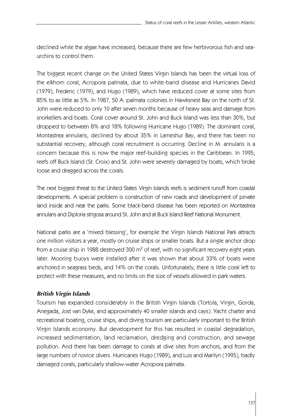declined while the algae have increased, because there are few herbivorous fish and seaurchins to control them.

The biggest recent change on the United States Virgin Islands has been the virtual loss of the elkhorn coral, Acropora palmata, due to white-band disease and Hurricanes David (1979), Frederic (1979), and Hugo (1989), which have reduced cover at some sites from 85% to as little as 5%. In 1987, 50 A. palmata colonies in Hawksnest Bay on the north of St. John were reduced to only 10 after seven months because of heavy seas and damage from snorkellers and boats. Coral cover around St. John and Buck Island was less than 30%, but dropped to between 8% and 18% following Hurricane Hugo (1989). The dominant coral, Montastrea annularis, declined by about 35% in Lameshur Bay, and there has been no substantial recovery, although coral recruitment is occurring. Decline in M. annularis is a concern because this is now the major reef-building species in the Caribbean. In 1995, reefs off Buck Island (St. Croix) and St. John were severely damaged by boats, which broke loose and dragged across the corals.

The next biggest threat to the United States Virgin Islands reefs is sediment runoff from coastal developments. A special problem is construction of new roads and development of private land inside and near the parks. Some black-band disease has been reported on Montastrea annularis and Diploria strigosa around St. John and at Buck Island Reef National Monument.

National parks are a 'mixed blessing', for example the Virgin Islands National Park attracts one million visitors a year, mostly on cruise ships or smaller boats. But a single anchor drop from a cruise ship in 1988 destroyed 300  $m^2$  of reef, with no significant recovery eight years later. Mooring buoys were installed after it was shown that about 33% of boats were anchored in seagrass beds, and 14% on the corals. Unfortunately, there is little coral left to protect with these measures, and no limits on the size of vessels allowed in park waters.

#### *British Virgin Islands*

Tourism has expanded considerably in the British Virgin Islands (Tortola, Virgin, Gorda, Anegada, Jost van Dyke, and approximately 40 smaller islands and cays). Yacht charter and recreational boating, cruise ships, and diving tourism are particularly important to the British Virgin Islands economy. But development for this has resulted in coastal degradation, increased sedimentation, land reclamation, dredging and construction, and sewage pollution. And there has been damage to corals at dive sites from anchors, and from the large numbers of novice divers. Hurricanes Hugo (1989), and Luis and Marilyn (1995), badly damaged corals, particularly shallow-water Acropora palmata.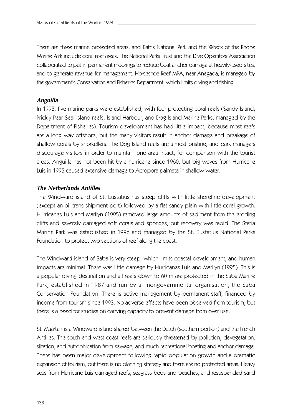There are three marine protected areas, and Baths National Park and the Wreck of the Rhone Marine Park include coral reef areas. The National Parks Trust and the Dive Operators Association collaborated to put in permanent moorings to reduce boat anchor damage at heavily-used sites, and to generate revenue for management. Horseshoe Reef MPA, near Anegada, is managed by the government's Conservation and Fisheries Department, which limits diving and fishing.

#### *Anguilla*

In 1993, five marine parks were established, with four protecting coral reefs (Sandy Island, Prickly Pear-Seal Island reefs, Island Harbour, and Dog Island Marine Parks, managed by the Department of Fisheries). Tourism development has had little impact, because most reefs are a long way offshore, but the many visitors result in anchor damage and breakage of shallow corals by snorkellers. The Dog Island reefs are almost pristine, and park managers discourage visitors in order to maintain one area intact, for comparison with the tourist areas. Anguilla has not been hit by a hurricane since 1960, but big waves from Hurricane Luis in 1995 caused extensive damage to Acropora palmata in shallow water.

#### *The Netherlands Antilles*

The Windward island of St. Eustatius has steep cliffs with little shoreline development (except an oil trans-shipment port) followed by a flat sandy plain with little coral growth. Hurricanes Luis and Marilyn (1995) removed large amounts of sediment from the eroding cliffs and severely damaged soft corals and sponges, but recovery was rapid. The Statia Marine Park was established in 1996 and managed by the St. Eustatius National Parks Foundation to protect two sections of reef along the coast.

The Windward island of Saba is very steep, which limits coastal development, and human impacts are minimal. There was little damage by Hurricanes Luis and Marilyn (1995). This is a popular diving destination and all reefs down to 60 m are protected in the Saba Marine Park, established in 1987 and run by an nongovernmental organisation, the Saba Conservation Foundation. There is active management by permanent staff, financed by income from tourism since 1993. No adverse effects have been observed from tourism, but there is a need for studies on carrying capacity to prevent damage from over use.

St. Maarten is a Windward island shared between the Dutch (southern portion) and the French Antilles. The south and west coast reefs are seriously threatened by pollution, devegetation, siltation, and eutrophication from sewage, and much recreational boating and anchor damage. There has been major development following rapid population growth and a dramatic expansion of tourism, but there is no planning strategy and there are no protected areas. Heavy seas from Hurricane Luis damaged reefs, seagrass beds and beaches, and resuspended sand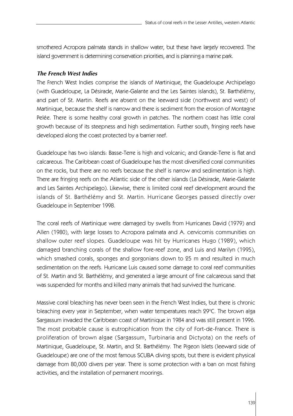smothered Acropora palmata stands in shallow water, but these have largely recovered. The island government is determining conservation priorities, and is planning a marine park.

## *The French West Indies*

The French West Indies comprise the islands of Martinique, the Guadeloupe Archipelago (with Guadeloupe, La Désirade, Marie-Galante and the Les Saintes islands), St. Barthélémy, and part of St. Martin. Reefs are absent on the leeward side (northwest and west) of Martinique, because the shelf is narrow and there is sediment from the erosion of Montagne Pelée. There is some healthy coral growth in patches. The northern coast has little coral growth because of its steepness and high sedimentation. Further south, fringing reefs have developed along the coast protected by a barrier reef.

Guadeloupe has two islands: Basse-Terre is high and volcanic; and Grande-Terre is flat and calcareous. The Caribbean coast of Guadeloupe has the most diversified coral communities on the rocks, but there are no reefs because the shelf is narrow and sedimentation is high. There are fringing reefs on the Atlantic side of the other islands (La Désirade, Marie-Galante and Les Saintes Archipelago). Likewise, there is limited coral reef development around the islands of St. Barthélémy and St. Martin. Hurricane Georges passed directly over Guadeloupe in September 1998.

The coral reefs of Martinique were damaged by swells from Hurricanes David (1979) and Allen (1980), with large losses to Acropora palmata and A. cervicornis communities on shallow outer reef slopes. Guadeloupe was hit by Hurricanes Hugo (1989), which damaged branching corals of the shallow fore-reef zone, and Luis and Marilyn (1995), which smashed corals, sponges and gorgonians down to 25 m and resulted in much sedimentation on the reefs. Hurricane Luis caused some damage to coral reef communities of St. Martin and St. Barthélémy, and generated a large amount of fine calcareous sand that was suspended for months and killed many animals that had survived the hurricane.

Massive coral bleaching has never been seen in the French West Indies, but there is chronic bleaching every year in September, when water temperatures reach 29°C. The brown alga Sargassum invaded the Caribbean coast of Martinique in 1984 and was still present in 1996. The most probable cause is eutrophication from the city of Fort-de-France. There is proliferation of brown algae (Sargassum, Turbinaria and Dictyota) on the reefs of Martinique, Guadeloupe, St. Martin, and St. Barthélémy. The Pigeon Islets (leeward side of Guadeloupe) are one of the most famous SCUBA diving spots, but there is evident physical damage from 80,000 divers per year. There is some protection with a ban on most fishing activities, and the installation of permanent moorings.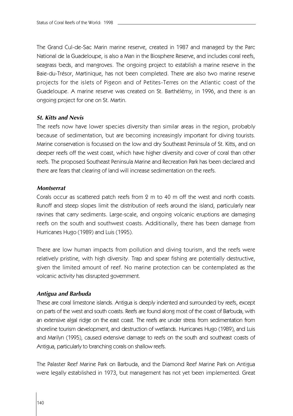The Grand Cul-de-Sac Marin marine reserve, created in 1987 and managed by the Parc National de la Guadeloupe, is also a Man in the Biosphere Reserve, and includes coral reefs, seagrass beds, and mangroves. The ongoing project to establish a marine reserve in the Baie-du-Trésor, Martinique, has not been completed. There are also two marine reserve projects for the islets of Pigeon and of Petites-Terres on the Atlantic coast of the Guadeloupe. A marine reserve was created on St. Barthélémy, in 1996, and there is an ongoing project for one on St. Martin.

#### *St. Kitts and Nevis*

The reefs now have lower species diversity than similar areas in the region, probably because of sedimentation, but are becoming increasingly important for diving tourists. Marine conservation is focussed on the low and dry Southeast Peninsula of St. Kitts, and on deeper reefs off the west coast, which have higher diversity and cover of coral than other reefs. The proposed Southeast Peninsula Marine and Recreation Park has been declared and there are fears that clearing of land will increase sedimentation on the reefs.

#### *Montserrat*

Corals occur as scattered patch reefs from 2 m to 40 m off the west and north coasts. Runoff and steep slopes limit the distribution of reefs around the island, particularly near ravines that carry sediments. Large-scale, and ongoing volcanic eruptions are damaging reefs on the south and southwest coasts. Additionally, there has been damage from Hurricanes Hugo (1989) and Luis (1995).

There are low human impacts from pollution and diving tourism, and the reefs were relatively pristine, with high diversity. Trap and spear fishing are potentially destructive, given the limited amount of reef. No marine protection can be contemplated as the volcanic activity has disrupted government.

#### *Antigua and Barbuda*

These are coral limestone islands. Antigua is deeply indented and surrounded by reefs, except on parts of the west and south coasts. Reefs are found along most of the coast of Barbuda, with an extensive algal ridge on the east coast. The reefs are under stress from sedimentation from shoreline tourism development, and destruction of wetlands. Hurricanes Hugo (1989), and Luis and Marilyn (1995), caused extensive damage to reefs on the south and southeast coasts of Antigua, particularly to branching corals on shallow reefs.

The Palaster Reef Marine Park on Barbuda, and the Diamond Reef Marine Park on Antigua were legally established in 1973, but management has not yet been implemented. Great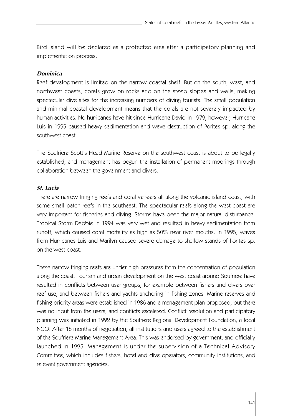Bird Island will be declared as a protected area after a participatory planning and implementation process.

#### *Dominica*

Reef development is limited on the narrow coastal shelf. But on the south, west, and northwest coasts, corals grow on rocks and on the steep slopes and walls, making spectacular dive sites for the increasing numbers of diving tourists. The small population and minimal coastal development means that the corals are not severely impacted by human activities. No hurricanes have hit since Hurricane David in 1979, however, Hurricane Luis in 1995 caused heavy sedimentation and wave destruction of Porites sp. along the southwest coast.

The Soufriere Scott's Head Marine Reserve on the southwest coast is about to be legally established, and management has begun the installation of permanent moorings through collaboration between the government and divers.

## *St. Lucia*

There are narrow fringing reefs and coral veneers all along the volcanic island coast, with some small patch reefs in the southeast. The spectacular reefs along the west coast are very important for fisheries and diving. Storms have been the major natural disturbance. Tropical Storm Debbie in 1994 was very wet and resulted in heavy sedimentation from runoff, which caused coral mortality as high as 50% near river mouths. In 1995, waves from Hurricanes Luis and Marilyn caused severe damage to shallow stands of Porites sp. on the west coast.

These narrow fringing reefs are under high pressures from the concentration of population along the coast. Tourism and urban development on the west coast around Soufriere have resulted in conflicts between user groups, for example between fishers and divers over reef use, and between fishers and yachts anchoring in fishing zones. Marine reserves and fishing priority areas were established in 1986 and a management plan proposed, but there was no input from the users, and conflicts escalated. Conflict resolution and participatory planning was initiated in 1992 by the Soufriere Regional Development Foundation, a local NGO. After 18 months of negotiation, all institutions and users agreed to the establishment of the Soufriere Marine Management Area. This was endorsed by government, and officially launched in 1995. Management is under the supervision of a Technical Advisory Committee, which includes fishers, hotel and dive operators, community institutions, and relevant government agencies.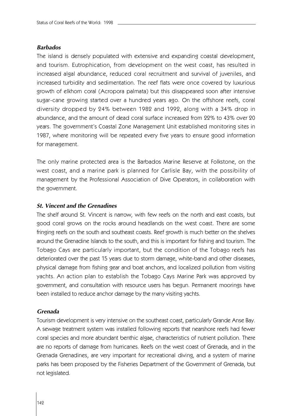#### *Barbados*

The island is densely populated with extensive and expanding coastal development, and tourism. Eutrophication, from development on the west coast, has resulted in increased algal abundance, reduced coral recruitment and survival of juveniles, and increased turbidity and sedimentation. The reef flats were once covered by luxurious growth of elkhorn coral (Acropora palmata) but this disappeared soon after intensive sugar-cane growing started over a hundred years ago. On the offshore reefs, coral diversity dropped by 24% between 1982 and 1992, along with a 34% drop in abundance, and the amount of dead coral surface increased from 22% to 43% over 20 years. The government's Coastal Zone Management Unit established monitoring sites in 1987, where monitoring will be repeated every five years to ensure good information for management.

The only marine protected area is the Barbados Marine Reserve at Folkstone, on the west coast, and a marine park is planned for Carlisle Bay, with the possibility of management by the Professional Association of Dive Operators, in collaboration with the government.

#### *St. Vincent and the Grenadines*

The shelf around St. Vincent is narrow, with few reefs on the north and east coasts, but good coral grows on the rocks around headlands on the west coast. There are some fringing reefs on the south and southeast coasts. Reef growth is much better on the shelves around the Grenadine Islands to the south, and this is important for fishing and tourism. The Tobago Cays are particularly important, but the condition of the Tobago reefs has deteriorated over the past 15 years due to storm damage, white-band and other diseases, physical damage from fishing gear and boat anchors, and localized pollution from visiting yachts. An action plan to establish the Tobago Cays Marine Park was approved by government, and consultation with resource users has begun. Permanent moorings have been installed to reduce anchor damage by the many visiting yachts.

#### *Grenada*

Tourism development is very intensive on the southeast coast, particularly Grande Anse Bay. A sewage treatment system was installed following reports that nearshore reefs had fewer coral species and more abundant benthic algae, characteristics of nutrient pollution. There are no reports of damage from hurricanes. Reefs on the west coast of Grenada, and in the Grenada Grenadines, are very important for recreational diving, and a system of marine parks has been proposed by the Fisheries Department of the Government of Grenada, but not legislated.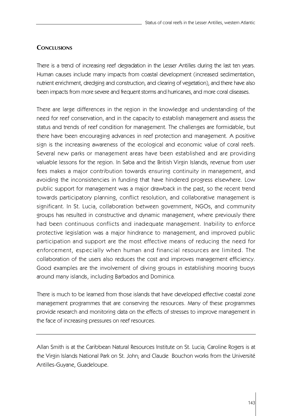# **CONCLUSIONS**

There is a trend of increasing reef degradation in the Lesser Antilles during the last ten years. Human causes include many impacts from coastal development (increased sedimentation, nutrient enrichment, dredging and construction, and clearing of vegetation), and there have also been impacts from more severe and frequent storms and hurricanes, and more coral diseases.

There are large differences in the region in the knowledge and understanding of the need for reef conservation, and in the capacity to establish management and assess the status and trends of reef condition for management. The challenges are formidable, but there have been encouraging advances in reef protection and management. A positive sign is the increasing awareness of the ecological and economic value of coral reefs. Several new parks or management areas have been established and are providing valuable lessons for the region. In Saba and the British Virgin Islands, revenue from user fees makes a major contribution towards ensuring continuity in management, and avoiding the inconsistencies in funding that have hindered progress elsewhere. Low public support for management was a major drawback in the past, so the recent trend towards participatory planning, conflict resolution, and collaborative management is significant. In St. Lucia, collaboration between government, NGOs, and community groups has resulted in constructive and dynamic management, where previously there had been continuous conflicts and inadequate management. Inability to enforce protective legislation was a major hindrance to management, and improved public participation and support are the most effective means of reducing the need for enforcement, especially when human and financial resources are limited. The collaboration of the users also reduces the cost and improves management efficiency. Good examples are the involvement of diving groups in establishing mooring buoys around many islands, including Barbados and Dominica.

There is much to be learned from those islands that have developed effective coastal zone management programmes that are conserving the resources. Many of these programmes provide research and monitoring data on the effects of stresses to improve management in the face of increasing pressures on reef resources.

Allan Smith is at the Caribbean Natural Resources Institute on St. Lucia; Caroline Rogers is at the Virgin Islands National Park on St. John; and Claude Bouchon works from the Université Antilles-Guyane, Guadeloupe.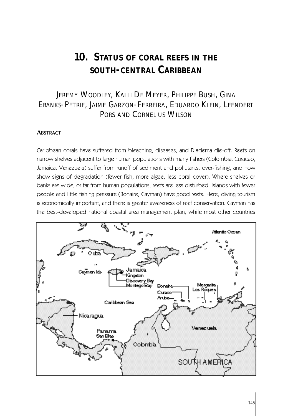# **10. STATUS OF CORAL REEFS IN THE SOUTH-CENTRAL CARIBBEAN**

# JEREMY WOODLEY, KALLI DE MEYER, PHILIPPE BUSH, GINA EBANKS-PETRIE, JAIME GARZON-FERREIRA, EDUARDO KLEIN, LEENDERT PORS AND CORNELIUS WILSON

#### **ABSTRACT**

Caribbean corals have suffered from bleaching, diseases, and Diadema die-off. Reefs on narrow shelves adjacent to large human populations with many fishers (Colombia, Curacao, Jamaica, Venezuela) suffer from runoff of sediment and pollutants, over-fishing, and now show signs of degradation (fewer fish, more algae, less coral cover). Where shelves or banks are wide, or far from human populations, reefs are less disturbed. Islands with fewer people and little fishing pressure (Bonaire, Cayman) have good reefs. Here, diving tourism is economically important, and there is greater awareness of reef conservation. Cayman has the best-developed national coastal area management plan, while most other countries

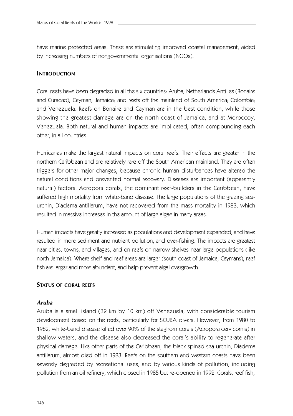have marine protected areas. These are stimulating improved coastal management, aided by increasing numbers of nongovernmental organisations (NGOs).

#### **INTRODUCTION**

Coral reefs have been degraded in all the six countries: Aruba; Netherlands Antilles (Bonaire and Curacao); Cayman; Jamaica; and reefs off the mainland of South America; Colombia; and Venezuela. Reefs on Bonaire and Cayman are in the best condition, while those showing the greatest damage are on the north coast of Jamaica, and at Moroccoy, Venezuela. Both natural and human impacts are implicated, often compounding each other, in all countries.

Hurricanes make the largest natural impacts on coral reefs. Their effects are greater in the northern Caribbean and are relatively rare off the South American mainland. They are often triggers for other major changes, because chronic human disturbances have altered the natural conditions and prevented normal recovery. Diseases are important (apparently natural) factors. A cropora corals, the dominant reef-builders in the Caribbean, have suffered high mortality from white-band disease. The large populations of the grazing seaurchin, Diadema antillarum, have not recovered from the mass mortality in 1983, which resulted in massive increases in the amount of large algae in many areas.

Human impacts have greatly increased as populations and development expanded, and have resulted in more sediment and nutrient pollution, and over-fishing. The impacts are greatest near cities, towns, and villages, and on reefs on narrow shelves near large populations (like north Jamaica). Where shelf and reef areas are larger (south coast of Jamaica, Caymans), reef fish are larger and more abundant, and help prevent algal overgrowth.

#### **STATUS OF CORAL REEFS**

#### *Aruba*

Aruba is a small island (32 km by 10 km) off Venezuela, with considerable tourism development based on the reefs, particularly for SCUBA divers. However, from 1980 to 1982, white-band disease killed over 90% of the staghorn corals (Acropora cervicornis) in shallow waters, and the disease also decreased the coral's ability to regenerate after physical damage. Like other parts of the Caribbean, the black-spined sea-urchin, Diadema antillarum, almost died off in 1983. Reefs on the southern and western coasts have been severely degraded by recreational uses, and by various kinds of pollution, including pollution from an oil refinery, which closed in 1985 but re-opened in 1992. Corals, reef fish,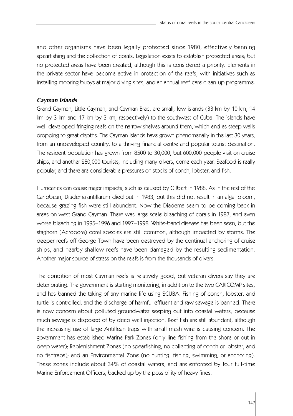and other organisms have been legally protected since 1980, effectively banning spearfishing and the collection of corals. Legislation exists to establish protected areas; but no protected areas have been created, although this is considered a priority. Elements in the private sector have become active in protection of the reefs, with initiatives such as installing mooring buoys at major diving sites, and an annual reef-care clean-up programme.

## *Cayman Islands*

Grand Cayman, Little Cayman, and Cayman Brac, are small, low islands (33 km by 10 km, 14 km by 3 km and 17 km by 3 km, respectively) to the southwest of Cuba. The islands have well-developed fringing reefs on the narrow shelves around them, which end as steep walls dropping to great depths. The Cayman Islands have grown phenomenally in the last 30 years, from an undeveloped country, to a thriving financial centre and popular tourist destination. The resident population has grown from 8500 to 30,000, but 600,000 people visit on cruise ships, and another 280,000 tourists, including many divers, come each year. Seafood is really popular, and there are considerable pressures on stocks of conch, lobster, and fish.

Hurricanes can cause major impacts, such as caused by Gilbert in 1988. As in the rest of the Caribbean, Diadema antillarum died out in 1983, but this did not result in an algal bloom, because grazing fish were still abundant. Now the Diadema seem to be coming back in areas on west Grand Cayman. There was large-scale bleaching of corals in 1987, and even worse bleaching in 1995–1996 and 1997–1998. White-band disease has been seen, but the staghorn (Acropora) coral species are still common, although impacted by storms. The deeper reefs off George Town have been destroyed by the continual anchoring of cruise ships, and nearby shallow reefs have been damaged by the resulting sedimentation. Another major source of stress on the reefs is from the thousands of divers.

The condition of most Cayman reefs is relatively good, but veteran divers say they are deteriorating. The government is starting monitoring, in addition to the two CARICOMP sites, and has banned the taking of any marine life using SCUBA. Fishing of conch, lobster, and turtle is controlled, and the discharge of harmful effluent and raw sewage is banned. There is now concern about polluted groundwater seeping out into coastal waters, because much sewage is disposed of by deep well injection. Reef fish are still abundant, although the increasing use of large Antillean traps with small mesh wire is causing concern. The government has established Marine Park Zones (only line fishing from the shore or out in deep water); Replenishment Zones (no spearfishing, no collecting of conch or lobster, and no fishtraps); and an Environmental Zone (no hunting, fishing, swimming, or anchoring). These zones include about 34% of coastal waters, and are enforced by four full-time Marine Enforcement Officers, backed up by the possibility of heavy fines.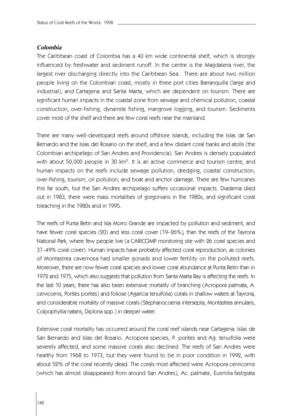#### *Colombia*

The Caribbean coast of Colombia has a 40 km wide continental shelf, which is strongly influenced by freshwater and sediment runoff. In the centre is the Magdalena river, the largest river discharging directly into the Caribbean Sea. There are about two million people living on the Colombian coast, mostly in three port cities Barranquilla (large and industrial), and Cartagena and Santa Marta, which are dependent on tourism. There are significant human impacts in the coastal zone from sewage and chemical pollution, coastal construction, over-fishing, dynamite fishing, mangrove logging, and tourism. Sediments cover most of the shelf and there are few coral reefs near the mainland.

There are many well-developed reefs around offshore islands, including the Islas de San Bernardo and the Islas del Rosario on the shelf, and a few distant coral banks and atolls (the Colombian archipelago of San Andres and Providencia). San Andres is densely populated with about 50,000 people in 30 km $^2$ . It is an active commerce and tourism centre, and human impacts on the reefs include sewage pollution, dredging, coastal construction, over-fishing, tourism, oil pollution, and boat and anchor damage. There are few hurricanes this far south, but the San Andres archipelago suffers occasional impacts. Diadema died out in 1983, there were mass mortalities of gorgonians in the 1980s, and significant coral bleaching in the 1980s and in 1995.

The reefs of Punta Betin and Isla Morro Grande are impacted by pollution and sediment, and have fewer coral species (20) and less coral cover (19–26%), than the reefs of the Tayrona National Park, where few people live (a CARICOMP monitoring site with 26 coral species and 3 7–49% coral cover). Human impacts have probably affected coral reproduction, as colonies of Montastrea cavernosa had smaller gonads and lower fertility on the polluted reefs. Moreover, there are now fewer coral species and lower coral abundance at Punta Betin than in 1972 and 1975, which also suggests that pollution from Santa Marta Bay is affecting the reefs. In the last 10 years, there has also been extensive mortality of branching (Acropora palmata, A . cervicornis, Porites porites) and foliose (Agaricia tenuifolia) corals in shallow waters at Tayrona, and considerable mortality of massive corals (Stephanocoenia intersepta, Montastrea annularis, Colpophyllia natans, Diploria spp.) in deeper water.

Extensive coral mortality has occurred around the coral reef islands near Cartagena: Islas de San Bernardo and Islas del Rosario. A cropora species, P. porites and Ag. tenuifolia were severely affected, and some massive corals also declined. The reefs of San Andres were healthy from 1968 to 1973, but they were found to be in poor condition in 1992, with about 52% of the coral recently dead. The corals most affected were Acropora cervicornis (which has almost disappeared from around San Andres), Ac. palmata, Eusmilia fastigiata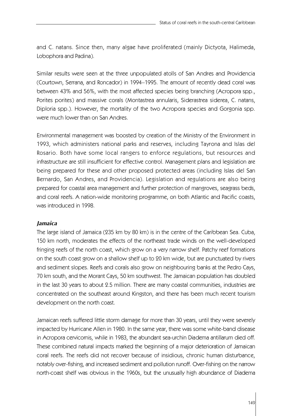and C. natans. Since then, many algae have proliferated (mainly Dictyota, Halimeda, Lobophora and Padina).

Similar results were seen at the three unpopulated atolls of San Andres and Providencia (Courtown, Serrana, and Roncador) in 1994–1995. The amount of recently dead coral was between 43% and 56%, with the most affected species being branching (Acropora spp., Porites porites) and massive corals (Montastrea annularis, Siderastrea siderea, C. natans, Diploria spp.). However, the mortality of the two Acropora species and Gorgonia spp. were much lower than on San Andres.

Environmental management was boosted by creation of the Ministry of the Environment in 1993, which administers national parks and reserves, including Tayrona and Islas del Rosario. Both have some local rangers to enforce regulations, but resources and infrastructure are still insufficient for effective control. Management plans and legislation are being prepared for these and other proposed protected areas (including Islas del San Bernardo, San Andres, and Providencia). Legislation and regulations are also being prepared for coastal area management and further protection of mangroves, seagrass beds, and coral reefs. A nation-wide monitoring programme, on both Atlantic and Pacific coasts, was introduced in 1998.

#### *Jamaica*

The large island of Jamaica (235 km by 80 km) is in the centre of the Caribbean Sea. Cuba, 150 km north, moderates the effects of the northeast trade winds on the well-developed fringing reefs of the north coast, which grow on a very narrow shelf. Patchy reef formations on the south coast grow on a shallow shelf up to 20 km wide, but are punctuated by rivers and sediment slopes. Reefs and corals also grow on neighbouring banks at the Pedro Cays, 70 km south, and the Morant Cays, 50 km southwest. The Jamaican population has doubled in the last 30 years to about 2.5 million. There are many coastal communities, industries are concentrated on the southeast around Kingston, and there has been much recent tourism development on the north coast.

Jamaican reefs suffered little storm damage for more than 30 years, until they were severely impacted by Hurricane Allen in 1980. In the same year, there was some white-band disease in Acropora cervicornis, while in 1983, the abundant sea-urchin Diadema antillarum died off. These combined natural impacts marked the beginning of a major deterioration of Jamaican coral reefs. The reefs did not recover because of insidious, chronic human disturbance, notably over-fishing, and increased sediment and pollution runoff. Over-fishing on the narrow north-coast shelf was obvious in the 1960s, but the unusually high abundance of Diadema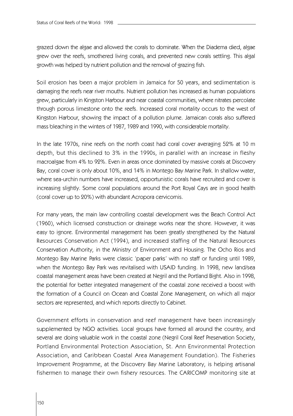grazed down the algae and allowed the corals to dominate. When the Diadema died, algae grew over the reefs, smothered living corals, and prevented new corals settling. This algal growth was helped by nutrient pollution and the removal of grazing fish.

Soil erosion has been a major problem in Jamaica for 50 years, and sedimentation is damaging the reefs near river mouths. Nutrient pollution has increased as human populations grew, particularly in Kingston Harbour and near coastal communities, where nitrates percolate through porous limestone onto the reefs. Increased coral mortality occurs to the west of Kingston Harbour, showing the impact of a pollution plume. Jamaican corals also suffered mass bleaching in the winters of 1987, 1989 and 1990, with considerable mortality.

In the late 1970s, nine reefs on the north coast had coral cover averaging 52% at 10 m depth, but this declined to 3% in the 1990s, in parallel with an increase in fleshy macroalgae from 4% to 92%. Even in areas once dominated by massive corals at Discovery Bay, coral cover is only about 10%, and 14% in Montego Bay Marine Park. In shallow water, where sea-urchin numbers have increased, opportunistic corals have recruited and cover is increasing slightly. Some coral populations around the Port Royal Cays are in good health (coral cover up to 20%) with abundant Acropora cervicornis.

For many years, the main law controlling coastal development was the Beach Control Act (1960), which licensed construction or drainage works near the shore. However, it was easy to ignore. Environmental management has been greatly strengthened by the Natural Resources Conservation Act (1994), and increased staffing of the Natural Resources Conservation Authority, in the Ministry of Environment and Housing. The Ocho Rios and Montego Bay Marine Parks were classic 'paper parks' with no staff or funding until 1989, when the Montego Bay Park was revitalised with USAID funding. In 1998, new land/sea coastal management areas have been created at Negril and the Portland Bight. Also in 1998, the potential for better integrated management of the coastal zone received a boost with the formation of a Council on Ocean and Coastal Zone Management, on which all major sectors are represented, and which reports directly to Cabinet.

Government efforts in conservation and reef management have been increasingly supplemented by NGO activities. Local groups have formed all around the country, and several are doing valuable work in the coastal zone (Negril Coral Reef Preservation Society, Portland Environmental Protection Association, St. Ann Environmental Protection Association, and Caribbean Coastal Area Management Foundation). The Fisheries Improvement Programme, at the Discovery Bay Marine Laboratory, is helping artisanal fishermen to manage their own fishery resources. The CARICOMP monitoring site at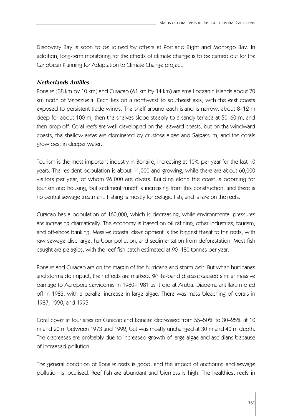Discovery Bay is soon to be joined by others at Portland Bight and Montego Bay. In addition, long-term monitoring for the effects of climate change is to be carried out for the Caribbean Planning for Adaptation to Climate Change project.

### *Netherlands Antilles*

Bonaire (38 km by 10 km) and Curacao (61 km by 14 km) are small oceanic islands about 70 km north of Venezuela. Each lies on a northwest to southeast axis, with the east coasts exposed to persistent trade winds. The shelf around each island is narrow, about 8–12 m deep for about 100 m, then the shelves slope steeply to a sandy terrace at 50–60 m, and then drop off. Coral reefs are well developed on the leeward coasts, but on the windward coasts, the shallow areas are dominated by crustose algae and Sargassum, and the corals grow best in deeper water.

Tourism is the most important industry in Bonaire, increasing at 10% per year for the last 10 years. The resident population is about 11,000 and growing, while there are about 60,000 visitors per year, of whom 26,000 are divers. Building along the coast is booming for tourism and housing, but sediment runoff is increasing from this construction, and there is no central sewage treatment. Fishing is mostly for pelagic fish, and is rare on the reefs.

Curacao has a population of 160,000, which is decreasing, while environmental pressures are increasing dramatically. The economy is based on oil refining, other industries, tourism, and off-shore banking. Massive coastal development is the biggest threat to the reefs, with raw sewage discharge, harbour pollution, and sedimentation from deforestation. Most fish caught are pelagics, with the reef fish catch estimated at 90–180 tonnes per year.

Bonaire and Curacao are on the margin of the hurricane and storm belt. But when hurricanes and storms do impact, their effects are marked. White-band disease caused similar massive damage to Acropora cervicornis in 1980–1981 as it did at Aruba. Diadema antillarum died off in 1983, with a parallel increase in large algae. There was mass bleaching of corals in 1987, 1990, and 1995.

Coral cover at four sites on Curacao and Bonaire decreased from 55–50% to 30–25% at 10 m and 20 m between 1973 and 1992, but was mostly unchanged at 30 m and 40 m depth. The decreases are probably due to increased growth of large algae and ascidians because of increased pollution.

The general condition of Bonaire reefs is good, and the impact of anchoring and sewage pollution is localised. Reef fish are abundant and biomass is high. The healthiest reefs in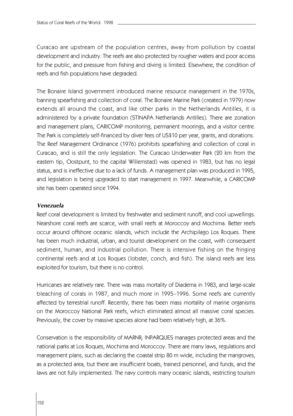Curacao are upstream of the population centres, away from pollution by coastal development and industry. The reefs are also protected by rougher waters and poor access for the public, and pressure from fishing and diving is limited. Elsewhere, the condition of reefs and fish populations have degraded.

The Bonaire Island government introduced marine resource management in the 1970s, banning spearfishing and collection of coral. The Bonaire Marine Park (created in 1979) now extends all around the coast, and like other parks in the Netherlands Antilles, it is administered by a private foundation (STINAPA Netherlands Antilles). There are zonation and management plans, CARICOMP monitoring, permanent moorings, and a visitor centre. The Park is completely self-financed by diver fees of US\$10 per year, grants, and donations. The Reef Management Ordinance (1976) prohibits spearfishing and collection of coral in Curacao, and is still the only legislation. The Curacao Underwater Park (20 km from the eastern tip, Oostpunt, to the capital Willemstad) was opened in 1983, but has no legal status, and is ineffective due to a lack of funds. A management plan was produced in 1995, and legislation is being upgraded to start management in 1997. Meanwhile, a CARICOMP site has been operated since 1994.

#### *Venezuela*

Reef coral development is limited by freshwater and sediment runoff, and cool upwellings. Nearshore coral reefs are scarce, with small reefs at Moroccoy and Mochima. Better reefs occur around offshore oceanic islands, which include the Archipilago Los Roques. There has been much industrial, urban, and tourist development on the coast, with consequent sediment, human, and industrial pollution. There is intensive fishing on the fringing continental reefs and at Los Roques (lobster, conch, and fish). The island reefs are less exploited for tourism, but there is no control.

Hurricanes are relatively rare. There was mass mortality of Diadema in 1983, and large-scale bleaching of corals in 1987, and much more in 1995–1996. Some reefs are currently affected by terrestrial runoff. Recently, there has been mass mortality of marine organisms on the Moroccoy National Park reefs, which eliminated almost all massive coral species. Previously, the cover by massive species alone had been relatively high, at 36%.

Conservation is the responsibility of MARNR; INPARQUES manages protected areas and the national parks at Los Roques, Mochima and Moroccoy. There are many laws, regulations and management plans, such as declaring the coastal strip 80 m wide, including the mangroves, as a protected area, but there are insufficient boats, trained personnel, and funds, and the laws are not fully implemented. The navy controls many oceanic islands, restricting tourism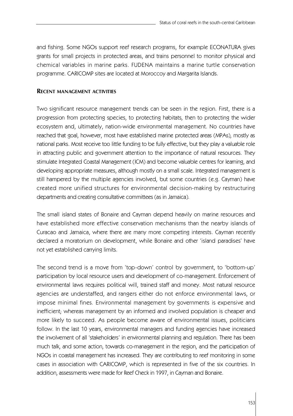and fishing. Some NGOs support reef research programs, for example ECONATURA gives grants for small projects in protected areas, and trains personnel to monitor physical and chemical variables in marine parks. FUDENA maintains a marine turtle conservation programme. CARICOMP sites are located at Moroccoy and Margarita Islands.

#### **RECENT MANAGEMENT ACTIVITIES**

Two significant resource management trends can be seen in the region. First, there is a progression from protecting species, to protecting habitats, then to protecting the wider ecosystem and, ultimately, nation-wide environmental management. No countries have reached that goal, however, most have established marine protected areas (MPAs), mostly as national parks. Most receive too little funding to be fully effective, but they play a valuable role in attracting public and government attention to the importance of natural resources. They stimulate Integrated Coastal Management (ICM) and become valuable centres for learning, and developing appropriate measures, although mostly on a small scale. Integrated management is still hampered by the multiple agencies involved, but some countries (e.g. Cayman) have created more unified structures for environmental decision-making by restructuring departments and creating consultative committees (as in Jamaica).

The small island states of Bonaire and Cayman depend heavily on marine resources and have established more effective conservation mechanisms than the nearby islands of Curacao and Jamaica, where there are many more competing interests. Cayman recently declared a moratorium on development, while Bonaire and other 'island paradises' have not yet established carrying limits.

The second trend is a move from 'top-down' control by government, to 'bottom-up' participation by local resource users and development of co-management. Enforcement of environmental laws requires political will, trained staff and money. Most natural resource agencies are understaffed, and rangers either do not enforce environmental laws, or impose minimal fines. Environmental management by governments is expensive and inefficient; whereas management by an informed and involved population is cheaper and more likely to succeed. As people become aware of environmental issues, politicians follow. In the last 10 years, environmental managers and funding agencies have increased the involvement of all 'stakeholders' in environmental planning and regulation. There has been much talk, and some action, towards co-management in the region, and the participation of NGOs in coastal management has increased. They are contributing to reef monitoring in some cases in association with CARICOMP, which is represented in five of the six countries. In addition, assessments were made for Reef Check in 1997, in Cayman and Bonaire.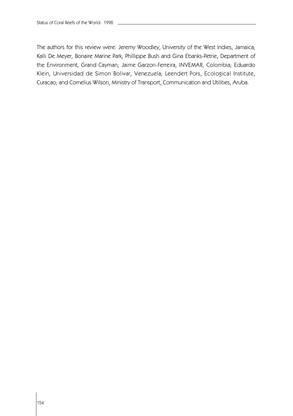The authors for this review were: Jeremy Woodley, University of the West Indies, Jamaica; Kalli De Meyer, Bonaire Marine Park; Phillippe Bush and Gina Ebanks-Petrie, Department of the Environment, Grand Cayman; Jaime Garzon-Ferreira, INVEMAR, Colombia; Eduardo Klein, Universidad de Simon Bolivar, Venezuela; Leendert Pors, Ecological Institute, Curacao; and Cornelius Wilson, Ministry of Transport, Communication and Utilities, Aruba.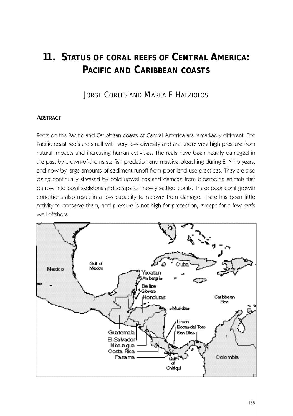# **11. STATUS OF CORAL REEFS OF CENTRAL AMERICA: PACIFIC AND CARIBBEAN COASTS**

# JORGE CORTÉS AND MAREA E HATZIOLOS

#### **ABSTRACT**

Reefs on the Pacific and Caribbean coasts of Central America are remarkably different. The Pacific coast reefs are small with very low diversity and are under very high pressure from natural impacts and increasing human activities. The reefs have been heavily damaged in the past by crown-of-thorns starfish predation and massive bleaching during El Niño years, and now by large amounts of sediment runoff from poor land-use practices. They are also being continually stressed by cold upwellings and damage from bioeroding animals that burrow into coral skeletons and scrape off newly settled corals. These poor coral growth conditions also result in a low capacity to recover from damage. There has been little activity to conserve them, and pressure is not high for protection, except for a few reefs well offshore.

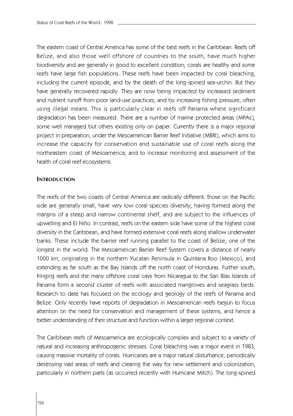The eastern coast of Central America has some of the best reefs in the Caribbean. Reefs off Belize, and also those well offshore of countries to the south, have much higher biodiversity and are generally in good to excellent condition; corals are healthy and some reefs have large fish populations. These reefs have been impacted by coral bleaching, including the current episode, and by the death of the long-spined sea-urchin. But they have generally recovered rapidly. They are now being impacted by increased sediment and nutrient runoff from poor land-use practices, and by increasing fishing pressure, often using illegal means. This is particularly clear in reefs off Panama where significant degradation has been measured. There are a number of marine protected areas (MPAs), some well managed but others existing only on paper. Currently there is a major regional project in preparation, under the Mesoamerican Barrier Reef Initiative (MBRI), which aims to increase the capacity for conservation and sustainable use of coral reefs along the northeastern coast of Mesoamerica, and to increase monitoring and assessment of the health of coral reef ecosystems.

#### **INTRODUCTION**

The reefs of the two coasts of Central America are radically different: those on the Pacific side are generally small, have very low coral species diversity, having formed along the margins of a steep and narrow continental shelf, and are subject to the influences of upwelling and El Niño. In contrast, reefs on the eastern side have some of the highest coral diversity in the Caribbean, and have formed extensive coral reefs along shallow underwater banks. These include the barrier reef running parallel to the coast of Belize, one of the longest in the world. The Mesoamerican Barrier Reef System covers a distance of nearly 1000 km, originating in the northern Yucatan Peninsula in Quintana Roo (Mexico), and extending as far south as the Bay Islands off the north coast of Honduras. Further south, fringing reefs and the many offshore coral cays from Nicaragua to the San Blas Islands of Panama form a second cluster of reefs with associated mangroves and seagrass beds. Research to date has focused on the ecology and geology of the reefs of Panama and Belize. Only recently have reports of degradation in Mesoamerican reefs begun to focus attention on the need for conservation and management of these systems, and hence a better understanding of their structure and function within a larger regional context.

The Caribbean reefs of Mesoamerica are ecologically complex and subject to a variety of natural and increasing anthropogenic stresses. Coral bleaching was a major event in 1983, causing massive mortality of corals. Hurricanes are a major natural disturbance, periodically destroying vast areas of reefs and clearing the way for new settlement and colonization, particularly in northern parts (as occurred recently with Hurricane Mitch). The long-spined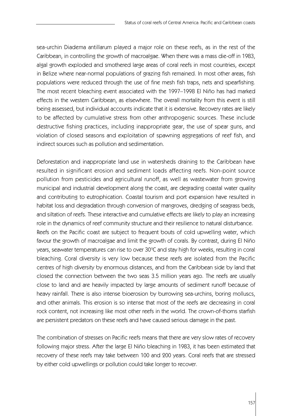sea-urchin Diadema antillarum played a major role on these reefs, as in the rest of the Caribbean, in controlling the growth of macroalgae. When there was a mass die-off in 1983, algal growth exploded and smothered large areas of coral reefs in most countries, except in Belize where near-normal populations of grazing fish remained. In most other areas, fish populations were reduced through the use of fine mesh fish traps, nets and spearfishing. The most recent bleaching event associated with the 1997–1998 El Niño has had marked effects in the western Caribbean, as elsewhere. The overall mortality from this event is still being assessed, but individual accounts indicate that it is extensive. Recovery rates are likely to be affected by cumulative stress from other anthropogenic sources. These include destructive fishing practices, including inappropriate gear, the use of spear guns, and violation of closed seasons and exploitation of spawning aggregations of reef fish, and indirect sources such as pollution and sedimentation.

Deforestation and inappropriate land use in watersheds draining to the Caribbean have resulted in significant erosion and sediment loads affecting reefs. Non-point source pollution from pesticides and agricultural runoff, as well as wastewater from growing municipal and industrial development along the coast, are degrading coastal water quality and contributing to eutrophication. Coastal tourism and port expansion have resulted in habitat loss and degradation through conversion of mangroves, dredging of seagrass beds, and siltation of reefs. These interactive and cumulative effects are likely to play an increasing role in the dynamics of reef community structure and their resilience to natural disturbance. Reefs on the Pacific coast are subject to frequent bouts of cold upwelling water, which favour the growth of macroalgae and limit the growth of corals. By contrast, during El Niño years, seawater temperatures can rise to over 30°C and stay high for weeks, resulting in coral bleaching. Coral diversity is very low because these reefs are isolated from the Pacific centres of high diversity by enormous distances, and from the Caribbean side by land that closed the connection between the two seas 3.5 million years ago. The reefs are usually close to land and are heavily impacted by large amounts of sediment runoff because of heavy rainfall. There is also intense bioerosion by burrowing sea-urchins, boring molluscs, and other animals. This erosion is so intense that most of the reefs are decreasing in coral rock content, not increasing like most other reefs in the world. The crown-of-thorns starfish are persistent predators on these reefs and have caused serious damage in the past.

The combination of stresses on Pacific reefs means that there are very slow rates of recovery following major stress. After the large El Niño bleaching in 1983, it has been estimated that recovery of these reefs may take between 100 and 200 years. Coral reefs that are stressed by either cold upwellings or pollution could take longer to recover.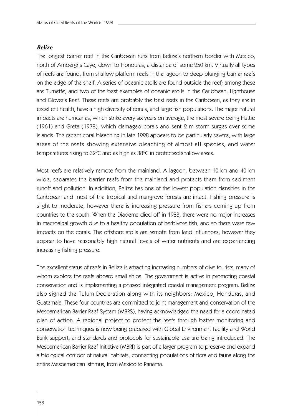#### *Belize*

The longest barrier reef in the Caribbean runs from Belize's northern border with Mexico, north of Ambergris Caye, down to Honduras, a distance of some 250 km. Virtually all types of reefs are found, from shallow platform reefs in the lagoon to deep plunging barrier reefs on the edge of the shelf. A series of oceanic atolls are found outside the reef; among these are Turneffe, and two of the best examples of oceanic atolls in the Caribbean, Lighthouse and Glover's Reef. These reefs are probably the best reefs in the Caribbean, as they are in excellent health, have a high diversity of corals, and large fish populations. The major natural impacts are hurricanes, which strike every six years on average, the most severe being Hattie (1961) and Greta (1978), which damaged corals and sent 2 m storm surges over some islands. The recent coral bleaching in late 1998 appears to be particularly severe, with large areas of the reefs showing extensive bleaching of almost all species, and water temperatures rising to 32°C and as high as 38°C in protected shallow areas.

Most reefs are relatively remote from the mainland. A lagoon, between 10 km and 40 km wide, separates the barrier reefs from the mainland and protects them from sediment runoff and pollution. In addition, Belize has one of the lowest population densities in the Caribbean and most of the tropical and mangrove forests are intact. Fishing pressure is slight to moderate, however there is increasing pressure from fishers coming up from countries to the south. When the Diadema died off in 1983, there were no major increases in macroalgal growth due to a healthy population of herbivore fish, and so there were few impacts on the corals. The offshore atolls are remote from land influences, however they appear to have reasonably high natural levels of water nutrients and are experiencing increasing fishing pressure.

The excellent status of reefs in Belize is attracting increasing numbers of dive tourists, many of whom explore the reefs aboard small ships. The government is active in promoting coastal conservation and is implementing a phased integrated coastal management program. Belize also signed the Tulum Declaration along with its neighbors: Mexico, Honduras, and Guatemala. These four countries are committed to joint management and conservation of the Mesoamerican Barrier Reef System (MBRS), having acknowledged the need for a coordinated plan of action. A regional project to protect the reefs through better monitoring and conservation techniques is now being prepared with Global Environment Facility and World Bank support, and standards and protocols for sustainable use are being introduced. The Mesoamerican Barrier Reef Initiative (MBRI) is part of a larger program to preserve and expand a biological corridor of natural habitats, connecting populations of flora and fauna along the entire Mesoamerican isthmus, from Mexico to Panama.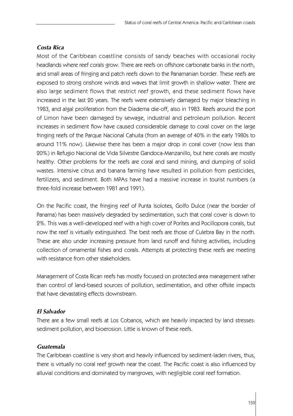# *Costa Rica*

Most of the Caribbean coastline consists of sandy beaches with occasional rocky headlands where reef corals grow. There are reefs on offshore carbonate banks in the north, and small areas of fringing and patch reefs down to the Panamanian border. These reefs are exposed to strong onshore winds and waves that limit growth in shallow water. There are also large sediment flows that restrict reef growth, and these sediment flows have increased in the last 20 years. The reefs were extensively damaged by major bleaching in 1983, and algal proliferation from the Diadema die-off, also in 1983. Reefs around the port of Limon have been damaged by sewage, industrial and petroleum pollution. Recent increases in sediment flow have caused considerable damage to coral cover on the large fringing reefs of the Parque Nacional Cahuita (from an average of 40% in the early 1980s to around 11% now). Likewise there has been a major drop in coral cover (now less than 20%) in Refugio Nacional de Vida Silvestre Gandoca-Manzanillo, but here corals are mostly healthy. Other problems for the reefs are coral and sand mining, and dumping of solid wastes. Intensive citrus and banana farming have resulted in pollution from pesticides, fertilizers, and sediment. Both MPAs have had a massive increase in tourist numbers (a three-fold increase between 1981 and 1991).

On the Pacific coast, the fringing reef of Punta Isolotes, Golfo Dulce (near the border of Panama) has been massively degraded by sedimentation, such that coral cover is down to 2%. This was a well-developed reef with a high cover of Porites and Pocillopora corals, but now the reef is virtually extinguished. The best reefs are those of Culebra Bay in the north. These are also under increasing pressure from land runoff and fishing activities, including collection of ornamental fishes and corals. Attempts at protecting these reefs are meeting with resistance from other stakeholders.

Management of Costa Rican reefs has mostly focused on protected area management rather than control of land-based sources of pollution, sedimentation, and other offsite impacts that have devastating effects downstream.

# *El Salvador*

There are a few small reefs at Los Cobanos, which are heavily impacted by land stresses: sediment pollution, and bioerosion. Little is known of these reefs.

# *Guatemala*

The Caribbean coastline is very short and heavily influenced by sediment-laden rivers, thus, there is virtually no coral reef growth near the coast. The Pacific coast is also influenced by alluvial conditions and dominated by mangroves, with negligible coral reef formation.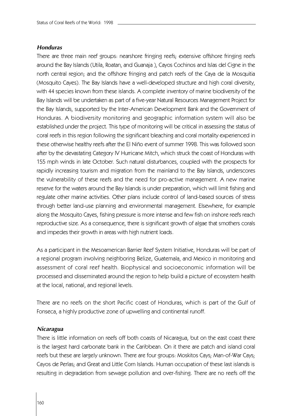#### *Honduras*

There are three main reef groups: nearshore fringing reefs; extensive offshore fringing reefs around the Bay Islands (Utila, Roatan, and Guanaja ), Cayos Cochinos and Islas del Cigne in the north central region; and the offshore fringing and patch reefs of the Caya de la Mosquitia (Mosquito Cayes). The Bay Islands have a well-developed structure and high coral diversity, with 44 species known from these islands. A complete inventory of marine biodiversity of the Bay Islands will be undertaken as part of a five-year Natural Resources Management Project for the Bay Islands, supported by the Inter-American Development Bank and the Government of Honduras. A biodiversity monitoring and geographic information system will also be established under the project. This type of monitoring will be critical in assessing the status of coral reefs in this region following the significant bleaching and coral mortality experienced in these otherwise healthy reefs after the El Niño event of summer 1998. This was followed soon after by the devastating Category IV Hurricane Mitch, which struck the coast of Honduras with 155 mph winds in late October. Such natural disturbances, coupled with the prospects for rapidly increasing tourism and migration from the mainland to the Bay Islands, underscores the vulnerability of these reefs and the need for pro-active management. A new marine reserve for the waters around the Bay Islands is under preparation, which will limit fishing and regulate other marine activities. Other plans include control of land-based sources of stress through better land-use planning and environmental management. Elsewhere, for example along the Mosquito Cayes, fishing pressure is more intense and few fish on inshore reefs reach reproductive size. As a consequence, there is significant growth of algae that smothers corals and impedes their growth in areas with high nutrient loads.

As a participant in the Mesoamerican Barrier Reef System Initiative, Honduras will be part of a regional program involving neighboring Belize, Guatemala, and Mexico in monitoring and assessment of coral reef health. Biophysical and socioeconomic information will be processed and disseminated around the region to help build a picture of ecosystem health at the local, national, and regional levels.

There are no reefs on the short Pacific coast of Honduras, which is part of the Gulf of Fonseca, a highly productive zone of upwelling and continental runoff.

#### *Nicaragua*

There is little information on reefs off both coasts of Nicaragua, but on the east coast there is the largest hard carbonate bank in the Caribbean. On it there are patch and island coral reefs but these are largely unknown. There are four groups: Moskitos Cays; Man-of-War Cays; Cayos de Perlas; and Great and Little Corn Islands. Human occupation of these last islands is resulting in degradation from sewage pollution and over-fishing. There are no reefs off the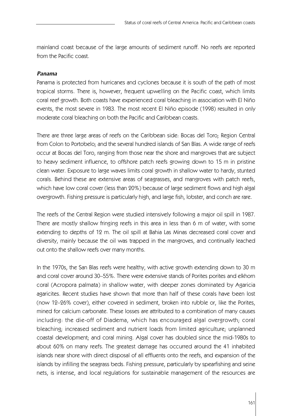mainland coast because of the large amounts of sediment runoff. No reefs are reported from the Pacific coast.

### *Panama*

Panama is protected from hurricanes and cyclones because it is south of the path of most tropical storms. There is, however, frequent upwelling on the Pacific coast, which limits coral reef growth. Both coasts have experienced coral bleaching in association with El Niño events, the most severe in 1983. The most recent El Niño episode (1998) resulted in only moderate coral bleaching on both the Pacific and Caribbean coasts.

There are three large areas of reefs on the Caribbean side: Bocas del Toro; Region Central from Colon to Portobelo; and the several hundred islands of San Blas. A wide range of reefs occur at Bocas del Toro, ranging from those near the shore and mangroves that are subject to heavy sediment influence, to offshore patch reefs growing down to 15 m in pristine clean water. Exposure to large waves limits coral growth in shallow water to hardy, stunted corals. Behind these are extensive areas of seagrasses, and mangroves with patch reefs, which have low coral cover (less than 20%) because of large sediment flows and high algal overgrowth. Fishing pressure is particularly high, and large fish, lobster, and conch are rare.

The reefs of the Central Region were studied intensively following a major oil spill in 1987. There are mostly shallow fringing reefs in this area in less than 6 m of water, with some extending to depths of 12 m. The oil spill at Bahia Las Minas decreased coral cover and diversity, mainly because the oil was trapped in the mangroves, and continually leached out onto the shallow reefs over many months.

In the 1970s, the San Blas reefs were healthy, with active growth extending down to 30 m and coral cover around 30–55%. There were extensive stands of Porites porites and elkhorn coral (Acropora palmata) in shallow water, with deeper zones dominated by Agaricia agaricites. Recent studies have shown that more than half of these corals have been lost (now 12–26% cover), either covered in sediment, broken into rubble or, like the Porites, mined for calcium carbonate. These losses are attributed to a combination of many causes including: the die-off of Diadema, which has encouraged algal overgrowth; coral bleaching; increased sediment and nutrient loads from limited agriculture; unplanned coastal development; and coral mining. Algal cover has doubled since the mid-1980s to about 60% on many reefs. The greatest damage has occurred around the 41 inhabited islands near shore with direct disposal of all effluents onto the reefs, and expansion of the islands by infilling the seagrass beds. Fishing pressure, particularly by spearfishing and seine nets, is intense, and local regulations for sustainable management of the resources are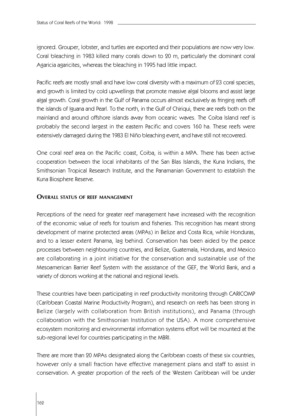ignored. Grouper, lobster, and turtles are exported and their populations are now very low. Coral bleaching in 1983 killed many corals down to 20 m, particularly the dominant coral Agaricia agaricites, whereas the bleaching in 1995 had little impact.

Pacific reefs are mostly small and have low coral diversity with a maximum of 23 coral species, and growth is limited by cold upwellings that promote massive algal blooms and assist large algal growth. Coral growth in the Gulf of Panama occurs almost exclusively as fringing reefs off the islands of Iguana and Pearl. To the north, in the Gulf of Chiriqui, there are reefs both on the mainland and around offshore islands away from oceanic waves. The Coiba Island reef is probably the second largest in the eastern Pacific and covers 160 ha. These reefs were extensively damaged during the 1983 El Niño bleaching event, and have still not recovered.

One coral reef area on the Pacific coast, Coiba, is within a MPA. There has been active cooperation between the local inhabitants of the San Blas Islands, the Kuna Indians, the Smithsonian Tropical Research Institute, and the Panamanian Government to establish the Kuna Biosphere Reserve.

#### **OVERALL STATUS OF REEF MANAGEMENT**

Perceptions of the need for greater reef management have increased with the recognition of the economic value of reefs for tourism and fisheries. This recognition has meant strong development of marine protected areas (MPAs) in Belize and Costa Rica, while Honduras, and to a lesser extent Panama, lag behind. Conservation has been aided by the peace processes between neighbouring countries, and Belize, Guatemala, Honduras, and Mexico are collaborating in a joint initiative for the conservation and sustainable use of the Mesoamerican Barrier Reef System with the assistance of the GEF, the World Bank, and a variety of donors working at the national and regional levels.

These countries have been participating in reef productivity monitoring through CARICOMP (Caribbean Coastal Marine Productivity Program), and research on reefs has been strong in Belize (largely with collaboration from British institutions), and Panama (through collaboration with the Smithsonian Institution of the USA). A more comprehensive ecosystem monitoring and environmental information systems effort will be mounted at the sub-regional level for countries participating in the MBRI.

There are more than 20 MPAs designated along the Caribbean coasts of these six countries, however only a small fraction have effective management plans and staff to assist in conservation. A greater proportion of the reefs of the Western Caribbean will be under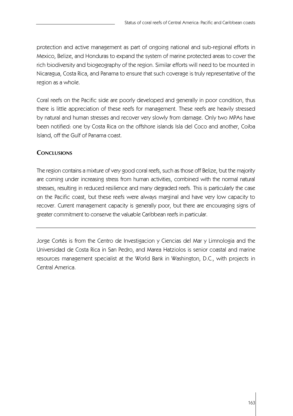protection and active management as part of ongoing national and sub-regional efforts in Mexico, Belize, and Honduras to expand the system of marine protected areas to cover the rich biodiversity and biogeography of the region. Similar efforts will need to be mounted in Nicaragua, Costa Rica, and Panama to ensure that such coverage is truly representative of the region as a whole.

Coral reefs on the Pacific side are poorly developed and generally in poor condition, thus there is little appreciation of these reefs for management. These reefs are heavily stressed by natural and human stresses and recover very slowly from damage. Only two MPAs have been notified: one by Costa Rica on the offshore islands Isla del Coco and another, Coiba Island, off the Gulf of Panama coast.

# **CONCLUSIONS**

The region contains a mixture of very good coral reefs, such as those off Belize, but the majority are coming under increasing stress from human activities, combined with the normal natural stresses, resulting in reduced resilience and many degraded reefs. This is particularly the case on the Pacific coast, but these reefs were always marginal and have very low capacity to recover. Current management capacity is generally poor, but there are encouraging signs of greater commitment to conserve the valuable Caribbean reefs in particular.

Jorge Cortés is from the Centro de Investigacion y Ciencias del Mar y Limnologia and the Universidad de Costa Rica in San Pedro, and Marea Hatziolos is senior coastal and marine resources management specialist at the World Bank in Washington, D.C., with projects in Central America.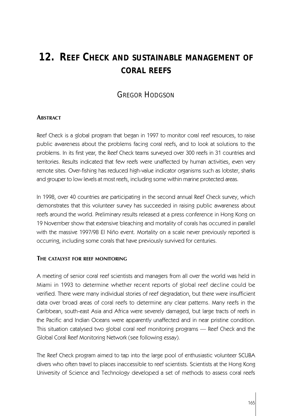# **12. REEF CHECK AND SUSTAINABLE MANAGEMENT OF CORAL REEFS**

# GREGOR HODGSON

## **ABSTRACT**

Reef Check is a global program that began in 1997 to monitor coral reef resources, to raise public awareness about the problems facing coral reefs, and to look at solutions to the problems. In its first year, the Reef Check teams surveyed over 300 reefs in 31 countries and territories. Results indicated that few reefs were unaffected by human activities, even very remote sites. Over-fishing has reduced high-value indicator organisms such as lobster, sharks and grouper to low levels at most reefs, including some within marine protected areas.

In 1998, over 40 countries are participating in the second annual Reef Check survey, which demonstrates that this volunteer survey has succeeded in raising public awareness about reefs around the world. Preliminary results released at a press conference in Hong Kong on 19 November show that extensive bleaching and mortality of corals has occurred in parallel with the massive 1997/98 El Niño event. Mortality on a scale never previously reported is occurring, including some corals that have previously survived for centuries.

#### **THE CATALYST FOR REEF MONITORING**

A meeting of senior coral reef scientists and managers from all over the world was held in Miami in 1993 to determine whether recent reports of global reef decline could be verified. There were many individual stories of reef degradation, but there were insufficient data over broad areas of coral reefs to determine any clear patterns. Many reefs in the Caribbean, south-east Asia and Africa were severely damaged, but large tracts of reefs in the Pacific and Indian Oceans were apparently unaffected and in near pristine condition. This situation catalysed two global coral reef monitoring programs — Reef Check and the Global Coral Reef Monitoring Network (see following essay).

The Reef Check program aimed to tap into the large pool of enthusiastic volunteer SCUBA divers who often travel to places inaccessible to reef scientists. Scientists at the Hong Kong University of Science and Technology developed a set of methods to assess coral reefs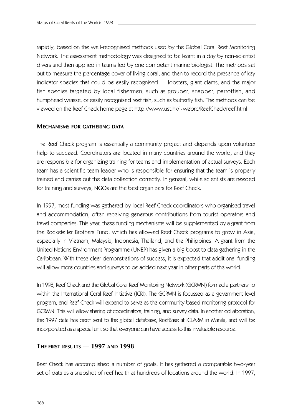rapidly, based on the well-recognised methods used by the Global Coral Reef Monitoring Network. The assessment methodology was designed to be learnt in a day by non-scientist divers and then applied in teams led by one competent marine biologist. The methods set out to measure the percentage cover of living coral, and then to record the presence of key indicator species that could be easily recognised — lobsters, giant clams, and the major fish species targeted by local fishermen, such as grouper, snapper, parrotfish, and humphead wrasse, or easily recognised reef fish, such as butterfly fish. The methods can be viewed on the Reef Check home page at http://www.ust.hk/~webrc/ReefCheck/reef.html.

#### **MECHANISMS FOR GATHERING DATA**

The Reef Check program is essentially a community project and depends upon volunteer help to succeed. Coordinators are located in many countries around the world, and they are responsible for organizing training for teams and implementation of actual surveys. Each team has a scientific team leader who is responsible for ensuring that the team is properly trained and carries out the data collection correctly. In general, while scientists are needed for training and surveys, NGOs are the best organizers for Reef Check.

In 1997, most funding was gathered by local Reef Check coordinators who organised travel and accommodation, often receiving generous contributions from tourist operators and travel companies. This year, these funding mechanisms will be supplemented by a grant from the Rockefeller Brothers Fund, which has allowed Reef Check programs to grow in Asia, especially in Vietnam, Malaysia, Indonesia, Thailand, and the Philippines. A grant from the United Nations Environment Programme (UNEP) has given a big boost to data gathering in the Caribbean. With these clear demonstrations of success, it is expected that additional funding will allow more countries and surveys to be added next year in other parts of the world.

In 1998, Reef Check and the Global Coral Reef Monitoring Network (GCRMN) formed a partnership within the International Coral Reef Initiative (ICRI). The GCRMN is focussed as a government level program, and Reef Check will expand to serve as the community-based monitoring protocol for GCRMN. This will allow sharing of coordinators, training, and survey data. In another collaboration, the 1997 data has been sent to the global database, ReefBase at ICLARM in Manila, and will be incorporated as a special unit so that everyone can have access to this invaluable resource.

#### **THE FIRST RESULTS — 1997 AND 1998**

Reef Check has accomplished a number of goals. It has gathered a comparable two-year set of data as a snapshot of reef health at hundreds of locations around the world. In 1997,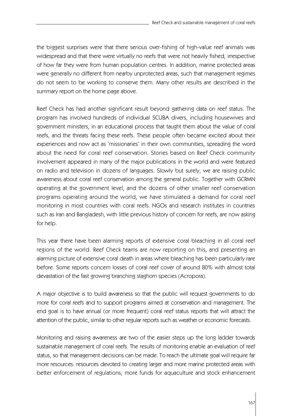the biggest surprises were that there serious over-fishing of high-value reef animals was widespread and that there were virtually no reefs that were not heavily fished, irrespective of how far they were from human population centres. In addition, marine protected areas were generally no different from nearby unprotected areas, such that management regimes do not seem to be working to conserve them. Many other results are described in the summary report on the home page above.

Reef Check has had another significant result beyond gathering data on reef status. The program has involved hundreds of individual SCUBA divers, including housewives and government ministers, in an educational process that taught them about the value of coral reefs, and the threats facing these reefs. These people often became excited about their experiences and now act as 'missionaries' in their own communities, spreading the word about the need for coral reef conservation. Stories based on Reef Check community involvement appeared in many of the major publications in the world and were featured on radio and television in dozens of languages. Slowly but surely, we are raising public awareness about coral reef conservation among the general public. Together with GCRMN operating at the government level, and the dozens of other smaller reef conservation programs operating around the world, we have stimulated a demand for coral reef monitoring in most countries with coral reefs. NGOs and research institutes in countries such as Iran and Bangladesh, with little previous history of concern for reefs, are now asking for help.

This year there have been alarming reports of extensive coral bleaching in all coral reef regions of the world. Reef Check teams are now reporting on this, and presenting an alarming picture of extensive coral death in areas where bleaching has been particularly rare before. Some reports concern losses of coral reef cover of around 80% with almost total devastation of the fast growing branching staghorn species (Acropora).

A major objective is to build awareness so that the public will request governments to do more for coral reefs and to support programs aimed at conservation and management. The end goal is to have annual (or more frequent) coral reef status reports that will attract the attention of the public, similar to other regular reports such as weather or economic forecasts.

Monitoring and raising awareness are two of the easier steps up the long ladder towards sustainable management of coral reefs. The results of monitoring enable an evaluation of reef status, so that management decisions can be made. To reach the ultimate goal will require far more resources: resources devoted to creating larger and more marine protected areas with better enforcement of regulations; more funds for aquaculture and stock enhancement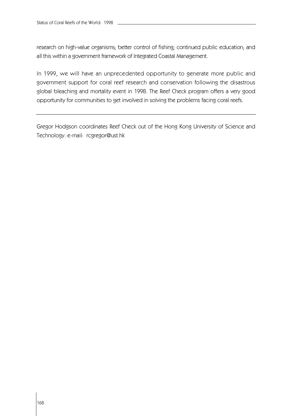research on high-value organisms; better control of fishing; continued public education; and all this within a government framework of Integrated Coastal Management.

In 1999, we will have an unprecedented opportunity to generate more public and government support for coral reef research and conservation following the disastrous global bleaching and mortality event in 1998. The Reef Check program offers a very good opportunity for communities to get involved in solving the problems facing coral reefs.

Gregor Hodgson coordinates Reef Check out of the Hong Kong University of Science and Technology. e-mail: rcgregor@ust.hk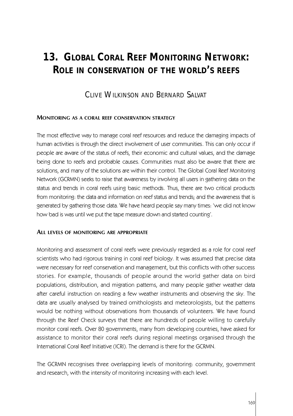# **13. GLOBAL CORAL REEF MONITORING NETWORK: ROLE IN CONSERVATION OF THE WORLD'S REEFS**

# CLIVE WILKINSON AND BERNARD SALVAT

#### **MONITORING AS A CORAL REEF CONSERVATION STRATEGY**

The most effective way to manage coral reef resources and reduce the damaging impacts of human activities is through the direct involvement of user communities. This can only occur if people are aware of the status of reefs, their economic and cultural values, and the damage being done to reefs and probable causes. Communities must also be aware that there are solutions, and many of the solutions are within their control. The Global Coral Reef Monitoring Network (GCRMN) seeks to raise that awareness by involving all users in gathering data on the status and trends in coral reefs using basic methods. Thus, there are two critical products from monitoring: the data and information on reef status and trends; and the awareness that is generated by gathering those data. We have heard people say many times: 'we did not know how bad is was until we put the tape measure down and started counting'.

#### **ALL LEVELS OF MONITORING ARE APPROPRIATE**

Monitoring and assessment of coral reefs were previously regarded as a role for coral reef scientists who had rigorous training in coral reef biology. It was assumed that precise data were necessary for reef conservation and management, but this conflicts with other success stories. For example, thousands of people around the world gather data on bird populations, distribution, and migration patterns, and many people gather weather data after careful instruction on reading a few weather instruments and observing the sky. The data are usually analysed by trained ornithologists and meteorologists, but the patterns would be nothing without observations from thousands of volunteers. We have found through the Reef Check surveys that there are hundreds of people willing to carefully monitor coral reefs. Over 80 governments, many from developing countries, have asked for assistance to monitor their coral reefs during regional meetings organised through the International Coral Reef Initiative (ICRI). The demand is there for the GCRMN.

The GCRMN recognises three overlapping levels of monitoring: community, government and research, with the intensity of monitoring increasing with each level.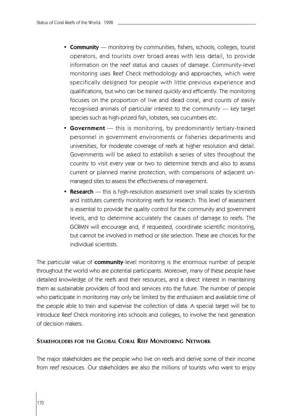- **Community** monitoring by communities, fishers, schools, colleges, tourist operators, and tourists over broad areas with less detail, to provide information on the reef status and causes of damage. Community-level monitoring uses Reef Check methodology and approaches, which were specifically designed for people with little previous experience and qualifications, but who can be trained quickly and efficiently. The monitoring focuses on the proportion of live and dead coral, and counts of easily recognised animals of particular interest to the community — key target species such as high-prized fish, lobsters, sea cucumbers etc.
- **Government** this is monitoring, by predominantly tertiary-trained personnel in government environments or fisheries departments and universities, for moderate coverage of reefs at higher resolution and detail. Governments will be asked to establish a series of sites throughout the country to visit every year or two to determine trends and also to assess current or planned marine protection, with comparisons of adjacent unmanaged sites to assess the effectiveness of management.
- **Research** this is high-resolution assessment over small scales by scientists and institutes currently monitoring reefs for research. This level of assessment is essential to provide the quality control for the community and government levels, and to determine accurately the causes of damage to reefs. The GCRMN will encourage and, if requested, coordinate scientific monitoring, but cannot be involved in method or site selection. These are choices for the individual scientists.

The particular value of **community**-level monitoring is the enormous number of people throughout the world who are potential participants. Moreover, many of these people have detailed knowledge of the reefs and their resources, and a direct interest in maintaining them as sustainable providers of food and services into the future. The number of people who participate in monitoring may only be limited by the enthusiasm and available time of the people able to train and supervise the collection of data. A special target will be to introduce Reef Check monitoring into schools and colleges, to involve the next generation of decision makers.

#### **STAKEHOLDERS FOR THE GLOBAL CORAL REEF MONITORING NETWORK**

The major stakeholders are the people who live on reefs and derive some of their income from reef resources. Our stakeholders are also the millions of tourists who want to enjoy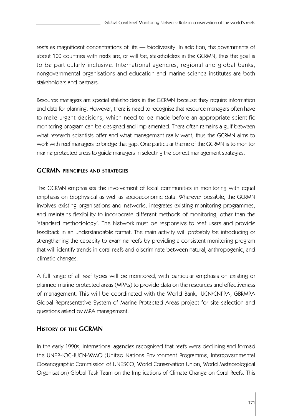reefs as magnificent concentrations of life — biodiversity. In addition, the governments of about 100 countries with reefs are, or will be, stakeholders in the GCRMN, thus the goal is to be particularly inclusive. International agencies, regional and global banks, nongovernmental organisations and education and marine science institutes are both stakeholders and partners.

Resource managers are special stakeholders in the GCRMN because they require information and data for planning. However, there is need to recognise that resource managers often have to make urgent decisions, which need to be made before an appropriate scientific monitoring program can be designed and implemented. There often remains a gulf between what research scientists offer and what management really want, thus the GCRMN aims to work with reef managers to bridge that gap. One particular theme of the GCRMN is to monitor marine protected areas to guide managers in selecting the correct management strategies.

## **GCRMN PRINCIPLES AND STRATEGIES**

The GCRMN emphasises the involvement of local communities in monitoring with equal emphasis on biophysical as well as socioeconomic data. Wherever possible, the GCRMN involves existing organisations and networks, integrates existing monitoring programmes, and maintains flexibility to incorporate different methods of monitoring, other than the 'standard methodology'. The Network must be responsive to reef users and provide feedback in an understandable format. The main activity will probably be introducing or strengthening the capacity to examine reefs by providing a consistent monitoring program that will identify trends in coral reefs and discriminate between natural, anthropogenic, and climatic changes.

A full range of all reef types will be monitored, with particular emphasis on existing or planned marine protected areas (MPAs) to provide data on the resources and effectiveness of management. This will be coordinated with the World Bank, IUCN/CNPPA, GBRMPA Global Representative System of Marine Protected Areas project for site selection and questions asked by MPA management.

#### **HISTORY OF THE GCRMN**

In the early 1990s, international agencies recognised that reefs were declining and formed the UNEP-IOC-IUCN-WMO (United Nations Environment Programme, Intergovernmental Oceanographic Commission of UNESCO, World Conservation Union, World Meteorological Organisation) Global Task Team on the Implications of Climate Change on Coral Reefs. This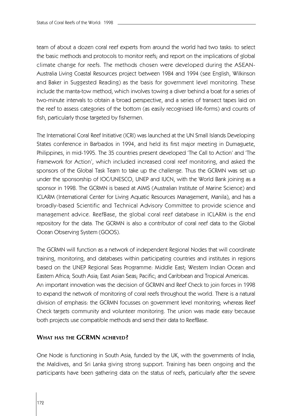team of about a dozen coral reef experts from around the world had two tasks: to select the basic methods and protocols to monitor reefs; and report on the implications of global climate change for reefs. The methods chosen were developed during the ASEAN-Australia Living Coastal Resources project between 1984 and 1994 (see English, Wilkinson and Baker in Suggested Reading) as the basis for government level monitoring. These include the manta-tow method, which involves towing a diver behind a boat for a series of two-minute intervals to obtain a broad perspective, and a series of transect tapes laid on the reef to assess categories of the bottom (as easily recognised life-forms) and counts of fish, particularly those targeted by fishermen.

The International Coral Reef Initiative (ICRI) was launched at the UN Small Islands Developing States conference in Barbados in 1994, and held its first major meeting in Dumaguete, Philippines, in mid-1995. The 35 countries present developed 'The Call to Action' and 'The Framework for Action', which included increased coral reef monitoring, and asked the sponsors of the Global Task Team to take up the challenge. Thus the GCRMN was set up under the sponsorship of IOC/UNESCO, UNEP and IUCN, with the World Bank joining as a sponsor in 1998. The GCRMN is based at AIMS (Australian Institute of Marine Science) and ICLARM (International Center for Living Aquatic Resources Management, Manila), and has a broadly-based Scientific and Technical Advisory Committee to provide science and management advice. ReefBase, the global coral reef database in ICLARM is the end repository for the data. The GCRMN is also a contributor of coral reef data to the Global Ocean Observing System (GOOS).

The GCRMN will function as a network of independent Regional Nodes that will coordinate training, monitoring, and databases within participating countries and institutes in regions based on the UNEP Regional Seas Programme: Middle East; Western Indian Ocean and Eastern Africa; South Asia; East Asian Seas; Pacific; and Caribbean and Tropical Americas. An important innovation was the decision of GCRMN and Reef Check to join forces in 1998 to expand the network of monitoring of coral reefs throughout the world. There is a natural division of emphasis: the GCRMN focusses on government level monitoring; whereas Reef Check targets community and volunteer monitoring. The union was made easy because both projects use compatible methods and send their data to ReefBase.

#### **WHAT HAS THE GCRMN ACHIEVED?**

One Node is functioning in South Asia, funded by the UK, with the governments of India, the Maldives, and Sri Lanka giving strong support. Training has been ongoing and the participants have been gathering data on the status of reefs, particularly after the severe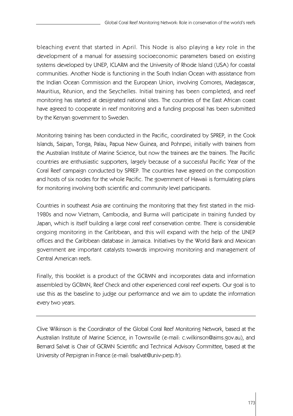bleaching event that started in April. This Node is also playing a key role in the development of a manual for assessing socioeconomic parameters based on existing systems developed by UNEP, ICLARM and the University of Rhode Island (USA) for coastal communities. Another Node is functioning in the South Indian Ocean with assistance from the Indian Ocean Commission and the European Union, involving Comores, Madagascar, Mauritius, Réunion, and the Seychelles. Initial training has been completed, and reef monitoring has started at designated national sites. The countries of the East African coast have agreed to cooperate in reef monitoring and a funding proposal has been submitted by the Kenyan government to Sweden.

Monitoring training has been conducted in the Pacific, coordinated by SPREP, in the Cook Islands, Saipan, Tonga, Palau, Papua New Guinea, and Pohnpei, initially with trainers from the Australian Institute of Marine Science, but now the trainees are the trainers. The Pacific countries are enthusiastic supporters, largely because of a successful Pacific Year of the Coral Reef campaign conducted by SPREP. The countries have agreed on the composition and hosts of six nodes for the whole Pacific. The government of Hawaii is formulating plans for monitoring involving both scientific and community level participants.

Countries in southeast Asia are continuing the monitoring that they first started in the mid-1980s and now Vietnam, Cambodia, and Burma will participate in training funded by Japan, which is itself building a large coral reef conservation centre. There is considerable ongoing monitoring in the Caribbean, and this will expand with the help of the UNEP offices and the Caribbean database in Jamaica. Initiatives by the World Bank and Mexican government are important catalysts towards improving monitoring and management of Central American reefs.

Finally, this booklet is a product of the GCRMN and incorporates data and information assembled by GCRMN, Reef Check and other experienced coral reef experts. Our goal is to use this as the baseline to judge our performance and we aim to update the information every two years.

Clive Wilkinson is the Coordinator of the Global Coral Reef Monitoring Network, based at the Australian Institute of Marine Science, in Townsville (e-mail: c.wilkinson@aims.gov.au), and Bernard Salvat is Chair of GCRMN Scientific and Technical Advisory Committee, based at the University of Perpignan in France (e-mail: bsalvat@univ-perp.fr).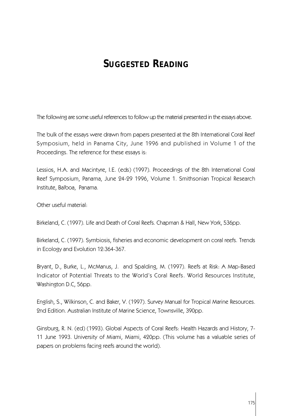# **SUGGESTED READING**

The following are some useful references to follow up the material presented in the essays above.

The bulk of the essays were drawn from papers presented at the 8th International Coral Reef Symposium, held in Panama City, June 1996 and published in Volume 1 of the Proceedings. The reference for these essays is:

Lessios, H.A. and Macintyre, I.E. (eds) (1997). Proceedings of the 8th International Coral Reef Symposium, Panama, June 24-29 1996, Volume 1. Smithsonian Tropical Research Institute, Balboa, Panama.

Other useful material:

Birkeland, C. (1997). Life and Death of Coral Reefs. Chapman & Hall, New York, 536pp.

Birkeland, C. (1997). Symbiosis, fisheries and economic development on coral reefs. Trends in Ecology and Evolution 12:364-367.

Bryant, D., Burke, L., McManus, J. and Spalding, M. (1997). Reefs at Risk: A Map-Based Indicator of Potential Threats to the World's Coral Reefs. World Resources Institute, Washington D.C, 56pp.

English, S., Wilkinson, C. and Baker, V. (1997). Survey Manual for Tropical Marine Resources. 2nd Edition. Australian Institute of Marine Science, Townsville, 390pp.

Ginsburg, R. N. (ed) (1993). Global Aspects of Coral Reefs: Health Hazards and History, 7- 11 June 1993. University of Miami, Miami, 420pp. (This volume has a valuable series of papers on problems facing reefs around the world).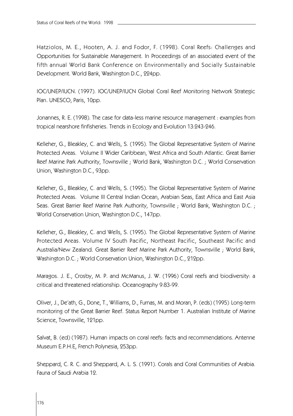Hatziolos, M. E., Hooten, A. J. and Fodor, F. (1998). Coral Reefs: Challenges and Opportunities for Sustainable Management. In Proceedings of an associated event of the fifth annual World Bank Conference on Environmentally and Socially Sustainable Development. World Bank, Washington D.C., 224pp.

IOC/UNEP/IUCN. (1997). IOC/UNEP/IUCN Global Coral Reef Monitoring Network Strategic Plan. UNESCO, Paris, 10pp.

Jonannes, R. E. (1998). The case for data-less marine resource management : examples from tropical nearshore finfisheries. Trends in Ecology and Evolution 13:243-246.

Kelleher, G., Bleakley, C. and Wells, S. (1995). The Global Representative System of Marine Protected Areas. Volume II Wider Caribbean, West Africa and South Atlantic. Great Barrier Reef Marine Park Authority, Townsville ; World Bank, Washington D.C. ; World Conservation Union, Washington D.C., 93pp.

Kelleher, G., Bleakley, C. and Wells, S. (1995). The Global Representative System of Marine Protected Areas. Volume III Central Indian Ocean, Arabian Seas, East Africa and East Asia Seas. Great Barrier Reef Marine Park Authority, Townsville ; World Bank, Washington D.C. ; World Conservation Union, Washington D.C., 147pp.

Kelleher, G., Bleakley, C. and Wells, S. (1995). The Global Representative System of Marine Protected Areas. Volume IV South Pacific, Northeast Pacific, Southeast Pacific and Australia/New Zealand. Great Barrier Reef Marine Park Authority, Townsville ; World Bank, Washington D.C. ; World Conservation Union, Washington D.C., 212pp.

Maragos. J. E., Crosby, M. P. and McManus, J. W. (1996) Coral reefs and biodiversity: a critical and threatened relationship. Oceanography 9:83-99.

Oliver, J., De'ath, G., Done, T., Williams, D., Furnas, M. and Moran, P. (eds) (1995) Long-term monitoring of the Great Barrier Reef. Status Report Number 1. Australian Institute of Marine Science, Townsville, 121pp.

Salvat, B. (ed) (1987). Human impacts on coral reefs: facts and recommendations. Antenne Museum E.P.H.E, French Polynesia, 253pp.

Sheppard, C. R. C. and Sheppard, A. L. S. (1991). Corals and Coral Communities of Arabia. Fauna of Saudi Arabia 12.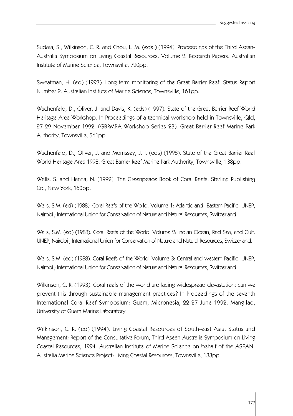Sudara, S., Wilkinson, C. R. and Chou, L. M. (eds ) (1994). Proceedings of the Third Asean-Australia Symposium on Living Coastal Resources. Volume 2: Research Papers. Australian Institute of Marine Science, Townsville, 720pp.

Sweatman, H. (ed) (1997). Long-term monitoring of the Great Barrier Reef. Status Report Number 2. Australian Institute of Marine Science, Townsville, 161pp.

Wachenfeld, D., Oliver, J. and Davis, K. (eds) (1997). State of the Great Barrier Reef World Heritage Area Workshop. In Proceedings of a technical workshop held in Townsville, Qld, 27-29 November 1992. (GBRMPA Workshop Series 23). Great Barrier Reef Marine Park Authority, Townsville, 561pp.

Wachenfeld, D., Oliver, J. and Morrissey, J. I. (eds) (1998). State of the Great Barrier Reef World Heritage Area 1998. Great Barrier Reef Marine Park Authority, Townsville, 138pp.

Wells, S. and Hanna, N. (1992). The Greenpeace Book of Coral Reefs. Sterling Publishing Co., New York, 160pp.

Wells, S.M. (ed) (1988). Coral Reefs of the World. Volume 1: Atlantic and Eastern Pacific. UNEP, Nairobi ; International Union for Conservation of Nature and Natural Resources, Switzerland.

Wells, S.M. (ed) (1988). Coral Reefs of the World. Volume 2: Indian Ocean, Red Sea, and Gulf. UNEP, Nairobi ; International Union for Conservation of Nature and Natural Resources, Switzerland.

Wells, S.M. (ed) (1988). Coral Reefs of the World. Volume 3: Central and western Pacific. UNEP, Nairobi ; International Union for Conservation of Nature and Natural Resources, Switzerland.

Wilkinson, C. R. (1993). Coral reefs of the world are facing widespread devastation: can we prevent this through sustainable management practices? In Proceedings of the seventh International Coral Reef Symposium: Guam, Micronesia, 22-27 June 1992. Mangilao, University of Guam Marine Laboratory.

Wilkinson, C. R. (ed) (1994). Living Coastal Resources of South-east Asia: Status and Management: Report of the Consultative Forum, Third Asean-Australia Symposium on Living Coastal Resources, 1994. Australian Institute of Marine Science on behalf of the ASEAN-Australia Marine Science Project: Living Coastal Resources, Townsville, 133pp.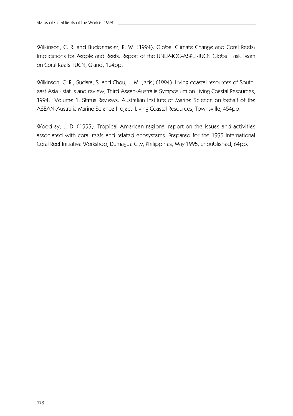Wilkinson, C. R. and Buddemeier, R. W. (1994). Global Climate Change and Coral Reefs: Implications for People and Reefs. Report of the UNEP-IOC-ASPEI-IUCN Global Task Team on Coral Reefs. IUCN, Gland, 124pp.

Wilkinson, C. R., Sudara, S. and Chou, L. M. (eds) (1994). Living coastal resources of Southeast Asia : status and review, Third Asean-Australia Symposium on Living Coastal Resources, 1994. Volume 1: Status Reviews. Australian Institute of Marine Science on behalf of the ASEAN-Australia Marine Science Project: Living Coastal Resources, Townsville, 454pp.

Woodley, J. D. (1995). Tropical American regional report on the issues and activities associated with coral reefs and related ecosystems. Prepared for the 1995 International Coral Reef Initiative Workshop, Dumague City, Philippines, May 1995, unpublished, 64pp.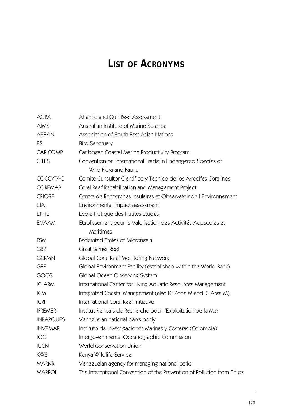# **LIST OF ACRONYMS**

| <b>AGRA</b>      | Atlantic and Gulf Reef Assessment                                      |  |  |
|------------------|------------------------------------------------------------------------|--|--|
| <b>AIMS</b>      | Australian Institute of Marine Science                                 |  |  |
| <b>ASEAN</b>     | Association of South East Asian Nations                                |  |  |
| <b>BS</b>        | <b>Bird Sanctuary</b>                                                  |  |  |
| <b>CARICOMP</b>  | Caribbean Coastal Marine Productivity Program                          |  |  |
| <b>CITES</b>     | Convention on International Trade in Endangered Species of             |  |  |
|                  | Wild Flora and Fauna                                                   |  |  |
| <b>COCCYTAC</b>  | Comite Cunsultor Cientifico y Tecnico de los Arrecifes Coralinos       |  |  |
| <b>COREMAP</b>   | Coral Reef Rehabilitation and Management Project                       |  |  |
| <b>CRIOBE</b>    | Centre de Recherches Insulaires et Observatoir de l'Environnement      |  |  |
| EIA              | Environmental impact assessment                                        |  |  |
| <b>EPHE</b>      | Ecole Pratique des Hautes Etudes                                       |  |  |
| <b>EVAAM</b>     | Etablissement pour la Valorisation des Activités Aquacoles et          |  |  |
|                  | Maritimes                                                              |  |  |
| <b>FSM</b>       | Federated States of Micronesia                                         |  |  |
| <b>GBR</b>       | <b>Great Barrier Reef</b>                                              |  |  |
| <b>GCRMN</b>     | Global Coral Reef Monitoring Network                                   |  |  |
| GEF              | Global Environment Facility (established within the World Bank)        |  |  |
| GOOS             | Global Ocean Observing System                                          |  |  |
| <b>ICLARM</b>    | International Center for Living Aquatic Resources Management           |  |  |
| <b>ICM</b>       | Integrated Coastal Management (also IC Zone M and IC Area M)           |  |  |
| <b>ICRI</b>      | International Coral Reef Initiative                                    |  |  |
| <b>IFREMER</b>   | Institut Francais de Recherche pour l'Exploitation de la Mer           |  |  |
| <b>INPARQUES</b> | Venezuelan national parks body                                         |  |  |
| <b>INVEMAR</b>   | Instituto de Investigaciones Marinas y Costeras (Colombia)             |  |  |
| IOC              | Intergovernmental Oceanographic Commission                             |  |  |
| <b>IUCN</b>      | World Conservation Union                                               |  |  |
| <b>KWS</b>       | Kenya Wildlife Service                                                 |  |  |
| <b>MARNR</b>     | Venezuelan agency for managing national parks                          |  |  |
| <b>MARPOL</b>    | The International Convention of the Prevention of Pollution from Ships |  |  |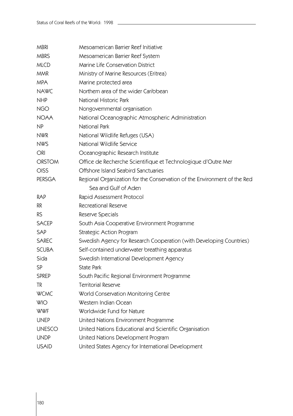| <b>MBRI</b>   | Mesoamerican Barrier Reef Initiative                                     |  |  |
|---------------|--------------------------------------------------------------------------|--|--|
| <b>MBRS</b>   | Mesoamerican Barrier Reef System                                         |  |  |
| MLCD          | Marine Life Conservation District                                        |  |  |
| MMR           | Ministry of Marine Resources (Eritrea)                                   |  |  |
| MPA           | Marine protected area                                                    |  |  |
| <b>NAWC</b>   | Northern area of the wider Caribbean                                     |  |  |
| <b>NHP</b>    | National Historic Park                                                   |  |  |
| NGO           | Nongovernmental organisation                                             |  |  |
| <b>NOAA</b>   | National Oceanographic Atmospheric Administration                        |  |  |
| NP            | National Park                                                            |  |  |
| <b>NWR</b>    | National Wildlife Refuges (USA)                                          |  |  |
| <b>NWS</b>    | National Wildlife Service                                                |  |  |
| ORI           | Oceanographic Research Institute                                         |  |  |
| <b>ORSTOM</b> | Office de Recherche Scientifique et Technologique d'Outre Mer            |  |  |
| OISS          | Offshore Island Seabird Sanctuaries                                      |  |  |
| <b>PERSGA</b> | Regional Organization for the Conservation of the Environment of the Red |  |  |
|               | Sea and Gulf of Aden                                                     |  |  |
| <b>RAP</b>    | Rapid Assessment Protocol                                                |  |  |
| RR            | Recreational Reserve                                                     |  |  |
| <b>RS</b>     | Reserve Specials                                                         |  |  |
| <b>SACEP</b>  | South Asia Cooperative Environment Programme                             |  |  |
| SAP           | <b>Strategic Action Program</b>                                          |  |  |
| <b>SAREC</b>  | Swedish Agency for Research Cooperation (with Developing Countries)      |  |  |
| <b>SCUBA</b>  | Self-contained underwater breathing apparatus                            |  |  |
| Sida          | Swedish International Development Agency                                 |  |  |
| SP            | <b>State Park</b>                                                        |  |  |
| <b>SPREP</b>  | South Pacific Regional Environment Programme                             |  |  |
| TR            | <b>Territorial Reserve</b>                                               |  |  |
| <b>WCMC</b>   | World Conservation Monitoring Centre                                     |  |  |
| WIO           | Western Indian Ocean                                                     |  |  |
| <b>WWF</b>    | Worldwide Fund for Nature                                                |  |  |
| <b>UNEP</b>   | United Nations Environment Programme                                     |  |  |
| <b>UNESCO</b> | United Nations Educational and Scientific Organisation                   |  |  |
| <b>UNDP</b>   | United Nations Development Program                                       |  |  |
| <b>USAID</b>  | United States Agency for International Development                       |  |  |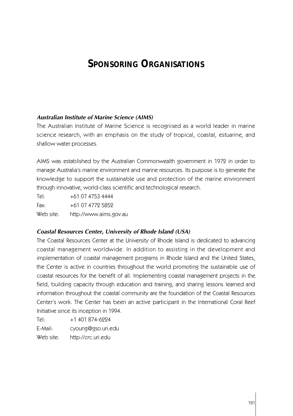# **SPONSORING ORGANISATIONS**

# *Australian Institute of Marine Science (AIMS)*

The Australian Institute of Marine Science is recognised as a world leader in marine science research, with an emphasis on the study of tropical, coastal, estuarine, and shallow water processes.

AIMS was established by the Australian Commonwealth government in 1972 in order to manage Australia's marine environment and marine resources. Its purpose is to generate the knowledge to support the sustainable use and protection of the marine environment through innovative, world-class scientific and technological research.

Tel: +61 07 4753 4444 Fax: +61 07 4772 5852

Web site: http://www.aims.gov.au

# *Coastal Resources Center, University of Rhode Island (USA)*

The Coastal Resources Center at the University of Rhode Island is dedicated to advancing coastal management worldwide. In addition to assisting in the development and implementation of coastal management programs in Rhode Island and the United States, the Center is active in countries throughout the world promoting the sustainable use of coastal resources for the benefit of all. Implementing coastal management projects in the field, building capacity through education and training, and sharing lessons learned and information throughout the coastal community are the foundation of the Coastal Resources Center's work. The Center has been an active participant in the International Coral Reef Initiative since its inception in 1994.

Tel: +1 401 874-6224 E-Mail: cyoung@gso.uri.edu Web site: http://crc.uri.edu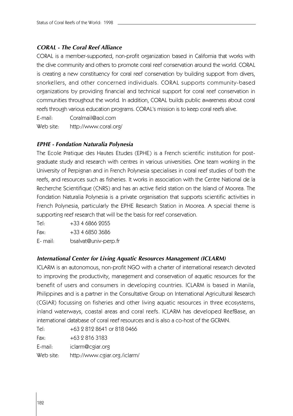# *CORAL - The Coral Reef Alliance*

CORAL is a member-supported, non-profit organization based in California that works with the dive community and others to promote coral reef conservation around the world. CORAL is creating a new constituency for coral reef conservation by building support from divers, snorkellers, and other concerned individuals. CORAL supports community-based organizations by providing financial and technical support for coral reef conservation in communities throughout the world. In addition, CORAL builds public awareness about coral reefs through various education programs. CORAL's mission is to keep coral reefs alive.

E-mail: Coralmail@aol.com

Web site: http://www.coral.org/

#### *EPHE - Fondation Naturalia Polynesia*

The Ecole Pratique des Hautes Etudes (EPHE) is a French scientific institution for postgraduate study and research with centres in various universities. One team working in the University of Perpignan and in French Polynesia specialises in coral reef studies of both the reefs, and resources such as fisheries. It works in association with the Centre National de la Recherche Scientifique (CNRS) and has an active field station on the Island of Moorea. The Fondation Naturalia Polynesia is a private organisation that supports scientific activities in French Polynesia, particularly the EPHE Research Station in Moorea. A special theme is supporting reef research that will be the basis for reef conservation.

Tel: +33 4 6866 2055 Fax: +33 4 6850 3686 E- mail: bsalvat@univ-perp.fr

#### *International Center for Living Aquatic Resources Management (ICLARM)*

ICLARM is an autonomous, non-profit NGO with a charter of international research devoted to improving the productivity, management and conservation of aquatic resources for the benefit of users and consumers in developing countries. ICLARM is based in Manila, Philippines and is a partner in the Consultative Group on International Agricultural Research (CGIAR) focussing on fisheries and other living aquatic resources in three ecosystems, inland waterways, coastal areas and coral reefs. ICLARM has developed ReefBase, an international database of coral reef resources and is also a co-host of the GCRMN.

| Tel:       | +63 2 812 8641 or 818 0466    |
|------------|-------------------------------|
| Fax:       | $+63$ 2 816 3183              |
| $E$ -mail: | iclarm@cgiar.org              |
| Web site:  | http://www.cgiar.org./iclarm/ |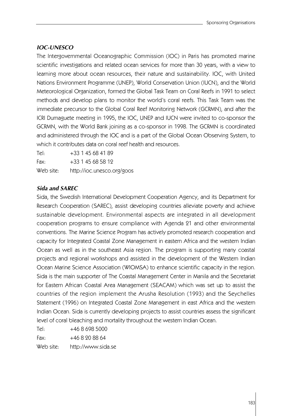# *IOC-UNESCO*

The Intergovernmental Oceanographic Commission (IOC) in Paris has promoted marine scientific investigations and related ocean services for more than 30 years, with a view to learning more about ocean resources, their nature and sustainability. IOC, with United Nations Environment Programme (UNEP), World Conservation Union (IUCN), and the World Meteorological Organization, formed the Global Task Team on Coral Reefs in 1991 to select methods and develop plans to monitor the world's coral reefs. This Task Team was the immediate precursor to the Global Coral Reef Monitoring Network (GCRMN), and after the ICRI Dumaguete meeting in 1995, the IOC, UNEP and IUCN were invited to co-sponsor the GCRMN, with the World Bank joining as a co-sponsor in 1998. The GCRMN is coordinated and administered through the IOC and is a part of the Global Ocean Observing System, to which it contributes data on coral reef health and resources.

Tel: +33 1 45 68 41 89 Fax: +33 1 45 68 58 12 Web site: http://ioc.unesco.org/goos

# *Sida and SAREC*

Sida, the Swedish International Development Cooperation Agency, and its Department for Research Cooperation (SAREC), assist developing countries alleviate poverty and achieve sustainable development. Environmental aspects are integrated in all development cooperation programs to ensure compliance with Agenda 21 and other environmental conventions. The Marine Science Program has actively promoted research cooperation and capacity for Integrated Coastal Zone Management in eastern Africa and the western Indian Ocean as well as in the southeast Asia region. The program is supporting many coastal projects and regional workshops and assisted in the development of the Western Indian Ocean Marine Science Association (WIOMSA) to enhance scientific capacity in the region. Sida is the main supporter of The Coastal Management Center in Manila and the Secretariat for Eastern African Coastal Area Management (SEACAM) which was set up to assist the countries of the region implement the Arusha Resolution (1993) and the Seychelles Statement (1996) on Integrated Coastal Zone Management in east Africa and the western Indian Ocean. Sida is currently developing projects to assist countries assess the significant level of coral bleaching and mortality throughout the western Indian Ocean.

 $Tel: +4686985000$ Fax: +46 8 20 88 64 Web site: http://www.sida.se